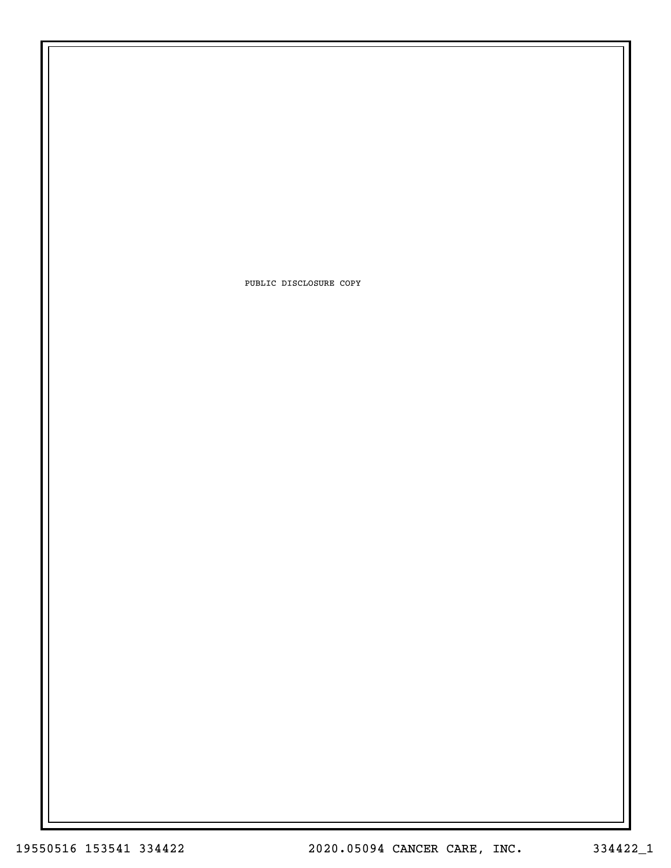PUBLIC DISCLOSURE COPY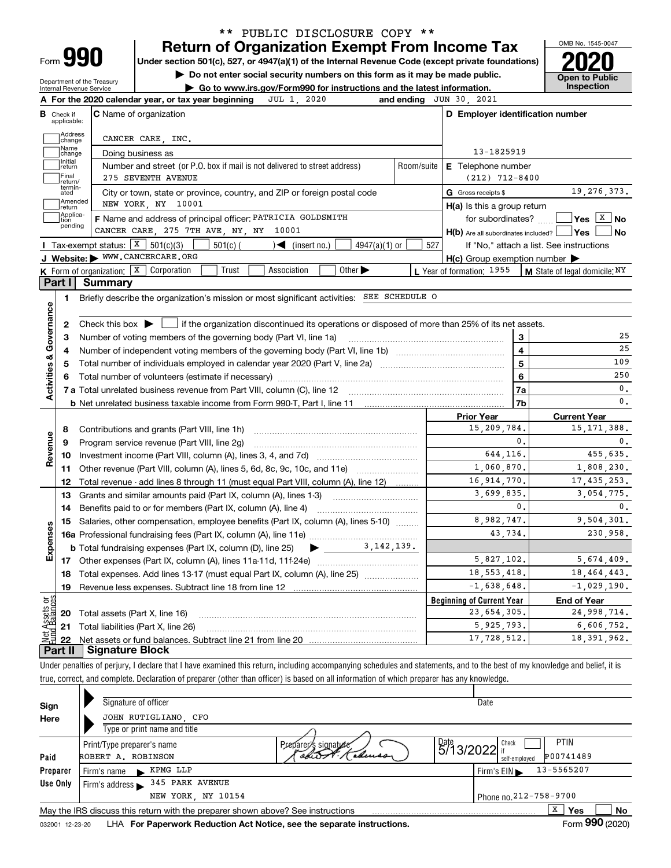| Form |  |
|------|--|

## **Return of Organization Exempt From Income Tax** \*\* PUBLIC DISCLOSURE COPY \*\*

**Under section 501(c), 527, or 4947(a)(1) of the Internal Revenue Code (except private foundations) 2020**

**| Do not enter social security numbers on this form as it may be made public.**

Department of the Treasury Internal Revenue Service

**| Go to www.irs.gov/Form990 for instructions and the latest information. Inspection**



| A For the 2020 calendar year, or tax year beginning<br>JUL 1, 2020                                                                                                        | and ending JUN 30, 2021                                 |                                                        |
|---------------------------------------------------------------------------------------------------------------------------------------------------------------------------|---------------------------------------------------------|--------------------------------------------------------|
| <b>C</b> Name of organization<br><b>B</b> Check if<br>applicable:                                                                                                         | D Employer identification number                        |                                                        |
| Address<br>CANCER CARE, INC.<br>change                                                                                                                                    |                                                         |                                                        |
| Name<br>Doing business as<br>change                                                                                                                                       | 13-1825919                                              |                                                        |
| Initial<br>Number and street (or P.O. box if mail is not delivered to street address)<br>return                                                                           | Room/suite<br><b>E</b> Telephone number                 |                                                        |
| Final<br>275 SEVENTH AVENUE<br>return/                                                                                                                                    | $(212)$ 712-8400                                        |                                                        |
| termin-<br>ated<br>City or town, state or province, country, and ZIP or foreign postal code                                                                               | G Gross receipts \$                                     | 19, 276, 373.                                          |
| Amended<br>NEW YORK, NY 10001<br>return                                                                                                                                   | H(a) Is this a group return                             |                                                        |
| Applica-<br>F Name and address of principal officer: PATRICIA GOLDSMITH<br>tion                                                                                           | for subordinates?                                       | $\sqrt{\mathsf{Yes} \mid \mathsf{X} \mid \mathsf{No}}$ |
| pending<br>CANCER CARE, 275 7TH AVE, NY, NY 10001                                                                                                                         | $H(b)$ Are all subordinates included? $\Box$ Yes $\Box$ | No                                                     |
| Tax-exempt status: $X \ 501(c)(3)$<br>$501(c)$ (<br>$\sqrt{\frac{1}{1}}$ (insert no.)<br>$4947(a)(1)$ or                                                                  | 527                                                     | If "No," attach a list. See instructions               |
| J Website: WWW.CANCERCARE.ORG                                                                                                                                             | $H(c)$ Group exemption number $\blacktriangleright$     |                                                        |
| Other $\blacktriangleright$<br><b>K</b> Form of organization: $\boxed{\textbf{x}}$ Corporation<br>Trust<br>Association                                                    | L Year of formation: 1955                               | $\vert$ M State of legal domicile: NY                  |
| Part I<br><b>Summary</b>                                                                                                                                                  |                                                         |                                                        |
| Briefly describe the organization's mission or most significant activities: SEE SCHEDULE O<br>1.                                                                          |                                                         |                                                        |
|                                                                                                                                                                           |                                                         |                                                        |
| Activities & Governance<br>Check this box $\blacktriangleright \Box$ if the organization discontinued its operations or disposed of more than 25% of its net assets.<br>2 |                                                         |                                                        |
| Number of voting members of the governing body (Part VI, line 1a)<br>З                                                                                                    | 3                                                       | 25                                                     |
| 4                                                                                                                                                                         | $\overline{4}$                                          | 25                                                     |
| 5                                                                                                                                                                         | 5                                                       | 109                                                    |
| 6                                                                                                                                                                         | 6                                                       | 250                                                    |
|                                                                                                                                                                           | 7a                                                      | 0.                                                     |
|                                                                                                                                                                           | 7b                                                      | $\mathbf{0}$ .                                         |
|                                                                                                                                                                           | <b>Prior Year</b>                                       | <b>Current Year</b>                                    |
| Contributions and grants (Part VIII, line 1h)<br>8<br>Revenue                                                                                                             | 15,209,784.                                             | 15, 171, 388.                                          |
| Program service revenue (Part VIII, line 2g)<br>9                                                                                                                         | 0.                                                      | $\mathbf 0$ .                                          |
| 10                                                                                                                                                                        | 644,116.                                                | 455,635.                                               |
| Other revenue (Part VIII, column (A), lines 5, 6d, 8c, 9c, 10c, and 11e)<br>11                                                                                            | 1,060,870.                                              | 1,808,230.                                             |
| Total revenue - add lines 8 through 11 (must equal Part VIII, column (A), line 12)<br>12                                                                                  | 16, 914, 770.                                           | 17, 435, 253.                                          |
| Grants and similar amounts paid (Part IX, column (A), lines 1-3)<br>13                                                                                                    | 3,699,835.                                              | 3,054,775.                                             |
| 14                                                                                                                                                                        | 0.                                                      | $\mathbf{0}$ .                                         |
| Salaries, other compensation, employee benefits (Part IX, column (A), lines 5-10)<br>15                                                                                   | 8,982,747.                                              | 9,504,301.                                             |
| Expenses                                                                                                                                                                  | 43,734.                                                 | 230,958.                                               |
| $\bullet$ 3, 142, 139.<br><b>b</b> Total fundraising expenses (Part IX, column (D), line 25)                                                                              |                                                         |                                                        |
|                                                                                                                                                                           | 5,827,102.                                              | 5,674,409.                                             |
| Total expenses. Add lines 13-17 (must equal Part IX, column (A), line 25)<br>18                                                                                           | 18, 553, 418.                                           | 18, 464, 443.                                          |
| Revenue less expenses. Subtract line 18 from line 12<br>19                                                                                                                | $-1,638,648.$                                           | $-1,029,190.$                                          |
| កង្ក                                                                                                                                                                      | <b>Beginning of Current Year</b>                        | <b>End of Year</b>                                     |
| Assets<br>  Balanc<br>20 Total assets (Part X, line 16)                                                                                                                   | 23,654,305.                                             | 24,998,714.                                            |
| 21 Total liabilities (Part X, line 26)                                                                                                                                    | 5,925,793.                                              | 6,606,752.                                             |
| Dart II Signature Block                                                                                                                                                   | 17,728,512.                                             | 18, 391, 962.                                          |

**Part II Signature Block**

Under penalties of perjury, I declare that I have examined this return, including accompanying schedules and statements, and to the best of my knowledge and belief, it is true, correct, and complete. Declaration of preparer (other than officer) is based on all information of which preparer has any knowledge.

| Sign     | Signature of officer                                                                                         |                      |                          | Date                                           |  |  |  |  |  |  |  |
|----------|--------------------------------------------------------------------------------------------------------------|----------------------|--------------------------|------------------------------------------------|--|--|--|--|--|--|--|
| Here     | JOHN RUTIGLIANO, CFO                                                                                         |                      |                          |                                                |  |  |  |  |  |  |  |
|          | Type or print name and title                                                                                 |                      |                          |                                                |  |  |  |  |  |  |  |
|          | Print/Type preparer's name                                                                                   | Preparer's signature | $^{Date}_{5/13/2022}$ if | <b>PTIN</b><br>Check                           |  |  |  |  |  |  |  |
| Paid     | ROBERT A. ROBINSON                                                                                           | cheuse               |                          | P00741489<br>self-emploved                     |  |  |  |  |  |  |  |
| Preparer | KPMG LLP<br>Firm's name                                                                                      |                      |                          | 13-5565207<br>Firm's $EIN \blacktriangleright$ |  |  |  |  |  |  |  |
| Use Only | 345 PARK AVENUE<br>Firm's address                                                                            |                      |                          |                                                |  |  |  |  |  |  |  |
|          | NEW YORK, NY 10154                                                                                           |                      |                          | Phone no. 212 - 758 - 9700                     |  |  |  |  |  |  |  |
|          | May the IRS discuss this return with the preparer shown above? See instructions                              |                      |                          | X<br>No<br>Yes                                 |  |  |  |  |  |  |  |
|          | Form 990 (2020)<br>LHA For Paperwork Reduction Act Notice, see the separate instructions.<br>032001 12-23-20 |                      |                          |                                                |  |  |  |  |  |  |  |

032001 12-23-20 **For Paperwork Reduction Act Notice, see the separate instructions.** LHA Form (2020)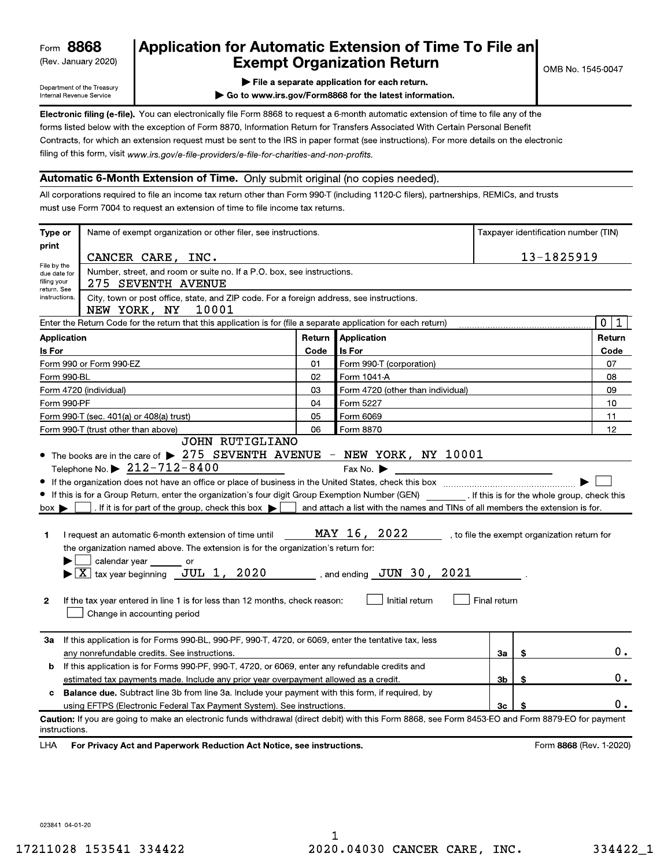(Rev. January 2020)

## Application for Automatic Extension of Time To File an **Exempt Organization Return**

Department of the Treasury Internal Revenue Service

File a separate application for each return.

Go to www.irs.gov/Form8868 for the latest information.

Electronic filing (e-file). You can electronically file Form 8868 to request a 6-month automatic extension of time to file any of the forms listed below with the exception of Form 8870, Information Return for Transfers Associated With Certain Personal Benefit Contracts, for which an extension request must be sent to the IRS in paper format (see instructions). For more details on the electronic filing of this form, visit www.irs.gov/e-file-providers/e-file-for-charities-and-non-profits.

### Automatic 6-Month Extension of Time. Only submit original (no copies needed).

All corporations required to file an income tax return other than Form 990-T (including 1120-C filers), partnerships, REMICs, and trusts must use Form 7004 to request an extension of time to file income tax returns.

| Type or                                                                                                      | Name of exempt organization or other filer, see instructions.                                                                                                                                                                                                                                                                                                                                                                                                                                                                                                                                                           | Taxpayer identification number (TIN) |                                                                                                                                 |              |    |                                              |
|--------------------------------------------------------------------------------------------------------------|-------------------------------------------------------------------------------------------------------------------------------------------------------------------------------------------------------------------------------------------------------------------------------------------------------------------------------------------------------------------------------------------------------------------------------------------------------------------------------------------------------------------------------------------------------------------------------------------------------------------------|--------------------------------------|---------------------------------------------------------------------------------------------------------------------------------|--------------|----|----------------------------------------------|
| print                                                                                                        | CANCER CARE, INC.                                                                                                                                                                                                                                                                                                                                                                                                                                                                                                                                                                                                       |                                      |                                                                                                                                 | 13-1825919   |    |                                              |
| File by the<br>due date for                                                                                  | Number, street, and room or suite no. If a P.O. box, see instructions.                                                                                                                                                                                                                                                                                                                                                                                                                                                                                                                                                  |                                      |                                                                                                                                 |              |    |                                              |
| filing your<br>return. See                                                                                   | 275 SEVENTH AVENUE                                                                                                                                                                                                                                                                                                                                                                                                                                                                                                                                                                                                      |                                      |                                                                                                                                 |              |    |                                              |
| instructions.                                                                                                | City, town or post office, state, and ZIP code. For a foreign address, see instructions.<br>NEW YORK, NY<br>10001                                                                                                                                                                                                                                                                                                                                                                                                                                                                                                       |                                      |                                                                                                                                 |              |    |                                              |
|                                                                                                              | Enter the Return Code for the return that this application is for (file a separate application for each return)                                                                                                                                                                                                                                                                                                                                                                                                                                                                                                         |                                      |                                                                                                                                 |              |    | $\mathbf{0}$<br>$\mathbf 1$                  |
| Application                                                                                                  |                                                                                                                                                                                                                                                                                                                                                                                                                                                                                                                                                                                                                         | Return                               | Application                                                                                                                     |              |    | Return                                       |
| Is For                                                                                                       |                                                                                                                                                                                                                                                                                                                                                                                                                                                                                                                                                                                                                         | Code                                 | <b>Is For</b>                                                                                                                   |              |    | Code                                         |
|                                                                                                              | Form 990 or Form 990-EZ                                                                                                                                                                                                                                                                                                                                                                                                                                                                                                                                                                                                 | 01                                   | Form 990-T (corporation)                                                                                                        |              |    | 07                                           |
| Form 990-BL                                                                                                  |                                                                                                                                                                                                                                                                                                                                                                                                                                                                                                                                                                                                                         | 02                                   | Form 1041-A                                                                                                                     |              |    | 08                                           |
|                                                                                                              | Form 4720 (individual)                                                                                                                                                                                                                                                                                                                                                                                                                                                                                                                                                                                                  | 03                                   | Form 4720 (other than individual)                                                                                               |              |    | 09                                           |
| Form 990-PF                                                                                                  |                                                                                                                                                                                                                                                                                                                                                                                                                                                                                                                                                                                                                         | 04                                   | Form 5227                                                                                                                       |              |    | 10                                           |
|                                                                                                              | Form 990-T (sec. 401(a) or 408(a) trust)                                                                                                                                                                                                                                                                                                                                                                                                                                                                                                                                                                                | 05                                   | Form 6069                                                                                                                       |              |    | 11                                           |
|                                                                                                              | Form 990-T (trust other than above)<br>JOHN RUTIGLIANO                                                                                                                                                                                                                                                                                                                                                                                                                                                                                                                                                                  | 06                                   | Form 8870                                                                                                                       |              |    | 12                                           |
| $box \blacktriangleright$<br>1<br>$\mathbf{2}$                                                               | If this is for a Group Return, enter the organization's four digit Group Exemption Number (GEN) [If this is for the whole group, check this<br>. If it is for part of the group, check this box $\blacktriangleright$<br>I request an automatic 6-month extension of time until MAY 16, 2022<br>the organization named above. The extension is for the organization's return for:<br>calendar year _______ or<br>$\blacktriangleright$ $\boxed{\text{X}}$ tax year beginning $\boxed{\text{JUL}}$ 1, 2020<br>If the tax year entered in line 1 is for less than 12 months, check reason:<br>Change in accounting period |                                      | and attach a list with the names and TINs of all members the extension is for.<br>, and ending $JUN$ 30, 2021<br>Initial return | Final return |    | , to file the exempt organization return for |
| За                                                                                                           | If this application is for Forms 990-BL, 990-PF, 990-T, 4720, or 6069, enter the tentative tax, less<br>any nonrefundable credits. See instructions.                                                                                                                                                                                                                                                                                                                                                                                                                                                                    |                                      |                                                                                                                                 | За           | \$ | $0$ .                                        |
| b                                                                                                            | If this application is for Forms 990-PF, 990-T, 4720, or 6069, enter any refundable credits and                                                                                                                                                                                                                                                                                                                                                                                                                                                                                                                         |                                      |                                                                                                                                 |              |    |                                              |
|                                                                                                              | 3b<br>estimated tax payments made. Include any prior year overpayment allowed as a credit.<br>\$                                                                                                                                                                                                                                                                                                                                                                                                                                                                                                                        |                                      |                                                                                                                                 |              |    |                                              |
| <b>Balance due.</b> Subtract line 3b from line 3a. Include your payment with this form, if required, by<br>c |                                                                                                                                                                                                                                                                                                                                                                                                                                                                                                                                                                                                                         |                                      |                                                                                                                                 |              |    |                                              |
|                                                                                                              | using EFTPS (Electronic Federal Tax Payment System). See instructions.                                                                                                                                                                                                                                                                                                                                                                                                                                                                                                                                                  |                                      |                                                                                                                                 | 3c           | \$ | о.                                           |
| instructions.                                                                                                | Caution: If you are going to make an electronic funds withdrawal (direct debit) with this Form 8868, see Form 8453-EO and Form 8879-EO for payment                                                                                                                                                                                                                                                                                                                                                                                                                                                                      |                                      |                                                                                                                                 |              |    |                                              |
| <b>LHA</b>                                                                                                   | For Privacy Act and Paperwork Reduction Act Notice, see instructions.                                                                                                                                                                                                                                                                                                                                                                                                                                                                                                                                                   |                                      |                                                                                                                                 |              |    | Form 8868 (Rev. 1-2020)                      |

17211028 153541 334422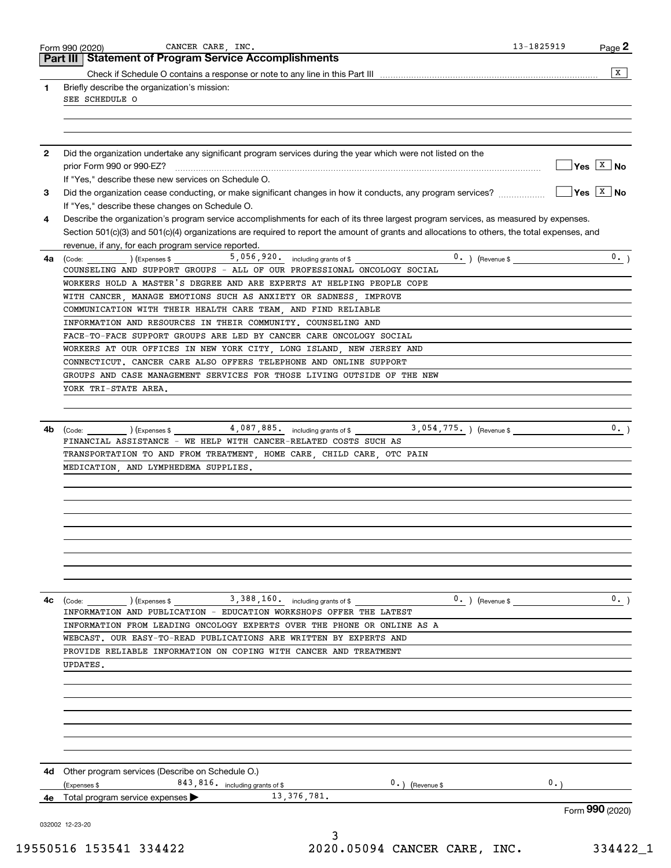|              | CANCER CARE, INC.<br>Form 990 (2020)<br><b>Statement of Program Service Accomplishments</b><br>Part III                                                           | 13-1825919         | Page 2                      |
|--------------|-------------------------------------------------------------------------------------------------------------------------------------------------------------------|--------------------|-----------------------------|
|              |                                                                                                                                                                   |                    | x                           |
| 1            | Briefly describe the organization's mission:                                                                                                                      |                    |                             |
|              | SEE SCHEDULE O                                                                                                                                                    |                    |                             |
|              |                                                                                                                                                                   |                    |                             |
|              |                                                                                                                                                                   |                    |                             |
| $\mathbf{2}$ | Did the organization undertake any significant program services during the year which were not listed on the                                                      |                    |                             |
|              |                                                                                                                                                                   |                    | $\sqrt{}$ Yes $\sqrt{X}$ No |
|              | If "Yes," describe these new services on Schedule O.                                                                                                              |                    |                             |
| З.           | Did the organization cease conducting, or make significant changes in how it conducts, any program services?                                                      |                    | $Yes \sqrt{X}$ No           |
|              | If "Yes," describe these changes on Schedule O.                                                                                                                   |                    |                             |
| 4            | Describe the organization's program service accomplishments for each of its three largest program services, as measured by expenses.                              |                    |                             |
|              | Section 501(c)(3) and 501(c)(4) organizations are required to report the amount of grants and allocations to others, the total expenses, and                      |                    |                             |
|              | revenue, if any, for each program service reported.                                                                                                               |                    |                             |
| 4а           | $\frac{1}{2}$ (Code: ) (Expenses \$ 5,056,920. including grants of \$<br>COUNSELING AND SUPPORT GROUPS - ALL OF OUR PROFESSIONAL ONCOLOGY SOCIAL                  | $0.$ ) (Revenue \$ | 0.                          |
|              | WORKERS HOLD A MASTER'S DEGREE AND ARE EXPERTS AT HELPING PEOPLE COPE                                                                                             |                    |                             |
|              | WITH CANCER, MANAGE EMOTIONS SUCH AS ANXIETY OR SADNESS, IMPROVE                                                                                                  |                    |                             |
|              | COMMUNICATION WITH THEIR HEALTH CARE TEAM, AND FIND RELIABLE                                                                                                      |                    |                             |
|              | INFORMATION AND RESOURCES IN THEIR COMMUNITY. COUNSELING AND                                                                                                      |                    |                             |
|              | FACE-TO-FACE SUPPORT GROUPS ARE LED BY CANCER CARE ONCOLOGY SOCIAL                                                                                                |                    |                             |
|              | WORKERS AT OUR OFFICES IN NEW YORK CITY, LONG ISLAND, NEW JERSEY AND                                                                                              |                    |                             |
|              | CONNECTICUT. CANCER CARE ALSO OFFERS TELEPHONE AND ONLINE SUPPORT                                                                                                 |                    |                             |
|              | GROUPS AND CASE MANAGEMENT SERVICES FOR THOSE LIVING OUTSIDE OF THE NEW                                                                                           |                    |                             |
|              | YORK TRI-STATE AREA.                                                                                                                                              |                    |                             |
|              |                                                                                                                                                                   |                    |                             |
|              | $(1.5)$ (Expenses \$ $4,087,885$ including grants of \$<br>3,054,775. ) (Revenue \$                                                                               |                    | 0.                          |
| 4b           | (Code:<br>FINANCIAL ASSISTANCE - WE HELP WITH CANCER-RELATED COSTS SUCH AS                                                                                        |                    |                             |
|              | TRANSPORTATION TO AND FROM TREATMENT, HOME CARE, CHILD CARE, OTC PAIN                                                                                             |                    |                             |
|              | MEDICATION, AND LYMPHEDEMA SUPPLIES.                                                                                                                              |                    |                             |
|              |                                                                                                                                                                   |                    |                             |
|              |                                                                                                                                                                   |                    |                             |
|              |                                                                                                                                                                   |                    |                             |
|              |                                                                                                                                                                   |                    |                             |
|              |                                                                                                                                                                   |                    |                             |
|              |                                                                                                                                                                   |                    |                             |
|              |                                                                                                                                                                   |                    |                             |
|              |                                                                                                                                                                   |                    |                             |
|              |                                                                                                                                                                   |                    |                             |
|              |                                                                                                                                                                   |                    |                             |
| 4с           | $\frac{1}{2}$ (Code: ) (Expenses \$ 3,388,160. including grants of \$<br>$0.$ ) (Revenue \$<br>INFORMATION AND PUBLICATION - EDUCATION WORKSHOPS OFFER THE LATEST |                    | 0.1                         |
|              | INFORMATION FROM LEADING ONCOLOGY EXPERTS OVER THE PHONE OR ONLINE AS A                                                                                           |                    |                             |
|              | WEBCAST. OUR EASY-TO-READ PUBLICATIONS ARE WRITTEN BY EXPERTS AND                                                                                                 |                    |                             |
|              | PROVIDE RELIABLE INFORMATION ON COPING WITH CANCER AND TREATMENT                                                                                                  |                    |                             |
|              | UPDATES.                                                                                                                                                          |                    |                             |
|              |                                                                                                                                                                   |                    |                             |
|              |                                                                                                                                                                   |                    |                             |
|              |                                                                                                                                                                   |                    |                             |
|              |                                                                                                                                                                   |                    |                             |
|              |                                                                                                                                                                   |                    |                             |
|              |                                                                                                                                                                   |                    |                             |
|              |                                                                                                                                                                   |                    |                             |
|              | 4d Other program services (Describe on Schedule O.)<br>(Expenses \$                                                                                               | 0.                 |                             |
| 4е           | 843, 816. including grants of \$<br>$0.$ ) (Revenue \$<br>13, 376, 781.<br>Total program service expenses                                                         |                    |                             |

19550516 153541 334422 2020.05094 CANCER CARE, INC. 334422\_1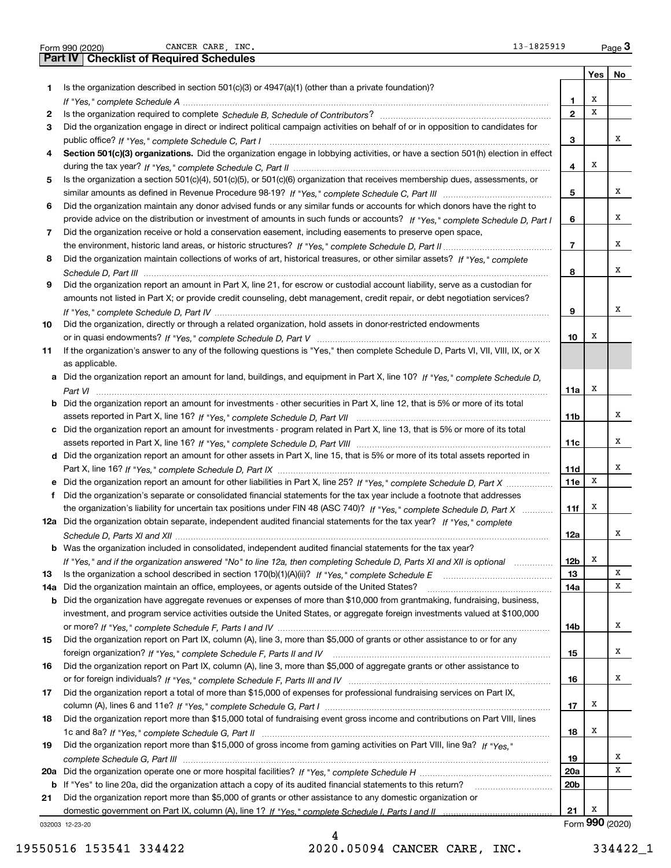|     | CANCER CARE INC.<br>13-1825919<br>Form 990 (2020)                                                                                     |                 |     | $Page$ <sup>3</sup> |
|-----|---------------------------------------------------------------------------------------------------------------------------------------|-----------------|-----|---------------------|
|     | <b>Part IV   Checklist of Required Schedules</b>                                                                                      |                 |     |                     |
|     |                                                                                                                                       |                 | Yes | No                  |
| 1   | Is the organization described in section $501(c)(3)$ or $4947(a)(1)$ (other than a private foundation)?                               |                 |     |                     |
|     |                                                                                                                                       | 1               | х   |                     |
| 2   |                                                                                                                                       | $\mathbf{2}$    | х   |                     |
| З   | Did the organization engage in direct or indirect political campaign activities on behalf of or in opposition to candidates for       |                 |     |                     |
|     |                                                                                                                                       | 3               |     | x                   |
| 4   | Section 501(c)(3) organizations. Did the organization engage in lobbying activities, or have a section 501(h) election in effect      |                 |     |                     |
|     |                                                                                                                                       | 4               | х   |                     |
|     |                                                                                                                                       |                 |     |                     |
| 5   | Is the organization a section 501(c)(4), 501(c)(5), or 501(c)(6) organization that receives membership dues, assessments, or          |                 |     |                     |
|     |                                                                                                                                       | 5               |     | x                   |
| 6   | Did the organization maintain any donor advised funds or any similar funds or accounts for which donors have the right to             |                 |     |                     |
|     | provide advice on the distribution or investment of amounts in such funds or accounts? If "Yes," complete Schedule D, Part I          | 6               |     | х                   |
| 7   | Did the organization receive or hold a conservation easement, including easements to preserve open space,                             |                 |     |                     |
|     |                                                                                                                                       | $\overline{7}$  |     | х                   |
| 8   | Did the organization maintain collections of works of art, historical treasures, or other similar assets? If "Yes," complete          |                 |     |                     |
|     |                                                                                                                                       | 8               |     | х                   |
| 9   | Did the organization report an amount in Part X, line 21, for escrow or custodial account liability, serve as a custodian for         |                 |     |                     |
|     | amounts not listed in Part X; or provide credit counseling, debt management, credit repair, or debt negotiation services?             |                 |     |                     |
|     |                                                                                                                                       | 9               |     | х                   |
|     |                                                                                                                                       |                 |     |                     |
| 10  | Did the organization, directly or through a related organization, hold assets in donor-restricted endowments                          |                 | х   |                     |
|     |                                                                                                                                       | 10              |     |                     |
| 11  | If the organization's answer to any of the following questions is "Yes," then complete Schedule D, Parts VI, VII, VIII, IX, or X      |                 |     |                     |
|     | as applicable.                                                                                                                        |                 |     |                     |
|     | a Did the organization report an amount for land, buildings, and equipment in Part X, line 10? If "Yes," complete Schedule D,         |                 |     |                     |
|     |                                                                                                                                       | 11a             | х   |                     |
|     | <b>b</b> Did the organization report an amount for investments - other securities in Part X, line 12, that is 5% or more of its total |                 |     |                     |
|     |                                                                                                                                       | 11 <sub>b</sub> |     | х                   |
|     | c Did the organization report an amount for investments - program related in Part X, line 13, that is 5% or more of its total         |                 |     |                     |
|     |                                                                                                                                       | 11c             |     | x                   |
|     | d Did the organization report an amount for other assets in Part X, line 15, that is 5% or more of its total assets reported in       |                 |     |                     |
|     |                                                                                                                                       | 11d             |     | x                   |
|     | e Did the organization report an amount for other liabilities in Part X, line 25? If "Yes," complete Schedule D, Part X               | 11e             | X   |                     |
| f   | Did the organization's separate or consolidated financial statements for the tax year include a footnote that addresses               |                 |     |                     |
|     | the organization's liability for uncertain tax positions under FIN 48 (ASC 740)? If "Yes," complete Schedule D, Part X                | 11f             | х   |                     |
|     | 12a Did the organization obtain separate, independent audited financial statements for the tax year? If "Yes," complete               |                 |     |                     |
|     |                                                                                                                                       | 12a             |     |                     |
|     |                                                                                                                                       |                 |     |                     |
|     | b Was the organization included in consolidated, independent audited financial statements for the tax year?                           |                 |     |                     |
|     | If "Yes," and if the organization answered "No" to line 12a, then completing Schedule D, Parts XI and XII is optional manum           | 12 <sub>b</sub> | х   |                     |
| 13  |                                                                                                                                       | 13              |     | Χ                   |
| 14a | Did the organization maintain an office, employees, or agents outside of the United States?                                           | 14a             |     | x                   |
|     | <b>b</b> Did the organization have aggregate revenues or expenses of more than \$10,000 from grantmaking, fundraising, business,      |                 |     |                     |
|     | investment, and program service activities outside the United States, or aggregate foreign investments valued at \$100,000            |                 |     |                     |
|     |                                                                                                                                       | 14b             |     | х                   |
| 15  | Did the organization report on Part IX, column (A), line 3, more than \$5,000 of grants or other assistance to or for any             |                 |     |                     |
|     |                                                                                                                                       | 15              |     | x                   |
| 16  | Did the organization report on Part IX, column (A), line 3, more than \$5,000 of aggregate grants or other assistance to              |                 |     |                     |
|     |                                                                                                                                       | 16              |     | x                   |
| 17  | Did the organization report a total of more than \$15,000 of expenses for professional fundraising services on Part IX,               |                 |     |                     |
|     |                                                                                                                                       |                 | x   |                     |
|     |                                                                                                                                       | 17              |     |                     |
| 18  | Did the organization report more than \$15,000 total of fundraising event gross income and contributions on Part VIII, lines          |                 |     |                     |
|     |                                                                                                                                       | 18              | x   |                     |
| 19  | Did the organization report more than \$15,000 of gross income from gaming activities on Part VIII, line 9a? If "Yes."                |                 |     |                     |
|     |                                                                                                                                       | 19              |     | x                   |
|     |                                                                                                                                       | 20a             |     | х                   |
|     | b If "Yes" to line 20a, did the organization attach a copy of its audited financial statements to this return?                        | 20 <sub>b</sub> |     |                     |
| 21  | Did the organization report more than \$5,000 of grants or other assistance to any domestic organization or                           |                 |     |                     |
|     |                                                                                                                                       | 21              | х   |                     |
|     | 032003 12-23-20                                                                                                                       |                 |     | Form 990 (2020)     |

032003 12-23-20

19550516 153541 334422 2020.05094 CANCER CARE, INC. 334422\_1

4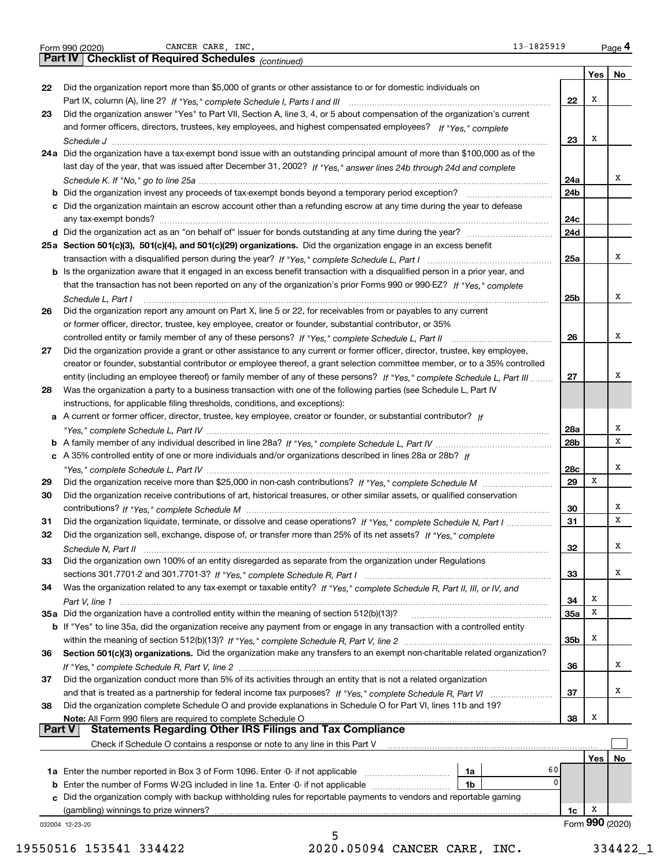|  | Form 990 (2020) |
|--|-----------------|
|  |                 |

Form 990 (2020) CANCER CARE, INC. 13-1825919 Page

|        | 13-1825919<br>CANCER CARE, INC.<br>Form 990 (2020)                                                                                    |                 |                 | Page 4 |  |
|--------|---------------------------------------------------------------------------------------------------------------------------------------|-----------------|-----------------|--------|--|
|        | <b>Checklist of Required Schedules (continued)</b><br>Part IV                                                                         |                 |                 |        |  |
|        |                                                                                                                                       |                 | Yes             | No     |  |
| 22     | Did the organization report more than \$5,000 of grants or other assistance to or for domestic individuals on                         |                 |                 |        |  |
|        |                                                                                                                                       | 22              | Х               |        |  |
| 23     | Did the organization answer "Yes" to Part VII, Section A, line 3, 4, or 5 about compensation of the organization's current            |                 |                 |        |  |
|        | and former officers, directors, trustees, key employees, and highest compensated employees? If "Yes." complete                        |                 |                 |        |  |
|        |                                                                                                                                       | 23              | X               |        |  |
|        | 24a Did the organization have a tax-exempt bond issue with an outstanding principal amount of more than \$100,000 as of the           |                 |                 |        |  |
|        | last day of the year, that was issued after December 31, 2002? If "Yes," answer lines 24b through 24d and complete                    |                 |                 |        |  |
|        |                                                                                                                                       | 24a             |                 | х      |  |
|        | Did the organization invest any proceeds of tax-exempt bonds beyond a temporary period exception?                                     | 24b             |                 |        |  |
|        | c Did the organization maintain an escrow account other than a refunding escrow at any time during the year to defease                |                 |                 |        |  |
|        |                                                                                                                                       | 24c             |                 |        |  |
|        |                                                                                                                                       | 24d             |                 |        |  |
|        | 25a Section 501(c)(3), 501(c)(4), and 501(c)(29) organizations. Did the organization engage in an excess benefit                      |                 |                 |        |  |
|        |                                                                                                                                       | 25a             |                 | x      |  |
|        | Is the organization aware that it engaged in an excess benefit transaction with a disqualified person in a prior year, and            |                 |                 |        |  |
|        | that the transaction has not been reported on any of the organization's prior Forms 990 or 990-EZ? If "Yes." complete                 |                 |                 |        |  |
|        |                                                                                                                                       |                 |                 | x      |  |
|        | Schedule L, Part I<br>Did the organization report any amount on Part X, line 5 or 22, for receivables from or payables to any current | 25 <sub>b</sub> |                 |        |  |
| 26     |                                                                                                                                       |                 |                 |        |  |
|        | or former officer, director, trustee, key employee, creator or founder, substantial contributor, or 35%                               |                 |                 | х      |  |
|        |                                                                                                                                       | 26              |                 |        |  |
| 27     | Did the organization provide a grant or other assistance to any current or former officer, director, trustee, key employee,           |                 |                 |        |  |
|        | creator or founder, substantial contributor or employee thereof, a grant selection committee member, or to a 35% controlled           |                 |                 | х      |  |
|        | entity (including an employee thereof) or family member of any of these persons? If "Yes," complete Schedule L, Part III              | 27              |                 |        |  |
| 28     | Was the organization a party to a business transaction with one of the following parties (see Schedule L, Part IV                     |                 |                 |        |  |
|        | instructions, for applicable filing thresholds, conditions, and exceptions):                                                          |                 |                 |        |  |
| а      | A current or former officer, director, trustee, key employee, creator or founder, or substantial contributor? If                      |                 |                 |        |  |
|        |                                                                                                                                       | 28a             |                 | х      |  |
|        |                                                                                                                                       | 28b             |                 | x      |  |
|        | c A 35% controlled entity of one or more individuals and/or organizations described in lines 28a or 28b? If                           |                 |                 |        |  |
|        |                                                                                                                                       | 28c             |                 | Х      |  |
| 29     |                                                                                                                                       | 29              | х               |        |  |
| 30     | Did the organization receive contributions of art, historical treasures, or other similar assets, or qualified conservation           |                 |                 |        |  |
|        |                                                                                                                                       | 30              |                 | х      |  |
| 31     | Did the organization liquidate, terminate, or dissolve and cease operations? If "Yes," complete Schedule N, Part I                    | 31              |                 | x      |  |
| 32     | Did the organization sell, exchange, dispose of, or transfer more than 25% of its net assets? If "Yes," complete                      |                 |                 |        |  |
|        |                                                                                                                                       | 32              |                 | x      |  |
| 33     | Did the organization own 100% of an entity disregarded as separate from the organization under Regulations                            |                 |                 |        |  |
|        |                                                                                                                                       | 33              |                 | x      |  |
| 34     | Was the organization related to any tax-exempt or taxable entity? If "Yes," complete Schedule R, Part II, III, or IV, and             |                 |                 |        |  |
|        |                                                                                                                                       | 34              | х               |        |  |
|        | 35a Did the organization have a controlled entity within the meaning of section 512(b)(13)?                                           | 35a             | x               |        |  |
|        | b If "Yes" to line 35a, did the organization receive any payment from or engage in any transaction with a controlled entity           |                 |                 |        |  |
|        |                                                                                                                                       | 35b             | x               |        |  |
| 36     | Section 501(c)(3) organizations. Did the organization make any transfers to an exempt non-charitable related organization?            |                 |                 |        |  |
|        |                                                                                                                                       | 36              |                 | x      |  |
| 37     | Did the organization conduct more than 5% of its activities through an entity that is not a related organization                      |                 |                 |        |  |
|        |                                                                                                                                       | 37              |                 | x      |  |
| 38     | Did the organization complete Schedule O and provide explanations in Schedule O for Part VI, lines 11b and 19?                        |                 |                 |        |  |
|        | Note: All Form 990 filers are required to complete Schedule O                                                                         | 38              | x               |        |  |
| Part V | <b>Statements Regarding Other IRS Filings and Tax Compliance</b>                                                                      |                 |                 |        |  |
|        | Check if Schedule O contains a response or note to any line in this Part V                                                            |                 |                 |        |  |
|        |                                                                                                                                       |                 | Yes             | No     |  |
|        | 60<br>1a                                                                                                                              |                 |                 |        |  |
| b      | 0<br>Enter the number of Forms W-2G included in line 1a. Enter -0- if not applicable<br>1b                                            |                 |                 |        |  |
| C.     | Did the organization comply with backup withholding rules for reportable payments to vendors and reportable gaming                    |                 |                 |        |  |
|        | (gambling) winnings to prize winners?                                                                                                 | 1c              | x               |        |  |
|        | 032004 12-23-20                                                                                                                       |                 | Form 990 (2020) |        |  |
|        | 5                                                                                                                                     |                 |                 |        |  |

19550516 153541 334422 2020.05094 CANCER CARE, INC. 334422\_1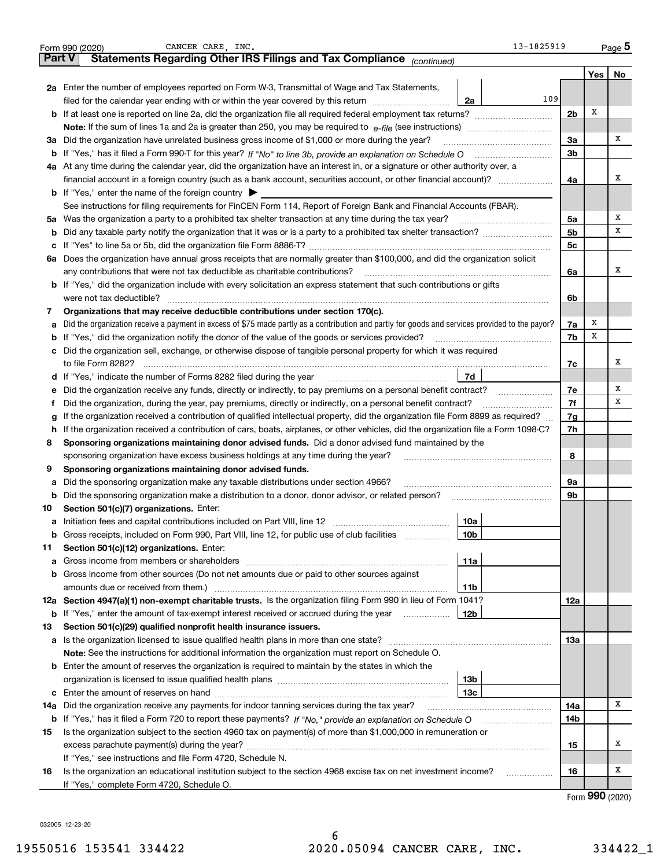|        | CANCER CARE, INC.<br>13-1825919<br>Form 990 (2020)                                                                                                                                 |                |     | $_{\text{Page}}$ 5 |
|--------|------------------------------------------------------------------------------------------------------------------------------------------------------------------------------------|----------------|-----|--------------------|
| Part V | Statements Regarding Other IRS Filings and Tax Compliance (continued)                                                                                                              |                |     |                    |
|        |                                                                                                                                                                                    |                | Yes | No                 |
|        | 2a Enter the number of employees reported on Form W-3, Transmittal of Wage and Tax Statements,                                                                                     |                |     |                    |
|        | 109<br>filed for the calendar year ending with or within the year covered by this return<br>2a                                                                                     |                |     |                    |
|        | <b>b</b> If at least one is reported on line 2a, did the organization file all required federal employment tax returns?                                                            | 2 <sub>b</sub> | х   |                    |
|        |                                                                                                                                                                                    |                |     |                    |
|        | 3a Did the organization have unrelated business gross income of \$1,000 or more during the year?                                                                                   | 3a             |     | x                  |
|        |                                                                                                                                                                                    | 3 <sub>b</sub> |     |                    |
|        | 4a At any time during the calendar year, did the organization have an interest in, or a signature or other authority over, a                                                       |                |     |                    |
|        | financial account in a foreign country (such as a bank account, securities account, or other financial account)?                                                                   | 4a             |     | x                  |
|        | <b>b</b> If "Yes," enter the name of the foreign country $\blacktriangleright$                                                                                                     |                |     |                    |
|        | See instructions for filing requirements for FinCEN Form 114, Report of Foreign Bank and Financial Accounts (FBAR).                                                                |                |     |                    |
|        | 5a Was the organization a party to a prohibited tax shelter transaction at any time during the tax year?                                                                           | 5a             |     | х                  |
| b      |                                                                                                                                                                                    | 5 <sub>b</sub> |     | х                  |
|        |                                                                                                                                                                                    | 5c             |     |                    |
|        | 6a Does the organization have annual gross receipts that are normally greater than \$100,000, and did the organization solicit                                                     |                |     |                    |
|        | any contributions that were not tax deductible as charitable contributions?                                                                                                        | 6a             |     | x                  |
|        | b If "Yes," did the organization include with every solicitation an express statement that such contributions or gifts                                                             |                |     |                    |
|        | were not tax deductible?                                                                                                                                                           | 6b             |     |                    |
| 7      | Organizations that may receive deductible contributions under section 170(c).                                                                                                      |                |     |                    |
|        | a Did the organization receive a payment in excess of \$75 made partly as a contribution and partly for goods and services provided to the payor?                                  | 7a             | х   |                    |
|        | <b>b</b> If "Yes," did the organization notify the donor of the value of the goods or services provided?                                                                           | 7b             | х   |                    |
|        | c Did the organization sell, exchange, or otherwise dispose of tangible personal property for which it was required                                                                |                |     |                    |
|        | to file Form 8282?                                                                                                                                                                 | 7c             |     | x                  |
|        | 7d<br>d If "Yes," indicate the number of Forms 8282 filed during the year                                                                                                          |                |     |                    |
| е      | Did the organization receive any funds, directly or indirectly, to pay premiums on a personal benefit contract?                                                                    | 7e             |     | х                  |
| f      | Did the organization, during the year, pay premiums, directly or indirectly, on a personal benefit contract?                                                                       | 7f             |     | х                  |
| g      | If the organization received a contribution of qualified intellectual property, did the organization file Form 8899 as required?                                                   | 7g             |     |                    |
|        | h If the organization received a contribution of cars, boats, airplanes, or other vehicles, did the organization file a Form 1098-C?                                               | 7h             |     |                    |
| 8      | Sponsoring organizations maintaining donor advised funds. Did a donor advised fund maintained by the                                                                               |                |     |                    |
|        | sponsoring organization have excess business holdings at any time during the year?                                                                                                 | 8              |     |                    |
| 9      | Sponsoring organizations maintaining donor advised funds.                                                                                                                          |                |     |                    |
| a      | Did the sponsoring organization make any taxable distributions under section 4966?                                                                                                 | 9a<br>9b       |     |                    |
| b      | Did the sponsoring organization make a distribution to a donor, donor advisor, or related person?                                                                                  |                |     |                    |
| 10     | Section 501(c)(7) organizations. Enter:                                                                                                                                            |                |     |                    |
|        | 10a<br>a Initiation fees and capital contributions included on Part VIII, line 12<br>b Gross receipts, included on Form 990, Part VIII, line 12, for public use of club facilities |                |     |                    |
|        | 10b<br>Section 501(c)(12) organizations. Enter:                                                                                                                                    |                |     |                    |
| 11     | 11a                                                                                                                                                                                |                |     |                    |
|        | <b>b</b> Gross income from other sources (Do not net amounts due or paid to other sources against                                                                                  |                |     |                    |
|        | amounts due or received from them.)<br>11b                                                                                                                                         |                |     |                    |
|        | 12a Section 4947(a)(1) non-exempt charitable trusts. Is the organization filing Form 990 in lieu of Form 1041?                                                                     | 12a            |     |                    |
|        | <b>b</b> If "Yes," enter the amount of tax-exempt interest received or accrued during the year<br>12b                                                                              |                |     |                    |
| 13     | Section 501(c)(29) qualified nonprofit health insurance issuers.                                                                                                                   |                |     |                    |
|        |                                                                                                                                                                                    | 13a            |     |                    |
|        | Note: See the instructions for additional information the organization must report on Schedule O.                                                                                  |                |     |                    |
|        | <b>b</b> Enter the amount of reserves the organization is required to maintain by the states in which the                                                                          |                |     |                    |
|        | 13b                                                                                                                                                                                |                |     |                    |
|        | 13с                                                                                                                                                                                |                |     |                    |
| 14a    | Did the organization receive any payments for indoor tanning services during the tax year?                                                                                         | 14a            |     | х                  |
|        |                                                                                                                                                                                    | 14b            |     |                    |
| 15     | Is the organization subject to the section 4960 tax on payment(s) of more than \$1,000,000 in remuneration or                                                                      |                |     |                    |
|        |                                                                                                                                                                                    | 15             |     | х                  |
|        | If "Yes," see instructions and file Form 4720, Schedule N.                                                                                                                         |                |     |                    |
| 16     | Is the organization an educational institution subject to the section 4968 excise tax on net investment income?<br>.                                                               | 16             |     | x                  |
|        | If "Yes," complete Form 4720, Schedule O.                                                                                                                                          |                |     |                    |
|        |                                                                                                                                                                                    |                |     |                    |

Form (2020) **990**

032005 12-23-20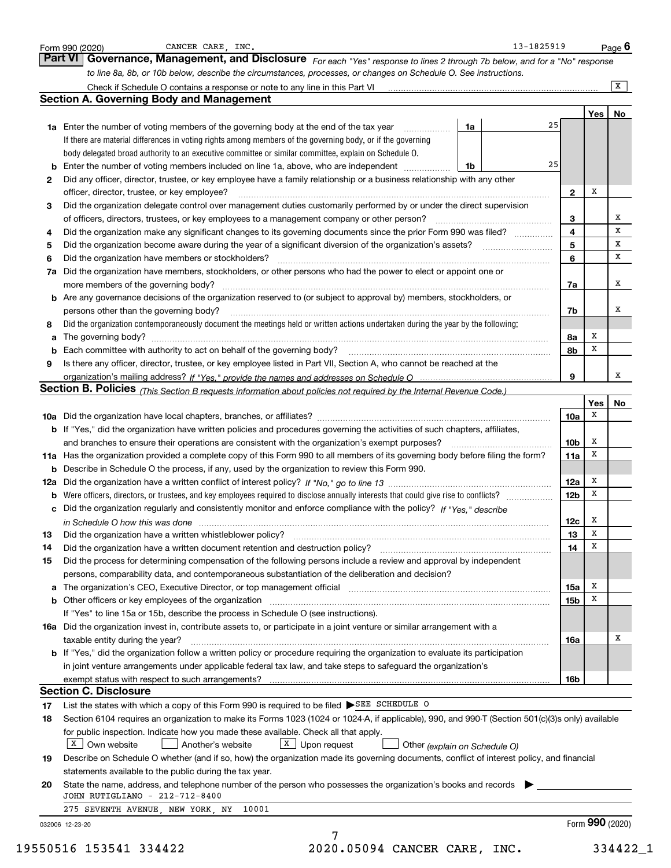|                      | <b>Part VI</b><br>Governance, Management, and Disclosure For each "Yes" response to lines 2 through 7b below, and for a "No" response            |    |    |                 |                 |    |
|----------------------|--------------------------------------------------------------------------------------------------------------------------------------------------|----|----|-----------------|-----------------|----|
|                      | to line 8a, 8b, or 10b below, describe the circumstances, processes, or changes on Schedule O. See instructions.                                 |    |    |                 |                 |    |
|                      |                                                                                                                                                  |    |    |                 |                 | X  |
|                      | <b>Section A. Governing Body and Management</b>                                                                                                  |    |    |                 |                 |    |
|                      |                                                                                                                                                  |    |    |                 | Yes $ $         | No |
|                      | 1a Enter the number of voting members of the governing body at the end of the tax year                                                           | 1a | 25 |                 |                 |    |
|                      | If there are material differences in voting rights among members of the governing body, or if the governing                                      |    |    |                 |                 |    |
|                      | body delegated broad authority to an executive committee or similar committee, explain on Schedule O.                                            |    |    |                 |                 |    |
|                      | <b>b</b> Enter the number of voting members included on line 1a, above, who are independent                                                      | 1b | 25 |                 |                 |    |
| 2                    | Did any officer, director, trustee, or key employee have a family relationship or a business relationship with any other                         |    |    |                 |                 |    |
|                      | officer, director, trustee, or key employee?                                                                                                     |    |    | $\mathbf{2}$    | х               |    |
| 3                    | Did the organization delegate control over management duties customarily performed by or under the direct supervision                            |    |    |                 |                 |    |
|                      | of officers, directors, trustees, or key employees to a management company or other person?                                                      |    |    | 3               |                 | X  |
| 4                    | Did the organization make any significant changes to its governing documents since the prior Form 990 was filed?                                 |    |    | 4               |                 | x  |
| 5                    | Did the organization become aware during the year of a significant diversion of the organization's assets?                                       |    |    | 5               |                 | x  |
| 6                    | Did the organization have members or stockholders?                                                                                               |    |    | 6               |                 | x  |
|                      | 7a Did the organization have members, stockholders, or other persons who had the power to elect or appoint one or                                |    |    |                 |                 |    |
|                      | more members of the governing body?                                                                                                              |    |    | 7a              |                 | х  |
|                      | <b>b</b> Are any governance decisions of the organization reserved to (or subject to approval by) members, stockholders, or                      |    |    |                 |                 |    |
|                      | persons other than the governing body?                                                                                                           |    |    | 7b              |                 | x  |
| 8                    | Did the organization contemporaneously document the meetings held or written actions undertaken during the year by the following:                |    |    |                 |                 |    |
| a                    |                                                                                                                                                  |    |    | 8a              | X               |    |
|                      | Each committee with authority to act on behalf of the governing body?                                                                            |    |    | 8b              | x               |    |
| 9                    | Is there any officer, director, trustee, or key employee listed in Part VII, Section A, who cannot be reached at the                             |    |    |                 |                 |    |
|                      |                                                                                                                                                  |    |    | 9               |                 | X  |
|                      | Section B. Policies (This Section B requests information about policies not required by the Internal Revenue Code.)                              |    |    |                 |                 |    |
|                      |                                                                                                                                                  |    |    |                 | Yes             | No |
|                      |                                                                                                                                                  |    |    | 10a             | x               |    |
|                      | <b>b</b> If "Yes," did the organization have written policies and procedures governing the activities of such chapters, affiliates,              |    |    |                 |                 |    |
|                      | and branches to ensure their operations are consistent with the organization's exempt purposes?                                                  |    |    | 10 <sub>b</sub> | х               |    |
|                      | 11a Has the organization provided a complete copy of this Form 990 to all members of its governing body before filing the form?                  |    |    | 11a             | х               |    |
|                      | <b>b</b> Describe in Schedule O the process, if any, used by the organization to review this Form 990.                                           |    |    |                 |                 |    |
|                      |                                                                                                                                                  |    |    | 12a             | x               |    |
|                      |                                                                                                                                                  |    |    | 12 <sub>b</sub> | х               |    |
|                      | c Did the organization regularly and consistently monitor and enforce compliance with the policy? If "Yes," describe                             |    |    |                 |                 |    |
|                      | in Schedule O how this was done manufactured and continuum control of the state of the state of the state of t                                   |    |    | 12c             | х               |    |
| 13                   | Did the organization have a written whistleblower policy?                                                                                        |    |    | 13              | X               |    |
| 14                   |                                                                                                                                                  |    |    | 14              | х               |    |
| 15                   | Did the process for determining compensation of the following persons include a review and approval by independent                               |    |    |                 |                 |    |
|                      |                                                                                                                                                  |    |    |                 |                 |    |
|                      |                                                                                                                                                  |    |    |                 |                 |    |
|                      | persons, comparability data, and contemporaneous substantiation of the deliberation and decision?                                                |    |    |                 | х               |    |
|                      |                                                                                                                                                  |    |    | 15a             | X               |    |
|                      |                                                                                                                                                  |    |    | 15 <sub>b</sub> |                 |    |
|                      | If "Yes" to line 15a or 15b, describe the process in Schedule O (see instructions).                                                              |    |    |                 |                 |    |
|                      | 16a Did the organization invest in, contribute assets to, or participate in a joint venture or similar arrangement with a                        |    |    |                 |                 |    |
|                      | taxable entity during the year?                                                                                                                  |    |    | 16a             |                 | х  |
|                      | <b>b</b> If "Yes," did the organization follow a written policy or procedure requiring the organization to evaluate its participation            |    |    |                 |                 |    |
|                      | in joint venture arrangements under applicable federal tax law, and take steps to safeguard the organization's                                   |    |    |                 |                 |    |
|                      |                                                                                                                                                  |    |    | 16b             |                 |    |
|                      | <b>Section C. Disclosure</b>                                                                                                                     |    |    |                 |                 |    |
|                      | List the states with which a copy of this Form 990 is required to be filed SEE SCHEDULE O                                                        |    |    |                 |                 |    |
|                      | Section 6104 requires an organization to make its Forms 1023 (1024 or 1024-A, if applicable), 990, and 990-T (Section 501(c)(3)s only) available |    |    |                 |                 |    |
|                      | for public inspection. Indicate how you made these available. Check all that apply.                                                              |    |    |                 |                 |    |
|                      | $X$ Own website<br>$X$ Upon request<br>Another's website<br>Other (explain on Schedule O)                                                        |    |    |                 |                 |    |
|                      | Describe on Schedule O whether (and if so, how) the organization made its governing documents, conflict of interest policy, and financial        |    |    |                 |                 |    |
|                      | statements available to the public during the tax year.                                                                                          |    |    |                 |                 |    |
|                      | State the name, address, and telephone number of the person who possesses the organization's books and records                                   |    |    |                 |                 |    |
| 17<br>18<br>19<br>20 | JOHN RUTIGLIANO - 212-712-8400                                                                                                                   |    |    |                 |                 |    |
|                      | 275 SEVENTH AVENUE, NEW YORK, NY 10001<br>032006 12-23-20                                                                                        |    |    |                 | Form 990 (2020) |    |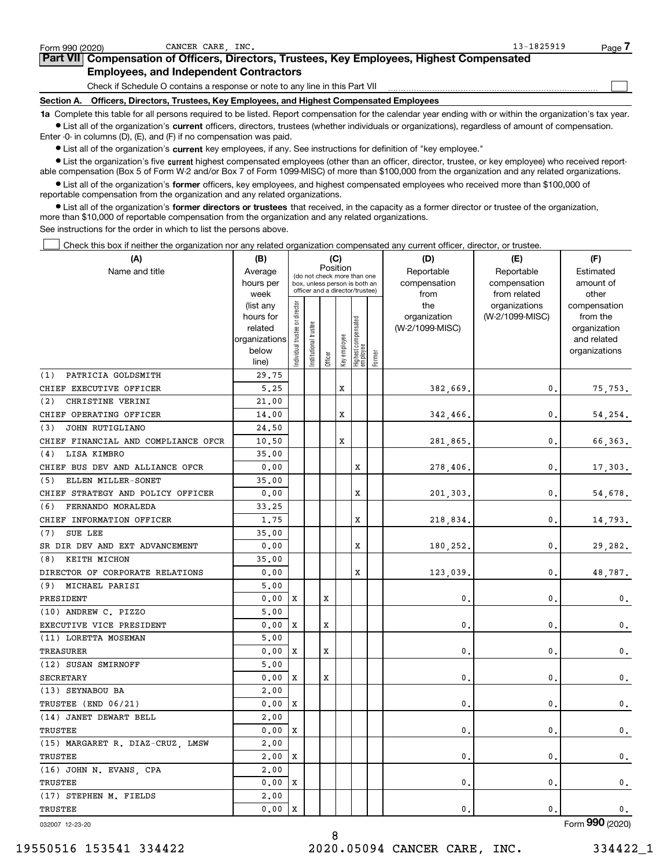| CANCER CARE INC.<br>Form 990 (2020)                                                                                                                        | $13 - 1825919$ | Page |
|------------------------------------------------------------------------------------------------------------------------------------------------------------|----------------|------|
| Part VII Compensation of Officers, Directors, Trustees, Key Employees, Highest Compensated                                                                 |                |      |
| <b>Employees, and Independent Contractors</b>                                                                                                              |                |      |
| Check if Schedule O contains a response or note to any line in this Part VII                                                                               |                |      |
| Officers, Directors, Trustees, Key Employees, and Highest Compensated Employees<br>Section A.                                                              |                |      |
| 1a Complete this table for all persons required to be listed. Report compensation for the calendar year ending with or within the organization's tax year. |                |      |

**•** List all of the organization's current officers, directors, trustees (whether individuals or organizations), regardless of amount of compensation. Enter -0- in columns (D), (E), and (F) if no compensation was paid.

 $\bullet$  List all of the organization's  $\,$ current key employees, if any. See instructions for definition of "key employee."

**•** List the organization's five current highest compensated employees (other than an officer, director, trustee, or key employee) who received reportable compensation (Box 5 of Form W-2 and/or Box 7 of Form 1099-MISC) of more than \$100,000 from the organization and any related organizations.

**•** List all of the organization's former officers, key employees, and highest compensated employees who received more than \$100,000 of reportable compensation from the organization and any related organizations.

**former directors or trustees**  ¥ List all of the organization's that received, in the capacity as a former director or trustee of the organization, more than \$10,000 of reportable compensation from the organization and any related organizations.

See instructions for the order in which to list the persons above.

Check this box if neither the organization nor any related organization compensated any current officer, director, or trustee.  $\mathcal{L}^{\text{max}}$ 

| Position<br>Name and title<br>Reportable<br>Reportable<br>Estimated<br>Average<br>(do not check more than one<br>hours per<br>compensation<br>compensation<br>amount of<br>box, unless person is both an<br>officer and a director/trustee)<br>from related<br>other<br>week<br>from<br>ndividual trustee or director<br>the<br>organizations<br>compensation<br>(list any<br>(W-2/1099-MISC)<br>hours for<br>organization<br>from the<br>Highest compensated<br>employee<br>trustee<br>(W-2/1099-MISC)<br>related<br>organization<br>Key employee<br>organizations<br>and related<br>Institutional t<br>below<br>organizations<br>Former<br>Officer<br>line)<br>PATRICIA GOLDSMITH<br>29.75<br>(1)<br>X<br>CHIEF EXECUTIVE OFFICER<br>5.25<br>382,669.<br>0.<br>75,753.<br>CHRISTINE VERINI<br>(2)<br>21,00<br>X<br>CHIEF OPERATING OFFICER<br>0.<br>14.00<br>342,466.<br>54,254.<br>JOHN RUTIGLIANO<br>24.50<br>(3)<br>CHIEF FINANCIAL AND COMPLIANCE OFCR<br>10.50<br>x<br>0.<br>66,363.<br>281,865<br>LISA KIMBRO<br>35.00<br>(4)<br>X<br>CHIEF BUS DEV AND ALLIANCE OFCR<br>0.<br>0.00<br>278,406.<br>17,303.<br>ELLEN MILLER-SONET<br>35.00<br>(5)<br>CHIEF STRATEGY AND POLICY OFFICER<br>0.00<br>x<br>0.<br>201,303.<br>54,678.<br>FERNANDO MORALEDA<br>(6)<br>33.25<br>X<br>CHIEF INFORMATION OFFICER<br>1.75<br>0.<br>218,834.<br>14,793.<br>SUE LEE<br>(7)<br>35.00<br>X<br>SR DIR DEV AND EXT ADVANCEMENT<br>0.00<br>0.<br>180,252<br>29,282.<br>KEITH MICHON<br>(8)<br>35.00<br>X<br>DIRECTOR OF CORPORATE RELATIONS<br>123,039<br>0.<br>0.00<br>48,787.<br>(9) MICHAEL PARISI<br>5,00<br>PRESIDENT<br>0.00<br>X<br>x<br>0<br>0.<br>$\mathfrak{o}$ .<br>(10) ANDREW C. PIZZO<br>5,00<br>EXECUTIVE VICE PRESIDENT<br>0.00<br>x<br>x<br>0<br>0.<br>$\mathbf{0}$ .<br>(11) LORETTA MOSEMAN<br>5,00<br><b>TREASURER</b><br>0.00<br>X<br>x<br>$\mathbf 0$<br>0.<br>0.<br>(12) SUSAN SMIRNOFF<br>5,00<br>X<br><b>SECRETARY</b><br>0.00<br>X<br>$\mathbf 0$<br>0.<br>0.<br>(13) SEYNABOU BA<br>2,00<br>TRUSTEE (END 06/21)<br>0.00<br>X<br>0<br>0.<br>$\mathbf 0$ .<br>(14) JANET DEWART BELL<br>2,00<br>TRUSTEE<br>0.00<br>х<br>0<br>0.<br>$\mathbf{0}$ .<br>2,00<br>(15) MARGARET R. DIAZ-CRUZ, LMSW<br>TRUSTEE<br>$\mathbf{0}$ .<br>2,00<br>X<br>$\mathbf 0$<br>$\mathbf 0$ .<br>(16) JOHN N. EVANS, CPA<br>2,00<br>TRUSTEE<br>0.00<br>X<br>$\mathbf 0$<br>0.<br>$\mathbf 0$ .<br>(17) STEPHEN M. FIELDS<br>2,00<br>TRUSTEE<br>0.00<br>0.<br>$\mathbf{0}$ .<br>X<br>$\mathbf 0$ . | (A) | (B) |  |  |  | (C) |  | (D) | (E) | (F) |
|--------------------------------------------------------------------------------------------------------------------------------------------------------------------------------------------------------------------------------------------------------------------------------------------------------------------------------------------------------------------------------------------------------------------------------------------------------------------------------------------------------------------------------------------------------------------------------------------------------------------------------------------------------------------------------------------------------------------------------------------------------------------------------------------------------------------------------------------------------------------------------------------------------------------------------------------------------------------------------------------------------------------------------------------------------------------------------------------------------------------------------------------------------------------------------------------------------------------------------------------------------------------------------------------------------------------------------------------------------------------------------------------------------------------------------------------------------------------------------------------------------------------------------------------------------------------------------------------------------------------------------------------------------------------------------------------------------------------------------------------------------------------------------------------------------------------------------------------------------------------------------------------------------------------------------------------------------------------------------------------------------------------------------------------------------------------------------------------------------------------------------------------------------------------------------------------------------------------------------------------------------------------------------------------------------------------------------------------------------------------------------------------------------------------------------------------------------------------------------------------|-----|-----|--|--|--|-----|--|-----|-----|-----|
|                                                                                                                                                                                                                                                                                                                                                                                                                                                                                                                                                                                                                                                                                                                                                                                                                                                                                                                                                                                                                                                                                                                                                                                                                                                                                                                                                                                                                                                                                                                                                                                                                                                                                                                                                                                                                                                                                                                                                                                                                                                                                                                                                                                                                                                                                                                                                                                                                                                                                            |     |     |  |  |  |     |  |     |     |     |
|                                                                                                                                                                                                                                                                                                                                                                                                                                                                                                                                                                                                                                                                                                                                                                                                                                                                                                                                                                                                                                                                                                                                                                                                                                                                                                                                                                                                                                                                                                                                                                                                                                                                                                                                                                                                                                                                                                                                                                                                                                                                                                                                                                                                                                                                                                                                                                                                                                                                                            |     |     |  |  |  |     |  |     |     |     |
|                                                                                                                                                                                                                                                                                                                                                                                                                                                                                                                                                                                                                                                                                                                                                                                                                                                                                                                                                                                                                                                                                                                                                                                                                                                                                                                                                                                                                                                                                                                                                                                                                                                                                                                                                                                                                                                                                                                                                                                                                                                                                                                                                                                                                                                                                                                                                                                                                                                                                            |     |     |  |  |  |     |  |     |     |     |
|                                                                                                                                                                                                                                                                                                                                                                                                                                                                                                                                                                                                                                                                                                                                                                                                                                                                                                                                                                                                                                                                                                                                                                                                                                                                                                                                                                                                                                                                                                                                                                                                                                                                                                                                                                                                                                                                                                                                                                                                                                                                                                                                                                                                                                                                                                                                                                                                                                                                                            |     |     |  |  |  |     |  |     |     |     |
|                                                                                                                                                                                                                                                                                                                                                                                                                                                                                                                                                                                                                                                                                                                                                                                                                                                                                                                                                                                                                                                                                                                                                                                                                                                                                                                                                                                                                                                                                                                                                                                                                                                                                                                                                                                                                                                                                                                                                                                                                                                                                                                                                                                                                                                                                                                                                                                                                                                                                            |     |     |  |  |  |     |  |     |     |     |
|                                                                                                                                                                                                                                                                                                                                                                                                                                                                                                                                                                                                                                                                                                                                                                                                                                                                                                                                                                                                                                                                                                                                                                                                                                                                                                                                                                                                                                                                                                                                                                                                                                                                                                                                                                                                                                                                                                                                                                                                                                                                                                                                                                                                                                                                                                                                                                                                                                                                                            |     |     |  |  |  |     |  |     |     |     |
|                                                                                                                                                                                                                                                                                                                                                                                                                                                                                                                                                                                                                                                                                                                                                                                                                                                                                                                                                                                                                                                                                                                                                                                                                                                                                                                                                                                                                                                                                                                                                                                                                                                                                                                                                                                                                                                                                                                                                                                                                                                                                                                                                                                                                                                                                                                                                                                                                                                                                            |     |     |  |  |  |     |  |     |     |     |
|                                                                                                                                                                                                                                                                                                                                                                                                                                                                                                                                                                                                                                                                                                                                                                                                                                                                                                                                                                                                                                                                                                                                                                                                                                                                                                                                                                                                                                                                                                                                                                                                                                                                                                                                                                                                                                                                                                                                                                                                                                                                                                                                                                                                                                                                                                                                                                                                                                                                                            |     |     |  |  |  |     |  |     |     |     |
|                                                                                                                                                                                                                                                                                                                                                                                                                                                                                                                                                                                                                                                                                                                                                                                                                                                                                                                                                                                                                                                                                                                                                                                                                                                                                                                                                                                                                                                                                                                                                                                                                                                                                                                                                                                                                                                                                                                                                                                                                                                                                                                                                                                                                                                                                                                                                                                                                                                                                            |     |     |  |  |  |     |  |     |     |     |
|                                                                                                                                                                                                                                                                                                                                                                                                                                                                                                                                                                                                                                                                                                                                                                                                                                                                                                                                                                                                                                                                                                                                                                                                                                                                                                                                                                                                                                                                                                                                                                                                                                                                                                                                                                                                                                                                                                                                                                                                                                                                                                                                                                                                                                                                                                                                                                                                                                                                                            |     |     |  |  |  |     |  |     |     |     |
|                                                                                                                                                                                                                                                                                                                                                                                                                                                                                                                                                                                                                                                                                                                                                                                                                                                                                                                                                                                                                                                                                                                                                                                                                                                                                                                                                                                                                                                                                                                                                                                                                                                                                                                                                                                                                                                                                                                                                                                                                                                                                                                                                                                                                                                                                                                                                                                                                                                                                            |     |     |  |  |  |     |  |     |     |     |
|                                                                                                                                                                                                                                                                                                                                                                                                                                                                                                                                                                                                                                                                                                                                                                                                                                                                                                                                                                                                                                                                                                                                                                                                                                                                                                                                                                                                                                                                                                                                                                                                                                                                                                                                                                                                                                                                                                                                                                                                                                                                                                                                                                                                                                                                                                                                                                                                                                                                                            |     |     |  |  |  |     |  |     |     |     |
|                                                                                                                                                                                                                                                                                                                                                                                                                                                                                                                                                                                                                                                                                                                                                                                                                                                                                                                                                                                                                                                                                                                                                                                                                                                                                                                                                                                                                                                                                                                                                                                                                                                                                                                                                                                                                                                                                                                                                                                                                                                                                                                                                                                                                                                                                                                                                                                                                                                                                            |     |     |  |  |  |     |  |     |     |     |
|                                                                                                                                                                                                                                                                                                                                                                                                                                                                                                                                                                                                                                                                                                                                                                                                                                                                                                                                                                                                                                                                                                                                                                                                                                                                                                                                                                                                                                                                                                                                                                                                                                                                                                                                                                                                                                                                                                                                                                                                                                                                                                                                                                                                                                                                                                                                                                                                                                                                                            |     |     |  |  |  |     |  |     |     |     |
|                                                                                                                                                                                                                                                                                                                                                                                                                                                                                                                                                                                                                                                                                                                                                                                                                                                                                                                                                                                                                                                                                                                                                                                                                                                                                                                                                                                                                                                                                                                                                                                                                                                                                                                                                                                                                                                                                                                                                                                                                                                                                                                                                                                                                                                                                                                                                                                                                                                                                            |     |     |  |  |  |     |  |     |     |     |
|                                                                                                                                                                                                                                                                                                                                                                                                                                                                                                                                                                                                                                                                                                                                                                                                                                                                                                                                                                                                                                                                                                                                                                                                                                                                                                                                                                                                                                                                                                                                                                                                                                                                                                                                                                                                                                                                                                                                                                                                                                                                                                                                                                                                                                                                                                                                                                                                                                                                                            |     |     |  |  |  |     |  |     |     |     |
|                                                                                                                                                                                                                                                                                                                                                                                                                                                                                                                                                                                                                                                                                                                                                                                                                                                                                                                                                                                                                                                                                                                                                                                                                                                                                                                                                                                                                                                                                                                                                                                                                                                                                                                                                                                                                                                                                                                                                                                                                                                                                                                                                                                                                                                                                                                                                                                                                                                                                            |     |     |  |  |  |     |  |     |     |     |
|                                                                                                                                                                                                                                                                                                                                                                                                                                                                                                                                                                                                                                                                                                                                                                                                                                                                                                                                                                                                                                                                                                                                                                                                                                                                                                                                                                                                                                                                                                                                                                                                                                                                                                                                                                                                                                                                                                                                                                                                                                                                                                                                                                                                                                                                                                                                                                                                                                                                                            |     |     |  |  |  |     |  |     |     |     |
|                                                                                                                                                                                                                                                                                                                                                                                                                                                                                                                                                                                                                                                                                                                                                                                                                                                                                                                                                                                                                                                                                                                                                                                                                                                                                                                                                                                                                                                                                                                                                                                                                                                                                                                                                                                                                                                                                                                                                                                                                                                                                                                                                                                                                                                                                                                                                                                                                                                                                            |     |     |  |  |  |     |  |     |     |     |
|                                                                                                                                                                                                                                                                                                                                                                                                                                                                                                                                                                                                                                                                                                                                                                                                                                                                                                                                                                                                                                                                                                                                                                                                                                                                                                                                                                                                                                                                                                                                                                                                                                                                                                                                                                                                                                                                                                                                                                                                                                                                                                                                                                                                                                                                                                                                                                                                                                                                                            |     |     |  |  |  |     |  |     |     |     |
|                                                                                                                                                                                                                                                                                                                                                                                                                                                                                                                                                                                                                                                                                                                                                                                                                                                                                                                                                                                                                                                                                                                                                                                                                                                                                                                                                                                                                                                                                                                                                                                                                                                                                                                                                                                                                                                                                                                                                                                                                                                                                                                                                                                                                                                                                                                                                                                                                                                                                            |     |     |  |  |  |     |  |     |     |     |
|                                                                                                                                                                                                                                                                                                                                                                                                                                                                                                                                                                                                                                                                                                                                                                                                                                                                                                                                                                                                                                                                                                                                                                                                                                                                                                                                                                                                                                                                                                                                                                                                                                                                                                                                                                                                                                                                                                                                                                                                                                                                                                                                                                                                                                                                                                                                                                                                                                                                                            |     |     |  |  |  |     |  |     |     |     |
|                                                                                                                                                                                                                                                                                                                                                                                                                                                                                                                                                                                                                                                                                                                                                                                                                                                                                                                                                                                                                                                                                                                                                                                                                                                                                                                                                                                                                                                                                                                                                                                                                                                                                                                                                                                                                                                                                                                                                                                                                                                                                                                                                                                                                                                                                                                                                                                                                                                                                            |     |     |  |  |  |     |  |     |     |     |
|                                                                                                                                                                                                                                                                                                                                                                                                                                                                                                                                                                                                                                                                                                                                                                                                                                                                                                                                                                                                                                                                                                                                                                                                                                                                                                                                                                                                                                                                                                                                                                                                                                                                                                                                                                                                                                                                                                                                                                                                                                                                                                                                                                                                                                                                                                                                                                                                                                                                                            |     |     |  |  |  |     |  |     |     |     |
|                                                                                                                                                                                                                                                                                                                                                                                                                                                                                                                                                                                                                                                                                                                                                                                                                                                                                                                                                                                                                                                                                                                                                                                                                                                                                                                                                                                                                                                                                                                                                                                                                                                                                                                                                                                                                                                                                                                                                                                                                                                                                                                                                                                                                                                                                                                                                                                                                                                                                            |     |     |  |  |  |     |  |     |     |     |
|                                                                                                                                                                                                                                                                                                                                                                                                                                                                                                                                                                                                                                                                                                                                                                                                                                                                                                                                                                                                                                                                                                                                                                                                                                                                                                                                                                                                                                                                                                                                                                                                                                                                                                                                                                                                                                                                                                                                                                                                                                                                                                                                                                                                                                                                                                                                                                                                                                                                                            |     |     |  |  |  |     |  |     |     |     |
|                                                                                                                                                                                                                                                                                                                                                                                                                                                                                                                                                                                                                                                                                                                                                                                                                                                                                                                                                                                                                                                                                                                                                                                                                                                                                                                                                                                                                                                                                                                                                                                                                                                                                                                                                                                                                                                                                                                                                                                                                                                                                                                                                                                                                                                                                                                                                                                                                                                                                            |     |     |  |  |  |     |  |     |     |     |
|                                                                                                                                                                                                                                                                                                                                                                                                                                                                                                                                                                                                                                                                                                                                                                                                                                                                                                                                                                                                                                                                                                                                                                                                                                                                                                                                                                                                                                                                                                                                                                                                                                                                                                                                                                                                                                                                                                                                                                                                                                                                                                                                                                                                                                                                                                                                                                                                                                                                                            |     |     |  |  |  |     |  |     |     |     |
|                                                                                                                                                                                                                                                                                                                                                                                                                                                                                                                                                                                                                                                                                                                                                                                                                                                                                                                                                                                                                                                                                                                                                                                                                                                                                                                                                                                                                                                                                                                                                                                                                                                                                                                                                                                                                                                                                                                                                                                                                                                                                                                                                                                                                                                                                                                                                                                                                                                                                            |     |     |  |  |  |     |  |     |     |     |
|                                                                                                                                                                                                                                                                                                                                                                                                                                                                                                                                                                                                                                                                                                                                                                                                                                                                                                                                                                                                                                                                                                                                                                                                                                                                                                                                                                                                                                                                                                                                                                                                                                                                                                                                                                                                                                                                                                                                                                                                                                                                                                                                                                                                                                                                                                                                                                                                                                                                                            |     |     |  |  |  |     |  |     |     |     |
|                                                                                                                                                                                                                                                                                                                                                                                                                                                                                                                                                                                                                                                                                                                                                                                                                                                                                                                                                                                                                                                                                                                                                                                                                                                                                                                                                                                                                                                                                                                                                                                                                                                                                                                                                                                                                                                                                                                                                                                                                                                                                                                                                                                                                                                                                                                                                                                                                                                                                            |     |     |  |  |  |     |  |     |     |     |
|                                                                                                                                                                                                                                                                                                                                                                                                                                                                                                                                                                                                                                                                                                                                                                                                                                                                                                                                                                                                                                                                                                                                                                                                                                                                                                                                                                                                                                                                                                                                                                                                                                                                                                                                                                                                                                                                                                                                                                                                                                                                                                                                                                                                                                                                                                                                                                                                                                                                                            |     |     |  |  |  |     |  |     |     |     |
|                                                                                                                                                                                                                                                                                                                                                                                                                                                                                                                                                                                                                                                                                                                                                                                                                                                                                                                                                                                                                                                                                                                                                                                                                                                                                                                                                                                                                                                                                                                                                                                                                                                                                                                                                                                                                                                                                                                                                                                                                                                                                                                                                                                                                                                                                                                                                                                                                                                                                            |     |     |  |  |  |     |  |     |     |     |
|                                                                                                                                                                                                                                                                                                                                                                                                                                                                                                                                                                                                                                                                                                                                                                                                                                                                                                                                                                                                                                                                                                                                                                                                                                                                                                                                                                                                                                                                                                                                                                                                                                                                                                                                                                                                                                                                                                                                                                                                                                                                                                                                                                                                                                                                                                                                                                                                                                                                                            |     |     |  |  |  |     |  |     |     |     |
|                                                                                                                                                                                                                                                                                                                                                                                                                                                                                                                                                                                                                                                                                                                                                                                                                                                                                                                                                                                                                                                                                                                                                                                                                                                                                                                                                                                                                                                                                                                                                                                                                                                                                                                                                                                                                                                                                                                                                                                                                                                                                                                                                                                                                                                                                                                                                                                                                                                                                            |     |     |  |  |  |     |  |     |     |     |
|                                                                                                                                                                                                                                                                                                                                                                                                                                                                                                                                                                                                                                                                                                                                                                                                                                                                                                                                                                                                                                                                                                                                                                                                                                                                                                                                                                                                                                                                                                                                                                                                                                                                                                                                                                                                                                                                                                                                                                                                                                                                                                                                                                                                                                                                                                                                                                                                                                                                                            |     |     |  |  |  |     |  |     |     |     |
|                                                                                                                                                                                                                                                                                                                                                                                                                                                                                                                                                                                                                                                                                                                                                                                                                                                                                                                                                                                                                                                                                                                                                                                                                                                                                                                                                                                                                                                                                                                                                                                                                                                                                                                                                                                                                                                                                                                                                                                                                                                                                                                                                                                                                                                                                                                                                                                                                                                                                            |     |     |  |  |  |     |  |     |     |     |
|                                                                                                                                                                                                                                                                                                                                                                                                                                                                                                                                                                                                                                                                                                                                                                                                                                                                                                                                                                                                                                                                                                                                                                                                                                                                                                                                                                                                                                                                                                                                                                                                                                                                                                                                                                                                                                                                                                                                                                                                                                                                                                                                                                                                                                                                                                                                                                                                                                                                                            |     |     |  |  |  |     |  |     |     |     |
|                                                                                                                                                                                                                                                                                                                                                                                                                                                                                                                                                                                                                                                                                                                                                                                                                                                                                                                                                                                                                                                                                                                                                                                                                                                                                                                                                                                                                                                                                                                                                                                                                                                                                                                                                                                                                                                                                                                                                                                                                                                                                                                                                                                                                                                                                                                                                                                                                                                                                            |     |     |  |  |  |     |  |     |     |     |
|                                                                                                                                                                                                                                                                                                                                                                                                                                                                                                                                                                                                                                                                                                                                                                                                                                                                                                                                                                                                                                                                                                                                                                                                                                                                                                                                                                                                                                                                                                                                                                                                                                                                                                                                                                                                                                                                                                                                                                                                                                                                                                                                                                                                                                                                                                                                                                                                                                                                                            |     |     |  |  |  |     |  |     |     |     |
|                                                                                                                                                                                                                                                                                                                                                                                                                                                                                                                                                                                                                                                                                                                                                                                                                                                                                                                                                                                                                                                                                                                                                                                                                                                                                                                                                                                                                                                                                                                                                                                                                                                                                                                                                                                                                                                                                                                                                                                                                                                                                                                                                                                                                                                                                                                                                                                                                                                                                            |     |     |  |  |  |     |  |     |     |     |
|                                                                                                                                                                                                                                                                                                                                                                                                                                                                                                                                                                                                                                                                                                                                                                                                                                                                                                                                                                                                                                                                                                                                                                                                                                                                                                                                                                                                                                                                                                                                                                                                                                                                                                                                                                                                                                                                                                                                                                                                                                                                                                                                                                                                                                                                                                                                                                                                                                                                                            |     |     |  |  |  |     |  |     |     |     |

8

032007 12-23-20

Form (2020) **990**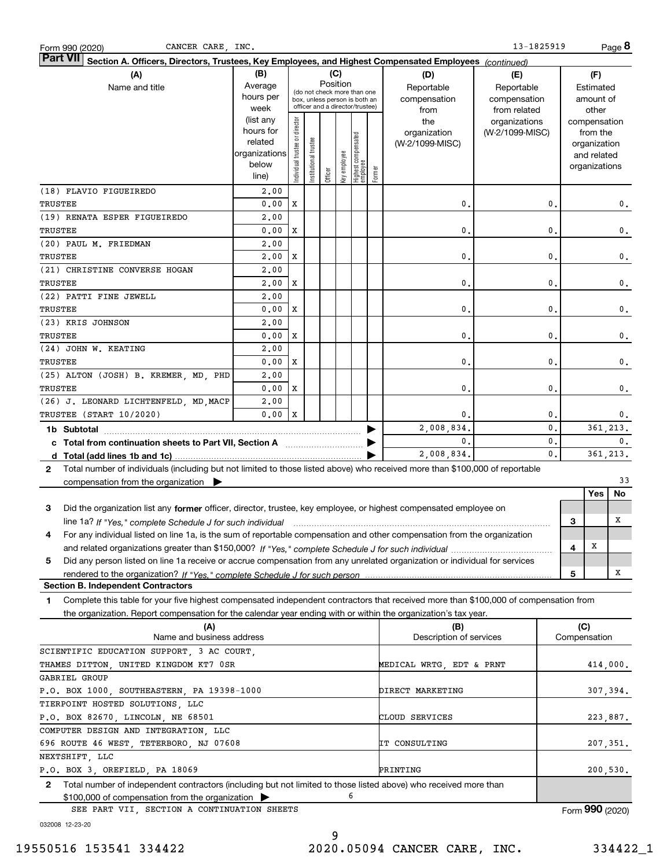| Section A. Officers, Directors, Trustees, Key Employees, and Highest Compensated Employees (continued)<br>(B)<br>(C)<br>(A)<br>(D)<br>(E)<br>(F)<br>Position<br>Average<br>Reportable<br>Name and title<br>Reportable<br>Estimated<br>(do not check more than one<br>hours per<br>compensation<br>compensation<br>amount of<br>box, unless person is both an<br>officer and a director/trustee)<br>week<br>from<br>from related<br>other<br>(list any<br>Individual trustee or director<br>the<br>organizations<br>compensation<br>hours for<br>(W-2/1099-MISC)<br>organization<br>from the<br>Highest compensated<br>employee<br>Institutional trustee<br>related<br>(W-2/1099-MISC)<br>organization<br>organizations<br>Key employee<br>and related<br>below<br>organizations<br>Former<br>Officer<br>line)<br>(18) FLAVIO FIGUEIREDO<br>2,00<br>TRUSTEE<br>0.00<br>X<br>$\mathbf{0}$<br>0.<br>0.<br>(19) RENATA ESPER FIGUEIREDO<br>2,00<br>X<br>TRUSTEE<br>0.00<br>0.<br>0.<br>0.<br>2,00<br>(20) PAUL M. FRIEDMAN<br>X<br>TRUSTEE<br>2,00<br>0.<br>0.<br>$0$ .<br>(21) CHRISTINE CONVERSE HOGAN<br>2,00<br>TRUSTEE<br>2,00<br>X<br>0.<br>0.<br>0.<br>(22) PATTI FINE JEWELL<br>2,00<br>TRUSTEE<br>0.00<br>X<br>0.<br>0.<br>0.<br>(23) KRIS JOHNSON<br>2,00<br>X<br>TRUSTEE<br>0.00<br>0.<br>0.<br>$0$ .<br>(24) JOHN W. KEATING<br>2,00<br>TRUSTEE<br>0.00<br>X<br>0.<br>0.<br>0.<br>(25) ALTON (JOSH) B. KREMER, MD, PHD<br>2,00<br>TRUSTEE<br>0.00<br>X<br>0.<br>0.<br>0.<br>(26) J. LEONARD LICHTENFELD, MD, MACP<br>2,00<br>0.00<br>X<br>TRUSTEE (START 10/2020)<br>0.<br>0.<br>0.<br>361, 213.<br>2,008,834.<br>0.<br>1b Subtotal<br>$\mathbf{0}$ .<br>0.<br>0.<br>c Total from continuation sheets to Part VII, Section A <b>manufarmal</b> contains the Total Section A<br>361,213.<br>2,008,834.<br>0.<br>Total number of individuals (including but not limited to those listed above) who received more than \$100,000 of reportable<br>2<br>33<br>compensation from the organization $\blacktriangleright$<br>Yes<br>No<br>3<br>Did the organization list any former officer, director, trustee, key employee, or highest compensated employee on<br>x<br>З<br>line 1a? If "Yes," complete Schedule J for such individual manufactured contained and the 1a? If "Yes," complete Schedule J for such individual<br>For any individual listed on line 1a, is the sum of reportable compensation and other compensation from the organization<br>4<br>х<br>4<br>5<br>Did any person listed on line 1a receive or accrue compensation from any unrelated organization or individual for services<br>х<br>5<br><b>Section B. Independent Contractors</b><br>Complete this table for your five highest compensated independent contractors that received more than \$100,000 of compensation from<br>1<br>the organization. Report compensation for the calendar year ending with or within the organization's tax year.<br>(C)<br>(A)<br>(B)<br>Name and business address<br>Description of services<br>Compensation<br>SCIENTIFIC EDUCATION SUPPORT, 3 AC COURT,<br>THAMES DITTON, UNITED KINGDOM KT7 OSR<br>MEDICAL WRTG, EDT & PRNT<br>414,000.<br>GABRIEL GROUP<br>P.O. BOX 1000, SOUTHEASTERN, PA 19398-1000<br>DIRECT MARKETING<br>307,394.<br>TIERPOINT HOSTED SOLUTIONS, LLC<br>P.O. BOX 82670, LINCOLN, NE 68501<br>CLOUD SERVICES<br>223,887.<br>COMPUTER DESIGN AND INTEGRATION, LLC<br>696 ROUTE 46 WEST, TETERBORO, NJ 07608<br>IT CONSULTING<br>207,351.<br>NEXTSHIFT, LLC<br>200,530.<br>P.O. BOX 3, OREFIELD, PA 18069<br>PRINTING<br>Total number of independent contractors (including but not limited to those listed above) who received more than<br>$\mathbf{2}$<br>6<br>\$100,000 of compensation from the organization ><br>Form 990 (2020)<br>SEE PART VII, SECTION A CONTINUATION SHEETS | 13-1825919<br>Page 8<br>CANCER CARE, INC.<br>Form 990 (2020) |  |  |  |  |  |  |  |  |  |  |  |  |
|-------------------------------------------------------------------------------------------------------------------------------------------------------------------------------------------------------------------------------------------------------------------------------------------------------------------------------------------------------------------------------------------------------------------------------------------------------------------------------------------------------------------------------------------------------------------------------------------------------------------------------------------------------------------------------------------------------------------------------------------------------------------------------------------------------------------------------------------------------------------------------------------------------------------------------------------------------------------------------------------------------------------------------------------------------------------------------------------------------------------------------------------------------------------------------------------------------------------------------------------------------------------------------------------------------------------------------------------------------------------------------------------------------------------------------------------------------------------------------------------------------------------------------------------------------------------------------------------------------------------------------------------------------------------------------------------------------------------------------------------------------------------------------------------------------------------------------------------------------------------------------------------------------------------------------------------------------------------------------------------------------------------------------------------------------------------------------------------------------------------------------------------------------------------------------------------------------------------------------------------------------------------------------------------------------------------------------------------------------------------------------------------------------------------------------------------------------------------------------------------------------------------------------------------------------------------------------------------------------------------------------------------------------------------------------------------------------------------------------------------------------------------------------------------------------------------------------------------------------------------------------------------------------------------------------------------------------------------------------------------------------------------------------------------------------------------------------------------------------------------------------------------------------------------------------------------------------------------------------------------------------------------------------------------------------------------------------------------------------------------------------------------------------------------------------------------------------------------------------------------------------------------------------------------------------------------------------------------------------------------------------------------------------------------------------------------------------------------------------------------------------------------------------------------------------------------------------|--------------------------------------------------------------|--|--|--|--|--|--|--|--|--|--|--|--|
|                                                                                                                                                                                                                                                                                                                                                                                                                                                                                                                                                                                                                                                                                                                                                                                                                                                                                                                                                                                                                                                                                                                                                                                                                                                                                                                                                                                                                                                                                                                                                                                                                                                                                                                                                                                                                                                                                                                                                                                                                                                                                                                                                                                                                                                                                                                                                                                                                                                                                                                                                                                                                                                                                                                                                                                                                                                                                                                                                                                                                                                                                                                                                                                                                                                                                                                                                                                                                                                                                                                                                                                                                                                                                                                                                                                                                               | <b>Part VII</b>                                              |  |  |  |  |  |  |  |  |  |  |  |  |
|                                                                                                                                                                                                                                                                                                                                                                                                                                                                                                                                                                                                                                                                                                                                                                                                                                                                                                                                                                                                                                                                                                                                                                                                                                                                                                                                                                                                                                                                                                                                                                                                                                                                                                                                                                                                                                                                                                                                                                                                                                                                                                                                                                                                                                                                                                                                                                                                                                                                                                                                                                                                                                                                                                                                                                                                                                                                                                                                                                                                                                                                                                                                                                                                                                                                                                                                                                                                                                                                                                                                                                                                                                                                                                                                                                                                                               |                                                              |  |  |  |  |  |  |  |  |  |  |  |  |
|                                                                                                                                                                                                                                                                                                                                                                                                                                                                                                                                                                                                                                                                                                                                                                                                                                                                                                                                                                                                                                                                                                                                                                                                                                                                                                                                                                                                                                                                                                                                                                                                                                                                                                                                                                                                                                                                                                                                                                                                                                                                                                                                                                                                                                                                                                                                                                                                                                                                                                                                                                                                                                                                                                                                                                                                                                                                                                                                                                                                                                                                                                                                                                                                                                                                                                                                                                                                                                                                                                                                                                                                                                                                                                                                                                                                                               |                                                              |  |  |  |  |  |  |  |  |  |  |  |  |
|                                                                                                                                                                                                                                                                                                                                                                                                                                                                                                                                                                                                                                                                                                                                                                                                                                                                                                                                                                                                                                                                                                                                                                                                                                                                                                                                                                                                                                                                                                                                                                                                                                                                                                                                                                                                                                                                                                                                                                                                                                                                                                                                                                                                                                                                                                                                                                                                                                                                                                                                                                                                                                                                                                                                                                                                                                                                                                                                                                                                                                                                                                                                                                                                                                                                                                                                                                                                                                                                                                                                                                                                                                                                                                                                                                                                                               |                                                              |  |  |  |  |  |  |  |  |  |  |  |  |
|                                                                                                                                                                                                                                                                                                                                                                                                                                                                                                                                                                                                                                                                                                                                                                                                                                                                                                                                                                                                                                                                                                                                                                                                                                                                                                                                                                                                                                                                                                                                                                                                                                                                                                                                                                                                                                                                                                                                                                                                                                                                                                                                                                                                                                                                                                                                                                                                                                                                                                                                                                                                                                                                                                                                                                                                                                                                                                                                                                                                                                                                                                                                                                                                                                                                                                                                                                                                                                                                                                                                                                                                                                                                                                                                                                                                                               |                                                              |  |  |  |  |  |  |  |  |  |  |  |  |
|                                                                                                                                                                                                                                                                                                                                                                                                                                                                                                                                                                                                                                                                                                                                                                                                                                                                                                                                                                                                                                                                                                                                                                                                                                                                                                                                                                                                                                                                                                                                                                                                                                                                                                                                                                                                                                                                                                                                                                                                                                                                                                                                                                                                                                                                                                                                                                                                                                                                                                                                                                                                                                                                                                                                                                                                                                                                                                                                                                                                                                                                                                                                                                                                                                                                                                                                                                                                                                                                                                                                                                                                                                                                                                                                                                                                                               |                                                              |  |  |  |  |  |  |  |  |  |  |  |  |
|                                                                                                                                                                                                                                                                                                                                                                                                                                                                                                                                                                                                                                                                                                                                                                                                                                                                                                                                                                                                                                                                                                                                                                                                                                                                                                                                                                                                                                                                                                                                                                                                                                                                                                                                                                                                                                                                                                                                                                                                                                                                                                                                                                                                                                                                                                                                                                                                                                                                                                                                                                                                                                                                                                                                                                                                                                                                                                                                                                                                                                                                                                                                                                                                                                                                                                                                                                                                                                                                                                                                                                                                                                                                                                                                                                                                                               |                                                              |  |  |  |  |  |  |  |  |  |  |  |  |
|                                                                                                                                                                                                                                                                                                                                                                                                                                                                                                                                                                                                                                                                                                                                                                                                                                                                                                                                                                                                                                                                                                                                                                                                                                                                                                                                                                                                                                                                                                                                                                                                                                                                                                                                                                                                                                                                                                                                                                                                                                                                                                                                                                                                                                                                                                                                                                                                                                                                                                                                                                                                                                                                                                                                                                                                                                                                                                                                                                                                                                                                                                                                                                                                                                                                                                                                                                                                                                                                                                                                                                                                                                                                                                                                                                                                                               |                                                              |  |  |  |  |  |  |  |  |  |  |  |  |
|                                                                                                                                                                                                                                                                                                                                                                                                                                                                                                                                                                                                                                                                                                                                                                                                                                                                                                                                                                                                                                                                                                                                                                                                                                                                                                                                                                                                                                                                                                                                                                                                                                                                                                                                                                                                                                                                                                                                                                                                                                                                                                                                                                                                                                                                                                                                                                                                                                                                                                                                                                                                                                                                                                                                                                                                                                                                                                                                                                                                                                                                                                                                                                                                                                                                                                                                                                                                                                                                                                                                                                                                                                                                                                                                                                                                                               |                                                              |  |  |  |  |  |  |  |  |  |  |  |  |
|                                                                                                                                                                                                                                                                                                                                                                                                                                                                                                                                                                                                                                                                                                                                                                                                                                                                                                                                                                                                                                                                                                                                                                                                                                                                                                                                                                                                                                                                                                                                                                                                                                                                                                                                                                                                                                                                                                                                                                                                                                                                                                                                                                                                                                                                                                                                                                                                                                                                                                                                                                                                                                                                                                                                                                                                                                                                                                                                                                                                                                                                                                                                                                                                                                                                                                                                                                                                                                                                                                                                                                                                                                                                                                                                                                                                                               |                                                              |  |  |  |  |  |  |  |  |  |  |  |  |
|                                                                                                                                                                                                                                                                                                                                                                                                                                                                                                                                                                                                                                                                                                                                                                                                                                                                                                                                                                                                                                                                                                                                                                                                                                                                                                                                                                                                                                                                                                                                                                                                                                                                                                                                                                                                                                                                                                                                                                                                                                                                                                                                                                                                                                                                                                                                                                                                                                                                                                                                                                                                                                                                                                                                                                                                                                                                                                                                                                                                                                                                                                                                                                                                                                                                                                                                                                                                                                                                                                                                                                                                                                                                                                                                                                                                                               |                                                              |  |  |  |  |  |  |  |  |  |  |  |  |
|                                                                                                                                                                                                                                                                                                                                                                                                                                                                                                                                                                                                                                                                                                                                                                                                                                                                                                                                                                                                                                                                                                                                                                                                                                                                                                                                                                                                                                                                                                                                                                                                                                                                                                                                                                                                                                                                                                                                                                                                                                                                                                                                                                                                                                                                                                                                                                                                                                                                                                                                                                                                                                                                                                                                                                                                                                                                                                                                                                                                                                                                                                                                                                                                                                                                                                                                                                                                                                                                                                                                                                                                                                                                                                                                                                                                                               |                                                              |  |  |  |  |  |  |  |  |  |  |  |  |
|                                                                                                                                                                                                                                                                                                                                                                                                                                                                                                                                                                                                                                                                                                                                                                                                                                                                                                                                                                                                                                                                                                                                                                                                                                                                                                                                                                                                                                                                                                                                                                                                                                                                                                                                                                                                                                                                                                                                                                                                                                                                                                                                                                                                                                                                                                                                                                                                                                                                                                                                                                                                                                                                                                                                                                                                                                                                                                                                                                                                                                                                                                                                                                                                                                                                                                                                                                                                                                                                                                                                                                                                                                                                                                                                                                                                                               |                                                              |  |  |  |  |  |  |  |  |  |  |  |  |
|                                                                                                                                                                                                                                                                                                                                                                                                                                                                                                                                                                                                                                                                                                                                                                                                                                                                                                                                                                                                                                                                                                                                                                                                                                                                                                                                                                                                                                                                                                                                                                                                                                                                                                                                                                                                                                                                                                                                                                                                                                                                                                                                                                                                                                                                                                                                                                                                                                                                                                                                                                                                                                                                                                                                                                                                                                                                                                                                                                                                                                                                                                                                                                                                                                                                                                                                                                                                                                                                                                                                                                                                                                                                                                                                                                                                                               |                                                              |  |  |  |  |  |  |  |  |  |  |  |  |
|                                                                                                                                                                                                                                                                                                                                                                                                                                                                                                                                                                                                                                                                                                                                                                                                                                                                                                                                                                                                                                                                                                                                                                                                                                                                                                                                                                                                                                                                                                                                                                                                                                                                                                                                                                                                                                                                                                                                                                                                                                                                                                                                                                                                                                                                                                                                                                                                                                                                                                                                                                                                                                                                                                                                                                                                                                                                                                                                                                                                                                                                                                                                                                                                                                                                                                                                                                                                                                                                                                                                                                                                                                                                                                                                                                                                                               |                                                              |  |  |  |  |  |  |  |  |  |  |  |  |
|                                                                                                                                                                                                                                                                                                                                                                                                                                                                                                                                                                                                                                                                                                                                                                                                                                                                                                                                                                                                                                                                                                                                                                                                                                                                                                                                                                                                                                                                                                                                                                                                                                                                                                                                                                                                                                                                                                                                                                                                                                                                                                                                                                                                                                                                                                                                                                                                                                                                                                                                                                                                                                                                                                                                                                                                                                                                                                                                                                                                                                                                                                                                                                                                                                                                                                                                                                                                                                                                                                                                                                                                                                                                                                                                                                                                                               |                                                              |  |  |  |  |  |  |  |  |  |  |  |  |
|                                                                                                                                                                                                                                                                                                                                                                                                                                                                                                                                                                                                                                                                                                                                                                                                                                                                                                                                                                                                                                                                                                                                                                                                                                                                                                                                                                                                                                                                                                                                                                                                                                                                                                                                                                                                                                                                                                                                                                                                                                                                                                                                                                                                                                                                                                                                                                                                                                                                                                                                                                                                                                                                                                                                                                                                                                                                                                                                                                                                                                                                                                                                                                                                                                                                                                                                                                                                                                                                                                                                                                                                                                                                                                                                                                                                                               |                                                              |  |  |  |  |  |  |  |  |  |  |  |  |
|                                                                                                                                                                                                                                                                                                                                                                                                                                                                                                                                                                                                                                                                                                                                                                                                                                                                                                                                                                                                                                                                                                                                                                                                                                                                                                                                                                                                                                                                                                                                                                                                                                                                                                                                                                                                                                                                                                                                                                                                                                                                                                                                                                                                                                                                                                                                                                                                                                                                                                                                                                                                                                                                                                                                                                                                                                                                                                                                                                                                                                                                                                                                                                                                                                                                                                                                                                                                                                                                                                                                                                                                                                                                                                                                                                                                                               |                                                              |  |  |  |  |  |  |  |  |  |  |  |  |
|                                                                                                                                                                                                                                                                                                                                                                                                                                                                                                                                                                                                                                                                                                                                                                                                                                                                                                                                                                                                                                                                                                                                                                                                                                                                                                                                                                                                                                                                                                                                                                                                                                                                                                                                                                                                                                                                                                                                                                                                                                                                                                                                                                                                                                                                                                                                                                                                                                                                                                                                                                                                                                                                                                                                                                                                                                                                                                                                                                                                                                                                                                                                                                                                                                                                                                                                                                                                                                                                                                                                                                                                                                                                                                                                                                                                                               |                                                              |  |  |  |  |  |  |  |  |  |  |  |  |
|                                                                                                                                                                                                                                                                                                                                                                                                                                                                                                                                                                                                                                                                                                                                                                                                                                                                                                                                                                                                                                                                                                                                                                                                                                                                                                                                                                                                                                                                                                                                                                                                                                                                                                                                                                                                                                                                                                                                                                                                                                                                                                                                                                                                                                                                                                                                                                                                                                                                                                                                                                                                                                                                                                                                                                                                                                                                                                                                                                                                                                                                                                                                                                                                                                                                                                                                                                                                                                                                                                                                                                                                                                                                                                                                                                                                                               |                                                              |  |  |  |  |  |  |  |  |  |  |  |  |
|                                                                                                                                                                                                                                                                                                                                                                                                                                                                                                                                                                                                                                                                                                                                                                                                                                                                                                                                                                                                                                                                                                                                                                                                                                                                                                                                                                                                                                                                                                                                                                                                                                                                                                                                                                                                                                                                                                                                                                                                                                                                                                                                                                                                                                                                                                                                                                                                                                                                                                                                                                                                                                                                                                                                                                                                                                                                                                                                                                                                                                                                                                                                                                                                                                                                                                                                                                                                                                                                                                                                                                                                                                                                                                                                                                                                                               |                                                              |  |  |  |  |  |  |  |  |  |  |  |  |
|                                                                                                                                                                                                                                                                                                                                                                                                                                                                                                                                                                                                                                                                                                                                                                                                                                                                                                                                                                                                                                                                                                                                                                                                                                                                                                                                                                                                                                                                                                                                                                                                                                                                                                                                                                                                                                                                                                                                                                                                                                                                                                                                                                                                                                                                                                                                                                                                                                                                                                                                                                                                                                                                                                                                                                                                                                                                                                                                                                                                                                                                                                                                                                                                                                                                                                                                                                                                                                                                                                                                                                                                                                                                                                                                                                                                                               |                                                              |  |  |  |  |  |  |  |  |  |  |  |  |
|                                                                                                                                                                                                                                                                                                                                                                                                                                                                                                                                                                                                                                                                                                                                                                                                                                                                                                                                                                                                                                                                                                                                                                                                                                                                                                                                                                                                                                                                                                                                                                                                                                                                                                                                                                                                                                                                                                                                                                                                                                                                                                                                                                                                                                                                                                                                                                                                                                                                                                                                                                                                                                                                                                                                                                                                                                                                                                                                                                                                                                                                                                                                                                                                                                                                                                                                                                                                                                                                                                                                                                                                                                                                                                                                                                                                                               |                                                              |  |  |  |  |  |  |  |  |  |  |  |  |
|                                                                                                                                                                                                                                                                                                                                                                                                                                                                                                                                                                                                                                                                                                                                                                                                                                                                                                                                                                                                                                                                                                                                                                                                                                                                                                                                                                                                                                                                                                                                                                                                                                                                                                                                                                                                                                                                                                                                                                                                                                                                                                                                                                                                                                                                                                                                                                                                                                                                                                                                                                                                                                                                                                                                                                                                                                                                                                                                                                                                                                                                                                                                                                                                                                                                                                                                                                                                                                                                                                                                                                                                                                                                                                                                                                                                                               |                                                              |  |  |  |  |  |  |  |  |  |  |  |  |
|                                                                                                                                                                                                                                                                                                                                                                                                                                                                                                                                                                                                                                                                                                                                                                                                                                                                                                                                                                                                                                                                                                                                                                                                                                                                                                                                                                                                                                                                                                                                                                                                                                                                                                                                                                                                                                                                                                                                                                                                                                                                                                                                                                                                                                                                                                                                                                                                                                                                                                                                                                                                                                                                                                                                                                                                                                                                                                                                                                                                                                                                                                                                                                                                                                                                                                                                                                                                                                                                                                                                                                                                                                                                                                                                                                                                                               |                                                              |  |  |  |  |  |  |  |  |  |  |  |  |
|                                                                                                                                                                                                                                                                                                                                                                                                                                                                                                                                                                                                                                                                                                                                                                                                                                                                                                                                                                                                                                                                                                                                                                                                                                                                                                                                                                                                                                                                                                                                                                                                                                                                                                                                                                                                                                                                                                                                                                                                                                                                                                                                                                                                                                                                                                                                                                                                                                                                                                                                                                                                                                                                                                                                                                                                                                                                                                                                                                                                                                                                                                                                                                                                                                                                                                                                                                                                                                                                                                                                                                                                                                                                                                                                                                                                                               |                                                              |  |  |  |  |  |  |  |  |  |  |  |  |
|                                                                                                                                                                                                                                                                                                                                                                                                                                                                                                                                                                                                                                                                                                                                                                                                                                                                                                                                                                                                                                                                                                                                                                                                                                                                                                                                                                                                                                                                                                                                                                                                                                                                                                                                                                                                                                                                                                                                                                                                                                                                                                                                                                                                                                                                                                                                                                                                                                                                                                                                                                                                                                                                                                                                                                                                                                                                                                                                                                                                                                                                                                                                                                                                                                                                                                                                                                                                                                                                                                                                                                                                                                                                                                                                                                                                                               |                                                              |  |  |  |  |  |  |  |  |  |  |  |  |
|                                                                                                                                                                                                                                                                                                                                                                                                                                                                                                                                                                                                                                                                                                                                                                                                                                                                                                                                                                                                                                                                                                                                                                                                                                                                                                                                                                                                                                                                                                                                                                                                                                                                                                                                                                                                                                                                                                                                                                                                                                                                                                                                                                                                                                                                                                                                                                                                                                                                                                                                                                                                                                                                                                                                                                                                                                                                                                                                                                                                                                                                                                                                                                                                                                                                                                                                                                                                                                                                                                                                                                                                                                                                                                                                                                                                                               |                                                              |  |  |  |  |  |  |  |  |  |  |  |  |
|                                                                                                                                                                                                                                                                                                                                                                                                                                                                                                                                                                                                                                                                                                                                                                                                                                                                                                                                                                                                                                                                                                                                                                                                                                                                                                                                                                                                                                                                                                                                                                                                                                                                                                                                                                                                                                                                                                                                                                                                                                                                                                                                                                                                                                                                                                                                                                                                                                                                                                                                                                                                                                                                                                                                                                                                                                                                                                                                                                                                                                                                                                                                                                                                                                                                                                                                                                                                                                                                                                                                                                                                                                                                                                                                                                                                                               |                                                              |  |  |  |  |  |  |  |  |  |  |  |  |
|                                                                                                                                                                                                                                                                                                                                                                                                                                                                                                                                                                                                                                                                                                                                                                                                                                                                                                                                                                                                                                                                                                                                                                                                                                                                                                                                                                                                                                                                                                                                                                                                                                                                                                                                                                                                                                                                                                                                                                                                                                                                                                                                                                                                                                                                                                                                                                                                                                                                                                                                                                                                                                                                                                                                                                                                                                                                                                                                                                                                                                                                                                                                                                                                                                                                                                                                                                                                                                                                                                                                                                                                                                                                                                                                                                                                                               |                                                              |  |  |  |  |  |  |  |  |  |  |  |  |
|                                                                                                                                                                                                                                                                                                                                                                                                                                                                                                                                                                                                                                                                                                                                                                                                                                                                                                                                                                                                                                                                                                                                                                                                                                                                                                                                                                                                                                                                                                                                                                                                                                                                                                                                                                                                                                                                                                                                                                                                                                                                                                                                                                                                                                                                                                                                                                                                                                                                                                                                                                                                                                                                                                                                                                                                                                                                                                                                                                                                                                                                                                                                                                                                                                                                                                                                                                                                                                                                                                                                                                                                                                                                                                                                                                                                                               |                                                              |  |  |  |  |  |  |  |  |  |  |  |  |
|                                                                                                                                                                                                                                                                                                                                                                                                                                                                                                                                                                                                                                                                                                                                                                                                                                                                                                                                                                                                                                                                                                                                                                                                                                                                                                                                                                                                                                                                                                                                                                                                                                                                                                                                                                                                                                                                                                                                                                                                                                                                                                                                                                                                                                                                                                                                                                                                                                                                                                                                                                                                                                                                                                                                                                                                                                                                                                                                                                                                                                                                                                                                                                                                                                                                                                                                                                                                                                                                                                                                                                                                                                                                                                                                                                                                                               |                                                              |  |  |  |  |  |  |  |  |  |  |  |  |
|                                                                                                                                                                                                                                                                                                                                                                                                                                                                                                                                                                                                                                                                                                                                                                                                                                                                                                                                                                                                                                                                                                                                                                                                                                                                                                                                                                                                                                                                                                                                                                                                                                                                                                                                                                                                                                                                                                                                                                                                                                                                                                                                                                                                                                                                                                                                                                                                                                                                                                                                                                                                                                                                                                                                                                                                                                                                                                                                                                                                                                                                                                                                                                                                                                                                                                                                                                                                                                                                                                                                                                                                                                                                                                                                                                                                                               |                                                              |  |  |  |  |  |  |  |  |  |  |  |  |
|                                                                                                                                                                                                                                                                                                                                                                                                                                                                                                                                                                                                                                                                                                                                                                                                                                                                                                                                                                                                                                                                                                                                                                                                                                                                                                                                                                                                                                                                                                                                                                                                                                                                                                                                                                                                                                                                                                                                                                                                                                                                                                                                                                                                                                                                                                                                                                                                                                                                                                                                                                                                                                                                                                                                                                                                                                                                                                                                                                                                                                                                                                                                                                                                                                                                                                                                                                                                                                                                                                                                                                                                                                                                                                                                                                                                                               |                                                              |  |  |  |  |  |  |  |  |  |  |  |  |
|                                                                                                                                                                                                                                                                                                                                                                                                                                                                                                                                                                                                                                                                                                                                                                                                                                                                                                                                                                                                                                                                                                                                                                                                                                                                                                                                                                                                                                                                                                                                                                                                                                                                                                                                                                                                                                                                                                                                                                                                                                                                                                                                                                                                                                                                                                                                                                                                                                                                                                                                                                                                                                                                                                                                                                                                                                                                                                                                                                                                                                                                                                                                                                                                                                                                                                                                                                                                                                                                                                                                                                                                                                                                                                                                                                                                                               |                                                              |  |  |  |  |  |  |  |  |  |  |  |  |
|                                                                                                                                                                                                                                                                                                                                                                                                                                                                                                                                                                                                                                                                                                                                                                                                                                                                                                                                                                                                                                                                                                                                                                                                                                                                                                                                                                                                                                                                                                                                                                                                                                                                                                                                                                                                                                                                                                                                                                                                                                                                                                                                                                                                                                                                                                                                                                                                                                                                                                                                                                                                                                                                                                                                                                                                                                                                                                                                                                                                                                                                                                                                                                                                                                                                                                                                                                                                                                                                                                                                                                                                                                                                                                                                                                                                                               |                                                              |  |  |  |  |  |  |  |  |  |  |  |  |
|                                                                                                                                                                                                                                                                                                                                                                                                                                                                                                                                                                                                                                                                                                                                                                                                                                                                                                                                                                                                                                                                                                                                                                                                                                                                                                                                                                                                                                                                                                                                                                                                                                                                                                                                                                                                                                                                                                                                                                                                                                                                                                                                                                                                                                                                                                                                                                                                                                                                                                                                                                                                                                                                                                                                                                                                                                                                                                                                                                                                                                                                                                                                                                                                                                                                                                                                                                                                                                                                                                                                                                                                                                                                                                                                                                                                                               |                                                              |  |  |  |  |  |  |  |  |  |  |  |  |
|                                                                                                                                                                                                                                                                                                                                                                                                                                                                                                                                                                                                                                                                                                                                                                                                                                                                                                                                                                                                                                                                                                                                                                                                                                                                                                                                                                                                                                                                                                                                                                                                                                                                                                                                                                                                                                                                                                                                                                                                                                                                                                                                                                                                                                                                                                                                                                                                                                                                                                                                                                                                                                                                                                                                                                                                                                                                                                                                                                                                                                                                                                                                                                                                                                                                                                                                                                                                                                                                                                                                                                                                                                                                                                                                                                                                                               |                                                              |  |  |  |  |  |  |  |  |  |  |  |  |
|                                                                                                                                                                                                                                                                                                                                                                                                                                                                                                                                                                                                                                                                                                                                                                                                                                                                                                                                                                                                                                                                                                                                                                                                                                                                                                                                                                                                                                                                                                                                                                                                                                                                                                                                                                                                                                                                                                                                                                                                                                                                                                                                                                                                                                                                                                                                                                                                                                                                                                                                                                                                                                                                                                                                                                                                                                                                                                                                                                                                                                                                                                                                                                                                                                                                                                                                                                                                                                                                                                                                                                                                                                                                                                                                                                                                                               |                                                              |  |  |  |  |  |  |  |  |  |  |  |  |
|                                                                                                                                                                                                                                                                                                                                                                                                                                                                                                                                                                                                                                                                                                                                                                                                                                                                                                                                                                                                                                                                                                                                                                                                                                                                                                                                                                                                                                                                                                                                                                                                                                                                                                                                                                                                                                                                                                                                                                                                                                                                                                                                                                                                                                                                                                                                                                                                                                                                                                                                                                                                                                                                                                                                                                                                                                                                                                                                                                                                                                                                                                                                                                                                                                                                                                                                                                                                                                                                                                                                                                                                                                                                                                                                                                                                                               |                                                              |  |  |  |  |  |  |  |  |  |  |  |  |
|                                                                                                                                                                                                                                                                                                                                                                                                                                                                                                                                                                                                                                                                                                                                                                                                                                                                                                                                                                                                                                                                                                                                                                                                                                                                                                                                                                                                                                                                                                                                                                                                                                                                                                                                                                                                                                                                                                                                                                                                                                                                                                                                                                                                                                                                                                                                                                                                                                                                                                                                                                                                                                                                                                                                                                                                                                                                                                                                                                                                                                                                                                                                                                                                                                                                                                                                                                                                                                                                                                                                                                                                                                                                                                                                                                                                                               |                                                              |  |  |  |  |  |  |  |  |  |  |  |  |
|                                                                                                                                                                                                                                                                                                                                                                                                                                                                                                                                                                                                                                                                                                                                                                                                                                                                                                                                                                                                                                                                                                                                                                                                                                                                                                                                                                                                                                                                                                                                                                                                                                                                                                                                                                                                                                                                                                                                                                                                                                                                                                                                                                                                                                                                                                                                                                                                                                                                                                                                                                                                                                                                                                                                                                                                                                                                                                                                                                                                                                                                                                                                                                                                                                                                                                                                                                                                                                                                                                                                                                                                                                                                                                                                                                                                                               |                                                              |  |  |  |  |  |  |  |  |  |  |  |  |
|                                                                                                                                                                                                                                                                                                                                                                                                                                                                                                                                                                                                                                                                                                                                                                                                                                                                                                                                                                                                                                                                                                                                                                                                                                                                                                                                                                                                                                                                                                                                                                                                                                                                                                                                                                                                                                                                                                                                                                                                                                                                                                                                                                                                                                                                                                                                                                                                                                                                                                                                                                                                                                                                                                                                                                                                                                                                                                                                                                                                                                                                                                                                                                                                                                                                                                                                                                                                                                                                                                                                                                                                                                                                                                                                                                                                                               |                                                              |  |  |  |  |  |  |  |  |  |  |  |  |
|                                                                                                                                                                                                                                                                                                                                                                                                                                                                                                                                                                                                                                                                                                                                                                                                                                                                                                                                                                                                                                                                                                                                                                                                                                                                                                                                                                                                                                                                                                                                                                                                                                                                                                                                                                                                                                                                                                                                                                                                                                                                                                                                                                                                                                                                                                                                                                                                                                                                                                                                                                                                                                                                                                                                                                                                                                                                                                                                                                                                                                                                                                                                                                                                                                                                                                                                                                                                                                                                                                                                                                                                                                                                                                                                                                                                                               |                                                              |  |  |  |  |  |  |  |  |  |  |  |  |
|                                                                                                                                                                                                                                                                                                                                                                                                                                                                                                                                                                                                                                                                                                                                                                                                                                                                                                                                                                                                                                                                                                                                                                                                                                                                                                                                                                                                                                                                                                                                                                                                                                                                                                                                                                                                                                                                                                                                                                                                                                                                                                                                                                                                                                                                                                                                                                                                                                                                                                                                                                                                                                                                                                                                                                                                                                                                                                                                                                                                                                                                                                                                                                                                                                                                                                                                                                                                                                                                                                                                                                                                                                                                                                                                                                                                                               |                                                              |  |  |  |  |  |  |  |  |  |  |  |  |
|                                                                                                                                                                                                                                                                                                                                                                                                                                                                                                                                                                                                                                                                                                                                                                                                                                                                                                                                                                                                                                                                                                                                                                                                                                                                                                                                                                                                                                                                                                                                                                                                                                                                                                                                                                                                                                                                                                                                                                                                                                                                                                                                                                                                                                                                                                                                                                                                                                                                                                                                                                                                                                                                                                                                                                                                                                                                                                                                                                                                                                                                                                                                                                                                                                                                                                                                                                                                                                                                                                                                                                                                                                                                                                                                                                                                                               |                                                              |  |  |  |  |  |  |  |  |  |  |  |  |
|                                                                                                                                                                                                                                                                                                                                                                                                                                                                                                                                                                                                                                                                                                                                                                                                                                                                                                                                                                                                                                                                                                                                                                                                                                                                                                                                                                                                                                                                                                                                                                                                                                                                                                                                                                                                                                                                                                                                                                                                                                                                                                                                                                                                                                                                                                                                                                                                                                                                                                                                                                                                                                                                                                                                                                                                                                                                                                                                                                                                                                                                                                                                                                                                                                                                                                                                                                                                                                                                                                                                                                                                                                                                                                                                                                                                                               |                                                              |  |  |  |  |  |  |  |  |  |  |  |  |
|                                                                                                                                                                                                                                                                                                                                                                                                                                                                                                                                                                                                                                                                                                                                                                                                                                                                                                                                                                                                                                                                                                                                                                                                                                                                                                                                                                                                                                                                                                                                                                                                                                                                                                                                                                                                                                                                                                                                                                                                                                                                                                                                                                                                                                                                                                                                                                                                                                                                                                                                                                                                                                                                                                                                                                                                                                                                                                                                                                                                                                                                                                                                                                                                                                                                                                                                                                                                                                                                                                                                                                                                                                                                                                                                                                                                                               |                                                              |  |  |  |  |  |  |  |  |  |  |  |  |
|                                                                                                                                                                                                                                                                                                                                                                                                                                                                                                                                                                                                                                                                                                                                                                                                                                                                                                                                                                                                                                                                                                                                                                                                                                                                                                                                                                                                                                                                                                                                                                                                                                                                                                                                                                                                                                                                                                                                                                                                                                                                                                                                                                                                                                                                                                                                                                                                                                                                                                                                                                                                                                                                                                                                                                                                                                                                                                                                                                                                                                                                                                                                                                                                                                                                                                                                                                                                                                                                                                                                                                                                                                                                                                                                                                                                                               |                                                              |  |  |  |  |  |  |  |  |  |  |  |  |
|                                                                                                                                                                                                                                                                                                                                                                                                                                                                                                                                                                                                                                                                                                                                                                                                                                                                                                                                                                                                                                                                                                                                                                                                                                                                                                                                                                                                                                                                                                                                                                                                                                                                                                                                                                                                                                                                                                                                                                                                                                                                                                                                                                                                                                                                                                                                                                                                                                                                                                                                                                                                                                                                                                                                                                                                                                                                                                                                                                                                                                                                                                                                                                                                                                                                                                                                                                                                                                                                                                                                                                                                                                                                                                                                                                                                                               |                                                              |  |  |  |  |  |  |  |  |  |  |  |  |
|                                                                                                                                                                                                                                                                                                                                                                                                                                                                                                                                                                                                                                                                                                                                                                                                                                                                                                                                                                                                                                                                                                                                                                                                                                                                                                                                                                                                                                                                                                                                                                                                                                                                                                                                                                                                                                                                                                                                                                                                                                                                                                                                                                                                                                                                                                                                                                                                                                                                                                                                                                                                                                                                                                                                                                                                                                                                                                                                                                                                                                                                                                                                                                                                                                                                                                                                                                                                                                                                                                                                                                                                                                                                                                                                                                                                                               |                                                              |  |  |  |  |  |  |  |  |  |  |  |  |
|                                                                                                                                                                                                                                                                                                                                                                                                                                                                                                                                                                                                                                                                                                                                                                                                                                                                                                                                                                                                                                                                                                                                                                                                                                                                                                                                                                                                                                                                                                                                                                                                                                                                                                                                                                                                                                                                                                                                                                                                                                                                                                                                                                                                                                                                                                                                                                                                                                                                                                                                                                                                                                                                                                                                                                                                                                                                                                                                                                                                                                                                                                                                                                                                                                                                                                                                                                                                                                                                                                                                                                                                                                                                                                                                                                                                                               |                                                              |  |  |  |  |  |  |  |  |  |  |  |  |
|                                                                                                                                                                                                                                                                                                                                                                                                                                                                                                                                                                                                                                                                                                                                                                                                                                                                                                                                                                                                                                                                                                                                                                                                                                                                                                                                                                                                                                                                                                                                                                                                                                                                                                                                                                                                                                                                                                                                                                                                                                                                                                                                                                                                                                                                                                                                                                                                                                                                                                                                                                                                                                                                                                                                                                                                                                                                                                                                                                                                                                                                                                                                                                                                                                                                                                                                                                                                                                                                                                                                                                                                                                                                                                                                                                                                                               |                                                              |  |  |  |  |  |  |  |  |  |  |  |  |
|                                                                                                                                                                                                                                                                                                                                                                                                                                                                                                                                                                                                                                                                                                                                                                                                                                                                                                                                                                                                                                                                                                                                                                                                                                                                                                                                                                                                                                                                                                                                                                                                                                                                                                                                                                                                                                                                                                                                                                                                                                                                                                                                                                                                                                                                                                                                                                                                                                                                                                                                                                                                                                                                                                                                                                                                                                                                                                                                                                                                                                                                                                                                                                                                                                                                                                                                                                                                                                                                                                                                                                                                                                                                                                                                                                                                                               |                                                              |  |  |  |  |  |  |  |  |  |  |  |  |
|                                                                                                                                                                                                                                                                                                                                                                                                                                                                                                                                                                                                                                                                                                                                                                                                                                                                                                                                                                                                                                                                                                                                                                                                                                                                                                                                                                                                                                                                                                                                                                                                                                                                                                                                                                                                                                                                                                                                                                                                                                                                                                                                                                                                                                                                                                                                                                                                                                                                                                                                                                                                                                                                                                                                                                                                                                                                                                                                                                                                                                                                                                                                                                                                                                                                                                                                                                                                                                                                                                                                                                                                                                                                                                                                                                                                                               |                                                              |  |  |  |  |  |  |  |  |  |  |  |  |
|                                                                                                                                                                                                                                                                                                                                                                                                                                                                                                                                                                                                                                                                                                                                                                                                                                                                                                                                                                                                                                                                                                                                                                                                                                                                                                                                                                                                                                                                                                                                                                                                                                                                                                                                                                                                                                                                                                                                                                                                                                                                                                                                                                                                                                                                                                                                                                                                                                                                                                                                                                                                                                                                                                                                                                                                                                                                                                                                                                                                                                                                                                                                                                                                                                                                                                                                                                                                                                                                                                                                                                                                                                                                                                                                                                                                                               |                                                              |  |  |  |  |  |  |  |  |  |  |  |  |
|                                                                                                                                                                                                                                                                                                                                                                                                                                                                                                                                                                                                                                                                                                                                                                                                                                                                                                                                                                                                                                                                                                                                                                                                                                                                                                                                                                                                                                                                                                                                                                                                                                                                                                                                                                                                                                                                                                                                                                                                                                                                                                                                                                                                                                                                                                                                                                                                                                                                                                                                                                                                                                                                                                                                                                                                                                                                                                                                                                                                                                                                                                                                                                                                                                                                                                                                                                                                                                                                                                                                                                                                                                                                                                                                                                                                                               |                                                              |  |  |  |  |  |  |  |  |  |  |  |  |
|                                                                                                                                                                                                                                                                                                                                                                                                                                                                                                                                                                                                                                                                                                                                                                                                                                                                                                                                                                                                                                                                                                                                                                                                                                                                                                                                                                                                                                                                                                                                                                                                                                                                                                                                                                                                                                                                                                                                                                                                                                                                                                                                                                                                                                                                                                                                                                                                                                                                                                                                                                                                                                                                                                                                                                                                                                                                                                                                                                                                                                                                                                                                                                                                                                                                                                                                                                                                                                                                                                                                                                                                                                                                                                                                                                                                                               |                                                              |  |  |  |  |  |  |  |  |  |  |  |  |
|                                                                                                                                                                                                                                                                                                                                                                                                                                                                                                                                                                                                                                                                                                                                                                                                                                                                                                                                                                                                                                                                                                                                                                                                                                                                                                                                                                                                                                                                                                                                                                                                                                                                                                                                                                                                                                                                                                                                                                                                                                                                                                                                                                                                                                                                                                                                                                                                                                                                                                                                                                                                                                                                                                                                                                                                                                                                                                                                                                                                                                                                                                                                                                                                                                                                                                                                                                                                                                                                                                                                                                                                                                                                                                                                                                                                                               |                                                              |  |  |  |  |  |  |  |  |  |  |  |  |
|                                                                                                                                                                                                                                                                                                                                                                                                                                                                                                                                                                                                                                                                                                                                                                                                                                                                                                                                                                                                                                                                                                                                                                                                                                                                                                                                                                                                                                                                                                                                                                                                                                                                                                                                                                                                                                                                                                                                                                                                                                                                                                                                                                                                                                                                                                                                                                                                                                                                                                                                                                                                                                                                                                                                                                                                                                                                                                                                                                                                                                                                                                                                                                                                                                                                                                                                                                                                                                                                                                                                                                                                                                                                                                                                                                                                                               |                                                              |  |  |  |  |  |  |  |  |  |  |  |  |
|                                                                                                                                                                                                                                                                                                                                                                                                                                                                                                                                                                                                                                                                                                                                                                                                                                                                                                                                                                                                                                                                                                                                                                                                                                                                                                                                                                                                                                                                                                                                                                                                                                                                                                                                                                                                                                                                                                                                                                                                                                                                                                                                                                                                                                                                                                                                                                                                                                                                                                                                                                                                                                                                                                                                                                                                                                                                                                                                                                                                                                                                                                                                                                                                                                                                                                                                                                                                                                                                                                                                                                                                                                                                                                                                                                                                                               |                                                              |  |  |  |  |  |  |  |  |  |  |  |  |

032008 12-23-20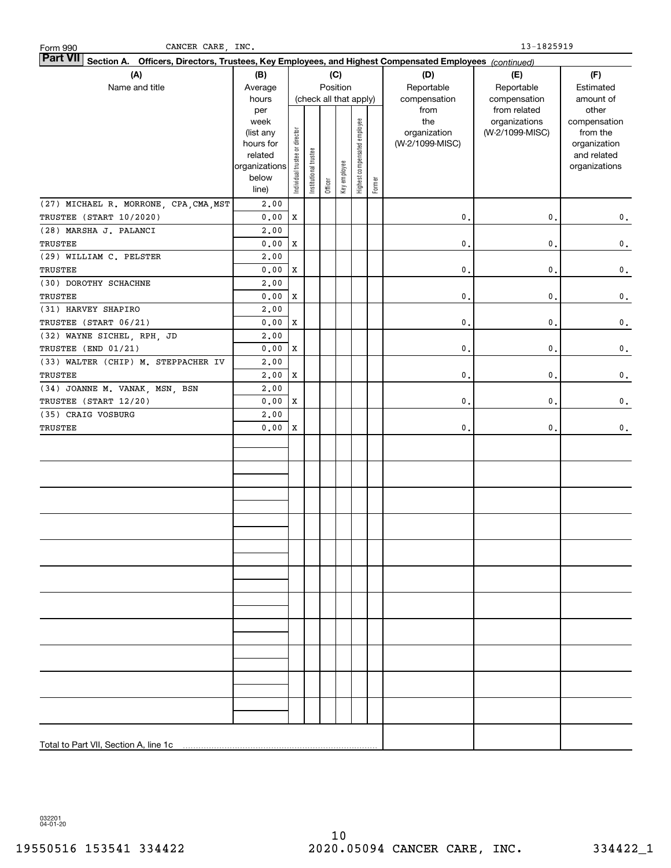| CANCER CARE, INC.<br>Form 990          |                                                                                                                 |                                |                        |         |              |                              |        | 13-1825919          |                                  |                          |  |  |
|----------------------------------------|-----------------------------------------------------------------------------------------------------------------|--------------------------------|------------------------|---------|--------------|------------------------------|--------|---------------------|----------------------------------|--------------------------|--|--|
|                                        | Part VII Section A. Officers, Directors, Trustees, Key Employees, and Highest Compensated Employees (continued) |                                |                        |         |              |                              |        |                     |                                  |                          |  |  |
| (A)                                    | (B)                                                                                                             |                                |                        |         | (C)          |                              |        | (D)                 | (E)                              | (F)                      |  |  |
| Name and title                         | Average                                                                                                         |                                |                        |         | Position     |                              |        | Reportable          | Reportable                       | Estimated                |  |  |
|                                        | hours                                                                                                           |                                | (check all that apply) |         |              |                              |        | compensation        | compensation                     | amount of                |  |  |
|                                        | per                                                                                                             |                                |                        |         |              |                              |        | from                | from related                     | other                    |  |  |
|                                        | week<br>(list any                                                                                               |                                |                        |         |              |                              |        | the<br>organization | organizations<br>(W-2/1099-MISC) | compensation<br>from the |  |  |
|                                        | hours for                                                                                                       |                                |                        |         |              |                              |        | (W-2/1099-MISC)     |                                  | organization             |  |  |
|                                        | related                                                                                                         |                                |                        |         |              |                              |        |                     |                                  | and related              |  |  |
|                                        | organizations                                                                                                   | Individual trustee or director | Institutional trustee  |         |              | Highest compensated employee |        |                     |                                  | organizations            |  |  |
|                                        | below                                                                                                           |                                |                        |         | Key employee |                              | Former |                     |                                  |                          |  |  |
|                                        | line)                                                                                                           |                                |                        | Officer |              |                              |        |                     |                                  |                          |  |  |
| (27) MICHAEL R. MORRONE, CPA, CMA, MST | 2.00                                                                                                            |                                |                        |         |              |                              |        |                     |                                  |                          |  |  |
| TRUSTEE (START 10/2020)                | 0.00                                                                                                            | X                              |                        |         |              |                              |        | $\mathbf{0}$ .      | $\mathbf{0}$ .                   | $\mathbf 0$ .            |  |  |
| (28) MARSHA J. PALANCI                 | 2.00                                                                                                            |                                |                        |         |              |                              |        |                     |                                  |                          |  |  |
| TRUSTEE                                | 0.00                                                                                                            | X                              |                        |         |              |                              |        | $\mathbf{0}$ .      | $\mathbf{0}$ .                   | 0.                       |  |  |
| (29) WILLIAM C. PELSTER                | 2.00                                                                                                            |                                |                        |         |              |                              |        |                     |                                  |                          |  |  |
| TRUSTEE                                | 0.00                                                                                                            | X                              |                        |         |              |                              |        | $\mathbf{0}$ .      | $\mathbf{0}$ .                   | $\mathbf 0$ .            |  |  |
| (30) DOROTHY SCHACHNE                  | 2.00                                                                                                            |                                |                        |         |              |                              |        |                     |                                  |                          |  |  |
| TRUSTEE                                | 0.00                                                                                                            | X                              |                        |         |              |                              |        | $\mathbf{0}$ .      | $\mathbf{0}$ .                   | $\mathbf 0$ .            |  |  |
| (31) HARVEY SHAPIRO                    | 2.00                                                                                                            |                                |                        |         |              |                              |        |                     |                                  |                          |  |  |
| TRUSTEE (START 06/21)                  | 0.00                                                                                                            | X                              |                        |         |              |                              |        | $\mathbf{0}$ .      | $\mathbf{0}$ .                   | $\mathbf 0$ .            |  |  |
| (32) WAYNE SICHEL, RPH, JD             | 2.00                                                                                                            |                                |                        |         |              |                              |        |                     |                                  |                          |  |  |
| TRUSTEE (END 01/21)                    | 0.00                                                                                                            | X                              |                        |         |              |                              |        | $\mathbf{0}$ .      | 0.                               | $\mathbf 0$ .            |  |  |
| (33) WALTER (CHIP) M. STEPPACHER IV    | 2.00                                                                                                            |                                |                        |         |              |                              |        |                     |                                  |                          |  |  |
| TRUSTEE                                | 2,00                                                                                                            | X                              |                        |         |              |                              |        | $\mathbf{0}$ .      | $\mathbf{0}$ .                   | $\mathbf 0$ .            |  |  |
| (34) JOANNE M. VANAK, MSN, BSN         | 2.00                                                                                                            |                                |                        |         |              |                              |        |                     |                                  |                          |  |  |
| TRUSTEE (START 12/20)                  | 0.00                                                                                                            | X                              |                        |         |              |                              |        | $\mathbf{0}$ .      | $\mathbf{0}$ .                   | 0.                       |  |  |
| (35) CRAIG VOSBURG                     | 2.00                                                                                                            |                                |                        |         |              |                              |        |                     |                                  |                          |  |  |
| TRUSTEE                                | 0.00                                                                                                            | X                              |                        |         |              |                              |        | 0.                  | $\mathbf{0}$ .                   | 0.                       |  |  |
|                                        |                                                                                                                 |                                |                        |         |              |                              |        |                     |                                  |                          |  |  |
|                                        |                                                                                                                 |                                |                        |         |              |                              |        |                     |                                  |                          |  |  |
|                                        |                                                                                                                 |                                |                        |         |              |                              |        |                     |                                  |                          |  |  |
|                                        |                                                                                                                 |                                |                        |         |              |                              |        |                     |                                  |                          |  |  |
|                                        |                                                                                                                 |                                |                        |         |              |                              |        |                     |                                  |                          |  |  |
|                                        |                                                                                                                 |                                |                        |         |              |                              |        |                     |                                  |                          |  |  |
|                                        |                                                                                                                 |                                |                        |         |              |                              |        |                     |                                  |                          |  |  |
|                                        |                                                                                                                 |                                |                        |         |              |                              |        |                     |                                  |                          |  |  |
|                                        |                                                                                                                 |                                |                        |         |              |                              |        |                     |                                  |                          |  |  |
|                                        |                                                                                                                 |                                |                        |         |              |                              |        |                     |                                  |                          |  |  |
|                                        |                                                                                                                 |                                |                        |         |              |                              |        |                     |                                  |                          |  |  |
|                                        |                                                                                                                 |                                |                        |         |              |                              |        |                     |                                  |                          |  |  |
|                                        |                                                                                                                 |                                |                        |         |              |                              |        |                     |                                  |                          |  |  |
|                                        |                                                                                                                 |                                |                        |         |              |                              |        |                     |                                  |                          |  |  |
|                                        |                                                                                                                 |                                |                        |         |              |                              |        |                     |                                  |                          |  |  |
|                                        |                                                                                                                 |                                |                        |         |              |                              |        |                     |                                  |                          |  |  |
|                                        |                                                                                                                 |                                |                        |         |              |                              |        |                     |                                  |                          |  |  |
|                                        |                                                                                                                 |                                |                        |         |              |                              |        |                     |                                  |                          |  |  |
|                                        |                                                                                                                 |                                |                        |         |              |                              |        |                     |                                  |                          |  |  |
|                                        |                                                                                                                 |                                |                        |         |              |                              |        |                     |                                  |                          |  |  |
|                                        |                                                                                                                 |                                |                        |         |              |                              |        |                     |                                  |                          |  |  |
|                                        |                                                                                                                 |                                |                        |         |              |                              |        |                     |                                  |                          |  |  |
| Total to Part VII, Section A, line 1c  |                                                                                                                 |                                |                        |         |              |                              |        |                     |                                  |                          |  |  |

032201 04-01-20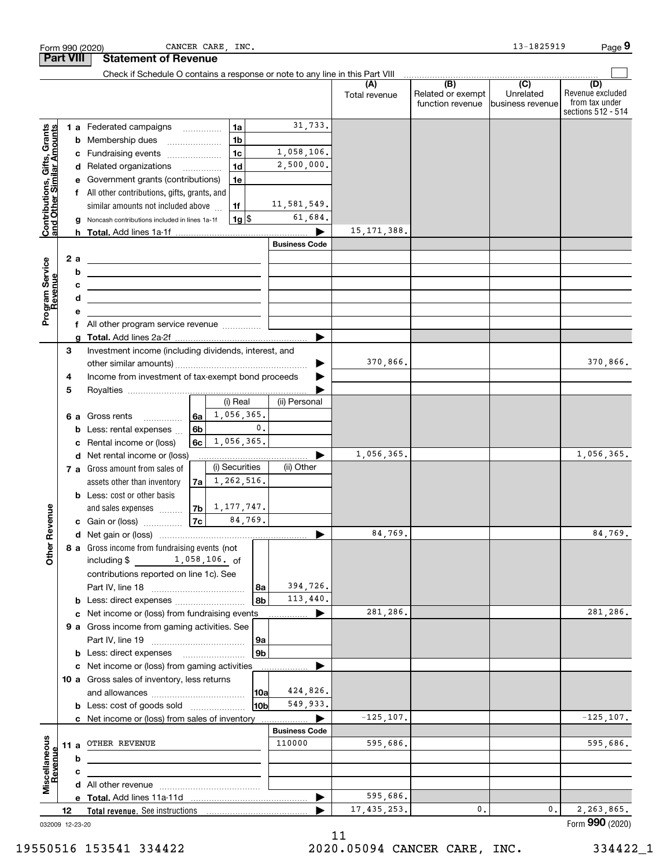|                                                           |                                                         |          | CANCER CARE, INC.<br>Form 990 (2020)                                                                                  |                      |                      |                                                           | 13-1825919                                      | Page 9                                                          |
|-----------------------------------------------------------|---------------------------------------------------------|----------|-----------------------------------------------------------------------------------------------------------------------|----------------------|----------------------|-----------------------------------------------------------|-------------------------------------------------|-----------------------------------------------------------------|
|                                                           | <b>Part VIII</b>                                        |          | <b>Statement of Revenue</b>                                                                                           |                      |                      |                                                           |                                                 |                                                                 |
|                                                           |                                                         |          | Check if Schedule O contains a response or note to any line in this Part VIII                                         |                      |                      |                                                           |                                                 |                                                                 |
|                                                           |                                                         |          |                                                                                                                       |                      | (A)<br>Total revenue | $\overline{(B)}$<br>Related or exempt<br>function revenue | $\overline{C}$<br>Unrelated<br>business revenue | (D)<br>Revenue excluded<br>from tax under<br>sections 512 - 514 |
|                                                           |                                                         |          | 1a<br>1 a Federated campaigns                                                                                         | 31,733.              |                      |                                                           |                                                 |                                                                 |
| Contributions, Gifts, Grants<br>and Other Similar Amounts |                                                         |          | 1 <sub>b</sub><br><b>b</b> Membership dues<br>$\ldots \ldots \ldots \ldots \ldots$                                    |                      |                      |                                                           |                                                 |                                                                 |
|                                                           |                                                         |          | 1 <sub>c</sub><br>c Fundraising events                                                                                | 1,058,106.           |                      |                                                           |                                                 |                                                                 |
|                                                           |                                                         |          | 1 <sub>d</sub><br>d Related organizations                                                                             | 2,500,000.           |                      |                                                           |                                                 |                                                                 |
|                                                           |                                                         |          | e Government grants (contributions)<br>1e                                                                             |                      |                      |                                                           |                                                 |                                                                 |
|                                                           |                                                         |          | f All other contributions, gifts, grants, and                                                                         |                      |                      |                                                           |                                                 |                                                                 |
|                                                           |                                                         |          | similar amounts not included above<br>1f                                                                              | 11,581,549.          |                      |                                                           |                                                 |                                                                 |
|                                                           |                                                         |          | $1g$ \$<br>g Noncash contributions included in lines 1a-1f                                                            | 61,684.              |                      |                                                           |                                                 |                                                                 |
|                                                           |                                                         |          |                                                                                                                       |                      | 15, 171, 388.        |                                                           |                                                 |                                                                 |
|                                                           |                                                         |          |                                                                                                                       | <b>Business Code</b> |                      |                                                           |                                                 |                                                                 |
|                                                           |                                                         | 2 a<br>b | <u> 1989 - Johann Barn, amerikansk politiker (d. 1989)</u>                                                            |                      |                      |                                                           |                                                 |                                                                 |
|                                                           |                                                         | c        | <u> 1989 - Johann Barn, amerikansk politiker (d. 1989)</u>                                                            |                      |                      |                                                           |                                                 |                                                                 |
|                                                           |                                                         | d        | <u> 1989 - Johann Stein, marwolaethau a bhann an t-Amhainn an t-Amhainn an t-Amhainn an t-Amhainn an t-Amhainn an</u> |                      |                      |                                                           |                                                 |                                                                 |
| Program Service<br>Revenue                                |                                                         | е        |                                                                                                                       |                      |                      |                                                           |                                                 |                                                                 |
|                                                           |                                                         |          | f All other program service revenue                                                                                   |                      |                      |                                                           |                                                 |                                                                 |
|                                                           |                                                         |          |                                                                                                                       |                      |                      |                                                           |                                                 |                                                                 |
|                                                           | з                                                       |          | Investment income (including dividends, interest, and                                                                 |                      |                      |                                                           |                                                 |                                                                 |
|                                                           |                                                         |          |                                                                                                                       | ▶                    | 370,866.             |                                                           |                                                 | 370,866.                                                        |
|                                                           | Income from investment of tax-exempt bond proceeds<br>4 |          |                                                                                                                       |                      |                      |                                                           |                                                 |                                                                 |
|                                                           | 5                                                       |          | (i) Real                                                                                                              | (ii) Personal        |                      |                                                           |                                                 |                                                                 |
|                                                           |                                                         |          | 1,056,365.<br>6а                                                                                                      |                      |                      |                                                           |                                                 |                                                                 |
|                                                           |                                                         |          | <b>6 a</b> Gross rents<br>$\mathbf{0}$ .<br>6b<br><b>b</b> Less: rental expenses                                      |                      |                      |                                                           |                                                 |                                                                 |
|                                                           |                                                         |          | 1,056,365.<br>6c<br>c Rental income or (loss)                                                                         |                      |                      |                                                           |                                                 |                                                                 |
|                                                           |                                                         |          | d Net rental income or (loss)                                                                                         |                      | 1,056,365.           |                                                           |                                                 | 1,056,365.                                                      |
|                                                           |                                                         |          | (i) Securities<br>7 a Gross amount from sales of                                                                      | (ii) Other           |                      |                                                           |                                                 |                                                                 |
|                                                           |                                                         |          | 1,262,516.<br>assets other than inventory<br>7a                                                                       |                      |                      |                                                           |                                                 |                                                                 |
|                                                           |                                                         |          | <b>b</b> Less: cost or other basis                                                                                    |                      |                      |                                                           |                                                 |                                                                 |
| wenue                                                     |                                                         |          | 1, 177, 747.<br>7b<br>and sales expenses                                                                              |                      |                      |                                                           |                                                 |                                                                 |
|                                                           |                                                         |          | 84,769.<br>7c<br>c Gain or (loss)                                                                                     |                      |                      |                                                           |                                                 |                                                                 |
|                                                           |                                                         |          |                                                                                                                       |                      | 84,769.              |                                                           |                                                 | 84,769.                                                         |
| Other R                                                   |                                                         |          | 8 a Gross income from fundraising events (not<br>including \$ 1,058,106. of                                           |                      |                      |                                                           |                                                 |                                                                 |
|                                                           |                                                         |          | contributions reported on line 1c). See                                                                               |                      |                      |                                                           |                                                 |                                                                 |
|                                                           |                                                         |          | 8a                                                                                                                    | 394,726.             |                      |                                                           |                                                 |                                                                 |
|                                                           |                                                         |          | l 8b                                                                                                                  | 113,440.             |                      |                                                           |                                                 |                                                                 |
|                                                           |                                                         |          | c Net income or (loss) from fundraising events                                                                        |                      | 281,286.             |                                                           |                                                 | 281.286.                                                        |
|                                                           |                                                         |          | 9 a Gross income from gaming activities. See                                                                          |                      |                      |                                                           |                                                 |                                                                 |
|                                                           |                                                         |          | 9a                                                                                                                    |                      |                      |                                                           |                                                 |                                                                 |
|                                                           |                                                         |          | 9b                                                                                                                    |                      |                      |                                                           |                                                 |                                                                 |
|                                                           |                                                         |          | c Net income or (loss) from gaming activities                                                                         |                      |                      |                                                           |                                                 |                                                                 |
|                                                           |                                                         |          | 10 a Gross sales of inventory, less returns                                                                           | 424,826.             |                      |                                                           |                                                 |                                                                 |
|                                                           |                                                         |          | 10a<br>10b                                                                                                            | 549,933.             |                      |                                                           |                                                 |                                                                 |
|                                                           |                                                         |          | <b>b</b> Less: cost of goods sold<br>c Net income or (loss) from sales of inventory                                   |                      | $-125, 107.$         |                                                           |                                                 | $-125, 107.$                                                    |
|                                                           |                                                         |          |                                                                                                                       | <b>Business Code</b> |                      |                                                           |                                                 |                                                                 |
|                                                           |                                                         | 11 a     | OTHER REVENUE                                                                                                         | 110000               | 595,686.             |                                                           |                                                 | 595,686.                                                        |
|                                                           |                                                         | b        |                                                                                                                       |                      |                      |                                                           |                                                 |                                                                 |
|                                                           |                                                         | с        |                                                                                                                       |                      |                      |                                                           |                                                 |                                                                 |
| Miscellaneous<br>Revenue                                  |                                                         |          |                                                                                                                       |                      |                      |                                                           |                                                 |                                                                 |
|                                                           |                                                         |          |                                                                                                                       |                      | 595,686.             |                                                           |                                                 |                                                                 |
|                                                           | 12                                                      |          |                                                                                                                       |                      | 17, 435, 253.        | 0.                                                        | 0.                                              | 2,263,865.                                                      |
| 032009 12-23-20                                           |                                                         |          |                                                                                                                       |                      |                      |                                                           |                                                 | Form 990 (2020)                                                 |

032009 12-23-20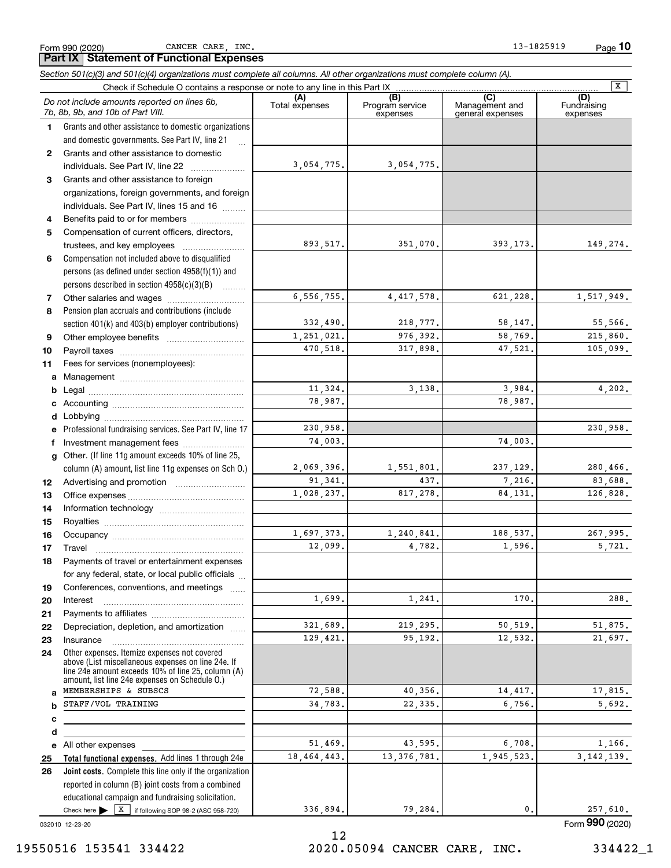**78**

**91011abcdefg**

**121314**

Form 990 (2020) CANCER CARE, INC. 13-1825919 Page **10**

4,417,578. 621,228. 1,517,949.

218,777. 58,147. 55,566. 976,392. 58,769. 215,860. 317,898. 47,521. 105,099.

3,138. 3,984. 4,202. 78,987.

74,003.

1,551,801. 237,129. 280,466.

817,278. 84,131. 126,828.

1,240,841. 188,537. 267,995. 4,782. 1,596. 5,721.

1,241. 170. 288.

219,295. 50,519. 51,875. 95,192. 12,532. 21,697.

40,356. 14,417. 17,815. 22,335. 6,756. 5,692.

437.

 $\boxed{\mathbf{X}}$ 

230,958.

7,216. 83,688.

**(A)**<br>Total expenses **(B) (C) (D) 123456***Section 501(c)(3) and 501(c)(4) organizations must complete all columns. All other organizations must complete column (A).* Grants and other assistance to domestic organizations and domestic governments. See Part IV, line 21 Compensation not included above to disqualified persons (as defined under section 4958(f)(1)) and persons described in section 4958(c)(3)(B) Check if Schedule O contains a response or note to any line in this Part IX [COLOREST TO COLOREST TO COLOREST TO COLOREST TO COLOREST TO COLOREST TO COLOREST TO COLOREST TO COLOREST TO COLOREST TO COLOREST TO COLOREST TO C Program service expensesManagement and general expenses Fundraising expensesGrants and other assistance to domestic individuals. See Part IV, line 22 ..................... Grants and other assistance to foreign organizations, foreign governments, and foreign individuals. See Part IV, lines 15 and 16  $\ldots$ Benefits paid to or for members .................... Compensation of current officers, directors, trustees, and key employees ........................ *Do not include amounts reported on lines 6b, 7b, 8b, 9b, and 10b of Part VIII.* **Part IX Statement of Functional Expenses** 3,054,775. 893,517. 3,054,775. 351,070. 393,173. 149,274.

6,556,755.

332,490. 1,251,021. 470,518.

> 11,324. 78,987.

74,003.

1,697,373. 12,099.

1,699.

321,689. 129,421.

> 72,588. 34,783.

|                                                         | 11,324    |
|---------------------------------------------------------|-----------|
|                                                         | 78,987    |
|                                                         |           |
| Professional fundraising services. See Part IV, line 17 | 230,958   |
| Investment management fees                              | 74,003    |
| Other. (If line 11g amount exceeds 10% of line 25,      |           |
| column (A) amount, list line 11g expenses on Sch 0.)    | 2,069,396 |
|                                                         | 91,341    |
|                                                         | 1,028,237 |
|                                                         |           |
|                                                         |           |

**151617181920212223**Royalties ~~~~~~~~~~~~~~~~~~ Occupancy ~~~~~~~~~~~~~~~~~ Travel ……………………………………………… Payments of travel or entertainment expenses for any federal, state, or local public officials ... Conferences, conventions, and meetings ...... InterestPayments to affiliates ~~~~~~~~~~~~ Depreciation, depletion, and amortization  $\,\,\ldots\,\,$ Insurance~~~~~~~~~~~~~~~~~

Pension plan accruals and contributions (include section 401(k) and 403(b) employer contributions)

Other employee benefits ~~~~~~~~~~

Other salaries and wages ....................

Payroll taxes ~~~~~~~~~~~~~~~~ Fees for services (nonemployees):

**24abcde**Other expenses. Itemize expenses not covered above (List miscellaneous expenses on line 24e. If line 24e amount exceeds 10% of line 25, column (A) amount, list line 24e expenses on Schedule O.) All other expenses MEMBERSHIPS & SUBSCS STAFF/VOL TRAINING

Check here  $\blacktriangleright$   $\boxed{\text{X}}$  if following SOP 98-2 (ASC 958-720) **Total functional expenses.**  Add lines 1 through 24e **Joint costs.** Complete this line only if the organization reported in column (B) joint costs from a combined educational campaign and fundraising solicitation. 51,469. 18,464,443. 336,894. 43,595. 6,708. 1,166. 13,376,781. 1,945,523. 3,142,139. 79,284. 0. 257,610.

032010 12-23-20

**2526**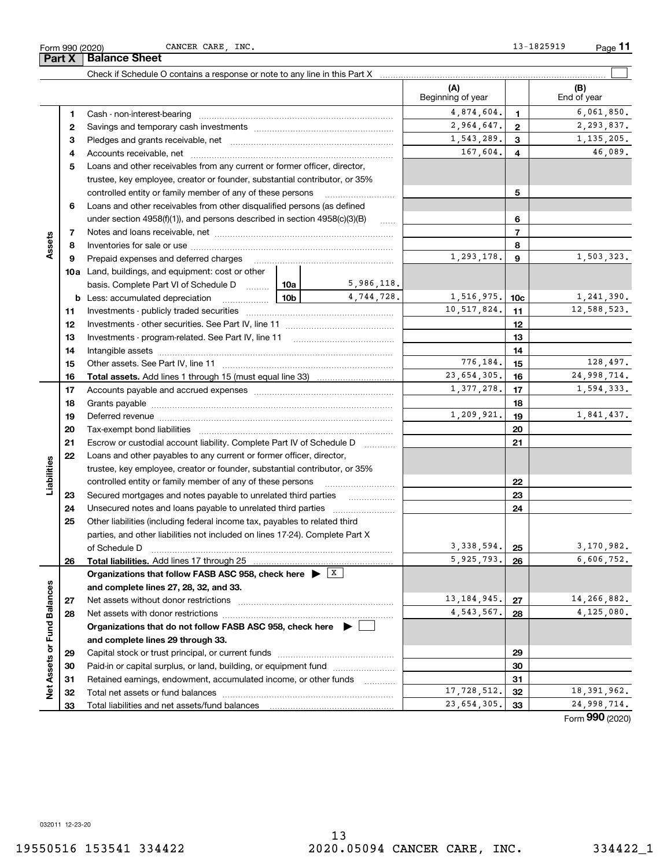**Part X Balance Sheet**

|                             |    |                                                                                                               |                 |                     | (A)<br>Beginning of year |                 | (B)<br>End of year |
|-----------------------------|----|---------------------------------------------------------------------------------------------------------------|-----------------|---------------------|--------------------------|-----------------|--------------------|
|                             | 1  |                                                                                                               |                 |                     | 4,874,604.               | $\mathbf{1}$    | 6,061,850.         |
|                             | 2  |                                                                                                               |                 |                     | 2,964,647.               | $\overline{2}$  | 2,293,837.         |
|                             | 3  |                                                                                                               |                 | 1,543,289.          | 3                        | 1, 135, 205.    |                    |
|                             | 4  |                                                                                                               |                 | 167,604.            | $\overline{4}$           | 46,089.         |                    |
|                             | 5  | Loans and other receivables from any current or former officer, director,                                     |                 |                     |                          |                 |                    |
|                             |    | trustee, key employee, creator or founder, substantial contributor, or 35%                                    |                 |                     |                          |                 |                    |
|                             |    | controlled entity or family member of any of these persons                                                    |                 |                     |                          | 5               |                    |
|                             | 6  | Loans and other receivables from other disqualified persons (as defined                                       |                 |                     |                          |                 |                    |
|                             |    | under section $4958(f)(1)$ , and persons described in section $4958(c)(3)(B)$                                 |                 | $\ldots$            |                          | 6               |                    |
|                             | 7  |                                                                                                               |                 |                     |                          | $\overline{7}$  |                    |
| Assets                      | 8  |                                                                                                               |                 | 8                   |                          |                 |                    |
|                             | 9  | Prepaid expenses and deferred charges                                                                         |                 |                     | 1,293,178.               | 9               | 1,503,323.         |
|                             |    | <b>10a</b> Land, buildings, and equipment: cost or other                                                      |                 |                     |                          |                 |                    |
|                             |    | basis. Complete Part VI of Schedule D  10a                                                                    |                 | 5,986,118.          |                          |                 |                    |
|                             |    | <b>b</b> Less: accumulated depreciation                                                                       | 10 <sub>b</sub> | 4,744,728.          | 1,516,975.               | 10 <sub>c</sub> | 1,241,390.         |
|                             | 11 |                                                                                                               |                 |                     | 10,517,824.              | 11              | 12,588,523.        |
|                             | 12 |                                                                                                               |                 | 12                  |                          |                 |                    |
|                             | 13 |                                                                                                               |                 | 13                  |                          |                 |                    |
|                             | 14 |                                                                                                               |                 |                     | 14                       |                 |                    |
|                             | 15 |                                                                                                               |                 | 776,184.            | 15                       | 128,497.        |                    |
|                             | 16 |                                                                                                               |                 |                     | 23, 654, 305.            | 16              | 24,998,714.        |
|                             | 17 |                                                                                                               |                 |                     | 1,377,278.               | 17              | 1,594,333.         |
|                             | 18 |                                                                                                               |                 | 18                  |                          |                 |                    |
|                             | 19 |                                                                                                               |                 | 1,209,921.          | 19                       | 1,841,437.      |                    |
|                             | 20 |                                                                                                               |                 |                     | 20                       |                 |                    |
|                             | 21 | Escrow or custodial account liability. Complete Part IV of Schedule D                                         |                 | 1.1.1.1.1.1.1.1.1.1 |                          | 21              |                    |
|                             | 22 | Loans and other payables to any current or former officer, director,                                          |                 |                     |                          |                 |                    |
| Liabilities                 |    | trustee, key employee, creator or founder, substantial contributor, or 35%                                    |                 |                     |                          |                 |                    |
|                             |    | controlled entity or family member of any of these persons                                                    |                 |                     |                          | 22              |                    |
|                             | 23 | Secured mortgages and notes payable to unrelated third parties                                                |                 |                     |                          | 23              |                    |
|                             | 24 | Unsecured notes and loans payable to unrelated third parties                                                  |                 |                     |                          | 24              |                    |
|                             | 25 | Other liabilities (including federal income tax, payables to related third                                    |                 |                     |                          |                 |                    |
|                             |    | parties, and other liabilities not included on lines 17-24). Complete Part X                                  |                 |                     |                          |                 |                    |
|                             |    | of Schedule D                                                                                                 |                 |                     | 3, 338, 594.             | 25              | 3,170,982.         |
|                             | 26 | Total liabilities. Add lines 17 through 25                                                                    |                 |                     | 5,925,793.               | 26              | 6,606,752.         |
|                             |    | Organizations that follow FASB ASC 958, check here $\blacktriangleright \begin{array}{c} \perp X \end{array}$ |                 |                     |                          |                 |                    |
|                             |    | and complete lines 27, 28, 32, and 33.                                                                        |                 |                     |                          |                 |                    |
|                             | 27 |                                                                                                               |                 |                     | 13, 184, 945.            | 27              | 14,266,882.        |
|                             | 28 |                                                                                                               |                 |                     | 4,543,567.               | 28              | 4,125,080.         |
|                             |    | Organizations that do not follow FASB ASC 958, check here $\blacktriangleright$                               |                 |                     |                          |                 |                    |
|                             |    | and complete lines 29 through 33.                                                                             |                 |                     |                          |                 |                    |
| Net Assets or Fund Balances | 29 |                                                                                                               |                 |                     |                          | 29              |                    |
|                             | 30 | Paid-in or capital surplus, or land, building, or equipment fund                                              |                 |                     |                          | 30              |                    |
|                             | 31 | Retained earnings, endowment, accumulated income, or other funds                                              |                 |                     |                          | 31              |                    |
|                             | 32 |                                                                                                               |                 |                     | 17,728,512.              | 32              | 18, 391, 962.      |
|                             | 33 |                                                                                                               |                 |                     | 23,654,305.              | 33              | 24,998,714.        |

Form (2020) **990**

032011 12-23-20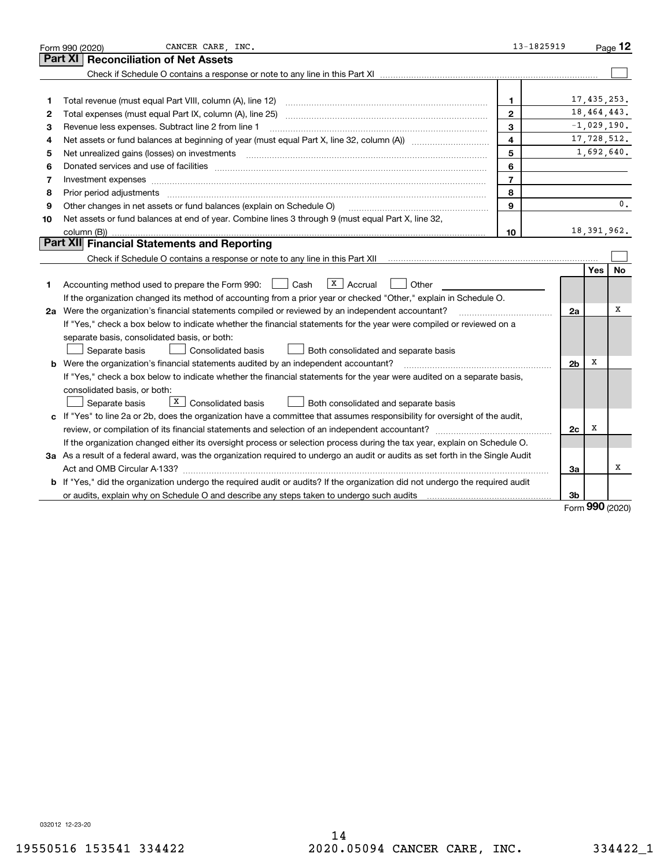| <b>Reconciliation of Net Assets</b><br>Part XI                                                                                                                                                                                           | 17, 435, 253. |
|------------------------------------------------------------------------------------------------------------------------------------------------------------------------------------------------------------------------------------------|---------------|
|                                                                                                                                                                                                                                          |               |
|                                                                                                                                                                                                                                          |               |
|                                                                                                                                                                                                                                          |               |
| 1.<br>1                                                                                                                                                                                                                                  |               |
| 18, 464, 443.<br>$\mathbf{2}$<br>2                                                                                                                                                                                                       |               |
| 3<br>Revenue less expenses. Subtract line 2 from line 1<br>з                                                                                                                                                                             | $-1,029,190.$ |
| $\overline{\mathbf{4}}$<br>4                                                                                                                                                                                                             | 17,728,512.   |
| 5<br>5<br>Net unrealized gains (losses) on investments [11] matter continuum matter is a set of the state of the state of the state of the state of the state of the state of the state of the state of the state of the state of the st | 1,692,640.    |
| 6<br>Donated services and use of facilities [111] Donated and the service of facilities [11] Donated services and use of facilities [11] Donated and the service of the service of the service of the service of the service of the<br>6 |               |
| $\overline{7}$<br>Investment expenses<br>7                                                                                                                                                                                               |               |
| 8<br>8<br>Prior period adjustments www.communication.communication.communication.com/                                                                                                                                                    |               |
| 9<br>Other changes in net assets or fund balances (explain on Schedule O)<br>9                                                                                                                                                           | 0.            |
| Net assets or fund balances at end of year. Combine lines 3 through 9 (must equal Part X, line 32,<br>10                                                                                                                                 |               |
| 10                                                                                                                                                                                                                                       | 18, 391, 962. |
| Part XII Financial Statements and Reporting                                                                                                                                                                                              |               |
| Check if Schedule O contains a response or note to any line in this Part XII manuformal content in the schedule O contains a response or note to any line in this Part XII manuformal contents of the set of the set of the se           |               |
| Yes                                                                                                                                                                                                                                      | <b>No</b>     |
| $\overline{X}$ Accrual<br>Accounting method used to prepare the Form 990: <u>June</u> Cash<br>Other<br>1.                                                                                                                                |               |
| If the organization changed its method of accounting from a prior year or checked "Other," explain in Schedule O.                                                                                                                        |               |
| 2a Were the organization's financial statements compiled or reviewed by an independent accountant?<br>2a                                                                                                                                 | х             |
| If "Yes," check a box below to indicate whether the financial statements for the year were compiled or reviewed on a                                                                                                                     |               |
| separate basis, consolidated basis, or both:                                                                                                                                                                                             |               |
| Separate basis<br>Consolidated basis<br>Both consolidated and separate basis                                                                                                                                                             |               |
| х<br><b>b</b> Were the organization's financial statements audited by an independent accountant?<br>2 <sub>b</sub>                                                                                                                       |               |
| If "Yes," check a box below to indicate whether the financial statements for the year were audited on a separate basis,                                                                                                                  |               |
| consolidated basis, or both:                                                                                                                                                                                                             |               |
| $X$ Consolidated basis<br>Separate basis<br>Both consolidated and separate basis                                                                                                                                                         |               |
| c If "Yes" to line 2a or 2b, does the organization have a committee that assumes responsibility for oversight of the audit,                                                                                                              |               |
| х<br>2c                                                                                                                                                                                                                                  |               |
| If the organization changed either its oversight process or selection process during the tax year, explain on Schedule O.                                                                                                                |               |
| 3a As a result of a federal award, was the organization required to undergo an audit or audits as set forth in the Single Audit                                                                                                          |               |
| 3a                                                                                                                                                                                                                                       | х             |
| b If "Yes," did the organization undergo the required audit or audits? If the organization did not undergo the required audit                                                                                                            |               |
| 3b<br>or audits, explain why on Schedule O and describe any steps taken to undergo such audits matured and the matur<br>$\Omega$                                                                                                         |               |

Form (2020) **990**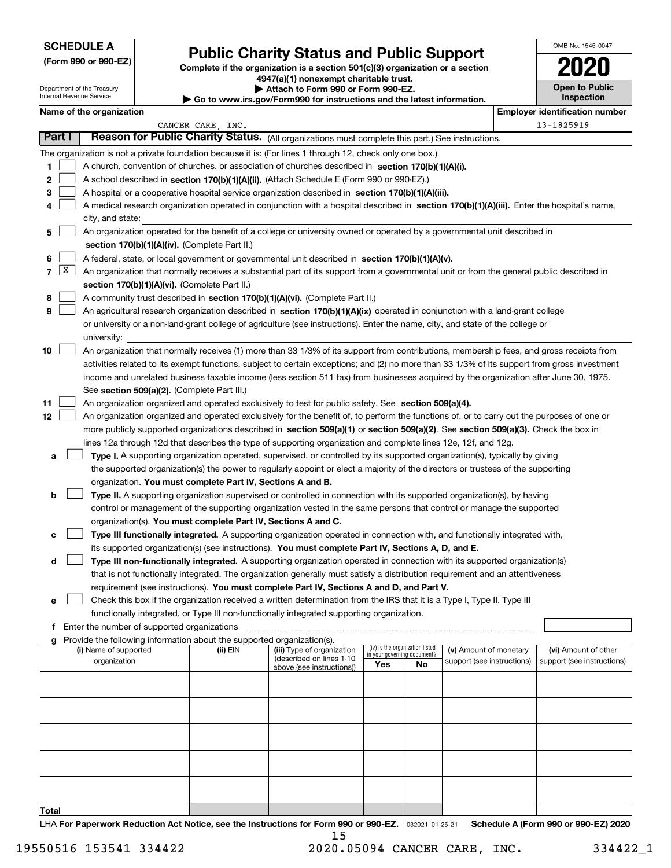| <b>SCHEDULE A</b> |  |
|-------------------|--|
|-------------------|--|

Department of the Treasury

|  |  |  | (Form 990 or 990-EZ) |
|--|--|--|----------------------|
|--|--|--|----------------------|

# **Public Charity Status and Public Support**

**Complete if the organization is a section 501(c)(3) organization or a section 4947(a)(1) nonexempt charitable trust. | Attach to Form 990 or Form 990-EZ.** 

| 2020                                |
|-------------------------------------|
| <b>Open to Public</b><br>Inspection |

OMB No. 1545-0047

| Internal Revenue Service<br>$\blacktriangleright$ Go to www.irs.gov/Form990 for instructions and the latest information. |              |                                                                                                                           |  |                                                                                           |                                                                                                                                              |                             | Inspection                      |                            |  |  |                                       |  |
|--------------------------------------------------------------------------------------------------------------------------|--------------|---------------------------------------------------------------------------------------------------------------------------|--|-------------------------------------------------------------------------------------------|----------------------------------------------------------------------------------------------------------------------------------------------|-----------------------------|---------------------------------|----------------------------|--|--|---------------------------------------|--|
|                                                                                                                          |              | Name of the organization                                                                                                  |  |                                                                                           |                                                                                                                                              |                             |                                 |                            |  |  | <b>Employer identification number</b> |  |
|                                                                                                                          |              |                                                                                                                           |  | CANCER CARE, INC.                                                                         |                                                                                                                                              |                             |                                 |                            |  |  | 13-1825919                            |  |
|                                                                                                                          | Part I       |                                                                                                                           |  |                                                                                           | Reason for Public Charity Status. (All organizations must complete this part.) See instructions.                                             |                             |                                 |                            |  |  |                                       |  |
|                                                                                                                          |              |                                                                                                                           |  |                                                                                           | The organization is not a private foundation because it is: (For lines 1 through 12, check only one box.)                                    |                             |                                 |                            |  |  |                                       |  |
| 1                                                                                                                        |              |                                                                                                                           |  |                                                                                           | A church, convention of churches, or association of churches described in section $170(b)(1)(A)(i)$ .                                        |                             |                                 |                            |  |  |                                       |  |
| 2                                                                                                                        |              |                                                                                                                           |  |                                                                                           | A school described in section 170(b)(1)(A)(ii). (Attach Schedule E (Form 990 or 990-EZ).)                                                    |                             |                                 |                            |  |  |                                       |  |
| з                                                                                                                        |              |                                                                                                                           |  |                                                                                           | A hospital or a cooperative hospital service organization described in section 170(b)(1)(A)(iii).                                            |                             |                                 |                            |  |  |                                       |  |
| 4                                                                                                                        |              |                                                                                                                           |  |                                                                                           | A medical research organization operated in conjunction with a hospital described in section 170(b)(1)(A)(iii), Enter the hospital's name,   |                             |                                 |                            |  |  |                                       |  |
|                                                                                                                          |              | city, and state:                                                                                                          |  |                                                                                           |                                                                                                                                              |                             |                                 |                            |  |  |                                       |  |
| 5                                                                                                                        |              | An organization operated for the benefit of a college or university owned or operated by a governmental unit described in |  |                                                                                           |                                                                                                                                              |                             |                                 |                            |  |  |                                       |  |
|                                                                                                                          |              |                                                                                                                           |  | section 170(b)(1)(A)(iv). (Complete Part II.)                                             |                                                                                                                                              |                             |                                 |                            |  |  |                                       |  |
| 6                                                                                                                        |              |                                                                                                                           |  |                                                                                           | A federal, state, or local government or governmental unit described in section 170(b)(1)(A)(v).                                             |                             |                                 |                            |  |  |                                       |  |
| 7                                                                                                                        | $\mathbf{X}$ |                                                                                                                           |  |                                                                                           | An organization that normally receives a substantial part of its support from a governmental unit or from the general public described in    |                             |                                 |                            |  |  |                                       |  |
|                                                                                                                          |              |                                                                                                                           |  | section 170(b)(1)(A)(vi). (Complete Part II.)                                             |                                                                                                                                              |                             |                                 |                            |  |  |                                       |  |
| 8                                                                                                                        |              |                                                                                                                           |  |                                                                                           | A community trust described in section 170(b)(1)(A)(vi). (Complete Part II.)                                                                 |                             |                                 |                            |  |  |                                       |  |
| 9                                                                                                                        |              |                                                                                                                           |  |                                                                                           | An agricultural research organization described in section 170(b)(1)(A)(ix) operated in conjunction with a land-grant college                |                             |                                 |                            |  |  |                                       |  |
|                                                                                                                          |              |                                                                                                                           |  |                                                                                           | or university or a non-land-grant college of agriculture (see instructions). Enter the name, city, and state of the college or               |                             |                                 |                            |  |  |                                       |  |
|                                                                                                                          |              | university:                                                                                                               |  |                                                                                           |                                                                                                                                              |                             |                                 |                            |  |  |                                       |  |
| 10                                                                                                                       |              |                                                                                                                           |  |                                                                                           | An organization that normally receives (1) more than 33 1/3% of its support from contributions, membership fees, and gross receipts from     |                             |                                 |                            |  |  |                                       |  |
|                                                                                                                          |              |                                                                                                                           |  |                                                                                           | activities related to its exempt functions, subject to certain exceptions; and (2) no more than 33 1/3% of its support from gross investment |                             |                                 |                            |  |  |                                       |  |
|                                                                                                                          |              |                                                                                                                           |  |                                                                                           | income and unrelated business taxable income (less section 511 tax) from businesses acquired by the organization after June 30, 1975.        |                             |                                 |                            |  |  |                                       |  |
| 11                                                                                                                       |              |                                                                                                                           |  | See section 509(a)(2). (Complete Part III.)                                               | An organization organized and operated exclusively to test for public safety. See section 509(a)(4).                                         |                             |                                 |                            |  |  |                                       |  |
| 12                                                                                                                       |              |                                                                                                                           |  |                                                                                           | An organization organized and operated exclusively for the benefit of, to perform the functions of, or to carry out the purposes of one or   |                             |                                 |                            |  |  |                                       |  |
|                                                                                                                          |              |                                                                                                                           |  |                                                                                           | more publicly supported organizations described in section 509(a)(1) or section 509(a)(2). See section 509(a)(3). Check the box in           |                             |                                 |                            |  |  |                                       |  |
|                                                                                                                          |              |                                                                                                                           |  |                                                                                           | lines 12a through 12d that describes the type of supporting organization and complete lines 12e, 12f, and 12g.                               |                             |                                 |                            |  |  |                                       |  |
| а                                                                                                                        |              |                                                                                                                           |  |                                                                                           | Type I. A supporting organization operated, supervised, or controlled by its supported organization(s), typically by giving                  |                             |                                 |                            |  |  |                                       |  |
|                                                                                                                          |              |                                                                                                                           |  |                                                                                           | the supported organization(s) the power to regularly appoint or elect a majority of the directors or trustees of the supporting              |                             |                                 |                            |  |  |                                       |  |
|                                                                                                                          |              |                                                                                                                           |  | organization. You must complete Part IV, Sections A and B.                                |                                                                                                                                              |                             |                                 |                            |  |  |                                       |  |
| b                                                                                                                        |              |                                                                                                                           |  |                                                                                           | Type II. A supporting organization supervised or controlled in connection with its supported organization(s), by having                      |                             |                                 |                            |  |  |                                       |  |
|                                                                                                                          |              |                                                                                                                           |  |                                                                                           | control or management of the supporting organization vested in the same persons that control or manage the supported                         |                             |                                 |                            |  |  |                                       |  |
|                                                                                                                          |              |                                                                                                                           |  | organization(s). You must complete Part IV, Sections A and C.                             |                                                                                                                                              |                             |                                 |                            |  |  |                                       |  |
| с                                                                                                                        |              |                                                                                                                           |  |                                                                                           | Type III functionally integrated. A supporting organization operated in connection with, and functionally integrated with,                   |                             |                                 |                            |  |  |                                       |  |
|                                                                                                                          |              |                                                                                                                           |  |                                                                                           | its supported organization(s) (see instructions). You must complete Part IV, Sections A, D, and E.                                           |                             |                                 |                            |  |  |                                       |  |
| d                                                                                                                        |              |                                                                                                                           |  |                                                                                           | Type III non-functionally integrated. A supporting organization operated in connection with its supported organization(s)                    |                             |                                 |                            |  |  |                                       |  |
|                                                                                                                          |              |                                                                                                                           |  |                                                                                           | that is not functionally integrated. The organization generally must satisfy a distribution requirement and an attentiveness                 |                             |                                 |                            |  |  |                                       |  |
|                                                                                                                          |              |                                                                                                                           |  |                                                                                           | requirement (see instructions). You must complete Part IV, Sections A and D, and Part V.                                                     |                             |                                 |                            |  |  |                                       |  |
| е                                                                                                                        |              |                                                                                                                           |  |                                                                                           | Check this box if the organization received a written determination from the IRS that it is a Type I, Type II, Type III                      |                             |                                 |                            |  |  |                                       |  |
|                                                                                                                          |              |                                                                                                                           |  | functionally integrated, or Type III non-functionally integrated supporting organization. |                                                                                                                                              |                             |                                 |                            |  |  |                                       |  |
| f                                                                                                                        |              | Enter the number of supported organizations                                                                               |  |                                                                                           |                                                                                                                                              |                             |                                 |                            |  |  |                                       |  |
|                                                                                                                          |              | (i) Name of supported                                                                                                     |  | Provide the following information about the supported organization(s).<br>(ii) EIN        | (iii) Type of organization                                                                                                                   |                             | (iv) Is the organization listed | (v) Amount of monetary     |  |  | (vi) Amount of other                  |  |
|                                                                                                                          |              | organization                                                                                                              |  |                                                                                           | (described on lines 1-10                                                                                                                     | in your governing document? |                                 | support (see instructions) |  |  | support (see instructions)            |  |
|                                                                                                                          |              |                                                                                                                           |  |                                                                                           | above (see instructions))                                                                                                                    | Yes                         | No                              |                            |  |  |                                       |  |
|                                                                                                                          |              |                                                                                                                           |  |                                                                                           |                                                                                                                                              |                             |                                 |                            |  |  |                                       |  |
|                                                                                                                          |              |                                                                                                                           |  |                                                                                           |                                                                                                                                              |                             |                                 |                            |  |  |                                       |  |
|                                                                                                                          |              |                                                                                                                           |  |                                                                                           |                                                                                                                                              |                             |                                 |                            |  |  |                                       |  |
|                                                                                                                          |              |                                                                                                                           |  |                                                                                           |                                                                                                                                              |                             |                                 |                            |  |  |                                       |  |
|                                                                                                                          |              |                                                                                                                           |  |                                                                                           |                                                                                                                                              |                             |                                 |                            |  |  |                                       |  |
|                                                                                                                          |              |                                                                                                                           |  |                                                                                           |                                                                                                                                              |                             |                                 |                            |  |  |                                       |  |
|                                                                                                                          |              |                                                                                                                           |  |                                                                                           |                                                                                                                                              |                             |                                 |                            |  |  |                                       |  |
|                                                                                                                          |              |                                                                                                                           |  |                                                                                           |                                                                                                                                              |                             |                                 |                            |  |  |                                       |  |
|                                                                                                                          |              |                                                                                                                           |  |                                                                                           |                                                                                                                                              |                             |                                 |                            |  |  |                                       |  |
| Total                                                                                                                    |              |                                                                                                                           |  |                                                                                           |                                                                                                                                              |                             |                                 |                            |  |  |                                       |  |
|                                                                                                                          |              |                                                                                                                           |  |                                                                                           |                                                                                                                                              |                             |                                 |                            |  |  |                                       |  |

LHA For Paperwork Reduction Act Notice, see the Instructions for Form 990 or 990-EZ. <sub>032021</sub> o1-25-21 Schedule A (Form 990 or 990-EZ) 2020 15

٦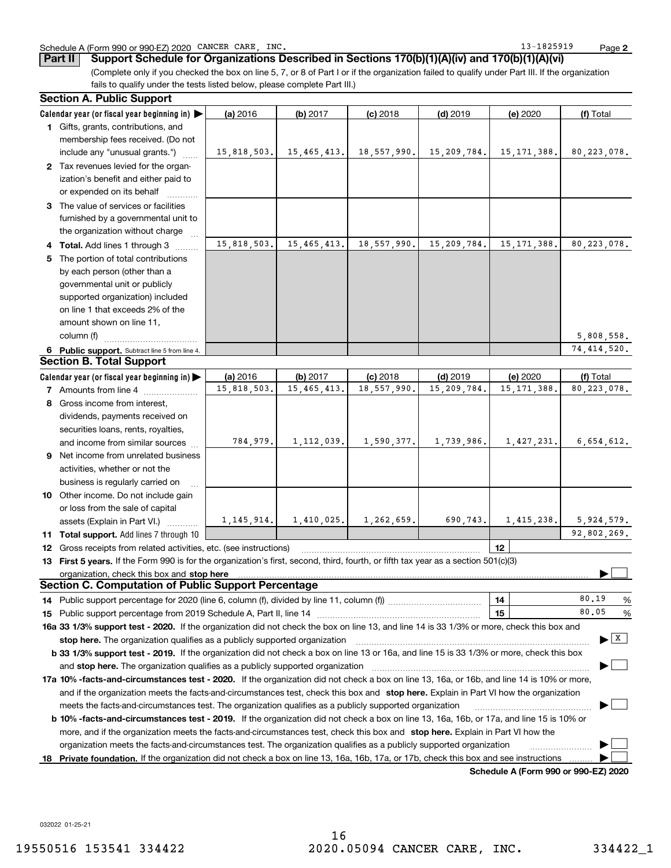#### Schedule A (Form 990 or 990-EZ) 2020 CANCER CARE,INC. 13-1825919 Page

**2**

(Complete only if you checked the box on line 5, 7, or 8 of Part I or if the organization failed to qualify under Part III. If the organization fails to qualify under the tests listed below, please complete Part III.) **Part II Support Schedule for Organizations Described in Sections 170(b)(1)(A)(iv) and 170(b)(1)(A)(vi)**

|   | <b>Section A. Public Support</b>                                                                                                                                                                                               |              |               |             |             |               |                                       |
|---|--------------------------------------------------------------------------------------------------------------------------------------------------------------------------------------------------------------------------------|--------------|---------------|-------------|-------------|---------------|---------------------------------------|
|   | Calendar year (or fiscal year beginning in)                                                                                                                                                                                    | (a) 2016     | (b) 2017      | $(c)$ 2018  | $(d)$ 2019  | (e) 2020      | (f) Total                             |
|   | 1 Gifts, grants, contributions, and                                                                                                                                                                                            |              |               |             |             |               |                                       |
|   | membership fees received. (Do not                                                                                                                                                                                              |              |               |             |             |               |                                       |
|   | include any "unusual grants.")                                                                                                                                                                                                 | 15,818,503.  | 15,465,413.   | 18,557,990. | 15,209,784. | 15, 171, 388. | 80, 223, 078.                         |
|   | 2 Tax revenues levied for the organ-                                                                                                                                                                                           |              |               |             |             |               |                                       |
|   | ization's benefit and either paid to                                                                                                                                                                                           |              |               |             |             |               |                                       |
|   | or expended on its behalf                                                                                                                                                                                                      |              |               |             |             |               |                                       |
|   | 3 The value of services or facilities                                                                                                                                                                                          |              |               |             |             |               |                                       |
|   | furnished by a governmental unit to                                                                                                                                                                                            |              |               |             |             |               |                                       |
|   | the organization without charge                                                                                                                                                                                                |              |               |             |             |               |                                       |
|   | 4 Total. Add lines 1 through 3                                                                                                                                                                                                 | 15,818,503.  | 15, 465, 413. | 18,557,990. | 15,209,784. | 15, 171, 388. | 80, 223, 078.                         |
| 5 | The portion of total contributions                                                                                                                                                                                             |              |               |             |             |               |                                       |
|   | by each person (other than a                                                                                                                                                                                                   |              |               |             |             |               |                                       |
|   | governmental unit or publicly                                                                                                                                                                                                  |              |               |             |             |               |                                       |
|   | supported organization) included                                                                                                                                                                                               |              |               |             |             |               |                                       |
|   | on line 1 that exceeds 2% of the                                                                                                                                                                                               |              |               |             |             |               |                                       |
|   | amount shown on line 11,                                                                                                                                                                                                       |              |               |             |             |               |                                       |
|   | column (f)                                                                                                                                                                                                                     |              |               |             |             |               | 5,808,558.                            |
|   | 6 Public support. Subtract line 5 from line 4.                                                                                                                                                                                 |              |               |             |             |               | 74, 414, 520.                         |
|   | <b>Section B. Total Support</b>                                                                                                                                                                                                |              |               |             |             |               |                                       |
|   | Calendar year (or fiscal year beginning in)                                                                                                                                                                                    | (a) 2016     | (b) 2017      | $(c)$ 2018  | $(d)$ 2019  | (e) 2020      | (f) Total                             |
|   | <b>7</b> Amounts from line 4                                                                                                                                                                                                   | 15,818,503.  | 15, 465, 413. | 18,557,990. | 15,209,784. | 15, 171, 388. | 80, 223, 078.                         |
|   | 8 Gross income from interest,                                                                                                                                                                                                  |              |               |             |             |               |                                       |
|   |                                                                                                                                                                                                                                |              |               |             |             |               |                                       |
|   | dividends, payments received on                                                                                                                                                                                                |              |               |             |             |               |                                       |
|   | securities loans, rents, royalties,                                                                                                                                                                                            | 784,979.     | 1, 112, 039.  | 1,590,377.  | 1,739,986.  | 1,427,231.    | 6,654,612.                            |
|   | and income from similar sources                                                                                                                                                                                                |              |               |             |             |               |                                       |
|   | 9 Net income from unrelated business                                                                                                                                                                                           |              |               |             |             |               |                                       |
|   | activities, whether or not the                                                                                                                                                                                                 |              |               |             |             |               |                                       |
|   | business is regularly carried on                                                                                                                                                                                               |              |               |             |             |               |                                       |
|   | 10 Other income. Do not include gain                                                                                                                                                                                           |              |               |             |             |               |                                       |
|   | or loss from the sale of capital                                                                                                                                                                                               |              |               |             |             |               |                                       |
|   | assets (Explain in Part VI.)                                                                                                                                                                                                   | 1, 145, 914. | 1,410,025.    | 1,262,659.  | 690,743.    | 1,415,238.    | 5,924,579.                            |
|   | 11 Total support. Add lines 7 through 10                                                                                                                                                                                       |              |               |             |             |               | 92,802,269.                           |
|   | <b>12</b> Gross receipts from related activities, etc. (see instructions)                                                                                                                                                      |              |               |             |             | 12            |                                       |
|   | 13 First 5 years. If the Form 990 is for the organization's first, second, third, fourth, or fifth tax year as a section 501(c)(3)                                                                                             |              |               |             |             |               |                                       |
|   | organization, check this box and stop here                                                                                                                                                                                     |              |               |             |             |               |                                       |
|   | <b>Section C. Computation of Public Support Percentage</b>                                                                                                                                                                     |              |               |             |             |               |                                       |
|   |                                                                                                                                                                                                                                |              |               |             |             | 14            | 80.19<br>%                            |
|   | 15 Public support percentage from 2019 Schedule A, Part II, line 14 [11] [11] Dublic support percentage from 2019 Schedule A, Part II, line 14 [11] [12] Dublic support in the Section of the Section of the Section of the Se |              |               |             |             | 15            | 80.05<br>%                            |
|   | 16a 33 1/3% support test - 2020. If the organization did not check the box on line 13, and line 14 is 33 1/3% or more, check this box and                                                                                      |              |               |             |             |               |                                       |
|   | stop here. The organization qualifies as a publicly supported organization                                                                                                                                                     |              |               |             |             |               | $\blacktriangleright$ $\mid$ X $\mid$ |
|   | b 33 1/3% support test - 2019. If the organization did not check a box on line 13 or 16a, and line 15 is 33 1/3% or more, check this box                                                                                       |              |               |             |             |               |                                       |
|   | and <b>stop here.</b> The organization qualifies as a publicly supported organization                                                                                                                                          |              |               |             |             |               |                                       |
|   | 17a 10% -facts-and-circumstances test - 2020. If the organization did not check a box on line 13, 16a, or 16b, and line 14 is 10% or more,                                                                                     |              |               |             |             |               |                                       |
|   | and if the organization meets the facts-and-circumstances test, check this box and stop here. Explain in Part VI how the organization                                                                                          |              |               |             |             |               |                                       |
|   | meets the facts-and-circumstances test. The organization qualifies as a publicly supported organization                                                                                                                        |              |               |             |             |               |                                       |
|   | <b>b 10% -facts-and-circumstances test - 2019.</b> If the organization did not check a box on line 13, 16a, 16b, or 17a, and line 15 is 10% or                                                                                 |              |               |             |             |               |                                       |
|   | more, and if the organization meets the facts-and-circumstances test, check this box and stop here. Explain in Part VI how the                                                                                                 |              |               |             |             |               |                                       |
|   | organization meets the facts-and-circumstances test. The organization qualifies as a publicly supported organization                                                                                                           |              |               |             |             |               |                                       |
|   | 18 Private foundation. If the organization did not check a box on line 13, 16a, 16b, 17a, or 17b, check this box and see instructions                                                                                          |              |               |             |             |               |                                       |
|   |                                                                                                                                                                                                                                |              |               |             |             |               |                                       |

**Schedule A (Form 990 or 990-EZ) 2020**

032022 01-25-21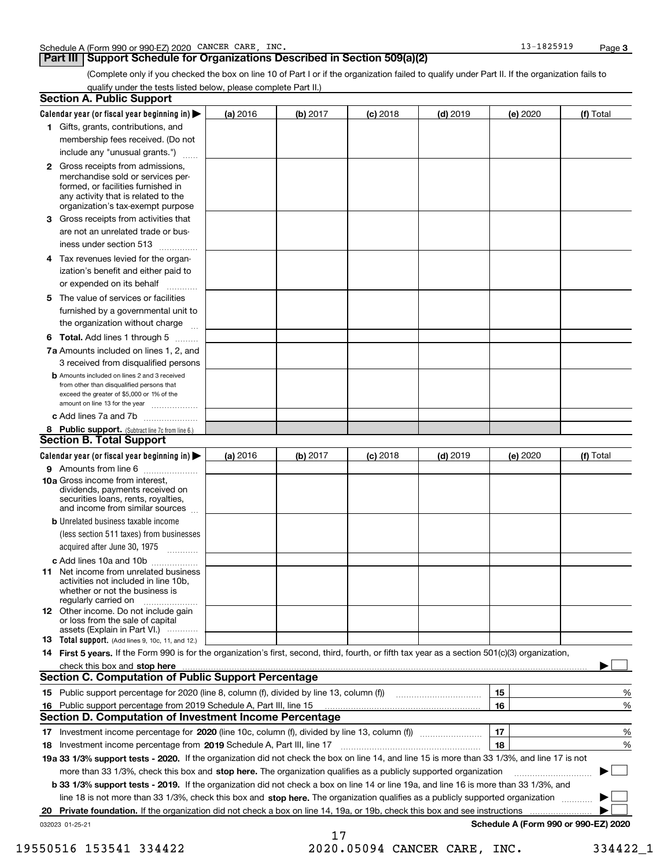#### **Part III Support Schedule for Organizations Described in Section 509(a)(2)**

**3**

(Complete only if you checked the box on line 10 of Part I or if the organization failed to qualify under Part II. If the organization fails to qualify under the tests listed below, please complete Part II.)

| <b>Section A. Public Support</b>                                                                                                                                                                                                                                                             |          |          |            |            |          |                                      |
|----------------------------------------------------------------------------------------------------------------------------------------------------------------------------------------------------------------------------------------------------------------------------------------------|----------|----------|------------|------------|----------|--------------------------------------|
| Calendar year (or fiscal year beginning in) $\blacktriangleright$                                                                                                                                                                                                                            | (a) 2016 | (b) 2017 | $(c)$ 2018 | $(d)$ 2019 | (e) 2020 | (f) Total                            |
| 1 Gifts, grants, contributions, and                                                                                                                                                                                                                                                          |          |          |            |            |          |                                      |
| membership fees received. (Do not                                                                                                                                                                                                                                                            |          |          |            |            |          |                                      |
| include any "unusual grants.")                                                                                                                                                                                                                                                               |          |          |            |            |          |                                      |
| <b>2</b> Gross receipts from admissions,<br>merchandise sold or services per-<br>formed, or facilities furnished in<br>any activity that is related to the<br>organization's tax-exempt purpose                                                                                              |          |          |            |            |          |                                      |
| 3 Gross receipts from activities that<br>are not an unrelated trade or bus-<br>iness under section 513                                                                                                                                                                                       |          |          |            |            |          |                                      |
| 4 Tax revenues levied for the organ-<br>ization's benefit and either paid to<br>or expended on its behalf                                                                                                                                                                                    |          |          |            |            |          |                                      |
| .<br>5 The value of services or facilities<br>furnished by a governmental unit to<br>the organization without charge                                                                                                                                                                         |          |          |            |            |          |                                      |
| <b>6 Total.</b> Add lines 1 through 5                                                                                                                                                                                                                                                        |          |          |            |            |          |                                      |
| 7a Amounts included on lines 1, 2, and<br>3 received from disqualified persons                                                                                                                                                                                                               |          |          |            |            |          |                                      |
| <b>b</b> Amounts included on lines 2 and 3 received<br>from other than disqualified persons that<br>exceed the greater of \$5,000 or 1% of the<br>amount on line 13 for the year                                                                                                             |          |          |            |            |          |                                      |
| c Add lines 7a and 7b                                                                                                                                                                                                                                                                        |          |          |            |            |          |                                      |
| 8 Public support. (Subtract line 7c from line 6.)                                                                                                                                                                                                                                            |          |          |            |            |          |                                      |
| <b>Section B. Total Support</b>                                                                                                                                                                                                                                                              |          |          |            |            |          |                                      |
| Calendar year (or fiscal year beginning in)                                                                                                                                                                                                                                                  | (a) 2016 | (b) 2017 | $(c)$ 2018 | $(d)$ 2019 | (e) 2020 | (f) Total                            |
| 9 Amounts from line 6<br><b>10a</b> Gross income from interest,<br>dividends, payments received on<br>securities loans, rents, royalties,<br>and income from similar sources                                                                                                                 |          |          |            |            |          |                                      |
| <b>b</b> Unrelated business taxable income<br>(less section 511 taxes) from businesses<br>acquired after June 30, 1975 [10001]                                                                                                                                                               |          |          |            |            |          |                                      |
| c Add lines 10a and 10b                                                                                                                                                                                                                                                                      |          |          |            |            |          |                                      |
| 11 Net income from unrelated business<br>activities not included in line 10b,<br>whether or not the business is<br>regularly carried on                                                                                                                                                      |          |          |            |            |          |                                      |
| <b>12</b> Other income. Do not include gain<br>or loss from the sale of capital<br>assets (Explain in Part VI.)                                                                                                                                                                              |          |          |            |            |          |                                      |
| <b>13</b> Total support. (Add lines 9, 10c, 11, and 12.)                                                                                                                                                                                                                                     |          |          |            |            |          |                                      |
| 14 First 5 years. If the Form 990 is for the organization's first, second, third, fourth, or fifth tax year as a section 501(c)(3) organization,                                                                                                                                             |          |          |            |            |          |                                      |
| check this box and stop here measurements are all the state of the state of the state of the state of the state of the state of the state of the state of the state of the state of the state of the state of the state of the<br><b>Section C. Computation of Public Support Percentage</b> |          |          |            |            |          |                                      |
| 15 Public support percentage for 2020 (line 8, column (f), divided by line 13, column (f))                                                                                                                                                                                                   |          |          |            |            |          |                                      |
|                                                                                                                                                                                                                                                                                              |          |          |            |            | 15<br>16 | %<br>%                               |
| 16 Public support percentage from 2019 Schedule A, Part III, line 15<br>Section D. Computation of Investment Income Percentage                                                                                                                                                               |          |          |            |            |          |                                      |
| 17 Investment income percentage for 2020 (line 10c, column (f), divided by line 13, column (f))                                                                                                                                                                                              |          |          |            |            | 17       | %                                    |
| <b>18</b> Investment income percentage from <b>2019</b> Schedule A, Part III, line 17                                                                                                                                                                                                        |          |          |            |            | 18       | %                                    |
| 19a 33 1/3% support tests - 2020. If the organization did not check the box on line 14, and line 15 is more than 33 1/3%, and line 17 is not                                                                                                                                                 |          |          |            |            |          |                                      |
| more than 33 1/3%, check this box and stop here. The organization qualifies as a publicly supported organization                                                                                                                                                                             |          |          |            |            |          | $\sim$<br>▶                          |
| b 33 1/3% support tests - 2019. If the organization did not check a box on line 14 or line 19a, and line 16 is more than 33 1/3%, and                                                                                                                                                        |          |          |            |            |          |                                      |
| line 18 is not more than 33 1/3%, check this box and stop here. The organization qualifies as a publicly supported organization                                                                                                                                                              |          |          |            |            |          |                                      |
| Private foundation. If the organization did not check a box on line 14, 19a, or 19b, check this box and see instructions<br>20                                                                                                                                                               |          |          |            |            |          |                                      |
| 032023 01-25-21                                                                                                                                                                                                                                                                              |          |          |            |            |          | Schedule A (Form 990 or 990-EZ) 2020 |
|                                                                                                                                                                                                                                                                                              |          | 17       |            |            |          |                                      |

19550516 153541 334422 2020.05094 CANCER CARE, INC. 334422\_1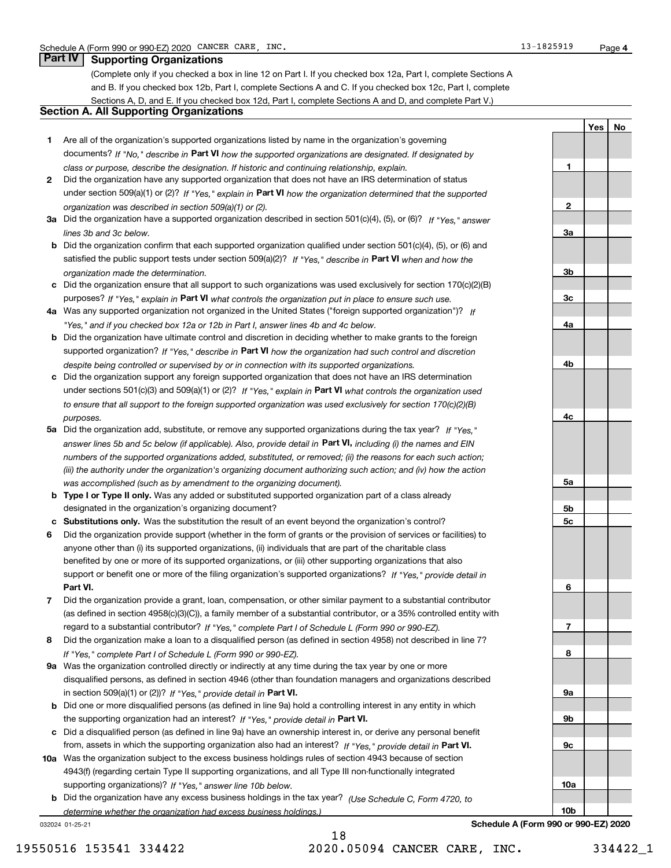(Complete only if you checked a box in line 12 on Part I. If you checked box 12a, Part I, complete Sections A and B. If you checked box 12b, Part I, complete Sections A and C. If you checked box 12c, Part I, complete Sections A, D, and E. If you checked box 12d, Part I, complete Sections A and D, and complete Part V.)

#### **Section A. All Supporting Organizations**

- **1** Are all of the organization's supported organizations listed by name in the organization's governing documents? If "No," describe in **Part VI** how the supported organizations are designated. If designated by *class or purpose, describe the designation. If historic and continuing relationship, explain.*
- **2**under section 509(a)(1) or (2)? If "Yes," explain in Part VI how the organization determined that the supported *organization was described in section 509(a)(1) or (2).* Did the organization have any supported organization that does not have an IRS determination of status
- **3a** Did the organization have a supported organization described in section 501(c)(4), (5), or (6)? If "Yes," answer *lines 3b and 3c below.*
- **b** Did the organization confirm that each supported organization qualified under section 501(c)(4), (5), or (6) and satisfied the public support tests under section 509(a)(2)? If "Yes," describe in **Part VI** when and how the *organization made the determination.*
- **c**Did the organization ensure that all support to such organizations was used exclusively for section 170(c)(2)(B) purposes? If "Yes," explain in **Part VI** what controls the organization put in place to ensure such use.
- **4a** *If* Was any supported organization not organized in the United States ("foreign supported organization")? *"Yes," and if you checked box 12a or 12b in Part I, answer lines 4b and 4c below.*
- **b** Did the organization have ultimate control and discretion in deciding whether to make grants to the foreign supported organization? If "Yes," describe in **Part VI** how the organization had such control and discretion *despite being controlled or supervised by or in connection with its supported organizations.*
- **c** Did the organization support any foreign supported organization that does not have an IRS determination under sections 501(c)(3) and 509(a)(1) or (2)? If "Yes," explain in **Part VI** what controls the organization used *to ensure that all support to the foreign supported organization was used exclusively for section 170(c)(2)(B) purposes.*
- **5a***If "Yes,"* Did the organization add, substitute, or remove any supported organizations during the tax year? answer lines 5b and 5c below (if applicable). Also, provide detail in **Part VI,** including (i) the names and EIN *numbers of the supported organizations added, substituted, or removed; (ii) the reasons for each such action; (iii) the authority under the organization's organizing document authorizing such action; and (iv) how the action was accomplished (such as by amendment to the organizing document).*
- **b** Type I or Type II only. Was any added or substituted supported organization part of a class already designated in the organization's organizing document?
- **cSubstitutions only.**  Was the substitution the result of an event beyond the organization's control?
- **6** Did the organization provide support (whether in the form of grants or the provision of services or facilities) to **Part VI.** *If "Yes," provide detail in* support or benefit one or more of the filing organization's supported organizations? anyone other than (i) its supported organizations, (ii) individuals that are part of the charitable class benefited by one or more of its supported organizations, or (iii) other supporting organizations that also
- **7**Did the organization provide a grant, loan, compensation, or other similar payment to a substantial contributor *If "Yes," complete Part I of Schedule L (Form 990 or 990-EZ).* regard to a substantial contributor? (as defined in section 4958(c)(3)(C)), a family member of a substantial contributor, or a 35% controlled entity with
- **8***If "Yes," complete Part I of Schedule L (Form 990 or 990-EZ).* Did the organization make a loan to a disqualified person (as defined in section 4958) not described in line 7?
- **9a** Was the organization controlled directly or indirectly at any time during the tax year by one or more in section 509(a)(1) or (2))? If "Yes," *provide detail in* <code>Part VI.</code> disqualified persons, as defined in section 4946 (other than foundation managers and organizations described
- **b**the supporting organization had an interest? If "Yes," provide detail in P**art VI**. Did one or more disqualified persons (as defined in line 9a) hold a controlling interest in any entity in which
- **c**Did a disqualified person (as defined in line 9a) have an ownership interest in, or derive any personal benefit from, assets in which the supporting organization also had an interest? If "Yes," provide detail in P**art VI.**
- **10a** Was the organization subject to the excess business holdings rules of section 4943 because of section supporting organizations)? If "Yes," answer line 10b below. 4943(f) (regarding certain Type II supporting organizations, and all Type III non-functionally integrated
- **b** Did the organization have any excess business holdings in the tax year? (Use Schedule C, Form 4720, to *determine whether the organization had excess business holdings.)*

032024 01-25-21

| $\overline{2}$          |  |
|-------------------------|--|
| <u>3a</u>               |  |
|                         |  |
| $\frac{3b}{2}$          |  |
| $\frac{3c}{2}$          |  |
| <u>4a</u>               |  |
|                         |  |
| 4 <sub>b</sub>          |  |
|                         |  |
| $rac{4c}{2}$            |  |
|                         |  |
| $\frac{5a}{2}$          |  |
| $\frac{5b}{5}$          |  |
| $\frac{5c}{2}$          |  |
|                         |  |
| $6 \overline{}$         |  |
| $\overline{7}$          |  |
|                         |  |
| $\overline{\mathbf{8}}$ |  |
| <u>9a</u>               |  |
|                         |  |
| 9 <sub>b</sub>          |  |
| 9c                      |  |
|                         |  |
| 10a                     |  |

**Schedule A (Form 990 or 990-EZ) 2020**

**10b**

**YesNo**

**1**

18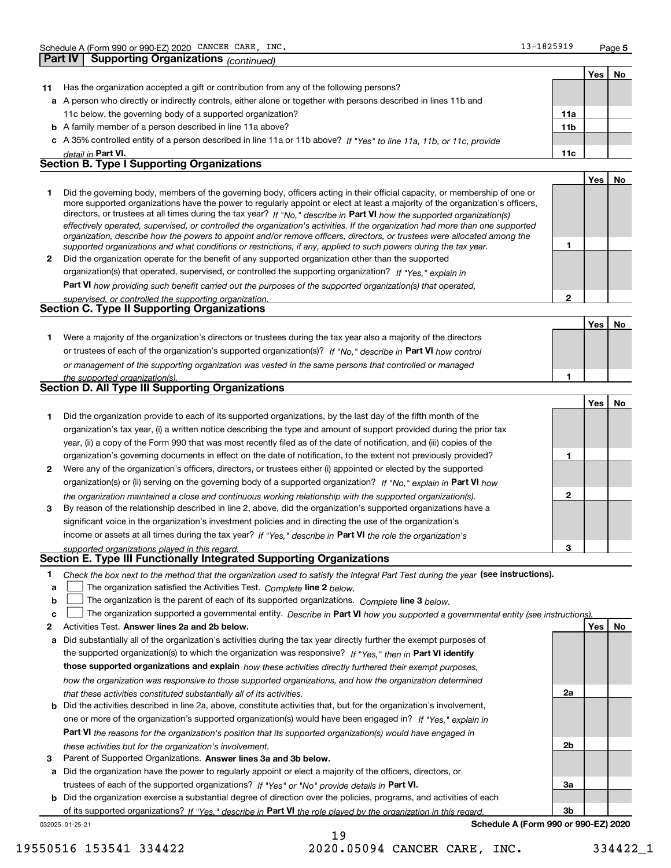| Part IV<br><b>Yes</b><br>Has the organization accepted a gift or contribution from any of the following persons?<br>11<br>a A person who directly or indirectly controls, either alone or together with persons described in lines 11b and<br>11a<br>11c below, the governing body of a supported organization?<br><b>b</b> A family member of a person described in line 11a above?<br>11 <sub>b</sub><br>c A 35% controlled entity of a person described in line 11a or 11b above? If "Yes" to line 11a, 11b, or 11c, provide<br>11c<br>detail in Part VI.<br><b>Section B. Type I Supporting Organizations</b><br><b>Yes</b><br>Did the governing body, members of the governing body, officers acting in their official capacity, or membership of one or<br>1<br>more supported organizations have the power to regularly appoint or elect at least a majority of the organization's officers,<br>directors, or trustees at all times during the tax year? If "No," describe in Part VI how the supported organization(s)<br>effectively operated, supervised, or controlled the organization's activities. If the organization had more than one supported<br>organization, describe how the powers to appoint and/or remove officers, directors, or trustees were allocated among the<br>1<br>supported organizations and what conditions or restrictions, if any, applied to such powers during the tax year.<br>Did the organization operate for the benefit of any supported organization other than the supported<br>$\mathbf{2}$<br>organization(s) that operated, supervised, or controlled the supporting organization? If "Yes," explain in<br>Part VI how providing such benefit carried out the purposes of the supported organization(s) that operated,<br>$\mathbf{2}$<br>supervised, or controlled the supporting organization.<br>Section C. Type II Supporting Organizations<br><b>Yes</b><br>Were a majority of the organization's directors or trustees during the tax year also a majority of the directors<br>1.<br>or trustees of each of the organization's supported organization(s)? If "No." describe in Part VI how control<br>or management of the supporting organization was vested in the same persons that controlled or managed<br>1<br>the supported organization(s).<br><b>Section D. All Type III Supporting Organizations</b><br>Yes<br><b>No</b><br>Did the organization provide to each of its supported organizations, by the last day of the fifth month of the<br>1 | Schedule A (Form 990 or 990-EZ) 2020 CANCER CARE, INC.                                                                | 13-1825919 | Page 5    |
|--------------------------------------------------------------------------------------------------------------------------------------------------------------------------------------------------------------------------------------------------------------------------------------------------------------------------------------------------------------------------------------------------------------------------------------------------------------------------------------------------------------------------------------------------------------------------------------------------------------------------------------------------------------------------------------------------------------------------------------------------------------------------------------------------------------------------------------------------------------------------------------------------------------------------------------------------------------------------------------------------------------------------------------------------------------------------------------------------------------------------------------------------------------------------------------------------------------------------------------------------------------------------------------------------------------------------------------------------------------------------------------------------------------------------------------------------------------------------------------------------------------------------------------------------------------------------------------------------------------------------------------------------------------------------------------------------------------------------------------------------------------------------------------------------------------------------------------------------------------------------------------------------------------------------------------------------------------------------------------------------------------------------------------------------------------------------------------------------------------------------------------------------------------------------------------------------------------------------------------------------------------------------------------------------------------------------------------------------------------------------------------------------------------------------------------------------------------------------------------------------------------------|-----------------------------------------------------------------------------------------------------------------------|------------|-----------|
|                                                                                                                                                                                                                                                                                                                                                                                                                                                                                                                                                                                                                                                                                                                                                                                                                                                                                                                                                                                                                                                                                                                                                                                                                                                                                                                                                                                                                                                                                                                                                                                                                                                                                                                                                                                                                                                                                                                                                                                                                                                                                                                                                                                                                                                                                                                                                                                                                                                                                                                    | <b>Supporting Organizations (continued)</b>                                                                           |            |           |
|                                                                                                                                                                                                                                                                                                                                                                                                                                                                                                                                                                                                                                                                                                                                                                                                                                                                                                                                                                                                                                                                                                                                                                                                                                                                                                                                                                                                                                                                                                                                                                                                                                                                                                                                                                                                                                                                                                                                                                                                                                                                                                                                                                                                                                                                                                                                                                                                                                                                                                                    |                                                                                                                       |            | No        |
|                                                                                                                                                                                                                                                                                                                                                                                                                                                                                                                                                                                                                                                                                                                                                                                                                                                                                                                                                                                                                                                                                                                                                                                                                                                                                                                                                                                                                                                                                                                                                                                                                                                                                                                                                                                                                                                                                                                                                                                                                                                                                                                                                                                                                                                                                                                                                                                                                                                                                                                    |                                                                                                                       |            |           |
|                                                                                                                                                                                                                                                                                                                                                                                                                                                                                                                                                                                                                                                                                                                                                                                                                                                                                                                                                                                                                                                                                                                                                                                                                                                                                                                                                                                                                                                                                                                                                                                                                                                                                                                                                                                                                                                                                                                                                                                                                                                                                                                                                                                                                                                                                                                                                                                                                                                                                                                    |                                                                                                                       |            |           |
|                                                                                                                                                                                                                                                                                                                                                                                                                                                                                                                                                                                                                                                                                                                                                                                                                                                                                                                                                                                                                                                                                                                                                                                                                                                                                                                                                                                                                                                                                                                                                                                                                                                                                                                                                                                                                                                                                                                                                                                                                                                                                                                                                                                                                                                                                                                                                                                                                                                                                                                    |                                                                                                                       |            |           |
|                                                                                                                                                                                                                                                                                                                                                                                                                                                                                                                                                                                                                                                                                                                                                                                                                                                                                                                                                                                                                                                                                                                                                                                                                                                                                                                                                                                                                                                                                                                                                                                                                                                                                                                                                                                                                                                                                                                                                                                                                                                                                                                                                                                                                                                                                                                                                                                                                                                                                                                    |                                                                                                                       |            |           |
|                                                                                                                                                                                                                                                                                                                                                                                                                                                                                                                                                                                                                                                                                                                                                                                                                                                                                                                                                                                                                                                                                                                                                                                                                                                                                                                                                                                                                                                                                                                                                                                                                                                                                                                                                                                                                                                                                                                                                                                                                                                                                                                                                                                                                                                                                                                                                                                                                                                                                                                    |                                                                                                                       |            |           |
|                                                                                                                                                                                                                                                                                                                                                                                                                                                                                                                                                                                                                                                                                                                                                                                                                                                                                                                                                                                                                                                                                                                                                                                                                                                                                                                                                                                                                                                                                                                                                                                                                                                                                                                                                                                                                                                                                                                                                                                                                                                                                                                                                                                                                                                                                                                                                                                                                                                                                                                    |                                                                                                                       |            |           |
|                                                                                                                                                                                                                                                                                                                                                                                                                                                                                                                                                                                                                                                                                                                                                                                                                                                                                                                                                                                                                                                                                                                                                                                                                                                                                                                                                                                                                                                                                                                                                                                                                                                                                                                                                                                                                                                                                                                                                                                                                                                                                                                                                                                                                                                                                                                                                                                                                                                                                                                    |                                                                                                                       |            |           |
|                                                                                                                                                                                                                                                                                                                                                                                                                                                                                                                                                                                                                                                                                                                                                                                                                                                                                                                                                                                                                                                                                                                                                                                                                                                                                                                                                                                                                                                                                                                                                                                                                                                                                                                                                                                                                                                                                                                                                                                                                                                                                                                                                                                                                                                                                                                                                                                                                                                                                                                    |                                                                                                                       |            | <b>No</b> |
|                                                                                                                                                                                                                                                                                                                                                                                                                                                                                                                                                                                                                                                                                                                                                                                                                                                                                                                                                                                                                                                                                                                                                                                                                                                                                                                                                                                                                                                                                                                                                                                                                                                                                                                                                                                                                                                                                                                                                                                                                                                                                                                                                                                                                                                                                                                                                                                                                                                                                                                    |                                                                                                                       |            |           |
|                                                                                                                                                                                                                                                                                                                                                                                                                                                                                                                                                                                                                                                                                                                                                                                                                                                                                                                                                                                                                                                                                                                                                                                                                                                                                                                                                                                                                                                                                                                                                                                                                                                                                                                                                                                                                                                                                                                                                                                                                                                                                                                                                                                                                                                                                                                                                                                                                                                                                                                    |                                                                                                                       |            |           |
|                                                                                                                                                                                                                                                                                                                                                                                                                                                                                                                                                                                                                                                                                                                                                                                                                                                                                                                                                                                                                                                                                                                                                                                                                                                                                                                                                                                                                                                                                                                                                                                                                                                                                                                                                                                                                                                                                                                                                                                                                                                                                                                                                                                                                                                                                                                                                                                                                                                                                                                    |                                                                                                                       |            |           |
|                                                                                                                                                                                                                                                                                                                                                                                                                                                                                                                                                                                                                                                                                                                                                                                                                                                                                                                                                                                                                                                                                                                                                                                                                                                                                                                                                                                                                                                                                                                                                                                                                                                                                                                                                                                                                                                                                                                                                                                                                                                                                                                                                                                                                                                                                                                                                                                                                                                                                                                    |                                                                                                                       |            |           |
|                                                                                                                                                                                                                                                                                                                                                                                                                                                                                                                                                                                                                                                                                                                                                                                                                                                                                                                                                                                                                                                                                                                                                                                                                                                                                                                                                                                                                                                                                                                                                                                                                                                                                                                                                                                                                                                                                                                                                                                                                                                                                                                                                                                                                                                                                                                                                                                                                                                                                                                    |                                                                                                                       |            |           |
|                                                                                                                                                                                                                                                                                                                                                                                                                                                                                                                                                                                                                                                                                                                                                                                                                                                                                                                                                                                                                                                                                                                                                                                                                                                                                                                                                                                                                                                                                                                                                                                                                                                                                                                                                                                                                                                                                                                                                                                                                                                                                                                                                                                                                                                                                                                                                                                                                                                                                                                    |                                                                                                                       |            |           |
|                                                                                                                                                                                                                                                                                                                                                                                                                                                                                                                                                                                                                                                                                                                                                                                                                                                                                                                                                                                                                                                                                                                                                                                                                                                                                                                                                                                                                                                                                                                                                                                                                                                                                                                                                                                                                                                                                                                                                                                                                                                                                                                                                                                                                                                                                                                                                                                                                                                                                                                    |                                                                                                                       |            |           |
|                                                                                                                                                                                                                                                                                                                                                                                                                                                                                                                                                                                                                                                                                                                                                                                                                                                                                                                                                                                                                                                                                                                                                                                                                                                                                                                                                                                                                                                                                                                                                                                                                                                                                                                                                                                                                                                                                                                                                                                                                                                                                                                                                                                                                                                                                                                                                                                                                                                                                                                    |                                                                                                                       |            | No        |
|                                                                                                                                                                                                                                                                                                                                                                                                                                                                                                                                                                                                                                                                                                                                                                                                                                                                                                                                                                                                                                                                                                                                                                                                                                                                                                                                                                                                                                                                                                                                                                                                                                                                                                                                                                                                                                                                                                                                                                                                                                                                                                                                                                                                                                                                                                                                                                                                                                                                                                                    |                                                                                                                       |            |           |
|                                                                                                                                                                                                                                                                                                                                                                                                                                                                                                                                                                                                                                                                                                                                                                                                                                                                                                                                                                                                                                                                                                                                                                                                                                                                                                                                                                                                                                                                                                                                                                                                                                                                                                                                                                                                                                                                                                                                                                                                                                                                                                                                                                                                                                                                                                                                                                                                                                                                                                                    |                                                                                                                       |            |           |
|                                                                                                                                                                                                                                                                                                                                                                                                                                                                                                                                                                                                                                                                                                                                                                                                                                                                                                                                                                                                                                                                                                                                                                                                                                                                                                                                                                                                                                                                                                                                                                                                                                                                                                                                                                                                                                                                                                                                                                                                                                                                                                                                                                                                                                                                                                                                                                                                                                                                                                                    |                                                                                                                       |            |           |
|                                                                                                                                                                                                                                                                                                                                                                                                                                                                                                                                                                                                                                                                                                                                                                                                                                                                                                                                                                                                                                                                                                                                                                                                                                                                                                                                                                                                                                                                                                                                                                                                                                                                                                                                                                                                                                                                                                                                                                                                                                                                                                                                                                                                                                                                                                                                                                                                                                                                                                                    |                                                                                                                       |            |           |
|                                                                                                                                                                                                                                                                                                                                                                                                                                                                                                                                                                                                                                                                                                                                                                                                                                                                                                                                                                                                                                                                                                                                                                                                                                                                                                                                                                                                                                                                                                                                                                                                                                                                                                                                                                                                                                                                                                                                                                                                                                                                                                                                                                                                                                                                                                                                                                                                                                                                                                                    |                                                                                                                       |            |           |
|                                                                                                                                                                                                                                                                                                                                                                                                                                                                                                                                                                                                                                                                                                                                                                                                                                                                                                                                                                                                                                                                                                                                                                                                                                                                                                                                                                                                                                                                                                                                                                                                                                                                                                                                                                                                                                                                                                                                                                                                                                                                                                                                                                                                                                                                                                                                                                                                                                                                                                                    |                                                                                                                       |            |           |
|                                                                                                                                                                                                                                                                                                                                                                                                                                                                                                                                                                                                                                                                                                                                                                                                                                                                                                                                                                                                                                                                                                                                                                                                                                                                                                                                                                                                                                                                                                                                                                                                                                                                                                                                                                                                                                                                                                                                                                                                                                                                                                                                                                                                                                                                                                                                                                                                                                                                                                                    |                                                                                                                       |            |           |
|                                                                                                                                                                                                                                                                                                                                                                                                                                                                                                                                                                                                                                                                                                                                                                                                                                                                                                                                                                                                                                                                                                                                                                                                                                                                                                                                                                                                                                                                                                                                                                                                                                                                                                                                                                                                                                                                                                                                                                                                                                                                                                                                                                                                                                                                                                                                                                                                                                                                                                                    | organization's tax year, (i) a written notice describing the type and amount of support provided during the prior tax |            |           |
| year, (ii) a copy of the Form 990 that was most recently filed as of the date of notification, and (iii) copies of the                                                                                                                                                                                                                                                                                                                                                                                                                                                                                                                                                                                                                                                                                                                                                                                                                                                                                                                                                                                                                                                                                                                                                                                                                                                                                                                                                                                                                                                                                                                                                                                                                                                                                                                                                                                                                                                                                                                                                                                                                                                                                                                                                                                                                                                                                                                                                                                             |                                                                                                                       |            |           |
| organization's governing documents in effect on the date of notification, to the extent not previously provided?<br>1                                                                                                                                                                                                                                                                                                                                                                                                                                                                                                                                                                                                                                                                                                                                                                                                                                                                                                                                                                                                                                                                                                                                                                                                                                                                                                                                                                                                                                                                                                                                                                                                                                                                                                                                                                                                                                                                                                                                                                                                                                                                                                                                                                                                                                                                                                                                                                                              |                                                                                                                       |            |           |
| Were any of the organization's officers, directors, or trustees either (i) appointed or elected by the supported<br>$\mathbf{2}$                                                                                                                                                                                                                                                                                                                                                                                                                                                                                                                                                                                                                                                                                                                                                                                                                                                                                                                                                                                                                                                                                                                                                                                                                                                                                                                                                                                                                                                                                                                                                                                                                                                                                                                                                                                                                                                                                                                                                                                                                                                                                                                                                                                                                                                                                                                                                                                   |                                                                                                                       |            |           |
| organization(s) or (ii) serving on the governing body of a supported organization? If "No," explain in Part VI how                                                                                                                                                                                                                                                                                                                                                                                                                                                                                                                                                                                                                                                                                                                                                                                                                                                                                                                                                                                                                                                                                                                                                                                                                                                                                                                                                                                                                                                                                                                                                                                                                                                                                                                                                                                                                                                                                                                                                                                                                                                                                                                                                                                                                                                                                                                                                                                                 |                                                                                                                       |            |           |
| $\mathbf{2}$<br>the organization maintained a close and continuous working relationship with the supported organization(s).                                                                                                                                                                                                                                                                                                                                                                                                                                                                                                                                                                                                                                                                                                                                                                                                                                                                                                                                                                                                                                                                                                                                                                                                                                                                                                                                                                                                                                                                                                                                                                                                                                                                                                                                                                                                                                                                                                                                                                                                                                                                                                                                                                                                                                                                                                                                                                                        |                                                                                                                       |            |           |

**3**income or assets at all times during the tax year? If "Yes," describe in **Part VI** the role the organization's By reason of the relationship described in line 2, above, did the organization's supported organizations have a significant voice in the organization's investment policies and in directing the use of the organization's

*supported organizations played in this regard.* **Section E. Type III Functionally Integrated Supporting Organizations**

|  | * Check the box next to the method that the organization used to satisfy the Integral Part Test during the year (see instructions). |  |  |
|--|-------------------------------------------------------------------------------------------------------------------------------------|--|--|
|--|-------------------------------------------------------------------------------------------------------------------------------------|--|--|

- **a**The organization satisfied the Activities Test. *Complete* line 2 below.  $\mathcal{L}^{\text{max}}$
- **b**The organization is the parent of each of its supported organizations. *Complete* line 3 *below.*  $\mathcal{L}^{\text{max}}$

|  |  | The organization supported a governmental entity. Describe in Part VI how you supported a governmental entity (see instructions). |  |
|--|--|-----------------------------------------------------------------------------------------------------------------------------------|--|
|--|--|-----------------------------------------------------------------------------------------------------------------------------------|--|

- **2Answer lines 2a and 2b below. Yes No** Activities Test.
- **a** Did substantially all of the organization's activities during the tax year directly further the exempt purposes of the supported organization(s) to which the organization was responsive? If "Yes," then in **Part VI identify those supported organizations and explain**  *how these activities directly furthered their exempt purposes, how the organization was responsive to those supported organizations, and how the organization determined that these activities constituted substantially all of its activities.*
- **b** Did the activities described in line 2a, above, constitute activities that, but for the organization's involvement, **Part VI**  *the reasons for the organization's position that its supported organization(s) would have engaged in* one or more of the organization's supported organization(s) would have been engaged in? If "Yes," e*xplain in these activities but for the organization's involvement.*
- **3**Parent of Supported Organizations. Answer lines 3a and 3b below.

**a** Did the organization have the power to regularly appoint or elect a majority of the officers, directors, or trustees of each of the supported organizations? If "Yes" or "No" provide details in **Part VI.** 

**b** Did the organization exercise a substantial degree of direction over the policies, programs, and activities of each of its supported organizations? If "Yes," describe in Part VI the role played by the organization in this regard.

032025 01-25-21

**Schedule A (Form 990 or 990-EZ) 2020**

**3**

**2a**

**2b**

**3a**

**3b**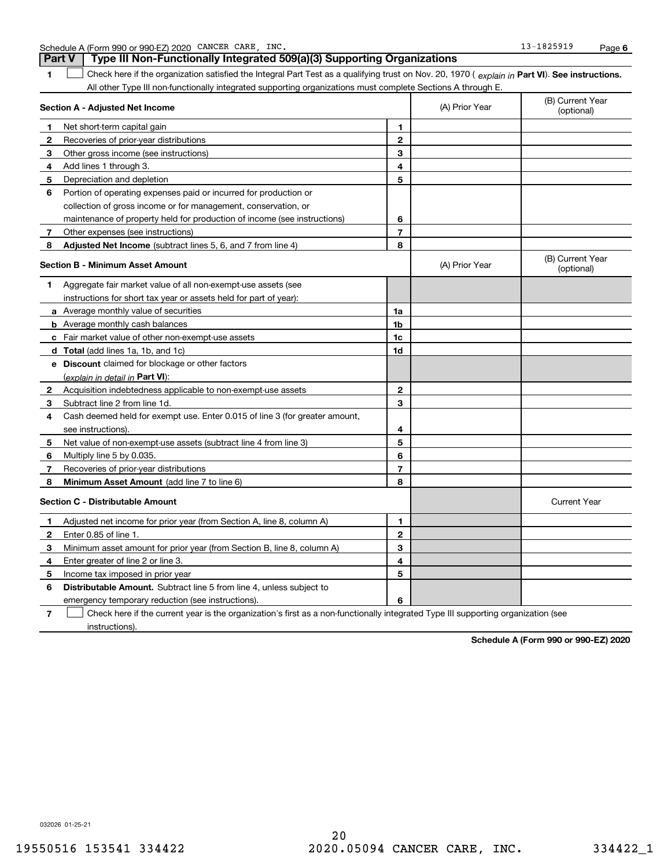Schedule A (Form 990 or 990-EZ) 2020 CANCER CARE,INC. 13-1825919 Page  $\texttt{CANCER} \quad \texttt{CARE} \quad \texttt{INC.} \tag{13-1825919}$ 

|                | Type III Non-Functionally Integrated 509(a)(3) Supporting Organizations<br><b>Part V</b>                                                       |                |                |                                |
|----------------|------------------------------------------------------------------------------------------------------------------------------------------------|----------------|----------------|--------------------------------|
| 1.             | Check here if the organization satisfied the Integral Part Test as a qualifying trust on Nov. 20, 1970 (explain in Part VI). See instructions. |                |                |                                |
|                | All other Type III non-functionally integrated supporting organizations must complete Sections A through E.                                    |                |                |                                |
|                | Section A - Adjusted Net Income                                                                                                                |                | (A) Prior Year | (B) Current Year<br>(optional) |
| 1              | Net short-term capital gain                                                                                                                    | 1              |                |                                |
| 2              | Recoveries of prior-year distributions                                                                                                         | $\mathbf{2}$   |                |                                |
| 3              | Other gross income (see instructions)                                                                                                          | 3              |                |                                |
| 4              | Add lines 1 through 3.                                                                                                                         | 4              |                |                                |
| 5              | Depreciation and depletion                                                                                                                     | 5              |                |                                |
| 6              | Portion of operating expenses paid or incurred for production or                                                                               |                |                |                                |
|                | collection of gross income or for management, conservation, or                                                                                 |                |                |                                |
|                | maintenance of property held for production of income (see instructions)                                                                       | 6              |                |                                |
| 7              | Other expenses (see instructions)                                                                                                              | $\overline{7}$ |                |                                |
| 8              | <b>Adjusted Net Income</b> (subtract lines 5, 6, and 7 from line 4)                                                                            | 8              |                |                                |
|                | <b>Section B - Minimum Asset Amount</b>                                                                                                        |                | (A) Prior Year | (B) Current Year<br>(optional) |
| 1.             | Aggregate fair market value of all non-exempt-use assets (see                                                                                  |                |                |                                |
|                | instructions for short tax year or assets held for part of year):                                                                              |                |                |                                |
|                | a Average monthly value of securities                                                                                                          | 1a             |                |                                |
|                | <b>b</b> Average monthly cash balances                                                                                                         | 1b             |                |                                |
|                | c Fair market value of other non-exempt-use assets                                                                                             | 1c             |                |                                |
|                | <b>d</b> Total (add lines 1a, 1b, and 1c)                                                                                                      | 1d             |                |                                |
|                | e Discount claimed for blockage or other factors                                                                                               |                |                |                                |
|                | (explain in detail in <b>Part VI</b> ):                                                                                                        |                |                |                                |
| 2              | Acquisition indebtedness applicable to non-exempt-use assets                                                                                   | $\mathbf{2}$   |                |                                |
| 3              | Subtract line 2 from line 1d.                                                                                                                  | 3              |                |                                |
| 4              | Cash deemed held for exempt use. Enter 0.015 of line 3 (for greater amount,                                                                    |                |                |                                |
|                | see instructions).                                                                                                                             | 4              |                |                                |
| 5              | Net value of non-exempt-use assets (subtract line 4 from line 3)                                                                               | 5              |                |                                |
| 6              | Multiply line 5 by 0.035.                                                                                                                      | 6              |                |                                |
| 7              | Recoveries of prior-year distributions                                                                                                         | $\overline{7}$ |                |                                |
| 8              | Minimum Asset Amount (add line 7 to line 6)                                                                                                    | 8              |                |                                |
|                | <b>Section C - Distributable Amount</b>                                                                                                        |                |                | <b>Current Year</b>            |
| 1              | Adjusted net income for prior year (from Section A, line 8, column A)                                                                          | 1              |                |                                |
| $\overline{2}$ | Enter 0.85 of line 1.                                                                                                                          | $\mathbf{2}$   |                |                                |
| 3              | Minimum asset amount for prior year (from Section B, line 8, column A)                                                                         | 3              |                |                                |
| 4              | Enter greater of line 2 or line 3.                                                                                                             | 4              |                |                                |
| 5              | Income tax imposed in prior year                                                                                                               | 5              |                |                                |
| 6              | <b>Distributable Amount.</b> Subtract line 5 from line 4, unless subject to                                                                    |                |                |                                |
|                | emergency temporary reduction (see instructions).                                                                                              | 6              |                |                                |

**7**Check here if the current year is the organization's first as a non-functionally integrated Type III supporting organization (see instructions).

**Schedule A (Form 990 or 990-EZ) 2020**

032026 01-25-21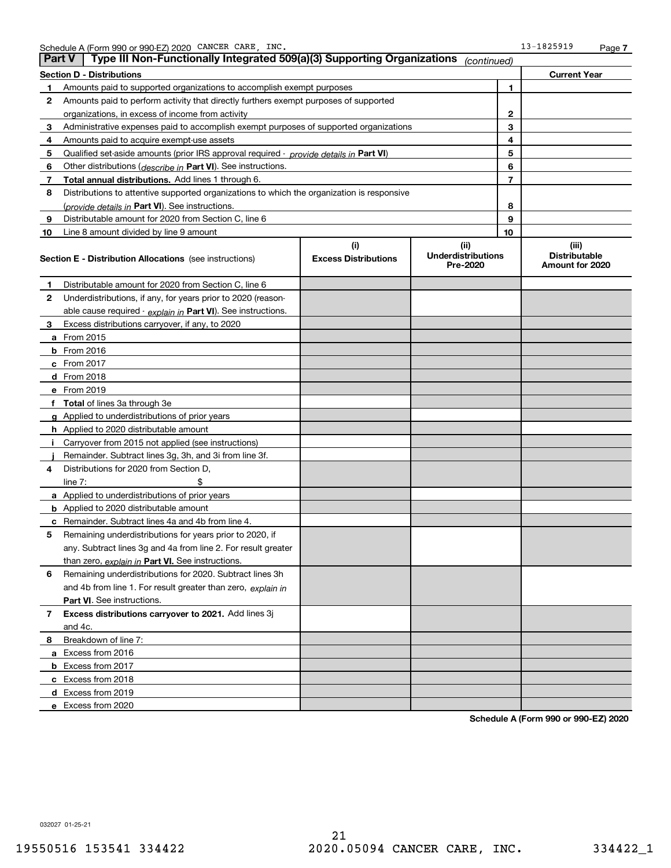| <b>Part V</b> | Type III Non-Functionally Integrated 509(a)(3) Supporting Organizations                    |                                    | (continued)                                   |              |                                                  |
|---------------|--------------------------------------------------------------------------------------------|------------------------------------|-----------------------------------------------|--------------|--------------------------------------------------|
|               | <b>Section D - Distributions</b>                                                           |                                    |                                               |              | <b>Current Year</b>                              |
| 1             | Amounts paid to supported organizations to accomplish exempt purposes                      |                                    |                                               | 1            |                                                  |
| 2             | Amounts paid to perform activity that directly furthers exempt purposes of supported       |                                    |                                               |              |                                                  |
|               | organizations, in excess of income from activity                                           |                                    |                                               | $\mathbf{2}$ |                                                  |
| 3             | Administrative expenses paid to accomplish exempt purposes of supported organizations      |                                    |                                               | 3            |                                                  |
| 4             | Amounts paid to acquire exempt-use assets                                                  |                                    |                                               | 4            |                                                  |
| 5             | Qualified set-aside amounts (prior IRS approval required - provide details in Part VI)     |                                    |                                               | 5            |                                                  |
| 6             | Other distributions ( <i>describe in</i> Part VI). See instructions.                       |                                    |                                               | 6            |                                                  |
| 7             | Total annual distributions. Add lines 1 through 6.                                         |                                    |                                               | 7            |                                                  |
| 8             | Distributions to attentive supported organizations to which the organization is responsive |                                    |                                               |              |                                                  |
|               | (provide details in Part VI). See instructions.                                            |                                    |                                               | 8            |                                                  |
| 9             | Distributable amount for 2020 from Section C, line 6                                       |                                    |                                               | 9            |                                                  |
| 10            | Line 8 amount divided by line 9 amount                                                     |                                    |                                               | 10           |                                                  |
|               | <b>Section E - Distribution Allocations</b> (see instructions)                             | (i)<br><b>Excess Distributions</b> | (ii)<br><b>Underdistributions</b><br>Pre-2020 |              | (iii)<br><b>Distributable</b><br>Amount for 2020 |
| 1             | Distributable amount for 2020 from Section C, line 6                                       |                                    |                                               |              |                                                  |
| 2             | Underdistributions, if any, for years prior to 2020 (reason-                               |                                    |                                               |              |                                                  |
|               | able cause required - explain in Part VI). See instructions.                               |                                    |                                               |              |                                                  |
| 3             | Excess distributions carryover, if any, to 2020                                            |                                    |                                               |              |                                                  |
|               | a From 2015                                                                                |                                    |                                               |              |                                                  |
|               | <b>b</b> From 2016                                                                         |                                    |                                               |              |                                                  |
|               | $c$ From 2017                                                                              |                                    |                                               |              |                                                  |
|               | d From 2018                                                                                |                                    |                                               |              |                                                  |
|               | e From 2019                                                                                |                                    |                                               |              |                                                  |
|               | f Total of lines 3a through 3e                                                             |                                    |                                               |              |                                                  |
|               | g Applied to underdistributions of prior years                                             |                                    |                                               |              |                                                  |
|               | <b>h</b> Applied to 2020 distributable amount                                              |                                    |                                               |              |                                                  |
|               | Carryover from 2015 not applied (see instructions)                                         |                                    |                                               |              |                                                  |
|               | Remainder. Subtract lines 3g, 3h, and 3i from line 3f.                                     |                                    |                                               |              |                                                  |
| 4             | Distributions for 2020 from Section D,                                                     |                                    |                                               |              |                                                  |
|               | line $7:$                                                                                  |                                    |                                               |              |                                                  |
|               | a Applied to underdistributions of prior years                                             |                                    |                                               |              |                                                  |
|               | <b>b</b> Applied to 2020 distributable amount                                              |                                    |                                               |              |                                                  |
|               | c Remainder. Subtract lines 4a and 4b from line 4.                                         |                                    |                                               |              |                                                  |
| 5.            | Remaining underdistributions for years prior to 2020, if                                   |                                    |                                               |              |                                                  |
|               | any. Subtract lines 3g and 4a from line 2. For result greater                              |                                    |                                               |              |                                                  |
|               | than zero, explain in Part VI. See instructions.                                           |                                    |                                               |              |                                                  |
| 6             | Remaining underdistributions for 2020. Subtract lines 3h                                   |                                    |                                               |              |                                                  |
|               | and 4b from line 1. For result greater than zero, explain in                               |                                    |                                               |              |                                                  |
|               | Part VI. See instructions.                                                                 |                                    |                                               |              |                                                  |
| 7             | Excess distributions carryover to 2021. Add lines 3j                                       |                                    |                                               |              |                                                  |
|               | and 4c.                                                                                    |                                    |                                               |              |                                                  |
| 8             | Breakdown of line 7:                                                                       |                                    |                                               |              |                                                  |
|               | a Excess from 2016                                                                         |                                    |                                               |              |                                                  |
|               | <b>b</b> Excess from 2017                                                                  |                                    |                                               |              |                                                  |
|               | c Excess from 2018                                                                         |                                    |                                               |              |                                                  |
|               | d Excess from 2019                                                                         |                                    |                                               |              |                                                  |
|               | e Excess from 2020                                                                         |                                    |                                               |              |                                                  |

**Schedule A (Form 990 or 990-EZ) 2020**

032027 01-25-21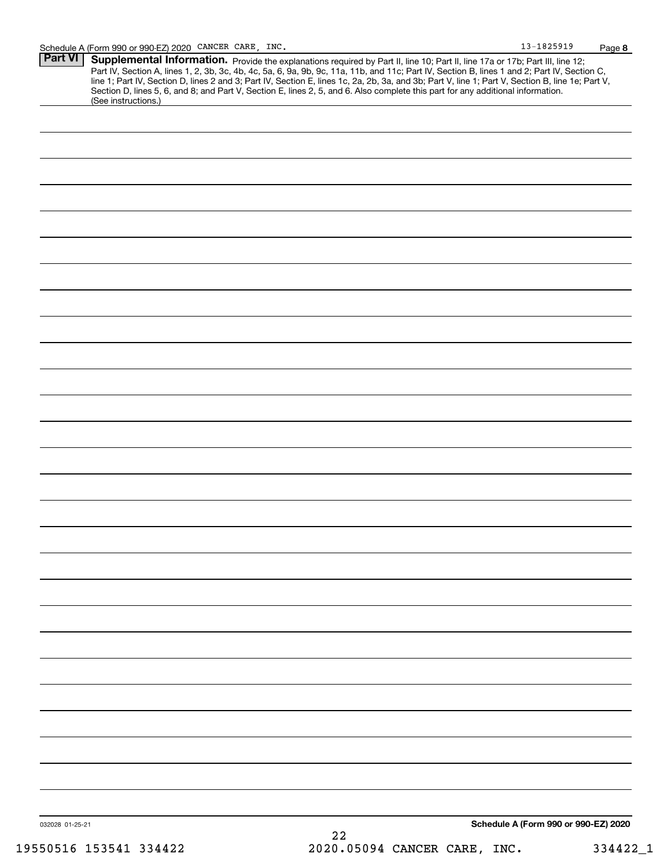| <b>Part VI   Supplemental Information.</b> Provide the explanations required by Part II, line 10; Part II, line 17a or 17b; Part III, line 12;   |
|--------------------------------------------------------------------------------------------------------------------------------------------------|
| Part IV, Section A, lines 1, 2, 3b, 3c, 4b, 4c, 5a, 6, 9a, 9b, 9c, 11a, 11b, and 11c; Part IV, Section B, lines 1 and 2; Part IV, Section C,     |
| line 1; Part IV, Section D, lines 2 and 3; Part IV, Section E, lines 1c, 2a, 2b, 3a, and 3b; Part V, line 1; Part V, Section B, line 1e; Part V, |
| Section D, lines 5, 6, and 8; and Part V, Section E, lines 2, 5, and 6. Also complete this part for any additional information.                  |
| (See instructions.)                                                                                                                              |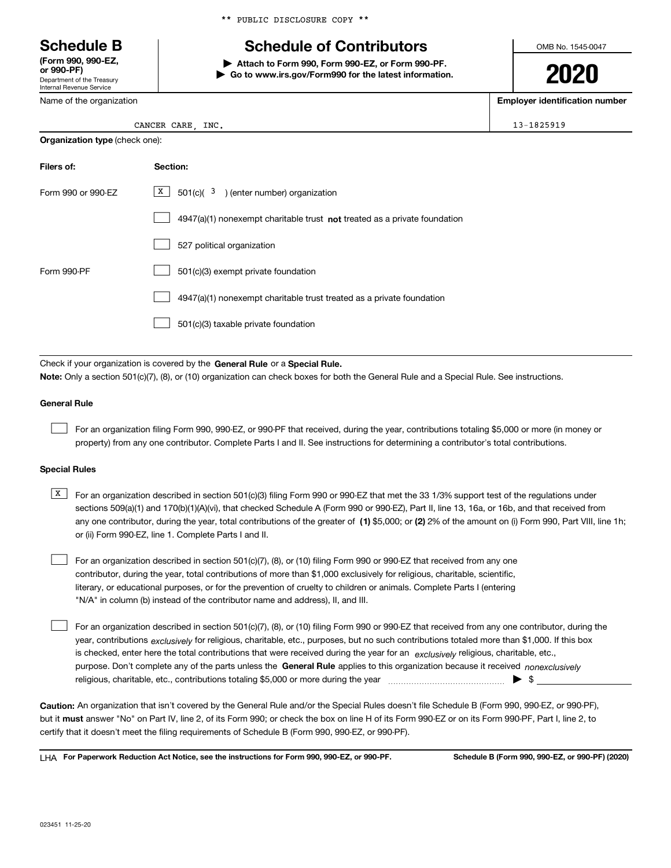Department of the Treasury Internal Revenue Service **(Form 990, 990-EZ, or 990-PF)**

Name of the organization

**Organization type** (check one):

\*\* PUBLIC DISCLOSURE COPY \*\*

## **Schedule B Schedule of Contributors**

**| Attach to Form 990, Form 990-EZ, or Form 990-PF. | Go to www.irs.gov/Form990 for the latest information.** OMB No. 1545-0047

**2020**

**Employer identification number**

| CANCER CARE<br><b>INC</b> | 13-1825919 |
|---------------------------|------------|
|---------------------------|------------|

| Filers of:         | Section:                                                                           |
|--------------------|------------------------------------------------------------------------------------|
| Form 990 or 990-FZ | $\boxed{\text{X}}$ 501(c)( <sup>3</sup> ) (enter number) organization              |
|                    | $4947(a)(1)$ nonexempt charitable trust <b>not</b> treated as a private foundation |
|                    | 527 political organization                                                         |
| Form 990-PF        | 501(c)(3) exempt private foundation                                                |
|                    | 4947(a)(1) nonexempt charitable trust treated as a private foundation              |
|                    | 501(c)(3) taxable private foundation                                               |

Check if your organization is covered by the **General Rule** or a **Special Rule. Note:**  Only a section 501(c)(7), (8), or (10) organization can check boxes for both the General Rule and a Special Rule. See instructions.

#### **General Rule**

 $\mathcal{L}^{\text{max}}$ 

For an organization filing Form 990, 990-EZ, or 990-PF that received, during the year, contributions totaling \$5,000 or more (in money or property) from any one contributor. Complete Parts I and II. See instructions for determining a contributor's total contributions.

#### **Special Rules**

any one contributor, during the year, total contributions of the greater of  $\,$  (1) \$5,000; or **(2)** 2% of the amount on (i) Form 990, Part VIII, line 1h;  $\overline{X}$  For an organization described in section 501(c)(3) filing Form 990 or 990-EZ that met the 33 1/3% support test of the regulations under sections 509(a)(1) and 170(b)(1)(A)(vi), that checked Schedule A (Form 990 or 990-EZ), Part II, line 13, 16a, or 16b, and that received from or (ii) Form 990-EZ, line 1. Complete Parts I and II.

For an organization described in section 501(c)(7), (8), or (10) filing Form 990 or 990-EZ that received from any one contributor, during the year, total contributions of more than \$1,000 exclusively for religious, charitable, scientific, literary, or educational purposes, or for the prevention of cruelty to children or animals. Complete Parts I (entering "N/A" in column (b) instead of the contributor name and address), II, and III.  $\mathcal{L}^{\text{max}}$ 

purpose. Don't complete any of the parts unless the **General Rule** applies to this organization because it received *nonexclusively* year, contributions <sub>exclusively</sub> for religious, charitable, etc., purposes, but no such contributions totaled more than \$1,000. If this box is checked, enter here the total contributions that were received during the year for an  $\;$ exclusively religious, charitable, etc., For an organization described in section 501(c)(7), (8), or (10) filing Form 990 or 990-EZ that received from any one contributor, during the religious, charitable, etc., contributions totaling \$5,000 or more during the year  $\Box$ — $\Box$   $\Box$  $\mathcal{L}^{\text{max}}$ 

**Caution:**  An organization that isn't covered by the General Rule and/or the Special Rules doesn't file Schedule B (Form 990, 990-EZ, or 990-PF),  **must** but it answer "No" on Part IV, line 2, of its Form 990; or check the box on line H of its Form 990-EZ or on its Form 990-PF, Part I, line 2, to certify that it doesn't meet the filing requirements of Schedule B (Form 990, 990-EZ, or 990-PF).

**For Paperwork Reduction Act Notice, see the instructions for Form 990, 990-EZ, or 990-PF. Schedule B (Form 990, 990-EZ, or 990-PF) (2020)** LHA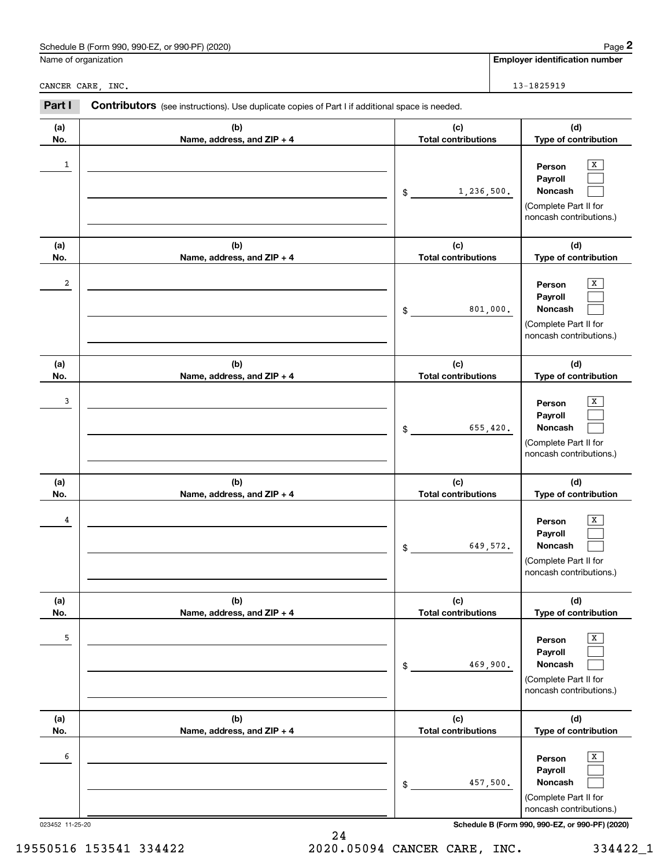| (2020)<br>Schedule<br>990-EZ<br>$\sim$<br>∍990<br>I DE<br>∕ (Form<br>or<br>ಎಶ∪-⊢−் | Page |
|------------------------------------------------------------------------------------|------|
|                                                                                    |      |

| Name of organization<br>CANCER CARE, INC.<br>Part I<br>Contributors (see instructions). Use duplicate copies of Part I if additional space is needed.<br>(c)<br>(a)<br>(b)<br><b>Total contributions</b><br>No.<br>Name, address, and ZIP + 4<br>1<br>1,236,500.<br>$\$$<br>(c)<br>(a)<br>(b)<br>No.<br>Name, address, and ZIP + 4<br><b>Total contributions</b><br>2<br>801,000.<br>\$<br>(c)<br>(a)<br>(b)<br>No.<br>Name, address, and ZIP + 4<br><b>Total contributions</b><br>3<br>655,420.<br>\$ | <b>Employer identification number</b>                                                 |  |  |
|--------------------------------------------------------------------------------------------------------------------------------------------------------------------------------------------------------------------------------------------------------------------------------------------------------------------------------------------------------------------------------------------------------------------------------------------------------------------------------------------------------|---------------------------------------------------------------------------------------|--|--|
|                                                                                                                                                                                                                                                                                                                                                                                                                                                                                                        |                                                                                       |  |  |
|                                                                                                                                                                                                                                                                                                                                                                                                                                                                                                        | 13-1825919                                                                            |  |  |
|                                                                                                                                                                                                                                                                                                                                                                                                                                                                                                        |                                                                                       |  |  |
|                                                                                                                                                                                                                                                                                                                                                                                                                                                                                                        | (d)<br>Type of contribution                                                           |  |  |
|                                                                                                                                                                                                                                                                                                                                                                                                                                                                                                        | x<br>Person<br>Payroll<br>Noncash<br>(Complete Part II for<br>noncash contributions.) |  |  |
|                                                                                                                                                                                                                                                                                                                                                                                                                                                                                                        | (d)<br>Type of contribution                                                           |  |  |
|                                                                                                                                                                                                                                                                                                                                                                                                                                                                                                        | х<br>Person<br>Payroll<br>Noncash<br>(Complete Part II for<br>noncash contributions.) |  |  |
|                                                                                                                                                                                                                                                                                                                                                                                                                                                                                                        | (d)<br>Type of contribution                                                           |  |  |
|                                                                                                                                                                                                                                                                                                                                                                                                                                                                                                        | X<br>Person<br>Payroll<br>Noncash<br>(Complete Part II for<br>noncash contributions.) |  |  |
| (c)<br>(a)<br>(b)<br>No.<br><b>Total contributions</b><br>Name, address, and ZIP + 4                                                                                                                                                                                                                                                                                                                                                                                                                   | (d)<br>Type of contribution                                                           |  |  |
| 4<br>649,572.<br>\$                                                                                                                                                                                                                                                                                                                                                                                                                                                                                    | х<br>Person<br>Payroll<br>Noncash<br>(Complete Part II for<br>noncash contributions.) |  |  |
| (b)<br>(c)<br>(a)<br><b>Total contributions</b><br>No.<br>Name, address, and ZIP + 4                                                                                                                                                                                                                                                                                                                                                                                                                   | (d)<br>Type of contribution                                                           |  |  |
| 5<br>469,900.<br>\$                                                                                                                                                                                                                                                                                                                                                                                                                                                                                    | X<br>Person<br>Payroll<br>Noncash<br>(Complete Part II for<br>noncash contributions.) |  |  |
| (c)<br>(a)<br>(b)<br><b>Total contributions</b><br>No.<br>Name, address, and ZIP + 4                                                                                                                                                                                                                                                                                                                                                                                                                   | (d)<br>Type of contribution                                                           |  |  |
| 6<br>457,500.<br>\$<br>noncash contributions.)<br>Schedule B (Form 990, 990-EZ, or 990-PF) (2020)<br>023452 11-25-20                                                                                                                                                                                                                                                                                                                                                                                   | X<br>Person<br>Payroll<br>Noncash<br>(Complete Part II for                            |  |  |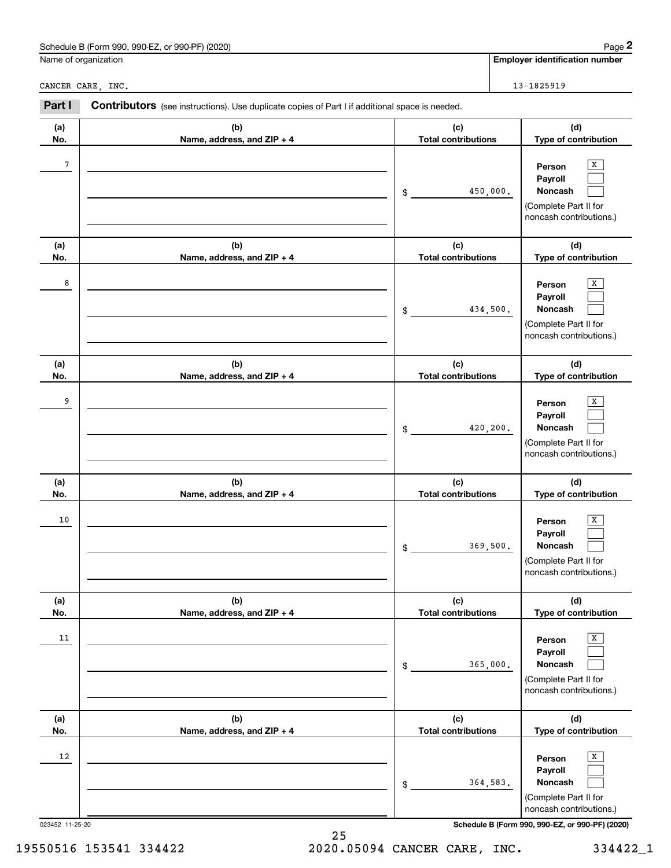| (2020)<br>Schedu<br>$990 - F$<br>990-PF)<br>990<br>ನ (Form<br>$\sim$<br>ШE<br>יש<br>the contract of the contract of | 12000<br>aue |
|---------------------------------------------------------------------------------------------------------------------|--------------|
|                                                                                                                     |              |

|                 | Schedule B (Form 990, 990-EZ, or 990-PF) (2020)                                                |                                   |          | Page 2                                                                                                      |  |                                                                                       |
|-----------------|------------------------------------------------------------------------------------------------|-----------------------------------|----------|-------------------------------------------------------------------------------------------------------------|--|---------------------------------------------------------------------------------------|
|                 | Name of organization                                                                           |                                   |          | <b>Employer identification number</b>                                                                       |  |                                                                                       |
|                 | CANCER CARE, INC.                                                                              |                                   |          | 13-1825919                                                                                                  |  |                                                                                       |
| Part I          | Contributors (see instructions). Use duplicate copies of Part I if additional space is needed. |                                   |          |                                                                                                             |  |                                                                                       |
| (a)<br>No.      | (b)<br>Name, address, and ZIP + 4                                                              | (c)<br><b>Total contributions</b> |          | (d)<br>Type of contribution                                                                                 |  |                                                                                       |
| 7               |                                                                                                | 450,000.<br>\$                    |          |                                                                                                             |  | х<br>Person<br>Payroll<br>Noncash<br>(Complete Part II for<br>noncash contributions.) |
| (a)<br>No.      | (b)<br>Name, address, and ZIP + 4                                                              | (c)<br><b>Total contributions</b> |          | (d)<br>Type of contribution                                                                                 |  |                                                                                       |
| 8               |                                                                                                | \$                                | 434,500. | х<br>Person<br>Payroll<br>Noncash<br>(Complete Part II for<br>noncash contributions.)                       |  |                                                                                       |
| (a)<br>No.      | (b)<br>Name, address, and ZIP + 4                                                              | (c)<br><b>Total contributions</b> |          | (d)<br>Type of contribution                                                                                 |  |                                                                                       |
| 9               |                                                                                                | \$                                | 420,200. | X<br>Person<br>Payroll<br>Noncash<br>(Complete Part II for<br>noncash contributions.)                       |  |                                                                                       |
| (a)<br>No.      | (b)<br>Name, address, and ZIP + 4                                                              | (c)<br><b>Total contributions</b> |          | (d)<br>Type of contribution                                                                                 |  |                                                                                       |
| 10              |                                                                                                | \$                                | 369,500. | х<br>Person<br>Payroll<br>Noncash<br>(Complete Part II for<br>noncash contributions.)                       |  |                                                                                       |
| (a)<br>No.      | (b)<br>Name, address, and ZIP + 4                                                              | (c)<br><b>Total contributions</b> |          | (d)<br>Type of contribution                                                                                 |  |                                                                                       |
| 11              |                                                                                                | \$                                | 365,000. | $\overline{\textbf{X}}$<br>Person<br>Payroll<br>Noncash<br>(Complete Part II for<br>noncash contributions.) |  |                                                                                       |
| (a)<br>No.      | (b)<br>Name, address, and ZIP + 4                                                              | (c)<br><b>Total contributions</b> |          | (d)<br>Type of contribution                                                                                 |  |                                                                                       |
| 12              |                                                                                                | \$                                | 364,583. | X<br>Person<br>Payroll<br>Noncash<br>(Complete Part II for<br>noncash contributions.)                       |  |                                                                                       |
| 023452 11-25-20 |                                                                                                |                                   |          | Schedule B (Form 990, 990-EZ, or 990-PF) (2020)                                                             |  |                                                                                       |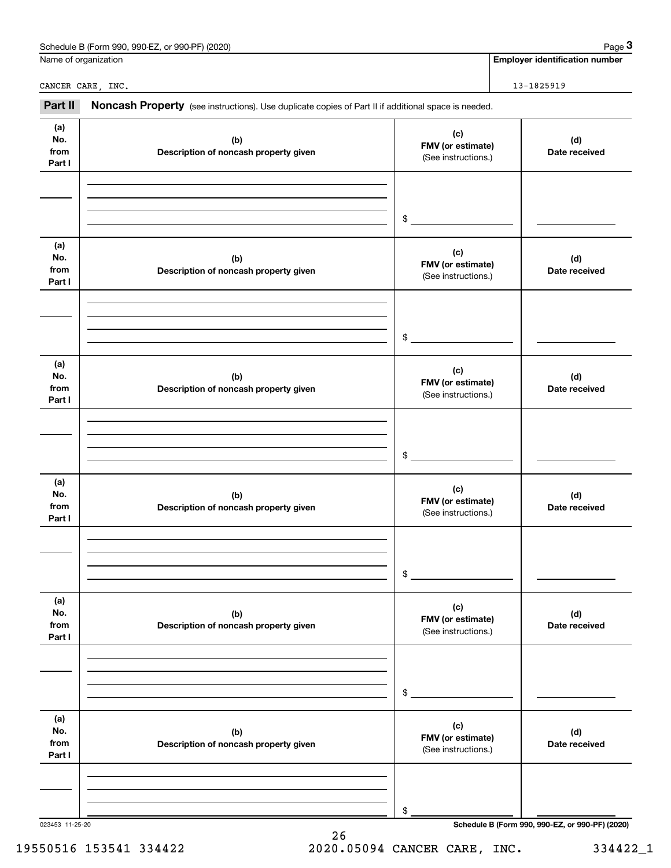|                              | Schedule B (Form 990, 990-EZ, or 990-PF) (2020)                                                     |                                                 | Page 3                                          |
|------------------------------|-----------------------------------------------------------------------------------------------------|-------------------------------------------------|-------------------------------------------------|
|                              | Name of organization                                                                                |                                                 | <b>Employer identification number</b>           |
|                              | CANCER CARE, INC.                                                                                   |                                                 | 13-1825919                                      |
| Part II                      | Noncash Property (see instructions). Use duplicate copies of Part II if additional space is needed. |                                                 |                                                 |
| (a)<br>No.<br>from<br>Part I | (b)<br>Description of noncash property given                                                        | (c)<br>FMV (or estimate)<br>(See instructions.) | (d)<br>Date received                            |
|                              |                                                                                                     | \$                                              |                                                 |
| (a)<br>No.<br>from<br>Part I | (b)<br>Description of noncash property given                                                        | (c)<br>FMV (or estimate)<br>(See instructions.) | (d)<br>Date received                            |
|                              |                                                                                                     | \$                                              |                                                 |
| (a)<br>No.<br>from<br>Part I | (b)<br>Description of noncash property given                                                        | (c)<br>FMV (or estimate)<br>(See instructions.) | (d)<br>Date received                            |
|                              |                                                                                                     | \$                                              |                                                 |
| (a)<br>No.<br>from<br>Part I | (b)<br>Description of noncash property given                                                        | (c)<br>FMV (or estimate)<br>(See instructions.) | (d)<br>Date received                            |
|                              |                                                                                                     | \$                                              |                                                 |
| (a)<br>No.<br>from<br>Part I | (b)<br>Description of noncash property given                                                        | (c)<br>FMV (or estimate)<br>(See instructions.) | (d)<br>Date received                            |
|                              |                                                                                                     | \$                                              |                                                 |
| (a)<br>No.<br>from<br>Part I | (b)<br>Description of noncash property given                                                        | (c)<br>FMV (or estimate)<br>(See instructions.) | (d)<br>Date received                            |
|                              |                                                                                                     | \$                                              |                                                 |
| 023453 11-25-20              |                                                                                                     |                                                 | Schedule B (Form 990, 990-EZ, or 990-PF) (2020) |

Schedule B (Form 990, 990-EZ, or 990-PF) (2020) Page 3

## 19550516 153541 334422 2020.05094 CANCER CARE, INC. 334422\_1

26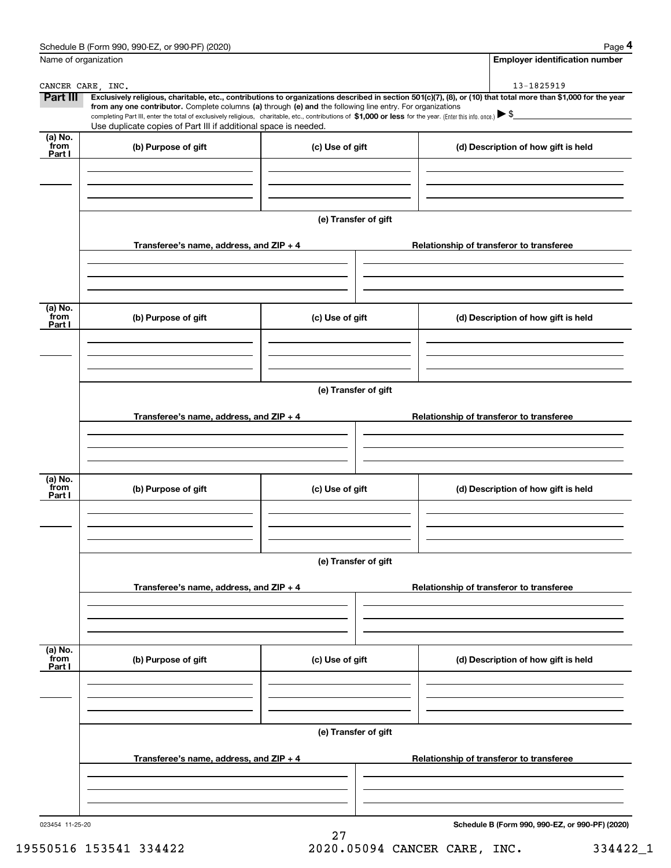|                             | Schedule B (Form 990, 990-EZ, or 990-PF) (2020)                                                                                                                                                                                                                                                 |                      | Page 4                                                                                                                                                         |  |  |  |  |
|-----------------------------|-------------------------------------------------------------------------------------------------------------------------------------------------------------------------------------------------------------------------------------------------------------------------------------------------|----------------------|----------------------------------------------------------------------------------------------------------------------------------------------------------------|--|--|--|--|
|                             | Name of organization                                                                                                                                                                                                                                                                            |                      | <b>Employer identification number</b>                                                                                                                          |  |  |  |  |
|                             | CANCER CARE, INC.                                                                                                                                                                                                                                                                               |                      | 13-1825919                                                                                                                                                     |  |  |  |  |
| Part III                    |                                                                                                                                                                                                                                                                                                 |                      | Exclusively religious, charitable, etc., contributions to organizations described in section 501(c)(7), (8), or (10) that total more than \$1,000 for the year |  |  |  |  |
|                             | from any one contributor. Complete columns (a) through (e) and the following line entry. For organizations<br>completing Part III, enter the total of exclusively religious, charitable, etc., contributions of \$1,000 or less for the year. (Enter this info. once.) $\blacktriangleright$ \$ |                      |                                                                                                                                                                |  |  |  |  |
|                             | Use duplicate copies of Part III if additional space is needed.                                                                                                                                                                                                                                 |                      |                                                                                                                                                                |  |  |  |  |
| $(a)$ No.<br>from<br>Part I | (b) Purpose of gift                                                                                                                                                                                                                                                                             | (c) Use of gift      | (d) Description of how gift is held                                                                                                                            |  |  |  |  |
|                             |                                                                                                                                                                                                                                                                                                 |                      |                                                                                                                                                                |  |  |  |  |
|                             |                                                                                                                                                                                                                                                                                                 | (e) Transfer of gift |                                                                                                                                                                |  |  |  |  |
|                             | Transferee's name, address, and ZIP + 4                                                                                                                                                                                                                                                         |                      | Relationship of transferor to transferee                                                                                                                       |  |  |  |  |
|                             |                                                                                                                                                                                                                                                                                                 |                      |                                                                                                                                                                |  |  |  |  |
| (a) No.                     |                                                                                                                                                                                                                                                                                                 |                      |                                                                                                                                                                |  |  |  |  |
| from<br>Part I              | (b) Purpose of gift                                                                                                                                                                                                                                                                             | (c) Use of gift      | (d) Description of how gift is held                                                                                                                            |  |  |  |  |
|                             |                                                                                                                                                                                                                                                                                                 |                      |                                                                                                                                                                |  |  |  |  |
|                             | (e) Transfer of gift                                                                                                                                                                                                                                                                            |                      |                                                                                                                                                                |  |  |  |  |
|                             | Transferee's name, address, and $ZIP + 4$                                                                                                                                                                                                                                                       |                      | Relationship of transferor to transferee                                                                                                                       |  |  |  |  |
|                             |                                                                                                                                                                                                                                                                                                 |                      |                                                                                                                                                                |  |  |  |  |
| (a) No.                     |                                                                                                                                                                                                                                                                                                 |                      |                                                                                                                                                                |  |  |  |  |
| from<br>Part I              | (b) Purpose of gift                                                                                                                                                                                                                                                                             | (c) Use of gift      | (d) Description of how gift is held                                                                                                                            |  |  |  |  |
|                             |                                                                                                                                                                                                                                                                                                 |                      |                                                                                                                                                                |  |  |  |  |
|                             | (e) Transfer of gift                                                                                                                                                                                                                                                                            |                      |                                                                                                                                                                |  |  |  |  |
|                             | Transferee's name, address, and ZIP + 4                                                                                                                                                                                                                                                         |                      | Relationship of transferor to transferee                                                                                                                       |  |  |  |  |
|                             |                                                                                                                                                                                                                                                                                                 |                      |                                                                                                                                                                |  |  |  |  |
|                             |                                                                                                                                                                                                                                                                                                 |                      |                                                                                                                                                                |  |  |  |  |
| (a) No.<br>from<br>Part I   | (b) Purpose of gift                                                                                                                                                                                                                                                                             | (c) Use of gift      | (d) Description of how gift is held                                                                                                                            |  |  |  |  |
|                             |                                                                                                                                                                                                                                                                                                 |                      |                                                                                                                                                                |  |  |  |  |
|                             |                                                                                                                                                                                                                                                                                                 |                      |                                                                                                                                                                |  |  |  |  |
|                             | (e) Transfer of gift                                                                                                                                                                                                                                                                            |                      |                                                                                                                                                                |  |  |  |  |
|                             | Transferee's name, address, and $ZIP + 4$                                                                                                                                                                                                                                                       |                      | Relationship of transferor to transferee                                                                                                                       |  |  |  |  |
|                             |                                                                                                                                                                                                                                                                                                 |                      |                                                                                                                                                                |  |  |  |  |
| 023454 11-25-20             |                                                                                                                                                                                                                                                                                                 |                      | Schedule B (Form 990, 990-EZ, or 990-PF) (2020)                                                                                                                |  |  |  |  |

19550516 153541 334422 2020.05094 CANCER CARE, INC. 334422\_1

27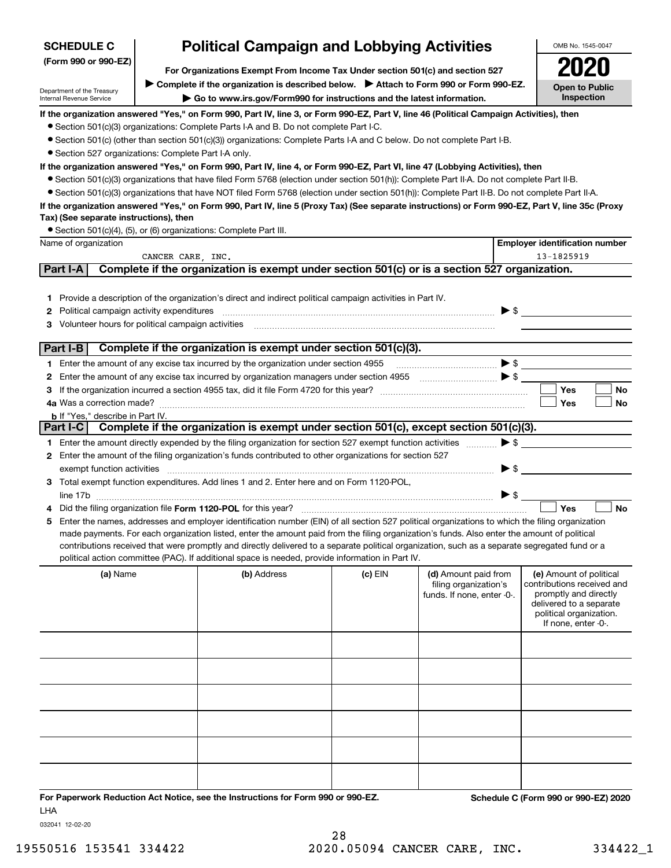| (Form 990 or 990-EZ)<br>For Organizations Exempt From Income Tax Under section 501(c) and section 527<br>> Complete if the organization is described below. > Attach to Form 990 or Form 990-EZ.<br><b>Open to Public</b><br><b>Inspection</b><br>Go to www.irs.gov/Form990 for instructions and the latest information.<br>If the organization answered "Yes," on Form 990, Part IV, line 3, or Form 990-EZ, Part V, line 46 (Political Campaign Activities), then<br>• Section 501(c)(3) organizations: Complete Parts I-A and B. Do not complete Part I-C.<br>• Section 501(c) (other than section 501(c)(3)) organizations: Complete Parts I-A and C below. Do not complete Part I-B.<br>• Section 527 organizations: Complete Part I-A only.<br>If the organization answered "Yes," on Form 990, Part IV, line 4, or Form 990-EZ, Part VI, line 47 (Lobbying Activities), then<br>• Section 501(c)(3) organizations that have filed Form 5768 (election under section 501(h)): Complete Part II-A. Do not complete Part II-B.<br>• Section 501(c)(3) organizations that have NOT filed Form 5768 (election under section 501(h)): Complete Part II-B. Do not complete Part II-A.<br>If the organization answered "Yes," on Form 990, Part IV, line 5 (Proxy Tax) (See separate instructions) or Form 990-EZ, Part V, line 35c (Proxy<br>Tax) (See separate instructions), then<br>• Section 501(c)(4), (5), or (6) organizations: Complete Part III.<br>Name of organization<br><b>Employer identification number</b><br>13-1825919<br>CANCER CARE, INC.<br>Complete if the organization is exempt under section 501(c) or is a section 527 organization.<br>Part I-A<br>1 Provide a description of the organization's direct and indirect political campaign activities in Part IV.<br>$\blacktriangleright$ \$<br><b>2</b> Political campaign activity expenditures<br>Volunteer hours for political campaign activities<br>З<br>Complete if the organization is exempt under section 501(c)(3).<br>Part I-B<br>$\bullet \mathsf{s}$<br>1 Enter the amount of any excise tax incurred by the organization under section 4955<br>2<br><b>Yes</b><br><b>No</b><br>З<br>Yes<br>No<br><b>b</b> If "Yes," describe in Part IV.<br>Part I-C Complete if the organization is exempt under section 501(c), except section 501(c)(3).<br>$\blacktriangleright$ \$<br>1 Enter the amount directly expended by the filing organization for section 527 exempt function activities<br>2 Enter the amount of the filing organization's funds contributed to other organizations for section 527<br>$\blacktriangleright$ \$<br>exempt function activities<br>3 Total exempt function expenditures. Add lines 1 and 2. Enter here and on Form 1120-POL,<br>$\triangleright$ \$<br>Yes<br><b>No</b><br>5 Enter the names, addresses and employer identification number (EIN) of all section 527 political organizations to which the filing organization<br>made payments. For each organization listed, enter the amount paid from the filing organization's funds. Also enter the amount of political<br>contributions received that were promptly and directly delivered to a separate political organization, such as a separate segregated fund or a<br>political action committee (PAC). If additional space is needed, provide information in Part IV.<br>(a) Name<br>(b) Address<br>$(c)$ EIN<br>(d) Amount paid from<br>(e) Amount of political<br>contributions received and<br>filing organization's<br>promptly and directly<br>funds. If none, enter -0-.<br>delivered to a separate<br>political organization.<br>If none, enter -0-. | <b>SCHEDULE C</b>                                      |  | <b>Political Campaign and Lobbying Activities</b> |  |  |  | OMB No. 1545-0047 |
|---------------------------------------------------------------------------------------------------------------------------------------------------------------------------------------------------------------------------------------------------------------------------------------------------------------------------------------------------------------------------------------------------------------------------------------------------------------------------------------------------------------------------------------------------------------------------------------------------------------------------------------------------------------------------------------------------------------------------------------------------------------------------------------------------------------------------------------------------------------------------------------------------------------------------------------------------------------------------------------------------------------------------------------------------------------------------------------------------------------------------------------------------------------------------------------------------------------------------------------------------------------------------------------------------------------------------------------------------------------------------------------------------------------------------------------------------------------------------------------------------------------------------------------------------------------------------------------------------------------------------------------------------------------------------------------------------------------------------------------------------------------------------------------------------------------------------------------------------------------------------------------------------------------------------------------------------------------------------------------------------------------------------------------------------------------------------------------------------------------------------------------------------------------------------------------------------------------------------------------------------------------------------------------------------------------------------------------------------------------------------------------------------------------------------------------------------------------------------------------------------------------------------------------------------------------------------------------------------------------------------------------------------------------------------------------------------------------------------------------------------------------------------------------------------------------------------------------------------------------------------------------------------------------------------------------------------------------------------------------------------------------------------------------------------------------------------------------------------------------------------------------------------------------------------------------------------------------------------------------------------------------------------------------------------------------------------------------------------------------------------------------------------------------------------------------------------------------------------------------------------------------------------------------------------------------------------------------------------------------------------------------------|--------------------------------------------------------|--|---------------------------------------------------|--|--|--|-------------------|
|                                                                                                                                                                                                                                                                                                                                                                                                                                                                                                                                                                                                                                                                                                                                                                                                                                                                                                                                                                                                                                                                                                                                                                                                                                                                                                                                                                                                                                                                                                                                                                                                                                                                                                                                                                                                                                                                                                                                                                                                                                                                                                                                                                                                                                                                                                                                                                                                                                                                                                                                                                                                                                                                                                                                                                                                                                                                                                                                                                                                                                                                                                                                                                                                                                                                                                                                                                                                                                                                                                                                                                                                                                             |                                                        |  |                                                   |  |  |  |                   |
|                                                                                                                                                                                                                                                                                                                                                                                                                                                                                                                                                                                                                                                                                                                                                                                                                                                                                                                                                                                                                                                                                                                                                                                                                                                                                                                                                                                                                                                                                                                                                                                                                                                                                                                                                                                                                                                                                                                                                                                                                                                                                                                                                                                                                                                                                                                                                                                                                                                                                                                                                                                                                                                                                                                                                                                                                                                                                                                                                                                                                                                                                                                                                                                                                                                                                                                                                                                                                                                                                                                                                                                                                                             |                                                        |  |                                                   |  |  |  |                   |
|                                                                                                                                                                                                                                                                                                                                                                                                                                                                                                                                                                                                                                                                                                                                                                                                                                                                                                                                                                                                                                                                                                                                                                                                                                                                                                                                                                                                                                                                                                                                                                                                                                                                                                                                                                                                                                                                                                                                                                                                                                                                                                                                                                                                                                                                                                                                                                                                                                                                                                                                                                                                                                                                                                                                                                                                                                                                                                                                                                                                                                                                                                                                                                                                                                                                                                                                                                                                                                                                                                                                                                                                                                             | Department of the Treasury<br>Internal Revenue Service |  |                                                   |  |  |  |                   |
|                                                                                                                                                                                                                                                                                                                                                                                                                                                                                                                                                                                                                                                                                                                                                                                                                                                                                                                                                                                                                                                                                                                                                                                                                                                                                                                                                                                                                                                                                                                                                                                                                                                                                                                                                                                                                                                                                                                                                                                                                                                                                                                                                                                                                                                                                                                                                                                                                                                                                                                                                                                                                                                                                                                                                                                                                                                                                                                                                                                                                                                                                                                                                                                                                                                                                                                                                                                                                                                                                                                                                                                                                                             |                                                        |  |                                                   |  |  |  |                   |
|                                                                                                                                                                                                                                                                                                                                                                                                                                                                                                                                                                                                                                                                                                                                                                                                                                                                                                                                                                                                                                                                                                                                                                                                                                                                                                                                                                                                                                                                                                                                                                                                                                                                                                                                                                                                                                                                                                                                                                                                                                                                                                                                                                                                                                                                                                                                                                                                                                                                                                                                                                                                                                                                                                                                                                                                                                                                                                                                                                                                                                                                                                                                                                                                                                                                                                                                                                                                                                                                                                                                                                                                                                             |                                                        |  |                                                   |  |  |  |                   |
|                                                                                                                                                                                                                                                                                                                                                                                                                                                                                                                                                                                                                                                                                                                                                                                                                                                                                                                                                                                                                                                                                                                                                                                                                                                                                                                                                                                                                                                                                                                                                                                                                                                                                                                                                                                                                                                                                                                                                                                                                                                                                                                                                                                                                                                                                                                                                                                                                                                                                                                                                                                                                                                                                                                                                                                                                                                                                                                                                                                                                                                                                                                                                                                                                                                                                                                                                                                                                                                                                                                                                                                                                                             |                                                        |  |                                                   |  |  |  |                   |
|                                                                                                                                                                                                                                                                                                                                                                                                                                                                                                                                                                                                                                                                                                                                                                                                                                                                                                                                                                                                                                                                                                                                                                                                                                                                                                                                                                                                                                                                                                                                                                                                                                                                                                                                                                                                                                                                                                                                                                                                                                                                                                                                                                                                                                                                                                                                                                                                                                                                                                                                                                                                                                                                                                                                                                                                                                                                                                                                                                                                                                                                                                                                                                                                                                                                                                                                                                                                                                                                                                                                                                                                                                             |                                                        |  |                                                   |  |  |  |                   |
|                                                                                                                                                                                                                                                                                                                                                                                                                                                                                                                                                                                                                                                                                                                                                                                                                                                                                                                                                                                                                                                                                                                                                                                                                                                                                                                                                                                                                                                                                                                                                                                                                                                                                                                                                                                                                                                                                                                                                                                                                                                                                                                                                                                                                                                                                                                                                                                                                                                                                                                                                                                                                                                                                                                                                                                                                                                                                                                                                                                                                                                                                                                                                                                                                                                                                                                                                                                                                                                                                                                                                                                                                                             |                                                        |  |                                                   |  |  |  |                   |
|                                                                                                                                                                                                                                                                                                                                                                                                                                                                                                                                                                                                                                                                                                                                                                                                                                                                                                                                                                                                                                                                                                                                                                                                                                                                                                                                                                                                                                                                                                                                                                                                                                                                                                                                                                                                                                                                                                                                                                                                                                                                                                                                                                                                                                                                                                                                                                                                                                                                                                                                                                                                                                                                                                                                                                                                                                                                                                                                                                                                                                                                                                                                                                                                                                                                                                                                                                                                                                                                                                                                                                                                                                             |                                                        |  |                                                   |  |  |  |                   |
|                                                                                                                                                                                                                                                                                                                                                                                                                                                                                                                                                                                                                                                                                                                                                                                                                                                                                                                                                                                                                                                                                                                                                                                                                                                                                                                                                                                                                                                                                                                                                                                                                                                                                                                                                                                                                                                                                                                                                                                                                                                                                                                                                                                                                                                                                                                                                                                                                                                                                                                                                                                                                                                                                                                                                                                                                                                                                                                                                                                                                                                                                                                                                                                                                                                                                                                                                                                                                                                                                                                                                                                                                                             |                                                        |  |                                                   |  |  |  |                   |
|                                                                                                                                                                                                                                                                                                                                                                                                                                                                                                                                                                                                                                                                                                                                                                                                                                                                                                                                                                                                                                                                                                                                                                                                                                                                                                                                                                                                                                                                                                                                                                                                                                                                                                                                                                                                                                                                                                                                                                                                                                                                                                                                                                                                                                                                                                                                                                                                                                                                                                                                                                                                                                                                                                                                                                                                                                                                                                                                                                                                                                                                                                                                                                                                                                                                                                                                                                                                                                                                                                                                                                                                                                             |                                                        |  |                                                   |  |  |  |                   |
|                                                                                                                                                                                                                                                                                                                                                                                                                                                                                                                                                                                                                                                                                                                                                                                                                                                                                                                                                                                                                                                                                                                                                                                                                                                                                                                                                                                                                                                                                                                                                                                                                                                                                                                                                                                                                                                                                                                                                                                                                                                                                                                                                                                                                                                                                                                                                                                                                                                                                                                                                                                                                                                                                                                                                                                                                                                                                                                                                                                                                                                                                                                                                                                                                                                                                                                                                                                                                                                                                                                                                                                                                                             |                                                        |  |                                                   |  |  |  |                   |
|                                                                                                                                                                                                                                                                                                                                                                                                                                                                                                                                                                                                                                                                                                                                                                                                                                                                                                                                                                                                                                                                                                                                                                                                                                                                                                                                                                                                                                                                                                                                                                                                                                                                                                                                                                                                                                                                                                                                                                                                                                                                                                                                                                                                                                                                                                                                                                                                                                                                                                                                                                                                                                                                                                                                                                                                                                                                                                                                                                                                                                                                                                                                                                                                                                                                                                                                                                                                                                                                                                                                                                                                                                             |                                                        |  |                                                   |  |  |  |                   |
|                                                                                                                                                                                                                                                                                                                                                                                                                                                                                                                                                                                                                                                                                                                                                                                                                                                                                                                                                                                                                                                                                                                                                                                                                                                                                                                                                                                                                                                                                                                                                                                                                                                                                                                                                                                                                                                                                                                                                                                                                                                                                                                                                                                                                                                                                                                                                                                                                                                                                                                                                                                                                                                                                                                                                                                                                                                                                                                                                                                                                                                                                                                                                                                                                                                                                                                                                                                                                                                                                                                                                                                                                                             |                                                        |  |                                                   |  |  |  |                   |
|                                                                                                                                                                                                                                                                                                                                                                                                                                                                                                                                                                                                                                                                                                                                                                                                                                                                                                                                                                                                                                                                                                                                                                                                                                                                                                                                                                                                                                                                                                                                                                                                                                                                                                                                                                                                                                                                                                                                                                                                                                                                                                                                                                                                                                                                                                                                                                                                                                                                                                                                                                                                                                                                                                                                                                                                                                                                                                                                                                                                                                                                                                                                                                                                                                                                                                                                                                                                                                                                                                                                                                                                                                             |                                                        |  |                                                   |  |  |  |                   |
|                                                                                                                                                                                                                                                                                                                                                                                                                                                                                                                                                                                                                                                                                                                                                                                                                                                                                                                                                                                                                                                                                                                                                                                                                                                                                                                                                                                                                                                                                                                                                                                                                                                                                                                                                                                                                                                                                                                                                                                                                                                                                                                                                                                                                                                                                                                                                                                                                                                                                                                                                                                                                                                                                                                                                                                                                                                                                                                                                                                                                                                                                                                                                                                                                                                                                                                                                                                                                                                                                                                                                                                                                                             |                                                        |  |                                                   |  |  |  |                   |
|                                                                                                                                                                                                                                                                                                                                                                                                                                                                                                                                                                                                                                                                                                                                                                                                                                                                                                                                                                                                                                                                                                                                                                                                                                                                                                                                                                                                                                                                                                                                                                                                                                                                                                                                                                                                                                                                                                                                                                                                                                                                                                                                                                                                                                                                                                                                                                                                                                                                                                                                                                                                                                                                                                                                                                                                                                                                                                                                                                                                                                                                                                                                                                                                                                                                                                                                                                                                                                                                                                                                                                                                                                             |                                                        |  |                                                   |  |  |  |                   |
|                                                                                                                                                                                                                                                                                                                                                                                                                                                                                                                                                                                                                                                                                                                                                                                                                                                                                                                                                                                                                                                                                                                                                                                                                                                                                                                                                                                                                                                                                                                                                                                                                                                                                                                                                                                                                                                                                                                                                                                                                                                                                                                                                                                                                                                                                                                                                                                                                                                                                                                                                                                                                                                                                                                                                                                                                                                                                                                                                                                                                                                                                                                                                                                                                                                                                                                                                                                                                                                                                                                                                                                                                                             |                                                        |  |                                                   |  |  |  |                   |
|                                                                                                                                                                                                                                                                                                                                                                                                                                                                                                                                                                                                                                                                                                                                                                                                                                                                                                                                                                                                                                                                                                                                                                                                                                                                                                                                                                                                                                                                                                                                                                                                                                                                                                                                                                                                                                                                                                                                                                                                                                                                                                                                                                                                                                                                                                                                                                                                                                                                                                                                                                                                                                                                                                                                                                                                                                                                                                                                                                                                                                                                                                                                                                                                                                                                                                                                                                                                                                                                                                                                                                                                                                             |                                                        |  |                                                   |  |  |  |                   |
|                                                                                                                                                                                                                                                                                                                                                                                                                                                                                                                                                                                                                                                                                                                                                                                                                                                                                                                                                                                                                                                                                                                                                                                                                                                                                                                                                                                                                                                                                                                                                                                                                                                                                                                                                                                                                                                                                                                                                                                                                                                                                                                                                                                                                                                                                                                                                                                                                                                                                                                                                                                                                                                                                                                                                                                                                                                                                                                                                                                                                                                                                                                                                                                                                                                                                                                                                                                                                                                                                                                                                                                                                                             |                                                        |  |                                                   |  |  |  |                   |
|                                                                                                                                                                                                                                                                                                                                                                                                                                                                                                                                                                                                                                                                                                                                                                                                                                                                                                                                                                                                                                                                                                                                                                                                                                                                                                                                                                                                                                                                                                                                                                                                                                                                                                                                                                                                                                                                                                                                                                                                                                                                                                                                                                                                                                                                                                                                                                                                                                                                                                                                                                                                                                                                                                                                                                                                                                                                                                                                                                                                                                                                                                                                                                                                                                                                                                                                                                                                                                                                                                                                                                                                                                             |                                                        |  |                                                   |  |  |  |                   |
|                                                                                                                                                                                                                                                                                                                                                                                                                                                                                                                                                                                                                                                                                                                                                                                                                                                                                                                                                                                                                                                                                                                                                                                                                                                                                                                                                                                                                                                                                                                                                                                                                                                                                                                                                                                                                                                                                                                                                                                                                                                                                                                                                                                                                                                                                                                                                                                                                                                                                                                                                                                                                                                                                                                                                                                                                                                                                                                                                                                                                                                                                                                                                                                                                                                                                                                                                                                                                                                                                                                                                                                                                                             |                                                        |  |                                                   |  |  |  |                   |
|                                                                                                                                                                                                                                                                                                                                                                                                                                                                                                                                                                                                                                                                                                                                                                                                                                                                                                                                                                                                                                                                                                                                                                                                                                                                                                                                                                                                                                                                                                                                                                                                                                                                                                                                                                                                                                                                                                                                                                                                                                                                                                                                                                                                                                                                                                                                                                                                                                                                                                                                                                                                                                                                                                                                                                                                                                                                                                                                                                                                                                                                                                                                                                                                                                                                                                                                                                                                                                                                                                                                                                                                                                             |                                                        |  |                                                   |  |  |  |                   |
|                                                                                                                                                                                                                                                                                                                                                                                                                                                                                                                                                                                                                                                                                                                                                                                                                                                                                                                                                                                                                                                                                                                                                                                                                                                                                                                                                                                                                                                                                                                                                                                                                                                                                                                                                                                                                                                                                                                                                                                                                                                                                                                                                                                                                                                                                                                                                                                                                                                                                                                                                                                                                                                                                                                                                                                                                                                                                                                                                                                                                                                                                                                                                                                                                                                                                                                                                                                                                                                                                                                                                                                                                                             |                                                        |  |                                                   |  |  |  |                   |
|                                                                                                                                                                                                                                                                                                                                                                                                                                                                                                                                                                                                                                                                                                                                                                                                                                                                                                                                                                                                                                                                                                                                                                                                                                                                                                                                                                                                                                                                                                                                                                                                                                                                                                                                                                                                                                                                                                                                                                                                                                                                                                                                                                                                                                                                                                                                                                                                                                                                                                                                                                                                                                                                                                                                                                                                                                                                                                                                                                                                                                                                                                                                                                                                                                                                                                                                                                                                                                                                                                                                                                                                                                             |                                                        |  |                                                   |  |  |  |                   |
|                                                                                                                                                                                                                                                                                                                                                                                                                                                                                                                                                                                                                                                                                                                                                                                                                                                                                                                                                                                                                                                                                                                                                                                                                                                                                                                                                                                                                                                                                                                                                                                                                                                                                                                                                                                                                                                                                                                                                                                                                                                                                                                                                                                                                                                                                                                                                                                                                                                                                                                                                                                                                                                                                                                                                                                                                                                                                                                                                                                                                                                                                                                                                                                                                                                                                                                                                                                                                                                                                                                                                                                                                                             |                                                        |  |                                                   |  |  |  |                   |
|                                                                                                                                                                                                                                                                                                                                                                                                                                                                                                                                                                                                                                                                                                                                                                                                                                                                                                                                                                                                                                                                                                                                                                                                                                                                                                                                                                                                                                                                                                                                                                                                                                                                                                                                                                                                                                                                                                                                                                                                                                                                                                                                                                                                                                                                                                                                                                                                                                                                                                                                                                                                                                                                                                                                                                                                                                                                                                                                                                                                                                                                                                                                                                                                                                                                                                                                                                                                                                                                                                                                                                                                                                             |                                                        |  |                                                   |  |  |  |                   |
|                                                                                                                                                                                                                                                                                                                                                                                                                                                                                                                                                                                                                                                                                                                                                                                                                                                                                                                                                                                                                                                                                                                                                                                                                                                                                                                                                                                                                                                                                                                                                                                                                                                                                                                                                                                                                                                                                                                                                                                                                                                                                                                                                                                                                                                                                                                                                                                                                                                                                                                                                                                                                                                                                                                                                                                                                                                                                                                                                                                                                                                                                                                                                                                                                                                                                                                                                                                                                                                                                                                                                                                                                                             |                                                        |  |                                                   |  |  |  |                   |
|                                                                                                                                                                                                                                                                                                                                                                                                                                                                                                                                                                                                                                                                                                                                                                                                                                                                                                                                                                                                                                                                                                                                                                                                                                                                                                                                                                                                                                                                                                                                                                                                                                                                                                                                                                                                                                                                                                                                                                                                                                                                                                                                                                                                                                                                                                                                                                                                                                                                                                                                                                                                                                                                                                                                                                                                                                                                                                                                                                                                                                                                                                                                                                                                                                                                                                                                                                                                                                                                                                                                                                                                                                             |                                                        |  |                                                   |  |  |  |                   |
|                                                                                                                                                                                                                                                                                                                                                                                                                                                                                                                                                                                                                                                                                                                                                                                                                                                                                                                                                                                                                                                                                                                                                                                                                                                                                                                                                                                                                                                                                                                                                                                                                                                                                                                                                                                                                                                                                                                                                                                                                                                                                                                                                                                                                                                                                                                                                                                                                                                                                                                                                                                                                                                                                                                                                                                                                                                                                                                                                                                                                                                                                                                                                                                                                                                                                                                                                                                                                                                                                                                                                                                                                                             |                                                        |  |                                                   |  |  |  |                   |
|                                                                                                                                                                                                                                                                                                                                                                                                                                                                                                                                                                                                                                                                                                                                                                                                                                                                                                                                                                                                                                                                                                                                                                                                                                                                                                                                                                                                                                                                                                                                                                                                                                                                                                                                                                                                                                                                                                                                                                                                                                                                                                                                                                                                                                                                                                                                                                                                                                                                                                                                                                                                                                                                                                                                                                                                                                                                                                                                                                                                                                                                                                                                                                                                                                                                                                                                                                                                                                                                                                                                                                                                                                             |                                                        |  |                                                   |  |  |  |                   |
|                                                                                                                                                                                                                                                                                                                                                                                                                                                                                                                                                                                                                                                                                                                                                                                                                                                                                                                                                                                                                                                                                                                                                                                                                                                                                                                                                                                                                                                                                                                                                                                                                                                                                                                                                                                                                                                                                                                                                                                                                                                                                                                                                                                                                                                                                                                                                                                                                                                                                                                                                                                                                                                                                                                                                                                                                                                                                                                                                                                                                                                                                                                                                                                                                                                                                                                                                                                                                                                                                                                                                                                                                                             |                                                        |  |                                                   |  |  |  |                   |
|                                                                                                                                                                                                                                                                                                                                                                                                                                                                                                                                                                                                                                                                                                                                                                                                                                                                                                                                                                                                                                                                                                                                                                                                                                                                                                                                                                                                                                                                                                                                                                                                                                                                                                                                                                                                                                                                                                                                                                                                                                                                                                                                                                                                                                                                                                                                                                                                                                                                                                                                                                                                                                                                                                                                                                                                                                                                                                                                                                                                                                                                                                                                                                                                                                                                                                                                                                                                                                                                                                                                                                                                                                             |                                                        |  |                                                   |  |  |  |                   |
|                                                                                                                                                                                                                                                                                                                                                                                                                                                                                                                                                                                                                                                                                                                                                                                                                                                                                                                                                                                                                                                                                                                                                                                                                                                                                                                                                                                                                                                                                                                                                                                                                                                                                                                                                                                                                                                                                                                                                                                                                                                                                                                                                                                                                                                                                                                                                                                                                                                                                                                                                                                                                                                                                                                                                                                                                                                                                                                                                                                                                                                                                                                                                                                                                                                                                                                                                                                                                                                                                                                                                                                                                                             |                                                        |  |                                                   |  |  |  |                   |
|                                                                                                                                                                                                                                                                                                                                                                                                                                                                                                                                                                                                                                                                                                                                                                                                                                                                                                                                                                                                                                                                                                                                                                                                                                                                                                                                                                                                                                                                                                                                                                                                                                                                                                                                                                                                                                                                                                                                                                                                                                                                                                                                                                                                                                                                                                                                                                                                                                                                                                                                                                                                                                                                                                                                                                                                                                                                                                                                                                                                                                                                                                                                                                                                                                                                                                                                                                                                                                                                                                                                                                                                                                             |                                                        |  |                                                   |  |  |  |                   |
|                                                                                                                                                                                                                                                                                                                                                                                                                                                                                                                                                                                                                                                                                                                                                                                                                                                                                                                                                                                                                                                                                                                                                                                                                                                                                                                                                                                                                                                                                                                                                                                                                                                                                                                                                                                                                                                                                                                                                                                                                                                                                                                                                                                                                                                                                                                                                                                                                                                                                                                                                                                                                                                                                                                                                                                                                                                                                                                                                                                                                                                                                                                                                                                                                                                                                                                                                                                                                                                                                                                                                                                                                                             |                                                        |  |                                                   |  |  |  |                   |
|                                                                                                                                                                                                                                                                                                                                                                                                                                                                                                                                                                                                                                                                                                                                                                                                                                                                                                                                                                                                                                                                                                                                                                                                                                                                                                                                                                                                                                                                                                                                                                                                                                                                                                                                                                                                                                                                                                                                                                                                                                                                                                                                                                                                                                                                                                                                                                                                                                                                                                                                                                                                                                                                                                                                                                                                                                                                                                                                                                                                                                                                                                                                                                                                                                                                                                                                                                                                                                                                                                                                                                                                                                             |                                                        |  |                                                   |  |  |  |                   |
|                                                                                                                                                                                                                                                                                                                                                                                                                                                                                                                                                                                                                                                                                                                                                                                                                                                                                                                                                                                                                                                                                                                                                                                                                                                                                                                                                                                                                                                                                                                                                                                                                                                                                                                                                                                                                                                                                                                                                                                                                                                                                                                                                                                                                                                                                                                                                                                                                                                                                                                                                                                                                                                                                                                                                                                                                                                                                                                                                                                                                                                                                                                                                                                                                                                                                                                                                                                                                                                                                                                                                                                                                                             |                                                        |  |                                                   |  |  |  |                   |
|                                                                                                                                                                                                                                                                                                                                                                                                                                                                                                                                                                                                                                                                                                                                                                                                                                                                                                                                                                                                                                                                                                                                                                                                                                                                                                                                                                                                                                                                                                                                                                                                                                                                                                                                                                                                                                                                                                                                                                                                                                                                                                                                                                                                                                                                                                                                                                                                                                                                                                                                                                                                                                                                                                                                                                                                                                                                                                                                                                                                                                                                                                                                                                                                                                                                                                                                                                                                                                                                                                                                                                                                                                             |                                                        |  |                                                   |  |  |  |                   |
|                                                                                                                                                                                                                                                                                                                                                                                                                                                                                                                                                                                                                                                                                                                                                                                                                                                                                                                                                                                                                                                                                                                                                                                                                                                                                                                                                                                                                                                                                                                                                                                                                                                                                                                                                                                                                                                                                                                                                                                                                                                                                                                                                                                                                                                                                                                                                                                                                                                                                                                                                                                                                                                                                                                                                                                                                                                                                                                                                                                                                                                                                                                                                                                                                                                                                                                                                                                                                                                                                                                                                                                                                                             |                                                        |  |                                                   |  |  |  |                   |
|                                                                                                                                                                                                                                                                                                                                                                                                                                                                                                                                                                                                                                                                                                                                                                                                                                                                                                                                                                                                                                                                                                                                                                                                                                                                                                                                                                                                                                                                                                                                                                                                                                                                                                                                                                                                                                                                                                                                                                                                                                                                                                                                                                                                                                                                                                                                                                                                                                                                                                                                                                                                                                                                                                                                                                                                                                                                                                                                                                                                                                                                                                                                                                                                                                                                                                                                                                                                                                                                                                                                                                                                                                             |                                                        |  |                                                   |  |  |  |                   |
|                                                                                                                                                                                                                                                                                                                                                                                                                                                                                                                                                                                                                                                                                                                                                                                                                                                                                                                                                                                                                                                                                                                                                                                                                                                                                                                                                                                                                                                                                                                                                                                                                                                                                                                                                                                                                                                                                                                                                                                                                                                                                                                                                                                                                                                                                                                                                                                                                                                                                                                                                                                                                                                                                                                                                                                                                                                                                                                                                                                                                                                                                                                                                                                                                                                                                                                                                                                                                                                                                                                                                                                                                                             |                                                        |  |                                                   |  |  |  |                   |
|                                                                                                                                                                                                                                                                                                                                                                                                                                                                                                                                                                                                                                                                                                                                                                                                                                                                                                                                                                                                                                                                                                                                                                                                                                                                                                                                                                                                                                                                                                                                                                                                                                                                                                                                                                                                                                                                                                                                                                                                                                                                                                                                                                                                                                                                                                                                                                                                                                                                                                                                                                                                                                                                                                                                                                                                                                                                                                                                                                                                                                                                                                                                                                                                                                                                                                                                                                                                                                                                                                                                                                                                                                             |                                                        |  |                                                   |  |  |  |                   |
|                                                                                                                                                                                                                                                                                                                                                                                                                                                                                                                                                                                                                                                                                                                                                                                                                                                                                                                                                                                                                                                                                                                                                                                                                                                                                                                                                                                                                                                                                                                                                                                                                                                                                                                                                                                                                                                                                                                                                                                                                                                                                                                                                                                                                                                                                                                                                                                                                                                                                                                                                                                                                                                                                                                                                                                                                                                                                                                                                                                                                                                                                                                                                                                                                                                                                                                                                                                                                                                                                                                                                                                                                                             |                                                        |  |                                                   |  |  |  |                   |
|                                                                                                                                                                                                                                                                                                                                                                                                                                                                                                                                                                                                                                                                                                                                                                                                                                                                                                                                                                                                                                                                                                                                                                                                                                                                                                                                                                                                                                                                                                                                                                                                                                                                                                                                                                                                                                                                                                                                                                                                                                                                                                                                                                                                                                                                                                                                                                                                                                                                                                                                                                                                                                                                                                                                                                                                                                                                                                                                                                                                                                                                                                                                                                                                                                                                                                                                                                                                                                                                                                                                                                                                                                             |                                                        |  |                                                   |  |  |  |                   |
|                                                                                                                                                                                                                                                                                                                                                                                                                                                                                                                                                                                                                                                                                                                                                                                                                                                                                                                                                                                                                                                                                                                                                                                                                                                                                                                                                                                                                                                                                                                                                                                                                                                                                                                                                                                                                                                                                                                                                                                                                                                                                                                                                                                                                                                                                                                                                                                                                                                                                                                                                                                                                                                                                                                                                                                                                                                                                                                                                                                                                                                                                                                                                                                                                                                                                                                                                                                                                                                                                                                                                                                                                                             |                                                        |  |                                                   |  |  |  |                   |
|                                                                                                                                                                                                                                                                                                                                                                                                                                                                                                                                                                                                                                                                                                                                                                                                                                                                                                                                                                                                                                                                                                                                                                                                                                                                                                                                                                                                                                                                                                                                                                                                                                                                                                                                                                                                                                                                                                                                                                                                                                                                                                                                                                                                                                                                                                                                                                                                                                                                                                                                                                                                                                                                                                                                                                                                                                                                                                                                                                                                                                                                                                                                                                                                                                                                                                                                                                                                                                                                                                                                                                                                                                             |                                                        |  |                                                   |  |  |  |                   |
|                                                                                                                                                                                                                                                                                                                                                                                                                                                                                                                                                                                                                                                                                                                                                                                                                                                                                                                                                                                                                                                                                                                                                                                                                                                                                                                                                                                                                                                                                                                                                                                                                                                                                                                                                                                                                                                                                                                                                                                                                                                                                                                                                                                                                                                                                                                                                                                                                                                                                                                                                                                                                                                                                                                                                                                                                                                                                                                                                                                                                                                                                                                                                                                                                                                                                                                                                                                                                                                                                                                                                                                                                                             |                                                        |  |                                                   |  |  |  |                   |

**For Paperwork Reduction Act Notice, see the Instructions for Form 990 or 990-EZ. Schedule C (Form 990 or 990-EZ) 2020** LHA

032041 12-02-20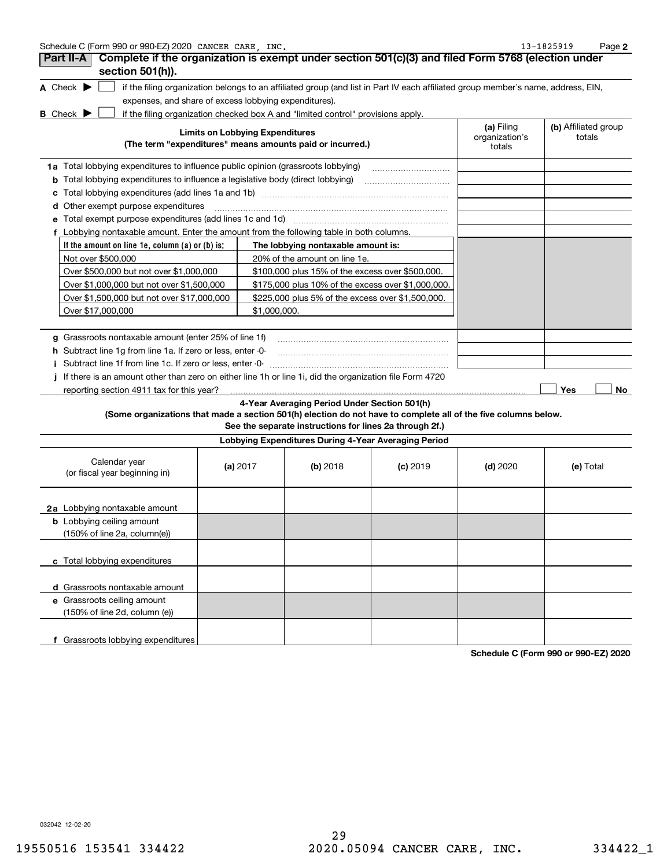| Schedule C (Form 990 or 990-EZ) 2020 CANCER CARE | INC | $-3 - 1825919$ | Page |  |
|--------------------------------------------------|-----|----------------|------|--|
|--------------------------------------------------|-----|----------------|------|--|

| Part II-A<br>section 501(h)).                                                                           |                                        |                                                                                  | Complete if the organization is exempt under section 501(c)(3) and filed Form 5768 (election under                                                                        |                                        |                                |
|---------------------------------------------------------------------------------------------------------|----------------------------------------|----------------------------------------------------------------------------------|---------------------------------------------------------------------------------------------------------------------------------------------------------------------------|----------------------------------------|--------------------------------|
| A Check $\blacktriangleright$                                                                           |                                        |                                                                                  | if the filing organization belongs to an affiliated group (and list in Part IV each affiliated group member's name, address, EIN,                                         |                                        |                                |
|                                                                                                         |                                        | expenses, and share of excess lobbying expenditures).                            |                                                                                                                                                                           |                                        |                                |
| <b>B</b> Check $\blacktriangleright$                                                                    |                                        | if the filing organization checked box A and "limited control" provisions apply. |                                                                                                                                                                           |                                        |                                |
|                                                                                                         | <b>Limits on Lobbying Expenditures</b> | (The term "expenditures" means amounts paid or incurred.)                        |                                                                                                                                                                           | (a) Filing<br>organization's<br>totals | (b) Affiliated group<br>totals |
| 1a Total lobbying expenditures to influence public opinion (grassroots lobbying)                        |                                        |                                                                                  |                                                                                                                                                                           |                                        |                                |
| <b>b</b> Total lobbying expenditures to influence a legislative body (direct lobbying)                  |                                        |                                                                                  |                                                                                                                                                                           |                                        |                                |
| c                                                                                                       |                                        |                                                                                  |                                                                                                                                                                           |                                        |                                |
| Other exempt purpose expenditures<br>d                                                                  |                                        |                                                                                  |                                                                                                                                                                           |                                        |                                |
| Total exempt purpose expenditures (add lines 1c and 1d)<br>е                                            |                                        |                                                                                  |                                                                                                                                                                           |                                        |                                |
| f Lobbying nontaxable amount. Enter the amount from the following table in both columns.                |                                        |                                                                                  |                                                                                                                                                                           |                                        |                                |
| If the amount on line 1e, column (a) or (b) is:                                                         |                                        | The lobbying nontaxable amount is:                                               |                                                                                                                                                                           |                                        |                                |
| Not over \$500,000                                                                                      |                                        | 20% of the amount on line 1e.                                                    |                                                                                                                                                                           |                                        |                                |
| Over \$500,000 but not over \$1,000,000                                                                 |                                        | \$100,000 plus 15% of the excess over \$500,000.                                 |                                                                                                                                                                           |                                        |                                |
| Over \$1,000,000 but not over \$1,500,000                                                               |                                        |                                                                                  | \$175,000 plus 10% of the excess over \$1,000,000.                                                                                                                        |                                        |                                |
| Over \$1,500,000 but not over \$17,000,000                                                              |                                        |                                                                                  | \$225,000 plus 5% of the excess over \$1,500,000.                                                                                                                         |                                        |                                |
| Over \$17,000,000                                                                                       |                                        | \$1,000,000.                                                                     |                                                                                                                                                                           |                                        |                                |
|                                                                                                         |                                        |                                                                                  |                                                                                                                                                                           |                                        |                                |
| g Grassroots nontaxable amount (enter 25% of line 1f)                                                   |                                        |                                                                                  |                                                                                                                                                                           |                                        |                                |
| h Subtract line 1g from line 1a. If zero or less, enter -0-                                             |                                        |                                                                                  |                                                                                                                                                                           |                                        |                                |
| i Subtract line 1f from line 1c. If zero or less, enter -0-                                             |                                        |                                                                                  |                                                                                                                                                                           |                                        |                                |
| If there is an amount other than zero on either line 1h or line 1i, did the organization file Form 4720 |                                        |                                                                                  |                                                                                                                                                                           |                                        |                                |
| reporting section 4911 tax for this year?                                                               |                                        |                                                                                  |                                                                                                                                                                           |                                        | Yes<br>No                      |
|                                                                                                         |                                        | 4-Year Averaging Period Under Section 501(h)                                     | (Some organizations that made a section 501(h) election do not have to complete all of the five columns below.<br>See the separate instructions for lines 2a through 2f.) |                                        |                                |
|                                                                                                         |                                        |                                                                                  | Lobbying Expenditures During 4-Year Averaging Period                                                                                                                      |                                        |                                |
| Calendar year<br>(or fiscal year beginning in)                                                          | (a) $2017$                             | (b) 2018                                                                         | $(c)$ 2019                                                                                                                                                                | (d) $2020$                             | (e) Total                      |
| 2a Lobbying nontaxable amount                                                                           |                                        |                                                                                  |                                                                                                                                                                           |                                        |                                |
| <b>b</b> Lobbying ceiling amount<br>(150% of line 2a, column(e))                                        |                                        |                                                                                  |                                                                                                                                                                           |                                        |                                |
| c Total lobbying expenditures                                                                           |                                        |                                                                                  |                                                                                                                                                                           |                                        |                                |
| d Grassroots nontaxable amount                                                                          |                                        |                                                                                  |                                                                                                                                                                           |                                        |                                |
| e Grassroots ceiling amount<br>(150% of line 2d, column (e))                                            |                                        |                                                                                  |                                                                                                                                                                           |                                        |                                |
|                                                                                                         |                                        |                                                                                  |                                                                                                                                                                           |                                        |                                |

**Schedule C (Form 990 or 990-EZ) 2020**

032042 12-02-20

**f** Grassroots lobbying expenditures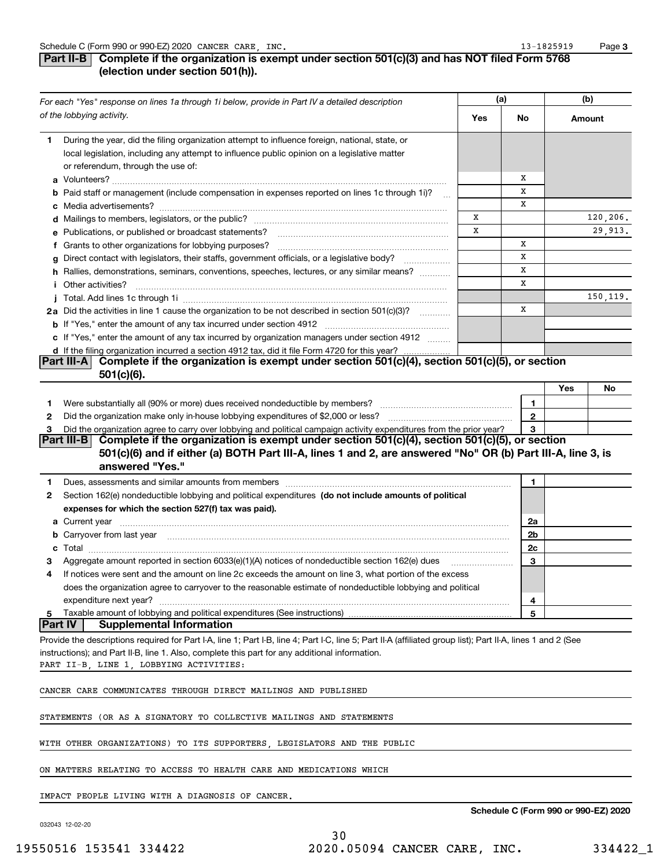### **Part II-B** Complete if the organization is exempt under section 501(c)(3) and has NOT filed Form 5768 **(election under section 501(h)).**

|                | For each "Yes" response on lines 1a through 1i below, provide in Part IV a detailed description                                                                                                                                | (a) |    |                |        | (b)      |
|----------------|--------------------------------------------------------------------------------------------------------------------------------------------------------------------------------------------------------------------------------|-----|----|----------------|--------|----------|
|                | of the lobbying activity.                                                                                                                                                                                                      | Yes | No |                | Amount |          |
| 1              | During the year, did the filing organization attempt to influence foreign, national, state, or                                                                                                                                 |     |    |                |        |          |
|                | local legislation, including any attempt to influence public opinion on a legislative matter                                                                                                                                   |     |    |                |        |          |
|                | or referendum, through the use of:                                                                                                                                                                                             |     |    |                |        |          |
|                |                                                                                                                                                                                                                                |     | х  |                |        |          |
|                | <b>b</b> Paid staff or management (include compensation in expenses reported on lines 1c through 1i)?<br>$\sim$                                                                                                                |     |    | X              |        |          |
|                |                                                                                                                                                                                                                                |     |    | X              |        |          |
|                |                                                                                                                                                                                                                                | x   |    |                |        | 120,206. |
|                | e Publications, or published or broadcast statements?                                                                                                                                                                          | X   |    |                |        | 29,913.  |
|                | f Grants to other organizations for lobbying purposes?                                                                                                                                                                         |     |    | x              |        |          |
|                | Direct contact with legislators, their staffs, government officials, or a legislative body?                                                                                                                                    |     |    | x              |        |          |
|                | h Rallies, demonstrations, seminars, conventions, speeches, lectures, or any similar means?                                                                                                                                    |     |    | X              |        |          |
|                | <i>i</i> Other activities?                                                                                                                                                                                                     |     |    | X              |        |          |
|                |                                                                                                                                                                                                                                |     |    |                |        | 150,119. |
|                | 2a Did the activities in line 1 cause the organization to be not described in section 501(c)(3)?                                                                                                                               |     |    | x              |        |          |
|                |                                                                                                                                                                                                                                |     |    |                |        |          |
|                | c If "Yes," enter the amount of any tax incurred by organization managers under section 4912                                                                                                                                   |     |    |                |        |          |
|                | d If the filing organization incurred a section 4912 tax, did it file Form 4720 for this year?                                                                                                                                 |     |    |                |        |          |
|                | ling organization incurred a section 4912 tax, did it file Form 4720 for this year? …………………!<br>  Complete if the organization is exempt under section 501(c)(4), section 501(c)(5), or section<br><b>Part III-A</b>           |     |    |                |        |          |
|                | $501(c)(6)$ .                                                                                                                                                                                                                  |     |    |                |        |          |
|                |                                                                                                                                                                                                                                |     |    |                | Yes    | No       |
| 1              | Were substantially all (90% or more) dues received nondeductible by members? [111] was accordingly not all the substantially all (90% or more) dues received nondeductible by members? [11] was according to the substantial w |     |    | 1              |        |          |
| 2              |                                                                                                                                                                                                                                |     |    | $\mathbf{2}$   |        |          |
| з              | Did the organization agree to carry over lobbying and political campaign activity expenditures from the prior year?                                                                                                            |     |    | 3              |        |          |
|                | Part III-B Complete if the organization is exempt under section $501(c)(4)$ , section $501(c)(5)$ , or section                                                                                                                 |     |    |                |        |          |
|                | 501(c)(6) and if either (a) BOTH Part III-A, lines 1 and 2, are answered "No" OR (b) Part III-A, line 3, is                                                                                                                    |     |    |                |        |          |
|                | answered "Yes."                                                                                                                                                                                                                |     |    |                |        |          |
| 1              |                                                                                                                                                                                                                                |     |    | 1              |        |          |
| 2              | Section 162(e) nondeductible lobbying and political expenditures (do not include amounts of political                                                                                                                          |     |    |                |        |          |
|                | expenses for which the section 527(f) tax was paid).                                                                                                                                                                           |     |    |                |        |          |
|                |                                                                                                                                                                                                                                |     |    | 2a             |        |          |
|                | b Carryover from last year manufactured and content to content the content of the content of the content of the content of the content of the content of the content of the content of the content of the content of the conte |     |    | 2 <sub>b</sub> |        |          |
| c              |                                                                                                                                                                                                                                |     |    | 2c             |        |          |
|                | Aggregate amount reported in section 6033(e)(1)(A) notices of nondeductible section 162(e) dues                                                                                                                                |     |    | 3              |        |          |
| 4              | If notices were sent and the amount on line 2c exceeds the amount on line 3, what portion of the excess                                                                                                                        |     |    |                |        |          |
|                | does the organization agree to carryover to the reasonable estimate of nondeductible lobbying and political                                                                                                                    |     |    |                |        |          |
|                | expenditure next year?                                                                                                                                                                                                         |     |    | 4              |        |          |
| 5              | Taxable amount of lobbying and political expenditures (See instructions)                                                                                                                                                       |     |    | 5              |        |          |
| <b>Part IV</b> | <b>Supplemental Information</b>                                                                                                                                                                                                |     |    |                |        |          |
|                | Provide the descriptions required for Part I-A, line 1; Part I-B, line 4; Part I-C, line 5; Part II-A (affiliated group list); Part II-A, lines 1 and 2 (See                                                                   |     |    |                |        |          |
|                | instructions); and Part II-B, line 1. Also, complete this part for any additional information.                                                                                                                                 |     |    |                |        |          |
|                | PART II-B, LINE 1, LOBBYING ACTIVITIES:                                                                                                                                                                                        |     |    |                |        |          |
|                |                                                                                                                                                                                                                                |     |    |                |        |          |
|                | CANCER CARE COMMUNICATES THROUGH DIRECT MAILINGS AND PUBLISHED                                                                                                                                                                 |     |    |                |        |          |
|                |                                                                                                                                                                                                                                |     |    |                |        |          |
|                | STATEMENTS (OR AS A SIGNATORY TO COLLECTIVE MAILINGS AND STATEMENTS                                                                                                                                                            |     |    |                |        |          |
|                |                                                                                                                                                                                                                                |     |    |                |        |          |
|                | WITH OTHER ORGANIZATIONS) TO ITS SUPPORTERS, LEGISLATORS AND THE PUBLIC                                                                                                                                                        |     |    |                |        |          |
|                |                                                                                                                                                                                                                                |     |    |                |        |          |
|                | ON MATTERS RELATING TO ACCESS TO HEALTH CARE AND MEDICATIONS WHICH                                                                                                                                                             |     |    |                |        |          |
|                |                                                                                                                                                                                                                                |     |    |                |        |          |

IMPACT PEOPLE LIVING WITH A DIAGNOSIS OF CANCER.

032043 12-02-20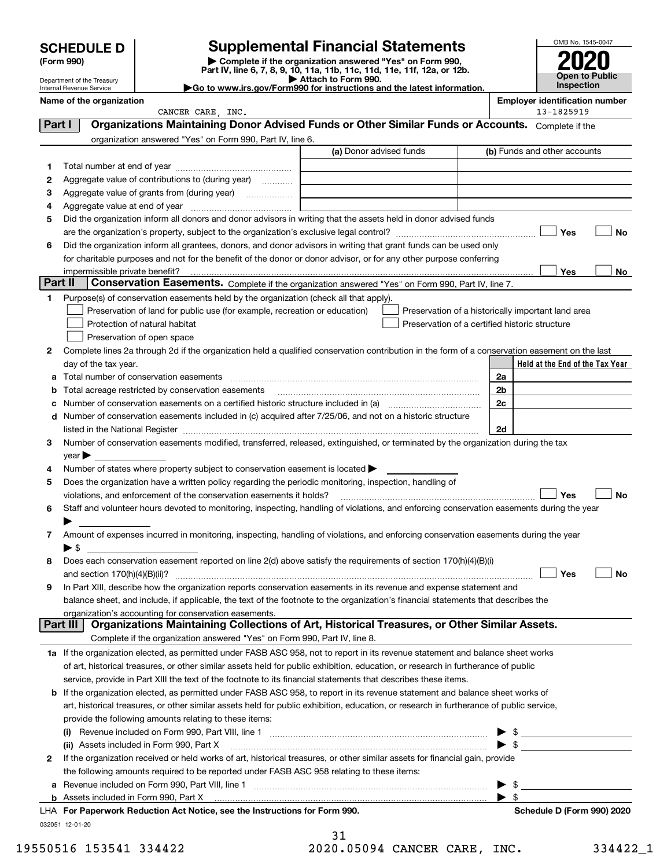| <b>SCHEDULE D</b> |
|-------------------|
|                   |

Department of the Treasury Internal Revenue Service

## **SCHEDULE D Supplemental Financial Statements**

(Form 990)<br>
Pepartment of the Treasury<br>
Department of the Treasury<br>
Department of the Treasury<br>
Department of the Treasury<br> **Co to www.irs.gov/Form990 for instructions and the latest information.**<br> **Co to www.irs.gov/Form9** 



|         | Name of the organization<br>CANCER CARE, INC.                                                                                                                     |                                                    |                          | <b>Employer identification number</b><br>13-1825919 |
|---------|-------------------------------------------------------------------------------------------------------------------------------------------------------------------|----------------------------------------------------|--------------------------|-----------------------------------------------------|
| Part I  | Organizations Maintaining Donor Advised Funds or Other Similar Funds or Accounts. Complete if the                                                                 |                                                    |                          |                                                     |
|         | organization answered "Yes" on Form 990, Part IV, line 6.                                                                                                         |                                                    |                          |                                                     |
|         |                                                                                                                                                                   | (a) Donor advised funds                            |                          | (b) Funds and other accounts                        |
| 1       |                                                                                                                                                                   |                                                    |                          |                                                     |
| 2       | Aggregate value of contributions to (during year)                                                                                                                 |                                                    |                          |                                                     |
| 3       | Aggregate value of grants from (during year)                                                                                                                      |                                                    |                          |                                                     |
| 4       | Aggregate value at end of year manufactured and property of the Aggregate value at end of year                                                                    |                                                    |                          |                                                     |
| 5       | Did the organization inform all donors and donor advisors in writing that the assets held in donor advised funds                                                  |                                                    |                          |                                                     |
|         |                                                                                                                                                                   |                                                    |                          | Yes<br>No                                           |
| 6       | Did the organization inform all grantees, donors, and donor advisors in writing that grant funds can be used only                                                 |                                                    |                          |                                                     |
|         | for charitable purposes and not for the benefit of the donor or donor advisor, or for any other purpose conferring                                                |                                                    |                          |                                                     |
|         | impermissible private benefit?                                                                                                                                    |                                                    |                          | Yes<br>No                                           |
| Part II | Conservation Easements. Complete if the organization answered "Yes" on Form 990, Part IV, line 7.                                                                 |                                                    |                          |                                                     |
| 1       | Purpose(s) of conservation easements held by the organization (check all that apply).                                                                             |                                                    |                          |                                                     |
|         | Preservation of land for public use (for example, recreation or education)                                                                                        | Preservation of a historically important land area |                          |                                                     |
|         | Protection of natural habitat                                                                                                                                     | Preservation of a certified historic structure     |                          |                                                     |
|         | Preservation of open space                                                                                                                                        |                                                    |                          |                                                     |
| 2       | Complete lines 2a through 2d if the organization held a qualified conservation contribution in the form of a conservation easement on the last                    |                                                    |                          |                                                     |
|         | day of the tax year.                                                                                                                                              |                                                    |                          | Held at the End of the Tax Year                     |
|         | a Total number of conservation easements                                                                                                                          |                                                    | 2a                       |                                                     |
|         | <b>b</b> Total acreage restricted by conservation easements                                                                                                       |                                                    | 2 <sub>b</sub>           |                                                     |
| c       | Number of conservation easements on a certified historic structure included in (a) manufacture included in (a)                                                    |                                                    | 2c                       |                                                     |
|         | d Number of conservation easements included in (c) acquired after 7/25/06, and not on a historic structure                                                        |                                                    |                          |                                                     |
|         |                                                                                                                                                                   |                                                    | 2d                       |                                                     |
| з       | Number of conservation easements modified, transferred, released, extinguished, or terminated by the organization during the tax                                  |                                                    |                          |                                                     |
|         | year                                                                                                                                                              |                                                    |                          |                                                     |
| 4       | Number of states where property subject to conservation easement is located >                                                                                     |                                                    |                          |                                                     |
| 5       | Does the organization have a written policy regarding the periodic monitoring, inspection, handling of                                                            |                                                    |                          |                                                     |
|         | violations, and enforcement of the conservation easements it holds?                                                                                               |                                                    |                          | <b>Yes</b><br>No                                    |
| 6       | Staff and volunteer hours devoted to monitoring, inspecting, handling of violations, and enforcing conservation easements during the year                         |                                                    |                          |                                                     |
|         |                                                                                                                                                                   |                                                    |                          |                                                     |
| 7       | Amount of expenses incurred in monitoring, inspecting, handling of violations, and enforcing conservation easements during the year                               |                                                    |                          |                                                     |
|         | ▶ \$                                                                                                                                                              |                                                    |                          |                                                     |
| 8       | Does each conservation easement reported on line 2(d) above satisfy the requirements of section 170(h)(4)(B)(i)                                                   |                                                    |                          |                                                     |
|         |                                                                                                                                                                   |                                                    |                          | Yes<br>No                                           |
|         | In Part XIII, describe how the organization reports conservation easements in its revenue and expense statement and                                               |                                                    |                          |                                                     |
|         | balance sheet, and include, if applicable, the text of the footnote to the organization's financial statements that describes the                                 |                                                    |                          |                                                     |
|         | organization's accounting for conservation easements.<br>Organizations Maintaining Collections of Art, Historical Treasures, or Other Similar Assets.<br>Part III |                                                    |                          |                                                     |
|         | Complete if the organization answered "Yes" on Form 990, Part IV, line 8.                                                                                         |                                                    |                          |                                                     |
|         | 1a If the organization elected, as permitted under FASB ASC 958, not to report in its revenue statement and balance sheet works                                   |                                                    |                          |                                                     |
|         | of art, historical treasures, or other similar assets held for public exhibition, education, or research in furtherance of public                                 |                                                    |                          |                                                     |
|         | service, provide in Part XIII the text of the footnote to its financial statements that describes these items.                                                    |                                                    |                          |                                                     |
|         | <b>b</b> If the organization elected, as permitted under FASB ASC 958, to report in its revenue statement and balance sheet works of                              |                                                    |                          |                                                     |
|         | art, historical treasures, or other similar assets held for public exhibition, education, or research in furtherance of public service,                           |                                                    |                          |                                                     |
|         | provide the following amounts relating to these items:                                                                                                            |                                                    |                          |                                                     |
|         |                                                                                                                                                                   |                                                    | $\blacktriangleright$ \$ |                                                     |
|         | (ii) Assets included in Form 990, Part X                                                                                                                          |                                                    | $\blacktriangleright$ \$ |                                                     |
| 2       | If the organization received or held works of art, historical treasures, or other similar assets for financial gain, provide                                      |                                                    |                          |                                                     |
|         | the following amounts required to be reported under FASB ASC 958 relating to these items:                                                                         |                                                    |                          |                                                     |
|         |                                                                                                                                                                   |                                                    | $\blacktriangleright$ \$ |                                                     |
|         |                                                                                                                                                                   |                                                    | $\blacktriangleright$ s  |                                                     |
|         | LHA For Paperwork Reduction Act Notice, see the Instructions for Form 990.                                                                                        |                                                    |                          | Schedule D (Form 990) 2020                          |
|         | 032051 12-01-20                                                                                                                                                   |                                                    |                          |                                                     |
|         |                                                                                                                                                                   | 31                                                 |                          |                                                     |

|  | <u>_ _</u> |  |  |                 |  |  |  |
|--|------------|--|--|-----------------|--|--|--|
|  |            |  |  | 20.05094 CANCER |  |  |  |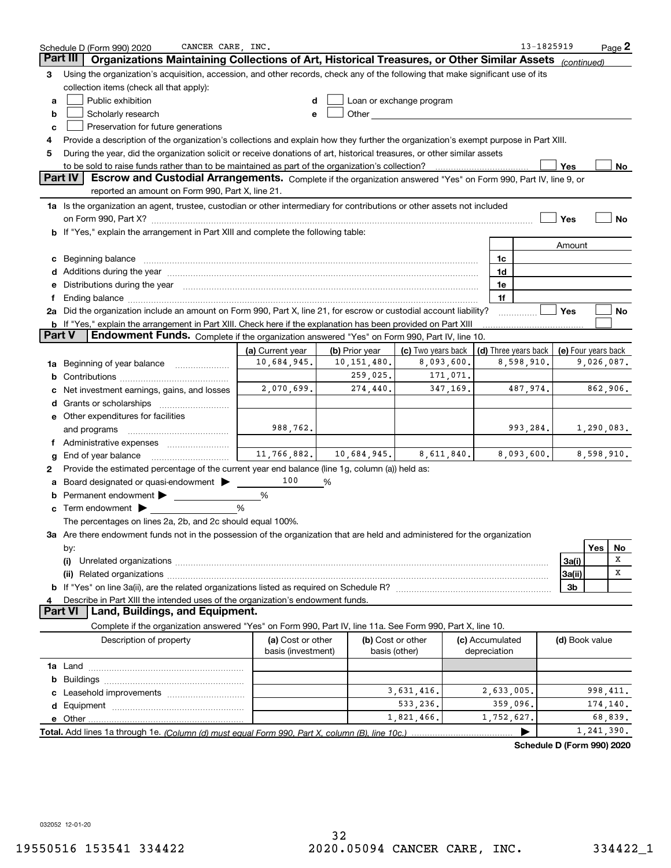|        | CANCER CARE, INC.<br>Schedule D (Form 990) 2020                                                                                                                                                                                |                                         |                |                                                                                                                                                                                                                                |                                 | 13-1825919           |                     |            | $Page$ 2 |
|--------|--------------------------------------------------------------------------------------------------------------------------------------------------------------------------------------------------------------------------------|-----------------------------------------|----------------|--------------------------------------------------------------------------------------------------------------------------------------------------------------------------------------------------------------------------------|---------------------------------|----------------------|---------------------|------------|----------|
|        | Organizations Maintaining Collections of Art, Historical Treasures, or Other Similar Assets<br>Part III                                                                                                                        |                                         |                |                                                                                                                                                                                                                                |                                 |                      | (continued)         |            |          |
| 3      | Using the organization's acquisition, accession, and other records, check any of the following that make significant use of its                                                                                                |                                         |                |                                                                                                                                                                                                                                |                                 |                      |                     |            |          |
|        | collection items (check all that apply):                                                                                                                                                                                       |                                         |                |                                                                                                                                                                                                                                |                                 |                      |                     |            |          |
| а      | Public exhibition                                                                                                                                                                                                              |                                         |                | Loan or exchange program                                                                                                                                                                                                       |                                 |                      |                     |            |          |
| b      | Scholarly research                                                                                                                                                                                                             |                                         |                | Other and the control of the control of the control of the control of the control of the control of the control of the control of the control of the control of the control of the control of the control of the control of th |                                 |                      |                     |            |          |
| с      | Preservation for future generations                                                                                                                                                                                            |                                         |                |                                                                                                                                                                                                                                |                                 |                      |                     |            |          |
| 4      | Provide a description of the organization's collections and explain how they further the organization's exempt purpose in Part XIII.                                                                                           |                                         |                |                                                                                                                                                                                                                                |                                 |                      |                     |            |          |
| 5      | During the year, did the organization solicit or receive donations of art, historical treasures, or other similar assets                                                                                                       |                                         |                |                                                                                                                                                                                                                                |                                 |                      |                     |            |          |
|        |                                                                                                                                                                                                                                |                                         |                |                                                                                                                                                                                                                                |                                 |                      | Yes                 |            | No       |
|        | Part IV<br>Escrow and Custodial Arrangements. Complete if the organization answered "Yes" on Form 990, Part IV, line 9, or                                                                                                     |                                         |                |                                                                                                                                                                                                                                |                                 |                      |                     |            |          |
|        | reported an amount on Form 990, Part X, line 21.                                                                                                                                                                               |                                         |                |                                                                                                                                                                                                                                |                                 |                      |                     |            |          |
|        | 1a Is the organization an agent, trustee, custodian or other intermediary for contributions or other assets not included                                                                                                       |                                         |                |                                                                                                                                                                                                                                |                                 |                      |                     |            |          |
|        | on Form 990, Part X? [11] matter contracts and contracts and contracts are contracted and contracts are contracted and contract and contract of the contract of the contract of the contract of the contract of the contract o |                                         |                |                                                                                                                                                                                                                                |                                 |                      | Yes                 |            | No       |
|        | b If "Yes," explain the arrangement in Part XIII and complete the following table:                                                                                                                                             |                                         |                |                                                                                                                                                                                                                                |                                 |                      |                     |            |          |
|        |                                                                                                                                                                                                                                |                                         |                |                                                                                                                                                                                                                                |                                 |                      | Amount              |            |          |
|        | c Beginning balance measurements and the contract of the contract of the contract of the contract of the contract of the contract of the contract of the contract of the contract of the contract of the contract of the contr |                                         |                |                                                                                                                                                                                                                                |                                 | 1c                   |                     |            |          |
|        |                                                                                                                                                                                                                                |                                         |                |                                                                                                                                                                                                                                |                                 | 1d                   |                     |            |          |
| е      | Distributions during the year manufactured and an account of the year manufactured with the set of the set of the set of the set of the set of the set of the set of the set of the set of the set of the set of the set of th |                                         |                |                                                                                                                                                                                                                                |                                 | 1e                   |                     |            |          |
|        | 2a Did the organization include an amount on Form 990, Part X, line 21, for escrow or custodial account liability?                                                                                                             |                                         |                |                                                                                                                                                                                                                                |                                 | 1f                   | Yes                 |            | No       |
|        | <b>b</b> If "Yes," explain the arrangement in Part XIII. Check here if the explanation has been provided on Part XIII                                                                                                          |                                         |                |                                                                                                                                                                                                                                |                                 |                      |                     |            |          |
| Part V | Endowment Funds. Complete if the organization answered "Yes" on Form 990, Part IV, line 10.                                                                                                                                    |                                         |                |                                                                                                                                                                                                                                |                                 |                      |                     |            |          |
|        |                                                                                                                                                                                                                                | (a) Current year                        | (b) Prior year | (c) Two years back                                                                                                                                                                                                             |                                 | (d) Three years back | (e) Four years back |            |          |
|        | 1a Beginning of year balance                                                                                                                                                                                                   | 10,684,945.                             | 10, 151, 480.  | 8,093,600.                                                                                                                                                                                                                     |                                 | 8,598,910.           |                     | 9,026,087. |          |
| b      |                                                                                                                                                                                                                                |                                         | 259,025.       | 171,071.                                                                                                                                                                                                                       |                                 |                      |                     |            |          |
|        | Net investment earnings, gains, and losses                                                                                                                                                                                     | 2,070,699.                              | 274,440.       | 347,169.                                                                                                                                                                                                                       |                                 | 487,974.             |                     | 862,906.   |          |
|        |                                                                                                                                                                                                                                |                                         |                |                                                                                                                                                                                                                                |                                 |                      |                     |            |          |
|        | e Other expenditures for facilities                                                                                                                                                                                            |                                         |                |                                                                                                                                                                                                                                |                                 |                      |                     |            |          |
|        | and programs                                                                                                                                                                                                                   | 988,762.                                |                |                                                                                                                                                                                                                                |                                 | 993,284.             |                     | 1,290,083. |          |
|        | f Administrative expenses                                                                                                                                                                                                      |                                         |                |                                                                                                                                                                                                                                |                                 |                      |                     |            |          |
|        | <b>g</b> End of year balance $\ldots$                                                                                                                                                                                          | 11,766,882.                             | 10,684,945.    | 8,611,840.                                                                                                                                                                                                                     |                                 | 8,093,600.           |                     | 8,598,910. |          |
| 2      | Provide the estimated percentage of the current year end balance (line 1g, column (a)) held as:                                                                                                                                |                                         |                |                                                                                                                                                                                                                                |                                 |                      |                     |            |          |
|        | Board designated or quasi-endowment                                                                                                                                                                                            | 100                                     | %              |                                                                                                                                                                                                                                |                                 |                      |                     |            |          |
|        | <b>b</b> Permanent endowment $\blacktriangleright$                                                                                                                                                                             | %                                       |                |                                                                                                                                                                                                                                |                                 |                      |                     |            |          |
|        | <b>c</b> Term endowment $\blacktriangleright$                                                                                                                                                                                  | %                                       |                |                                                                                                                                                                                                                                |                                 |                      |                     |            |          |
|        | The percentages on lines 2a, 2b, and 2c should equal 100%.                                                                                                                                                                     |                                         |                |                                                                                                                                                                                                                                |                                 |                      |                     |            |          |
|        | 3a Are there endowment funds not in the possession of the organization that are held and administered for the organization                                                                                                     |                                         |                |                                                                                                                                                                                                                                |                                 |                      |                     |            |          |
|        | by:                                                                                                                                                                                                                            |                                         |                |                                                                                                                                                                                                                                |                                 |                      |                     | Yes        | No       |
|        | (i)                                                                                                                                                                                                                            |                                         |                |                                                                                                                                                                                                                                |                                 |                      | 3a(i)               |            | х        |
|        |                                                                                                                                                                                                                                |                                         |                |                                                                                                                                                                                                                                |                                 |                      | 3a(ii)              |            | х        |
|        |                                                                                                                                                                                                                                |                                         |                |                                                                                                                                                                                                                                |                                 |                      | 3b                  |            |          |
| 4      | Describe in Part XIII the intended uses of the organization's endowment funds.                                                                                                                                                 |                                         |                |                                                                                                                                                                                                                                |                                 |                      |                     |            |          |
|        | Land, Buildings, and Equipment.<br>Part VI                                                                                                                                                                                     |                                         |                |                                                                                                                                                                                                                                |                                 |                      |                     |            |          |
|        | Complete if the organization answered "Yes" on Form 990, Part IV, line 11a. See Form 990, Part X, line 10.                                                                                                                     |                                         |                |                                                                                                                                                                                                                                |                                 |                      |                     |            |          |
|        | Description of property                                                                                                                                                                                                        | (a) Cost or other<br>basis (investment) |                | (b) Cost or other<br>basis (other)                                                                                                                                                                                             | (c) Accumulated<br>depreciation |                      | (d) Book value      |            |          |
|        |                                                                                                                                                                                                                                |                                         |                |                                                                                                                                                                                                                                |                                 |                      |                     |            |          |
| b      |                                                                                                                                                                                                                                |                                         |                |                                                                                                                                                                                                                                |                                 |                      |                     |            |          |
|        |                                                                                                                                                                                                                                |                                         |                | 3,631,416.                                                                                                                                                                                                                     |                                 | 2,633,005.           |                     | 998,411.   |          |
| d      |                                                                                                                                                                                                                                |                                         |                | 533,236.                                                                                                                                                                                                                       |                                 | 359,096.             |                     | 174,140.   |          |
|        |                                                                                                                                                                                                                                |                                         |                | 1,821,466.                                                                                                                                                                                                                     |                                 | 1,752,627.           |                     |            | 68,839.  |
|        |                                                                                                                                                                                                                                |                                         |                |                                                                                                                                                                                                                                |                                 | ▶                    |                     | 1,241,390. |          |

**Schedule D (Form 990) 2020**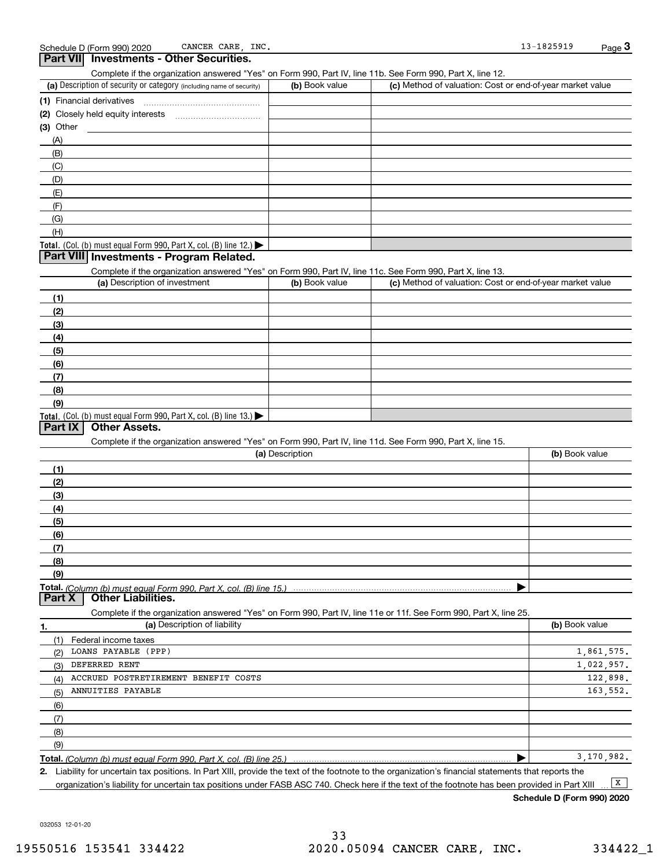|                             | Part VII Investments - Other Securities.                                                                   |                 |                                                                                                                   |                |
|-----------------------------|------------------------------------------------------------------------------------------------------------|-----------------|-------------------------------------------------------------------------------------------------------------------|----------------|
|                             | Complete if the organization answered "Yes" on Form 990, Part IV, line 11b. See Form 990, Part X, line 12. |                 |                                                                                                                   |                |
|                             | (a) Description of security or category (including name of security)                                       | (b) Book value  | (c) Method of valuation: Cost or end-of-year market value                                                         |                |
| (1) Financial derivatives   |                                                                                                            |                 |                                                                                                                   |                |
|                             |                                                                                                            |                 |                                                                                                                   |                |
| $(3)$ Other                 |                                                                                                            |                 |                                                                                                                   |                |
| (A)                         |                                                                                                            |                 |                                                                                                                   |                |
| (B)                         |                                                                                                            |                 |                                                                                                                   |                |
| (C)                         |                                                                                                            |                 |                                                                                                                   |                |
| (D)                         |                                                                                                            |                 |                                                                                                                   |                |
| (E)                         |                                                                                                            |                 |                                                                                                                   |                |
| (F)                         |                                                                                                            |                 |                                                                                                                   |                |
| (G)                         |                                                                                                            |                 |                                                                                                                   |                |
| (H)                         |                                                                                                            |                 |                                                                                                                   |                |
|                             | Total. (Col. (b) must equal Form 990, Part X, col. (B) line 12.) $\blacktriangleright$                     |                 |                                                                                                                   |                |
|                             | Part VIII Investments - Program Related.                                                                   |                 |                                                                                                                   |                |
|                             | Complete if the organization answered "Yes" on Form 990, Part IV, line 11c. See Form 990, Part X, line 13. |                 |                                                                                                                   |                |
|                             | (a) Description of investment                                                                              | (b) Book value  | (c) Method of valuation: Cost or end-of-year market value                                                         |                |
| (1)                         |                                                                                                            |                 |                                                                                                                   |                |
| (2)                         |                                                                                                            |                 |                                                                                                                   |                |
| (3)                         |                                                                                                            |                 |                                                                                                                   |                |
| (4)                         |                                                                                                            |                 |                                                                                                                   |                |
| (5)                         |                                                                                                            |                 |                                                                                                                   |                |
| (6)                         |                                                                                                            |                 |                                                                                                                   |                |
| (7)                         |                                                                                                            |                 |                                                                                                                   |                |
| (8)                         |                                                                                                            |                 |                                                                                                                   |                |
| (9)                         |                                                                                                            |                 |                                                                                                                   |                |
|                             | <b>Total.</b> (Col. (b) must equal Form 990, Part X, col. (B) line $13.$                                   |                 |                                                                                                                   |                |
| Part IX                     | <b>Other Assets.</b>                                                                                       |                 |                                                                                                                   |                |
|                             | Complete if the organization answered "Yes" on Form 990, Part IV, line 11d. See Form 990, Part X, line 15. |                 |                                                                                                                   |                |
|                             |                                                                                                            | (a) Description |                                                                                                                   | (b) Book value |
| (1)                         |                                                                                                            |                 |                                                                                                                   |                |
| (2)                         |                                                                                                            |                 |                                                                                                                   |                |
| (3)                         |                                                                                                            |                 |                                                                                                                   |                |
| (4)                         |                                                                                                            |                 |                                                                                                                   |                |
| (5)                         |                                                                                                            |                 |                                                                                                                   |                |
| (6)                         |                                                                                                            |                 |                                                                                                                   |                |
| (7)                         |                                                                                                            |                 |                                                                                                                   |                |
| (8)                         |                                                                                                            |                 |                                                                                                                   |                |
| (9)                         |                                                                                                            |                 |                                                                                                                   |                |
| Part X                      | <b>Other Liabilities.</b>                                                                                  |                 |                                                                                                                   |                |
|                             |                                                                                                            |                 | Complete if the organization answered "Yes" on Form 990, Part IV, line 11e or 11f. See Form 990, Part X, line 25. |                |
| 1.                          | (a) Description of liability                                                                               |                 |                                                                                                                   | (b) Book value |
| Federal income taxes<br>(1) |                                                                                                            |                 |                                                                                                                   |                |
| LOANS PAYABLE (PPP)<br>(2)  |                                                                                                            |                 |                                                                                                                   | 1,861,575.     |
| DEFERRED RENT<br>(3)        |                                                                                                            |                 |                                                                                                                   | 1,022,957.     |
| (4)                         | ACCRUED POSTRETIREMENT BENEFIT COSTS                                                                       |                 |                                                                                                                   | 122,898.       |
| ANNUITIES PAYABLE<br>(5)    |                                                                                                            |                 |                                                                                                                   | 163,552.       |
| (6)                         |                                                                                                            |                 |                                                                                                                   |                |
| (7)                         |                                                                                                            |                 |                                                                                                                   |                |
| (8)                         |                                                                                                            |                 |                                                                                                                   |                |
| (9)                         |                                                                                                            |                 |                                                                                                                   |                |
|                             |                                                                                                            |                 | ▶                                                                                                                 | 3,170,982.     |

**2.** Liability for uncertain tax positions. In Part XIII, provide the text of the footnote to the organization's financial statements that reports the

032053 12-01-20

organization's liability for uncertain tax positions under FASB ASC 740. Check here if the text of the footnote has been provided in Part XIII  $\boxed{\mathbf{X}}$ 

**Schedule D (Form 990) 2020**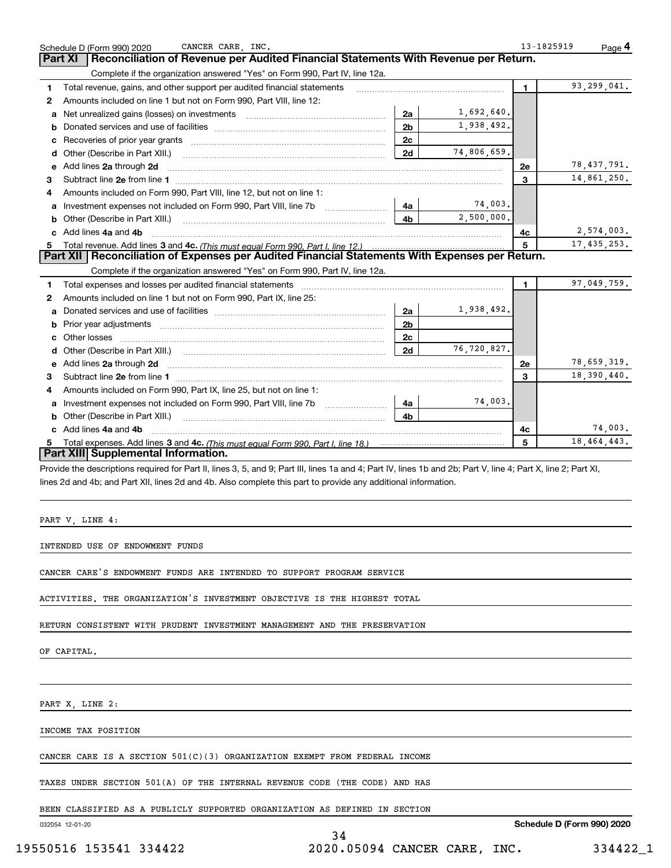|   | CANCER CARE, INC.<br>Schedule D (Form 990) 2020                                                                                                                |                |             | 13-1825919   | Page 4        |
|---|----------------------------------------------------------------------------------------------------------------------------------------------------------------|----------------|-------------|--------------|---------------|
|   | Reconciliation of Revenue per Audited Financial Statements With Revenue per Return.<br>Part XI                                                                 |                |             |              |               |
|   | Complete if the organization answered "Yes" on Form 990, Part IV, line 12a.                                                                                    |                |             |              |               |
| 1 | Total revenue, gains, and other support per audited financial statements                                                                                       |                |             | $\mathbf{1}$ | 93,299,041.   |
| 2 | Amounts included on line 1 but not on Form 990, Part VIII, line 12:                                                                                            |                |             |              |               |
| a | Net unrealized gains (losses) on investments [11] matter contracts and the unrealized gains (losses) on investments                                            | 2a             | 1,692,640.  |              |               |
| b |                                                                                                                                                                | 2 <sub>b</sub> | 1,938,492.  |              |               |
| с |                                                                                                                                                                | 2c             |             |              |               |
| d | Other (Describe in Part XIII.)                                                                                                                                 | 2d             | 74,806,659. |              |               |
| е | Add lines 2a through 2d                                                                                                                                        |                |             | <b>2e</b>    | 78,437,791.   |
| з |                                                                                                                                                                |                |             | 3            | 14,861,250.   |
| 4 | Amounts included on Form 990, Part VIII, line 12, but not on line 1:                                                                                           |                |             |              |               |
| а |                                                                                                                                                                | 4a             | 74,003.     |              |               |
| b | Other (Describe in Part XIII.)                                                                                                                                 | 4b             | 2,500,000.  |              |               |
|   | Add lines 4a and 4b                                                                                                                                            |                |             | 4c           | 2,574,003.    |
| 5 |                                                                                                                                                                |                |             | 5            | 17, 435, 253. |
|   | Part XII   Reconciliation of Expenses per Audited Financial Statements With Expenses per Return.                                                               |                |             |              |               |
|   | Complete if the organization answered "Yes" on Form 990, Part IV, line 12a.                                                                                    |                |             |              |               |
| 1 | Total expenses and losses per audited financial statements                                                                                                     |                |             | $\mathbf{1}$ | 97,049,759.   |
| 2 | Amounts included on line 1 but not on Form 990, Part IX, line 25:                                                                                              |                |             |              |               |
| a |                                                                                                                                                                | 2a             | 1,938,492.  |              |               |
| b |                                                                                                                                                                | 2 <sub>b</sub> |             |              |               |
| с |                                                                                                                                                                | 2c             |             |              |               |
|   |                                                                                                                                                                | 2d             | 76,720,827. |              |               |
| е | Add lines 2a through 2d                                                                                                                                        |                |             | 2e           | 78,659,319.   |
| 3 |                                                                                                                                                                |                |             | 3            | 18,390,440.   |
| 4 | Amounts included on Form 990, Part IX, line 25, but not on line 1:                                                                                             |                |             |              |               |
| a |                                                                                                                                                                | 4а             | 74,003.     |              |               |
| b |                                                                                                                                                                | 4b             |             |              |               |
|   | c Add lines 4a and 4b                                                                                                                                          |                |             | 4с           | 74,003.       |
|   |                                                                                                                                                                |                |             | 5            | 18, 464, 443. |
|   | Part XIII Supplemental Information.                                                                                                                            |                |             |              |               |
|   | Provide the descriptions required for Part II, lines 3, 5, and 9; Part III, lines 1a and 4; Part IV, lines 1b and 2b; Part V, line 4; Part X, line 2; Part XI, |                |             |              |               |
|   | lines 2d and 4b; and Part XII, lines 2d and 4b. Also complete this part to provide any additional information.                                                 |                |             |              |               |
|   |                                                                                                                                                                |                |             |              |               |
|   |                                                                                                                                                                |                |             |              |               |
|   | PART V, LINE 4:                                                                                                                                                |                |             |              |               |
|   |                                                                                                                                                                |                |             |              |               |
|   | INTENDED USE OF ENDOWMENT FUNDS                                                                                                                                |                |             |              |               |

CANCER CARE'S ENDOWMENT FUNDS ARE INTENDED TO SUPPORT PROGRAM SERVICE

ACTIVITIES. THE ORGANIZATION'S INVESTMENT OBJECTIVE IS THE HIGHEST TOTAL

RETURN CONSISTENT WITH PRUDENT INVESTMENT MANAGEMENT AND THE PRESERVATION

OF CAPITAL.

PART X, LINE 2:

INCOME TAX POSITION

CANCER CARE IS A SECTION 501(C)(3) ORGANIZATION EXEMPT FROM FEDERAL INCOME

TAXES UNDER SECTION 501(A) OF THE INTERNAL REVENUE CODE (THE CODE) AND HAS

BEEN CLASSIFIED AS A PUBLICLY SUPPORTED ORGANIZATION AS DEFINED IN SECTION

032054 12-01-20

**Schedule D (Form 990) 2020**

34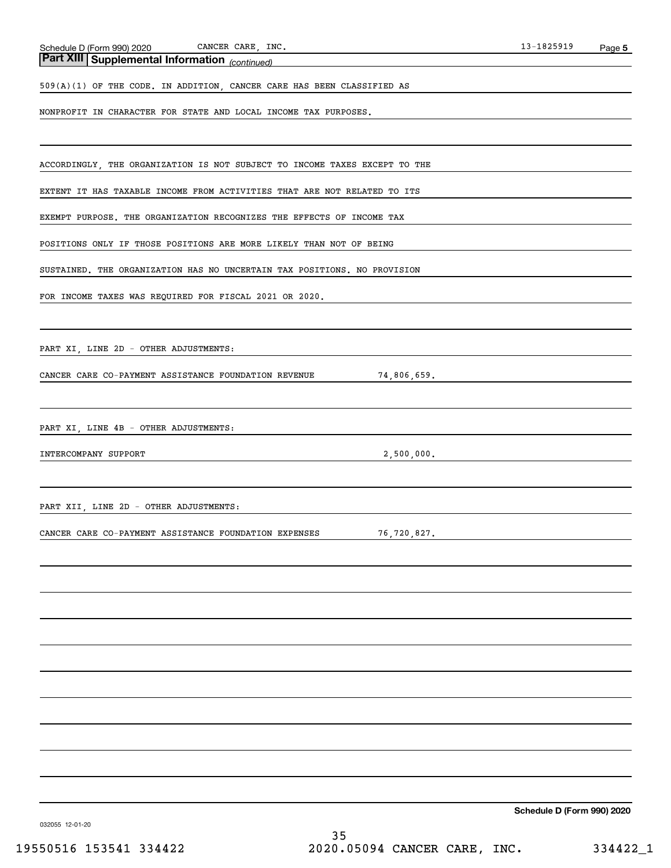*(continued)* **Part XIII Supplemental Information** 

509(A)(1) OF THE CODE. IN ADDITION, CANCER CARE HAS BEEN CLASSIFIED AS

NONPROFIT IN CHARACTER FOR STATE AND LOCAL INCOME TAX PURPOSES.

ACCORDINGLY, THE ORGANIZATION IS NOT SUBJECT TO INCOME TAXES EXCEPT TO THE

EXTENT IT HAS TAXABLE INCOME FROM ACTIVITIES THAT ARE NOT RELATED TO ITS

EXEMPT PURPOSE. THE ORGANIZATION RECOGNIZES THE EFFECTS OF INCOME TAX

POSITIONS ONLY IF THOSE POSITIONS ARE MORE LIKELY THAN NOT OF BEING

SUSTAINED. THE ORGANIZATION HAS NO UNCERTAIN TAX POSITIONS. NO PROVISION

FOR INCOME TAXES WAS REQUIRED FOR FISCAL 2021 OR 2020.

PART XI, LINE 2D - OTHER ADJUSTMENTS:

CANCER CARE CO-PAYMENT ASSISTANCE FOUNDATION REVENUE 74,806,659.

PART XI, LINE 4B - OTHER ADJUSTMENTS:

INTERCOMPANY SUPPORT 2,500,000.

PART XII, LINE 2D - OTHER ADJUSTMENTS:

CANCER CARE CO-PAYMENT ASSISTANCE FOUNDATION EXPENSES 76,720,827.

**Schedule D (Form 990) 2020**

032055 12-01-20

35 19550516 153541 334422 2020.05094 CANCER CARE, INC. 334422\_1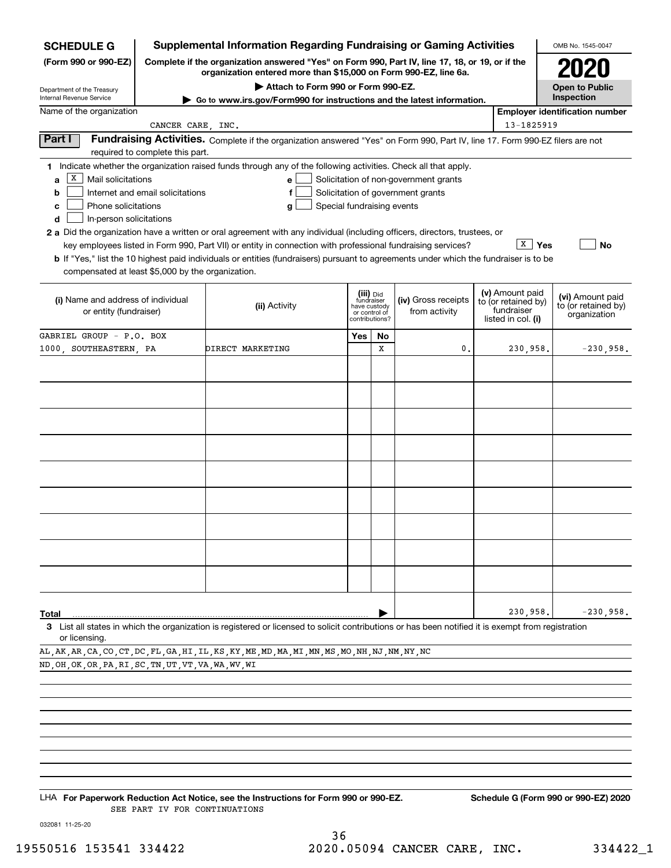| <b>SCHEDULE G</b>                                                                             |                                  | <b>Supplemental Information Regarding Fundraising or Gaming Activities</b>                                                                                                                                                                                                                                                                                                                                                                                                                                                                         |     |                                                                            |                                                                            |                                                                            | OMB No. 1545-0047                                       |
|-----------------------------------------------------------------------------------------------|----------------------------------|----------------------------------------------------------------------------------------------------------------------------------------------------------------------------------------------------------------------------------------------------------------------------------------------------------------------------------------------------------------------------------------------------------------------------------------------------------------------------------------------------------------------------------------------------|-----|----------------------------------------------------------------------------|----------------------------------------------------------------------------|----------------------------------------------------------------------------|---------------------------------------------------------|
| (Form 990 or 990-EZ)                                                                          |                                  | Complete if the organization answered "Yes" on Form 990, Part IV, line 17, 18, or 19, or if the<br>organization entered more than \$15,000 on Form 990-EZ, line 6a.                                                                                                                                                                                                                                                                                                                                                                                |     |                                                                            |                                                                            |                                                                            |                                                         |
| Department of the Treasury                                                                    |                                  | Attach to Form 990 or Form 990-EZ.                                                                                                                                                                                                                                                                                                                                                                                                                                                                                                                 |     |                                                                            |                                                                            |                                                                            | <b>Open to Public</b>                                   |
| Internal Revenue Service<br>Name of the organization                                          |                                  | Go to www.irs.gov/Form990 for instructions and the latest information.                                                                                                                                                                                                                                                                                                                                                                                                                                                                             |     |                                                                            |                                                                            |                                                                            | Inspection<br><b>Employer identification number</b>     |
|                                                                                               | CANCER CARE, INC.                |                                                                                                                                                                                                                                                                                                                                                                                                                                                                                                                                                    |     |                                                                            |                                                                            | 13-1825919                                                                 |                                                         |
| Part I                                                                                        | required to complete this part.  | Fundraising Activities. Complete if the organization answered "Yes" on Form 990, Part IV, line 17. Form 990-EZ filers are not                                                                                                                                                                                                                                                                                                                                                                                                                      |     |                                                                            |                                                                            |                                                                            |                                                         |
| х<br>Mail solicitations<br>a<br>b<br>Phone solicitations<br>c<br>In-person solicitations<br>d | Internet and email solicitations | 1 Indicate whether the organization raised funds through any of the following activities. Check all that apply.<br>e<br>f<br>Special fundraising events<br>g<br>2 a Did the organization have a written or oral agreement with any individual (including officers, directors, trustees, or<br>key employees listed in Form 990, Part VII) or entity in connection with professional fundraising services?<br>b If "Yes," list the 10 highest paid individuals or entities (fundraisers) pursuant to agreements under which the fundraiser is to be |     |                                                                            | Solicitation of non-government grants<br>Solicitation of government grants | x<br>Yes                                                                   | <b>No</b>                                               |
| compensated at least \$5,000 by the organization.                                             |                                  |                                                                                                                                                                                                                                                                                                                                                                                                                                                                                                                                                    |     |                                                                            |                                                                            |                                                                            |                                                         |
| (i) Name and address of individual<br>or entity (fundraiser)                                  |                                  | (ii) Activity                                                                                                                                                                                                                                                                                                                                                                                                                                                                                                                                      |     | (iii) Did<br>fundraiser<br>have custody<br>or control of<br>contributions? | (iv) Gross receipts<br>from activity                                       | (v) Amount paid<br>to (or retained by)<br>fundraiser<br>listed in col. (i) | (vi) Amount paid<br>to (or retained by)<br>organization |
| GABRIEL GROUP - P.O. BOX                                                                      |                                  |                                                                                                                                                                                                                                                                                                                                                                                                                                                                                                                                                    | Yes | No                                                                         |                                                                            |                                                                            |                                                         |
| 1000 SOUTHEASTERN PA                                                                          |                                  | DIRECT MARKETING                                                                                                                                                                                                                                                                                                                                                                                                                                                                                                                                   |     | x                                                                          | 0.                                                                         | 230,958.                                                                   | $-230,958.$                                             |
|                                                                                               |                                  |                                                                                                                                                                                                                                                                                                                                                                                                                                                                                                                                                    |     |                                                                            |                                                                            |                                                                            |                                                         |
|                                                                                               |                                  |                                                                                                                                                                                                                                                                                                                                                                                                                                                                                                                                                    |     |                                                                            |                                                                            |                                                                            |                                                         |
|                                                                                               |                                  |                                                                                                                                                                                                                                                                                                                                                                                                                                                                                                                                                    |     |                                                                            |                                                                            |                                                                            |                                                         |
|                                                                                               |                                  |                                                                                                                                                                                                                                                                                                                                                                                                                                                                                                                                                    |     |                                                                            |                                                                            |                                                                            |                                                         |
|                                                                                               |                                  |                                                                                                                                                                                                                                                                                                                                                                                                                                                                                                                                                    |     |                                                                            |                                                                            |                                                                            |                                                         |
|                                                                                               |                                  |                                                                                                                                                                                                                                                                                                                                                                                                                                                                                                                                                    |     |                                                                            |                                                                            |                                                                            |                                                         |
|                                                                                               |                                  |                                                                                                                                                                                                                                                                                                                                                                                                                                                                                                                                                    |     |                                                                            |                                                                            |                                                                            |                                                         |
|                                                                                               |                                  |                                                                                                                                                                                                                                                                                                                                                                                                                                                                                                                                                    |     |                                                                            |                                                                            |                                                                            |                                                         |
|                                                                                               |                                  |                                                                                                                                                                                                                                                                                                                                                                                                                                                                                                                                                    |     |                                                                            |                                                                            |                                                                            |                                                         |
|                                                                                               |                                  |                                                                                                                                                                                                                                                                                                                                                                                                                                                                                                                                                    |     |                                                                            |                                                                            |                                                                            |                                                         |
| Total                                                                                         |                                  |                                                                                                                                                                                                                                                                                                                                                                                                                                                                                                                                                    |     |                                                                            |                                                                            | 230,958.                                                                   | $-230,958.$                                             |
| or licensing.                                                                                 |                                  | 3 List all states in which the organization is registered or licensed to solicit contributions or has been notified it is exempt from registration                                                                                                                                                                                                                                                                                                                                                                                                 |     |                                                                            |                                                                            |                                                                            |                                                         |

AL,AK,AR,CA,CO,CT,DC,FL,GA,HI,IL,KS,KY,ME,MD,MA,MI,MN,MS,MO,NH,NJ,NM,NY,NC ND,OH,OK,OR,PA,RI,SC,TN,UT,VT,VA,WA,WV,WI

LHA For Paperwork Reduction Act Notice, see the Instructions for Form 990 or 990-EZ. Schedule G (Form 990 or 990-EZ) 2020 SEE PART IV FOR CONTINUATIONS

032081 11-25-20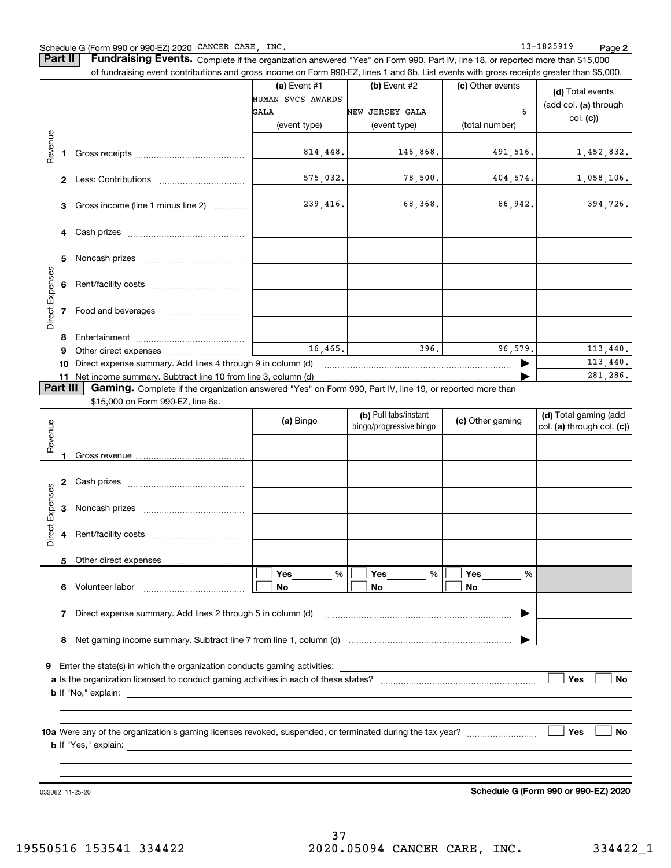#### Schedule G (Form 990 or 990-EZ) 2020 CANCER CARE,INC. 13-1825919 Page

**Part II** | Fundraising Events. Complete if the organization answered "Yes" on Form 990, Part IV, line 18, or reported more than \$15,000

|                 |          | of fundraising event contributions and gross income on Form 990-EZ, lines 1 and 6b. List events with gross receipts greater than \$5,000. |                   |                         |                  |                            |
|-----------------|----------|-------------------------------------------------------------------------------------------------------------------------------------------|-------------------|-------------------------|------------------|----------------------------|
|                 |          |                                                                                                                                           | (a) Event #1      | (b) Event #2            | (c) Other events | (d) Total events           |
|                 |          |                                                                                                                                           | HUMAN SVCS AWARDS |                         |                  | (add col. (a) through      |
|                 |          |                                                                                                                                           | GALA              | NEW JERSEY GALA         | 6                | col. (c)                   |
|                 |          |                                                                                                                                           | (event type)      | (event type)            | (total number)   |                            |
| Revenue         |          |                                                                                                                                           |                   |                         |                  |                            |
|                 |          |                                                                                                                                           | 814,448.          | 146,868.                | 491,516.         | 1,452,832.                 |
|                 |          |                                                                                                                                           |                   |                         |                  |                            |
|                 |          |                                                                                                                                           | 575,032.          | 78,500.                 | 404, 574.        | 1,058,106.                 |
|                 |          |                                                                                                                                           |                   |                         |                  |                            |
|                 | 3        | Gross income (line 1 minus line 2)                                                                                                        | 239,416.          | 68,368.                 | 86,942.          | 394,726.                   |
|                 |          |                                                                                                                                           |                   |                         |                  |                            |
|                 |          |                                                                                                                                           |                   |                         |                  |                            |
|                 |          |                                                                                                                                           |                   |                         |                  |                            |
|                 | 5        |                                                                                                                                           |                   |                         |                  |                            |
| Direct Expenses |          |                                                                                                                                           |                   |                         |                  |                            |
|                 |          |                                                                                                                                           |                   |                         |                  |                            |
|                 |          |                                                                                                                                           |                   |                         |                  |                            |
|                 |          |                                                                                                                                           |                   |                         |                  |                            |
|                 |          |                                                                                                                                           |                   |                         |                  |                            |
|                 | 8<br>9   |                                                                                                                                           | 16, 465.          | 396.                    | 96.579.          | 113,440.                   |
|                 | 10       | Direct expense summary. Add lines 4 through 9 in column (d)                                                                               |                   |                         |                  | 113,440.                   |
|                 | 11       | Net income summary. Subtract line 10 from line 3, column (d)                                                                              |                   |                         |                  | 281,286.                   |
|                 | Part III | Gaming. Complete if the organization answered "Yes" on Form 990, Part IV, line 19, or reported more than                                  |                   |                         |                  |                            |
|                 |          | \$15,000 on Form 990-EZ, line 6a.                                                                                                         |                   |                         |                  |                            |
|                 |          |                                                                                                                                           | (a) Bingo         | (b) Pull tabs/instant   | (c) Other gaming | (d) Total gaming (add      |
| Revenue         |          |                                                                                                                                           |                   | bingo/progressive bingo |                  | col. (a) through col. (c)) |
|                 |          |                                                                                                                                           |                   |                         |                  |                            |
|                 | 1        |                                                                                                                                           |                   |                         |                  |                            |
|                 |          |                                                                                                                                           |                   |                         |                  |                            |
|                 |          |                                                                                                                                           |                   |                         |                  |                            |
| Expenses        |          |                                                                                                                                           |                   |                         |                  |                            |
|                 |          |                                                                                                                                           |                   |                         |                  |                            |
|                 |          |                                                                                                                                           |                   |                         |                  |                            |
| <b>Direct</b>   |          |                                                                                                                                           |                   |                         |                  |                            |
|                 |          |                                                                                                                                           |                   |                         |                  |                            |
|                 |          | Other direct expenses                                                                                                                     |                   |                         |                  |                            |
|                 |          | 6 Volunteer labor                                                                                                                         | Yes<br>$\%$<br>No | Yes<br>%<br>No          | Yes<br>%<br>No   |                            |
|                 |          |                                                                                                                                           |                   |                         |                  |                            |
|                 |          | 7 Direct expense summary. Add lines 2 through 5 in column (d)                                                                             |                   |                         |                  |                            |
|                 |          |                                                                                                                                           |                   |                         |                  |                            |
|                 | 8        |                                                                                                                                           |                   |                         |                  |                            |
|                 |          |                                                                                                                                           |                   |                         |                  |                            |
|                 |          |                                                                                                                                           |                   |                         |                  |                            |
|                 |          |                                                                                                                                           |                   |                         |                  | Yes<br>No                  |
|                 |          |                                                                                                                                           |                   |                         |                  |                            |
|                 |          |                                                                                                                                           |                   |                         |                  |                            |
|                 |          |                                                                                                                                           |                   |                         |                  |                            |
|                 |          |                                                                                                                                           |                   |                         |                  | Yes<br>No                  |
|                 |          |                                                                                                                                           |                   |                         |                  |                            |
|                 |          |                                                                                                                                           |                   |                         |                  |                            |
|                 |          |                                                                                                                                           |                   |                         |                  |                            |

032082 11-25-20

**Schedule G (Form 990 or 990-EZ) 2020**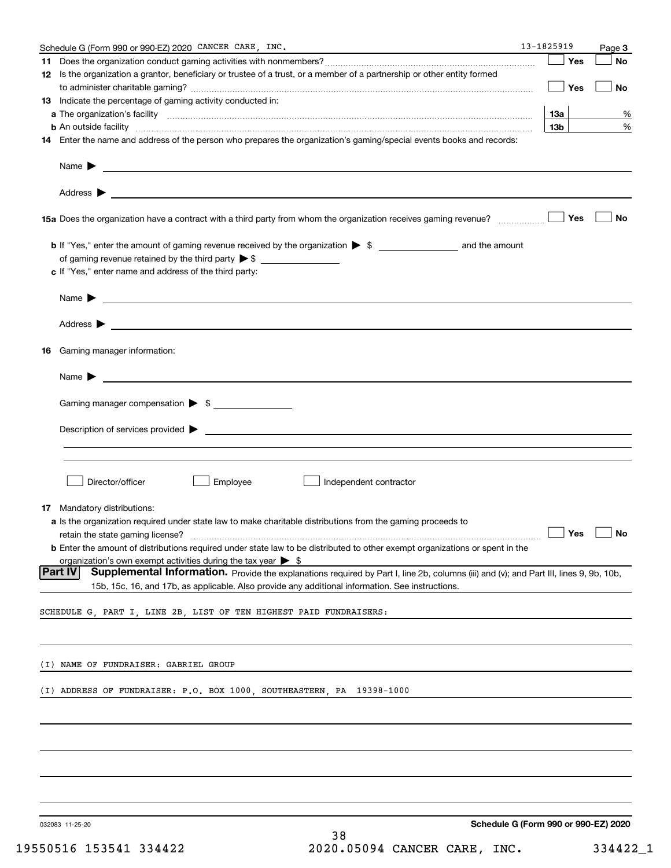|    | Schedule G (Form 990 or 990-EZ) 2020 CANCER CARE, INC.                                                                                                                                                                             | 13-1825919      |     | Page 3                                             |
|----|------------------------------------------------------------------------------------------------------------------------------------------------------------------------------------------------------------------------------------|-----------------|-----|----------------------------------------------------|
|    |                                                                                                                                                                                                                                    |                 | Yes | No                                                 |
|    | 12 Is the organization a grantor, beneficiary or trustee of a trust, or a member of a partnership or other entity formed                                                                                                           |                 | Yes | No                                                 |
|    | 13 Indicate the percentage of gaming activity conducted in:                                                                                                                                                                        |                 |     |                                                    |
|    |                                                                                                                                                                                                                                    | 13а             |     | %                                                  |
|    | <b>b</b> An outside facility <i>www.communicality www.communicality.communicality www.communicality www.communicality.communicality www.communicality.com</i>                                                                      | 13 <sub>b</sub> |     | %                                                  |
|    | 14 Enter the name and address of the person who prepares the organization's gaming/special events books and records:                                                                                                               |                 |     |                                                    |
|    | Name $\blacktriangleright$<br><u> 1989 - Johann Stein, marwolaethau a bhann an t-Amhainn an t-Amhainn an t-Amhainn an t-Amhainn an t-Amhainn an</u>                                                                                |                 |     |                                                    |
|    |                                                                                                                                                                                                                                    |                 |     |                                                    |
|    |                                                                                                                                                                                                                                    |                 | Yes | No                                                 |
|    |                                                                                                                                                                                                                                    |                 |     |                                                    |
|    |                                                                                                                                                                                                                                    |                 |     |                                                    |
|    | c If "Yes," enter name and address of the third party:                                                                                                                                                                             |                 |     |                                                    |
|    | Name $\blacktriangleright$ $\bot$                                                                                                                                                                                                  |                 |     |                                                    |
|    |                                                                                                                                                                                                                                    |                 |     |                                                    |
| 16 | Gaming manager information:                                                                                                                                                                                                        |                 |     |                                                    |
|    |                                                                                                                                                                                                                                    |                 |     |                                                    |
|    | $Name \rightarrow$                                                                                                                                                                                                                 |                 |     |                                                    |
|    | Gaming manager compensation > \$                                                                                                                                                                                                   |                 |     |                                                    |
|    | $\blacksquare$ Description of services provided $\blacktriangleright$                                                                                                                                                              |                 |     |                                                    |
|    |                                                                                                                                                                                                                                    |                 |     |                                                    |
|    |                                                                                                                                                                                                                                    |                 |     |                                                    |
|    | Director/officer<br>Employee<br>Independent contractor                                                                                                                                                                             |                 |     |                                                    |
|    | <b>17</b> Mandatory distributions:                                                                                                                                                                                                 |                 |     |                                                    |
|    | a Is the organization required under state law to make charitable distributions from the gaming proceeds to                                                                                                                        |                 |     |                                                    |
|    | retain the state gaming license?                                                                                                                                                                                                   |                 |     | $\boxed{\phantom{1}}$ Yes $\boxed{\phantom{1}}$ No |
|    | <b>b</b> Enter the amount of distributions required under state law to be distributed to other exempt organizations or spent in the                                                                                                |                 |     |                                                    |
|    | organization's own exempt activities during the tax year $\triangleright$ \$<br> Part IV<br>Supplemental Information. Provide the explanations required by Part I, line 2b, columns (iii) and (v); and Part III, lines 9, 9b, 10b, |                 |     |                                                    |
|    | 15b, 15c, 16, and 17b, as applicable. Also provide any additional information. See instructions.                                                                                                                                   |                 |     |                                                    |
|    |                                                                                                                                                                                                                                    |                 |     |                                                    |
|    | SCHEDULE G, PART I, LINE 2B, LIST OF TEN HIGHEST PAID FUNDRAISERS:                                                                                                                                                                 |                 |     |                                                    |
|    |                                                                                                                                                                                                                                    |                 |     |                                                    |
|    | (I) NAME OF FUNDRAISER: GABRIEL GROUP                                                                                                                                                                                              |                 |     |                                                    |
|    | (I) ADDRESS OF FUNDRAISER: P.O. BOX 1000, SOUTHEASTERN, PA 19398-1000                                                                                                                                                              |                 |     |                                                    |
|    |                                                                                                                                                                                                                                    |                 |     |                                                    |
|    |                                                                                                                                                                                                                                    |                 |     |                                                    |
|    |                                                                                                                                                                                                                                    |                 |     |                                                    |
|    |                                                                                                                                                                                                                                    |                 |     |                                                    |
|    |                                                                                                                                                                                                                                    |                 |     |                                                    |
|    | Schedule G (Form 990 or 990-EZ) 2020<br>032083 11-25-20<br>38                                                                                                                                                                      |                 |     |                                                    |

| 334422                       |
|------------------------------|
| 2020.05094 CANCER CARE, INC. |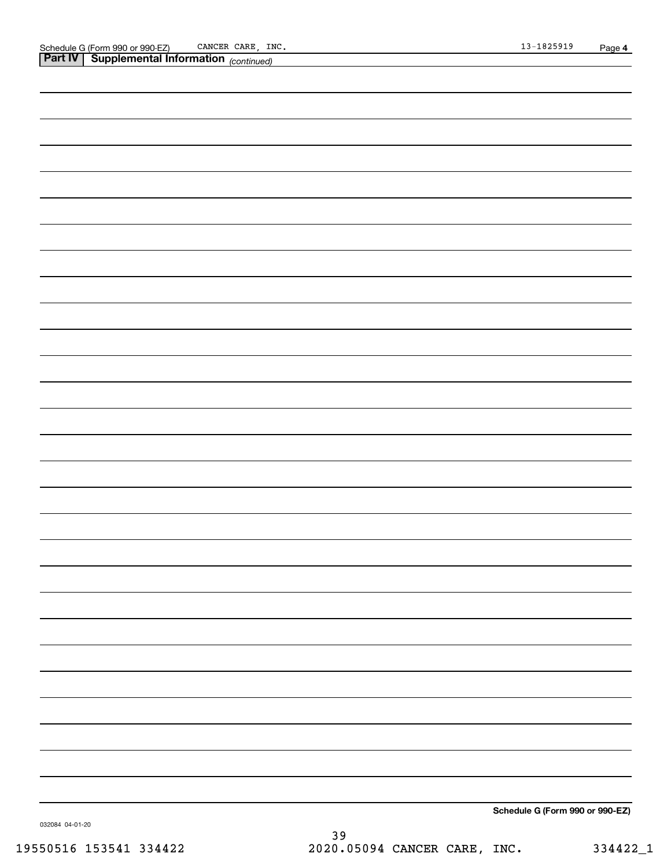*(continued)*

| Schedule G (Form 990 or 990-EZ) |
|---------------------------------|

032084 04-01-20

**Schedule G (Form 990 or 990-EZ)**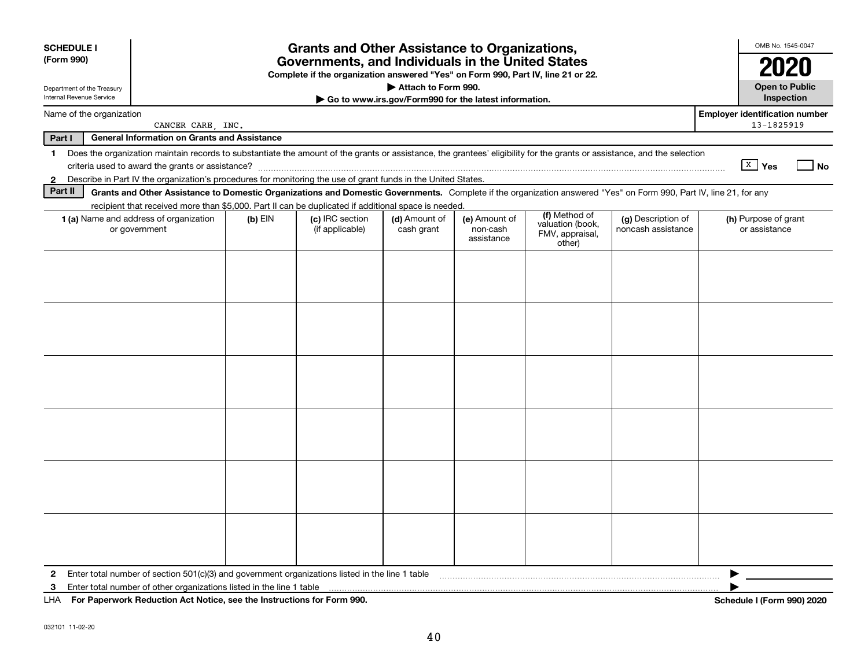| <b>SCHEDULE I</b><br>(Form 990)                        | <b>Grants and Other Assistance to Organizations,</b><br>Governments, and Individuals in the United States<br>Complete if the organization answered "Yes" on Form 990, Part IV, line 21 or 22. |           |                                    |                                                       |                                         |                                               |                                          |                                       |
|--------------------------------------------------------|-----------------------------------------------------------------------------------------------------------------------------------------------------------------------------------------------|-----------|------------------------------------|-------------------------------------------------------|-----------------------------------------|-----------------------------------------------|------------------------------------------|---------------------------------------|
| Department of the Treasury<br>Internal Revenue Service |                                                                                                                                                                                               |           |                                    | Attach to Form 990.                                   |                                         |                                               |                                          | <b>Open to Public</b><br>Inspection   |
| Name of the organization                               |                                                                                                                                                                                               |           |                                    | Go to www.irs.gov/Form990 for the latest information. |                                         |                                               |                                          | <b>Employer identification number</b> |
|                                                        | CANCER CARE, INC.                                                                                                                                                                             |           |                                    |                                                       |                                         |                                               |                                          | 13-1825919                            |
| Part I                                                 | <b>General Information on Grants and Assistance</b>                                                                                                                                           |           |                                    |                                                       |                                         |                                               |                                          |                                       |
| 1.                                                     | Does the organization maintain records to substantiate the amount of the grants or assistance, the grantees' eligibility for the grants or assistance, and the selection                      |           |                                    |                                                       |                                         |                                               |                                          | $\sqrt{X}$ Yes<br>No.                 |
| $\mathbf{2}$                                           | Describe in Part IV the organization's procedures for monitoring the use of grant funds in the United States.                                                                                 |           |                                    |                                                       |                                         |                                               |                                          |                                       |
| Part II                                                | Grants and Other Assistance to Domestic Organizations and Domestic Governments. Complete if the organization answered "Yes" on Form 990, Part IV, line 21, for any                            |           |                                    |                                                       |                                         |                                               |                                          |                                       |
|                                                        | recipient that received more than \$5,000. Part II can be duplicated if additional space is needed.                                                                                           |           |                                    |                                                       |                                         | (f) Method of                                 |                                          |                                       |
|                                                        | 1 (a) Name and address of organization<br>or government                                                                                                                                       | $(b)$ EIN | (c) IRC section<br>(if applicable) | (d) Amount of<br>cash grant                           | (e) Amount of<br>non-cash<br>assistance | valuation (book,<br>FMV, appraisal,<br>other) | (g) Description of<br>noncash assistance | (h) Purpose of grant<br>or assistance |
|                                                        |                                                                                                                                                                                               |           |                                    |                                                       |                                         |                                               |                                          |                                       |
|                                                        |                                                                                                                                                                                               |           |                                    |                                                       |                                         |                                               |                                          |                                       |
|                                                        |                                                                                                                                                                                               |           |                                    |                                                       |                                         |                                               |                                          |                                       |
|                                                        |                                                                                                                                                                                               |           |                                    |                                                       |                                         |                                               |                                          |                                       |
|                                                        |                                                                                                                                                                                               |           |                                    |                                                       |                                         |                                               |                                          |                                       |
|                                                        |                                                                                                                                                                                               |           |                                    |                                                       |                                         |                                               |                                          |                                       |
|                                                        |                                                                                                                                                                                               |           |                                    |                                                       |                                         |                                               |                                          |                                       |
|                                                        |                                                                                                                                                                                               |           |                                    |                                                       |                                         |                                               |                                          |                                       |
|                                                        |                                                                                                                                                                                               |           |                                    |                                                       |                                         |                                               |                                          |                                       |
|                                                        |                                                                                                                                                                                               |           |                                    |                                                       |                                         |                                               |                                          |                                       |
|                                                        |                                                                                                                                                                                               |           |                                    |                                                       |                                         |                                               |                                          |                                       |
|                                                        |                                                                                                                                                                                               |           |                                    |                                                       |                                         |                                               |                                          |                                       |
| $\mathbf{2}$                                           | Enter total number of section 501(c)(3) and government organizations listed in the line 1 table                                                                                               |           |                                    |                                                       |                                         |                                               |                                          |                                       |
| 3                                                      | Enter total number of other organizations listed in the line 1 table                                                                                                                          |           |                                    |                                                       |                                         |                                               |                                          |                                       |
| LHA.                                                   | For Paperwork Reduction Act Notice, see the Instructions for Form 990.                                                                                                                        |           |                                    |                                                       |                                         |                                               |                                          | Schedule I (Form 990) 2020            |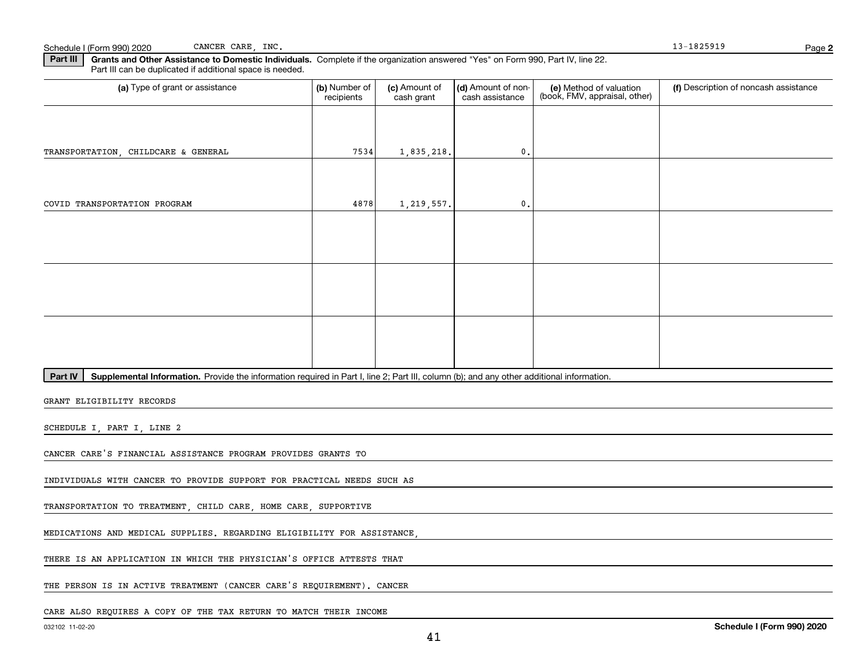Schedule I (Form 990) 2020 Page CANCER CARE, INC.

**2**

**Part III | Grants and Other Assistance to Domestic Individuals. Complete if the organization answered "Yes" on Form 990, Part IV, line 22.** Part III can be duplicated if additional space is needed.

| (a) Type of grant or assistance                                                                                                                      | (b) Number of<br>recipients | (c) Amount of<br>cash grant | (d) Amount of non-<br>cash assistance | (e) Method of valuation<br>(book, FMV, appraisal, other) | (f) Description of noncash assistance |
|------------------------------------------------------------------------------------------------------------------------------------------------------|-----------------------------|-----------------------------|---------------------------------------|----------------------------------------------------------|---------------------------------------|
|                                                                                                                                                      |                             |                             |                                       |                                                          |                                       |
| TRANSPORTATION, CHILDCARE & GENERAL                                                                                                                  | 7534                        | 1,835,218.                  | 0.                                    |                                                          |                                       |
|                                                                                                                                                      |                             |                             |                                       |                                                          |                                       |
| COVID TRANSPORTATION PROGRAM                                                                                                                         | 4878                        | 1,219,557.                  | 0.                                    |                                                          |                                       |
|                                                                                                                                                      |                             |                             |                                       |                                                          |                                       |
|                                                                                                                                                      |                             |                             |                                       |                                                          |                                       |
|                                                                                                                                                      |                             |                             |                                       |                                                          |                                       |
|                                                                                                                                                      |                             |                             |                                       |                                                          |                                       |
|                                                                                                                                                      |                             |                             |                                       |                                                          |                                       |
|                                                                                                                                                      |                             |                             |                                       |                                                          |                                       |
| Supplemental Information. Provide the information required in Part I, line 2; Part III, column (b); and any other additional information.<br>Part IV |                             |                             |                                       |                                                          |                                       |
| GRANT ELIGIBILITY RECORDS                                                                                                                            |                             |                             |                                       |                                                          |                                       |
| SCHEDULE I, PART I, LINE 2                                                                                                                           |                             |                             |                                       |                                                          |                                       |
| CANCER CARE'S FINANCIAL ASSISTANCE PROGRAM PROVIDES GRANTS TO                                                                                        |                             |                             |                                       |                                                          |                                       |

INDIVIDUALS WITH CANCER TO PROVIDE SUPPORT FOR PRACTICAL NEEDS SUCH AS

TRANSPORTATION TO TREATMENT, CHILD CARE, HOME CARE, SUPPORTIVE

MEDICATIONS AND MEDICAL SUPPLIES. REGARDING ELIGIBILITY FOR ASSISTANCE,

THERE IS AN APPLICATION IN WHICH THE PHYSICIAN'S OFFICE ATTESTS THAT

THE PERSON IS IN ACTIVE TREATMENT (CANCER CARE'S REQUIREMENT). CANCER

CARE ALSO REQUIRES A COPY OF THE TAX RETURN TO MATCH THEIR INCOME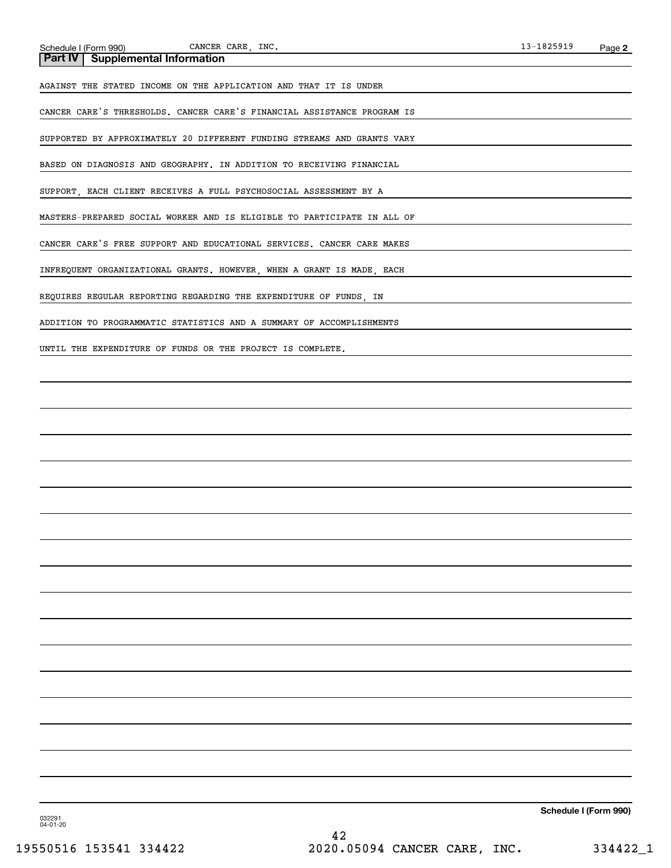CANCER CARE, INC.

AGAINST THE STATED INCOME ON THE APPLICATION AND THAT IT IS UNDER

CANCER CARE'S THRESHOLDS. CANCER CARE'S FINANCIAL ASSISTANCE PROGRAM IS

SUPPORTED BY APPROXIMATELY 20 DIFFERENT FUNDING STREAMS AND GRANTS VARY

BASED ON DIAGNOSIS AND GEOGRAPHY. IN ADDITION TO RECEIVING FINANCIAL

SUPPORT, EACH CLIENT RECEIVES A FULL PSYCHOSOCIAL ASSESSMENT BY A

MASTERS-PREPARED SOCIAL WORKER AND IS ELIGIBLE TO PARTICIPATE IN ALL OF

CANCER CARE'S FREE SUPPORT AND EDUCATIONAL SERVICES. CANCER CARE MAKES

INFREQUENT ORGANIZATIONAL GRANTS. HOWEVER, WHEN A GRANT IS MADE, EACH

REQUIRES REGULAR REPORTING REGARDING THE EXPENDITURE OF FUNDS, IN

ADDITION TO PROGRAMMATIC STATISTICS AND A SUMMARY OF ACCOMPLISHMENTS

UNTIL THE EXPENDITURE OF FUNDS OR THE PROJECT IS COMPLETE.

**Schedule I (Form 990)**

032291 04-01-20

42 19550516 153541 334422 2020.05094 CANCER CARE, INC. 334422\_1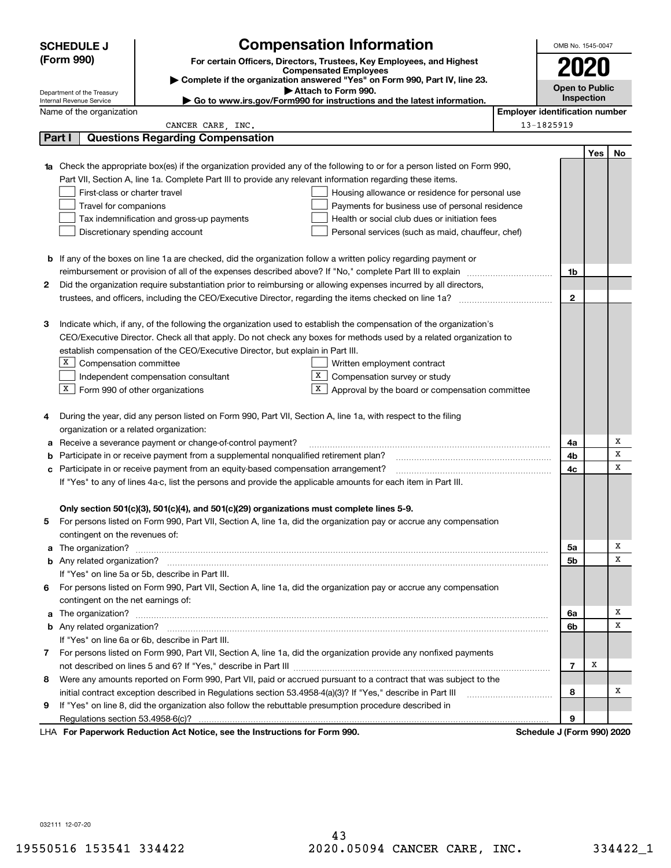| <b>Compensation Information</b><br><b>SCHEDULE J</b> |                                                                                                                                                                                                                                    |                                                   |                                       | OMB No. 1545-0047     |           |  |
|------------------------------------------------------|------------------------------------------------------------------------------------------------------------------------------------------------------------------------------------------------------------------------------------|---------------------------------------------------|---------------------------------------|-----------------------|-----------|--|
| (Form 990)                                           | For certain Officers, Directors, Trustees, Key Employees, and Highest                                                                                                                                                              |                                                   |                                       |                       |           |  |
|                                                      | <b>Compensated Employees</b>                                                                                                                                                                                                       |                                                   |                                       | 2020                  |           |  |
| Department of the Treasury                           | Complete if the organization answered "Yes" on Form 990, Part IV, line 23.<br>Attach to Form 990.                                                                                                                                  |                                                   |                                       | <b>Open to Public</b> |           |  |
| Internal Revenue Service                             | ► Go to www.irs.gov/Form990 for instructions and the latest information.                                                                                                                                                           |                                                   |                                       | Inspection            |           |  |
| Name of the organization                             |                                                                                                                                                                                                                                    |                                                   | <b>Employer identification number</b> |                       |           |  |
|                                                      | CANCER CARE, INC.                                                                                                                                                                                                                  |                                                   | 13-1825919                            |                       |           |  |
| Part I                                               | <b>Questions Regarding Compensation</b>                                                                                                                                                                                            |                                                   |                                       |                       |           |  |
|                                                      |                                                                                                                                                                                                                                    |                                                   |                                       |                       | Yes<br>No |  |
|                                                      | <b>1a</b> Check the appropriate box(es) if the organization provided any of the following to or for a person listed on Form 990,                                                                                                   |                                                   |                                       |                       |           |  |
|                                                      | Part VII, Section A, line 1a. Complete Part III to provide any relevant information regarding these items.                                                                                                                         |                                                   |                                       |                       |           |  |
|                                                      | First-class or charter travel                                                                                                                                                                                                      | Housing allowance or residence for personal use   |                                       |                       |           |  |
|                                                      | Travel for companions                                                                                                                                                                                                              | Payments for business use of personal residence   |                                       |                       |           |  |
|                                                      | Tax indemnification and gross-up payments                                                                                                                                                                                          | Health or social club dues or initiation fees     |                                       |                       |           |  |
|                                                      | Discretionary spending account                                                                                                                                                                                                     | Personal services (such as maid, chauffeur, chef) |                                       |                       |           |  |
|                                                      |                                                                                                                                                                                                                                    |                                                   |                                       |                       |           |  |
|                                                      | <b>b</b> If any of the boxes on line 1a are checked, did the organization follow a written policy regarding payment or<br>reimbursement or provision of all of the expenses described above? If "No," complete Part III to explain |                                                   |                                       | 1b                    |           |  |
|                                                      |                                                                                                                                                                                                                                    |                                                   |                                       |                       |           |  |
| 2                                                    | Did the organization require substantiation prior to reimbursing or allowing expenses incurred by all directors,<br>trustees, and officers, including the CEO/Executive Director, regarding the items checked on line 1a?          |                                                   |                                       | $\mathbf 2$           |           |  |
|                                                      |                                                                                                                                                                                                                                    |                                                   |                                       |                       |           |  |
| З                                                    | Indicate which, if any, of the following the organization used to establish the compensation of the organization's                                                                                                                 |                                                   |                                       |                       |           |  |
|                                                      | CEO/Executive Director. Check all that apply. Do not check any boxes for methods used by a related organization to                                                                                                                 |                                                   |                                       |                       |           |  |
|                                                      | establish compensation of the CEO/Executive Director, but explain in Part III.                                                                                                                                                     |                                                   |                                       |                       |           |  |
|                                                      | X Compensation committee<br>Written employment contract                                                                                                                                                                            |                                                   |                                       |                       |           |  |
|                                                      | X.<br>Compensation survey or study<br>Independent compensation consultant                                                                                                                                                          |                                                   |                                       |                       |           |  |
|                                                      | $X$ Form 990 of other organizations<br>X                                                                                                                                                                                           | Approval by the board or compensation committee   |                                       |                       |           |  |
|                                                      |                                                                                                                                                                                                                                    |                                                   |                                       |                       |           |  |
| 4                                                    | During the year, did any person listed on Form 990, Part VII, Section A, line 1a, with respect to the filing                                                                                                                       |                                                   |                                       |                       |           |  |
|                                                      | organization or a related organization:                                                                                                                                                                                            |                                                   |                                       |                       |           |  |
| а                                                    | Receive a severance payment or change-of-control payment?                                                                                                                                                                          |                                                   |                                       | 4a                    | х         |  |
| b                                                    | Participate in or receive payment from a supplemental nonqualified retirement plan?                                                                                                                                                |                                                   |                                       | 4b                    | х         |  |
|                                                      | c Participate in or receive payment from an equity-based compensation arrangement?                                                                                                                                                 |                                                   |                                       | 4с                    | x         |  |
|                                                      | If "Yes" to any of lines 4a-c, list the persons and provide the applicable amounts for each item in Part III.                                                                                                                      |                                                   |                                       |                       |           |  |
|                                                      |                                                                                                                                                                                                                                    |                                                   |                                       |                       |           |  |
|                                                      | Only section 501(c)(3), 501(c)(4), and 501(c)(29) organizations must complete lines 5-9.                                                                                                                                           |                                                   |                                       |                       |           |  |
|                                                      | For persons listed on Form 990, Part VII, Section A, line 1a, did the organization pay or accrue any compensation                                                                                                                  |                                                   |                                       |                       |           |  |
|                                                      | contingent on the revenues of:                                                                                                                                                                                                     |                                                   |                                       |                       |           |  |
|                                                      |                                                                                                                                                                                                                                    |                                                   |                                       | 5a                    | х         |  |
|                                                      |                                                                                                                                                                                                                                    |                                                   |                                       | 5b                    | х         |  |
|                                                      | If "Yes" on line 5a or 5b, describe in Part III.                                                                                                                                                                                   |                                                   |                                       |                       |           |  |
|                                                      | 6 For persons listed on Form 990, Part VII, Section A, line 1a, did the organization pay or accrue any compensation                                                                                                                |                                                   |                                       |                       |           |  |
|                                                      | contingent on the net earnings of:                                                                                                                                                                                                 |                                                   |                                       |                       |           |  |
|                                                      | a The organization? <b>Manual Community Community</b> Community Community Community Community Community Community Community                                                                                                        |                                                   |                                       | 6a                    | х         |  |
|                                                      |                                                                                                                                                                                                                                    |                                                   |                                       | 6b                    | х         |  |
|                                                      | If "Yes" on line 6a or 6b, describe in Part III.                                                                                                                                                                                   |                                                   |                                       |                       |           |  |
|                                                      | 7 For persons listed on Form 990, Part VII, Section A, line 1a, did the organization provide any nonfixed payments                                                                                                                 |                                                   |                                       |                       |           |  |
|                                                      |                                                                                                                                                                                                                                    |                                                   |                                       | х<br>7                |           |  |
|                                                      | 8 Were any amounts reported on Form 990, Part VII, paid or accrued pursuant to a contract that was subject to the                                                                                                                  |                                                   |                                       |                       |           |  |
|                                                      | initial contract exception described in Regulations section 53.4958-4(a)(3)? If "Yes," describe in Part III                                                                                                                        |                                                   |                                       | 8                     | х         |  |
| 9                                                    | If "Yes" on line 8, did the organization also follow the rebuttable presumption procedure described in                                                                                                                             |                                                   |                                       |                       |           |  |
|                                                      |                                                                                                                                                                                                                                    |                                                   |                                       | 9                     |           |  |
|                                                      | LHA For Paperwork Reduction Act Notice, see the Instructions for Form 990.                                                                                                                                                         |                                                   | Schedule J (Form 990) 2020            |                       |           |  |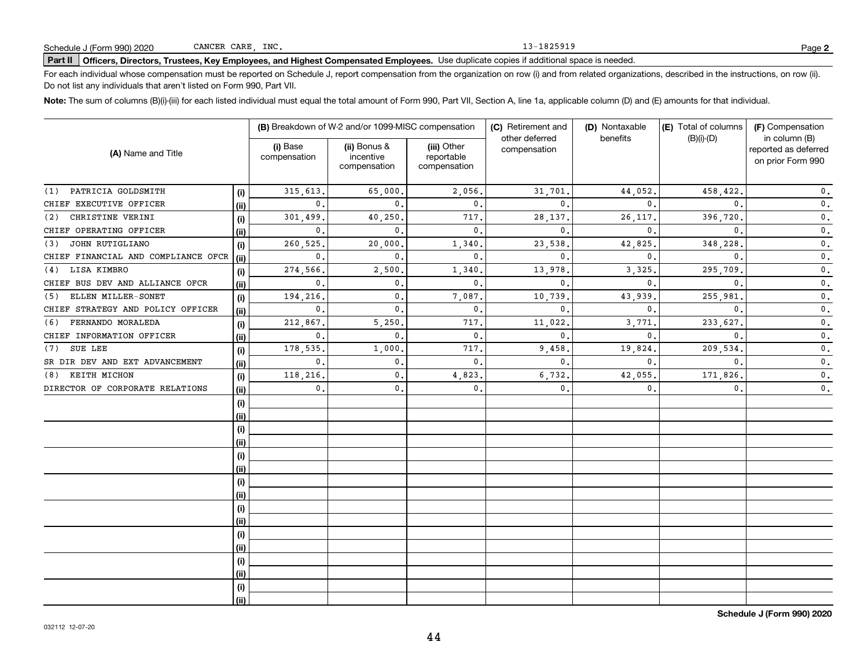13-1825919

# **Part II Officers, Directors, Trustees, Key Employees, and Highest Compensated Employees.**  Schedule J (Form 990) 2020 Page Use duplicate copies if additional space is needed.

For each individual whose compensation must be reported on Schedule J, report compensation from the organization on row (i) and from related organizations, described in the instructions, on row (ii). Do not list any individuals that aren't listed on Form 990, Part VII.

**Note:**  The sum of columns (B)(i)-(iii) for each listed individual must equal the total amount of Form 990, Part VII, Section A, line 1a, applicable column (D) and (E) amounts for that individual.

| (A) Name and Title                  |      |                          | (B) Breakdown of W-2 and/or 1099-MISC compensation |                                           | (C) Retirement and             | (D) Nontaxable | (E) Total of columns | (F) Compensation                                           |
|-------------------------------------|------|--------------------------|----------------------------------------------------|-------------------------------------------|--------------------------------|----------------|----------------------|------------------------------------------------------------|
|                                     |      | (i) Base<br>compensation | (ii) Bonus &<br>incentive<br>compensation          | (iii) Other<br>reportable<br>compensation | other deferred<br>compensation | benefits       | $(B)(i)-(D)$         | in column (B)<br>reported as deferred<br>on prior Form 990 |
| PATRICIA GOLDSMITH<br>(1)           | (i)  | 315,613.                 | 65,000                                             | 2,056.                                    | 31,701                         | 44,052.        | 458,422              | $\mathbf 0$ .                                              |
| CHIEF EXECUTIVE OFFICER             | (ii) | $\mathbf{0}$ .           | $\mathbf{0}$                                       | 0.                                        | 0                              | $\mathbf{0}$   | 0.                   | $\mathbf 0$ .                                              |
| CHRISTINE VERINI<br>(2)             | (i)  | 301,499.                 | 40,250                                             | 717.                                      | 28,137                         | 26, 117.       | 396,720              | $\mathfrak o$ .                                            |
| CHIEF OPERATING OFFICER             | (ii) | $\mathbf{0}$ .           | $\Omega$                                           | $\mathbf{0}$ .                            | $\mathbf{0}$                   | $\Omega$       | $\mathbf{0}$         | $\mathbf 0$ .                                              |
| JOHN RUTIGLIANO<br>(3)              | (i)  | 260,525.                 | 20,000                                             | 1,340.                                    | 23,538                         | 42,825         | 348,228              | $\mathfrak o$ .                                            |
| CHIEF FINANCIAL AND COMPLIANCE OFCR | (ii) | $\mathbf{0}$ .           | $\Omega$                                           | $\mathbf{0}$ .                            | $\mathbf{0}$                   | $\Omega$       | $\mathbf{0}$         | $\mathfrak o$ .                                            |
| LISA KIMBRO<br>(4)                  | (i)  | 274,566.                 | 2,500                                              | 1,340                                     | 13,978                         | 3,325          | 295,709              | $\mathbf 0$ .                                              |
| CHIEF BUS DEV AND ALLIANCE OFCR     | (ii) | $\mathbf{0}$ .           | 0.                                                 | $\mathbf{0}$ .                            | $\mathbf{0}$                   | $\mathbf{0}$   | $\mathbf{0}$ .       | $\mathbf 0$ .                                              |
| ELLEN MILLER-SONET<br>(5)           | (i)  | 194,216.                 | 0.                                                 | 7,087.                                    | 10,739                         | 43,939.        | 255,981              | $\mathbf 0$ .                                              |
| CHIEF STRATEGY AND POLICY OFFICER   | (ii) | $\mathbf{0}$ .           | $\mathbf 0$ .                                      | 0.                                        | $\mathbf{0}$ .                 | $\mathbf{0}$   | $\mathbf{0}$ .       | $\mathbf{0}$ .                                             |
| FERNANDO MORALEDA<br>(6)            | (i)  | 212,867.                 | 5,250                                              | 717.                                      | 11,022                         | 3,771          | 233,627              | 0.                                                         |
| CHIEF INFORMATION OFFICER           | (ii) | $\mathbf 0$ .            | $\mathbf{0}$ .                                     | 0.                                        | $\mathbf{0}$ .                 | $\mathbf{0}$ . | $\mathbf{0}$ .       | $\mathbf 0$ .                                              |
| SUE LEE<br>(7)                      | (i)  | 178,535                  | 1,000                                              | 717.                                      | 9,458                          | 19,824         | 209,534              | $\mathbf 0$ .                                              |
| SR DIR DEV AND EXT ADVANCEMENT      | (ii) | $\mathbf 0$ .            | $\mathbf{0}$                                       | 0.                                        | $\mathbf{0}$ .                 | $\mathbf{0}$ . | $\mathbf{0}$ .       | $\mathbf 0$ .                                              |
| KEITH MICHON<br>(8)                 | (i)  | 118,216.                 | 0.                                                 | 4,823.                                    | 6,732.                         | 42,055         | 171,826              | $\mathbf{0}$ .                                             |
| DIRECTOR OF CORPORATE RELATIONS     | (ii) | $\mathbf{0}$ .           | $\mathbf 0$ .                                      | $\mathbf{0}$ .                            | $\mathbf{0}$ .                 | 0.             | 0.                   | $\mathbf 0$ .                                              |
|                                     | (i)  |                          |                                                    |                                           |                                |                |                      |                                                            |
|                                     | (ii) |                          |                                                    |                                           |                                |                |                      |                                                            |
|                                     | (i)  |                          |                                                    |                                           |                                |                |                      |                                                            |
|                                     | (ii) |                          |                                                    |                                           |                                |                |                      |                                                            |
|                                     | (i)  |                          |                                                    |                                           |                                |                |                      |                                                            |
|                                     | (ii) |                          |                                                    |                                           |                                |                |                      |                                                            |
|                                     | (i)  |                          |                                                    |                                           |                                |                |                      |                                                            |
|                                     | (ii) |                          |                                                    |                                           |                                |                |                      |                                                            |
|                                     | (i)  |                          |                                                    |                                           |                                |                |                      |                                                            |
|                                     | (ii) |                          |                                                    |                                           |                                |                |                      |                                                            |
|                                     | (i)  |                          |                                                    |                                           |                                |                |                      |                                                            |
|                                     | (ii) |                          |                                                    |                                           |                                |                |                      |                                                            |
|                                     | (i)  |                          |                                                    |                                           |                                |                |                      |                                                            |
|                                     | (ii) |                          |                                                    |                                           |                                |                |                      |                                                            |
|                                     | (i)  |                          |                                                    |                                           |                                |                |                      |                                                            |
|                                     | (ii) |                          |                                                    |                                           |                                |                |                      |                                                            |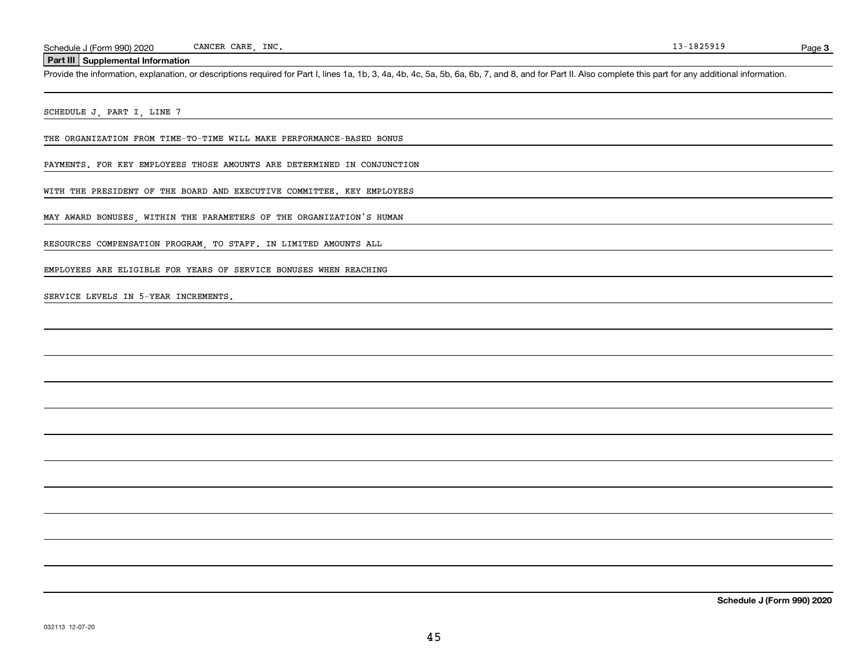**3**

#### **Part III Supplemental Information**

Schedule J (Form 990) 2020 CANCER CARE, INC.<br>Part III Supplemental Information<br>Provide the information, explanation, or descriptions required for Part I, lines 1a, 1b, 3, 4a, 4b, 4c, 5a, 5b, 6a, 6b, 7, and 8, and for Part

SCHEDULE J, PART I, LINE 7

THE ORGANIZATION FROM TIME-TO-TIME WILL MAKE PERFORMANCE-BASED BONUS

PAYMENTS. FOR KEY EMPLOYEES THOSE AMOUNTS ARE DETERMINED IN CONJUNCTION

WITH THE PRESIDENT OF THE BOARD AND EXECUTIVE COMMITTEE. KEY EMPLOYEES

MAY AWARD BONUSES, WITHIN THE PARAMETERS OF THE ORGANIZATION'S HUMAN

RESOURCES COMPENSATION PROGRAM, TO STAFF. IN LIMITED AMOUNTS ALL

EMPLOYEES ARE ELIGIBLE FOR YEARS OF SERVICE BONUSES WHEN REACHING

SERVICE LEVELS IN 5-YEAR INCREMENTS.

**Schedule J (Form 990) 2020**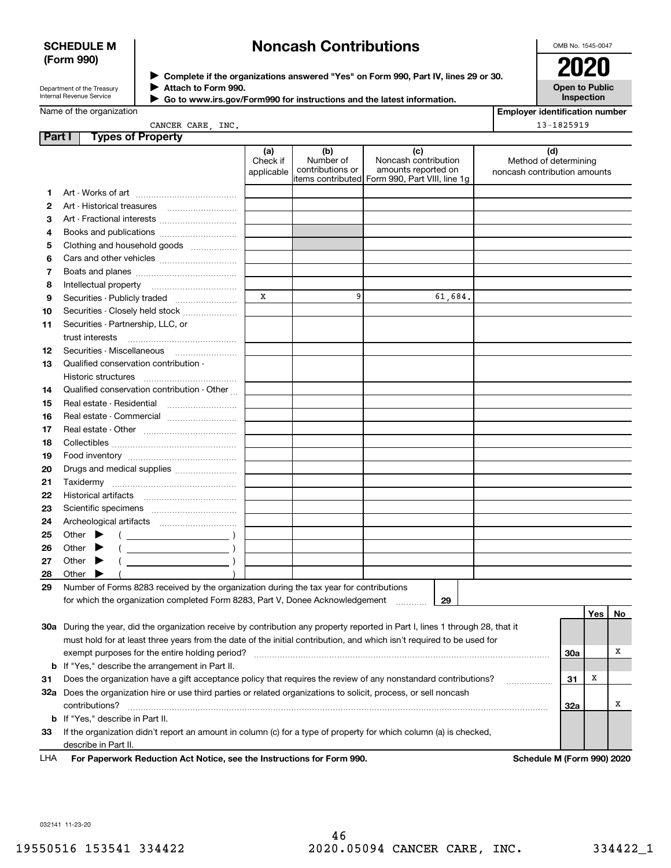#### **SCHEDULE M (Form 990)**

## **Noncash Contributions**

OMB No. 1545-0047

| Department of the Treasury |
|----------------------------|
| Internal Revenue Service   |

**Complete if the organizations answered "Yes" on Form 990, Part IV, lines 29 or 30.** <sup>J</sup>**2020 Attach to Form 990.** J

 **Go to www.irs.gov/Form990 for instructions and the latest information.** J

**Open to Public Inspection**

|  | Name of the organization |
|--|--------------------------|
|--|--------------------------|

| <b>Employer identification number</b> |
|---------------------------------------|
| $13 - 1825919$                        |

CANCER CARE, INC.

| Part I   |                                                                                                                      | <b>Types of Property</b>                                                                                                       |                               |                                      |                                                                                                       |                                                              |     |     |    |
|----------|----------------------------------------------------------------------------------------------------------------------|--------------------------------------------------------------------------------------------------------------------------------|-------------------------------|--------------------------------------|-------------------------------------------------------------------------------------------------------|--------------------------------------------------------------|-----|-----|----|
|          |                                                                                                                      |                                                                                                                                | (a)<br>Check if<br>applicable | (b)<br>Number of<br>contributions or | (c)<br>Noncash contribution<br>amounts reported on<br>items contributed  Form 990, Part VIII, line 1g | (d)<br>Method of determining<br>noncash contribution amounts |     |     |    |
| 1        |                                                                                                                      |                                                                                                                                |                               |                                      |                                                                                                       |                                                              |     |     |    |
| 2        |                                                                                                                      | Art - Historical treasures                                                                                                     |                               |                                      |                                                                                                       |                                                              |     |     |    |
| з        |                                                                                                                      |                                                                                                                                |                               |                                      |                                                                                                       |                                                              |     |     |    |
| 4        |                                                                                                                      | Books and publications                                                                                                         |                               |                                      |                                                                                                       |                                                              |     |     |    |
| 5        |                                                                                                                      | Clothing and household goods                                                                                                   |                               |                                      |                                                                                                       |                                                              |     |     |    |
| 6        |                                                                                                                      |                                                                                                                                |                               |                                      |                                                                                                       |                                                              |     |     |    |
| 7        |                                                                                                                      |                                                                                                                                |                               |                                      |                                                                                                       |                                                              |     |     |    |
| 8        |                                                                                                                      | Intellectual property                                                                                                          |                               |                                      |                                                                                                       |                                                              |     |     |    |
| 9        |                                                                                                                      | Securities - Publicly traded                                                                                                   | X                             | 9                                    | 61,684.                                                                                               |                                                              |     |     |    |
|          |                                                                                                                      | Securities - Closely held stock                                                                                                |                               |                                      |                                                                                                       |                                                              |     |     |    |
| 10<br>11 |                                                                                                                      | Securities - Partnership, LLC, or                                                                                              |                               |                                      |                                                                                                       |                                                              |     |     |    |
|          | trust interests                                                                                                      |                                                                                                                                |                               |                                      |                                                                                                       |                                                              |     |     |    |
| 12       |                                                                                                                      | Securities - Miscellaneous                                                                                                     |                               |                                      |                                                                                                       |                                                              |     |     |    |
| 13       |                                                                                                                      | Qualified conservation contribution -                                                                                          |                               |                                      |                                                                                                       |                                                              |     |     |    |
|          |                                                                                                                      | Historic structures                                                                                                            |                               |                                      |                                                                                                       |                                                              |     |     |    |
| 14       |                                                                                                                      | Qualified conservation contribution - Other                                                                                    |                               |                                      |                                                                                                       |                                                              |     |     |    |
| 15       |                                                                                                                      | Real estate - Residential                                                                                                      |                               |                                      |                                                                                                       |                                                              |     |     |    |
| 16       |                                                                                                                      | Real estate - Commercial                                                                                                       |                               |                                      |                                                                                                       |                                                              |     |     |    |
| 17       |                                                                                                                      |                                                                                                                                |                               |                                      |                                                                                                       |                                                              |     |     |    |
| 18       |                                                                                                                      |                                                                                                                                |                               |                                      |                                                                                                       |                                                              |     |     |    |
| 19       |                                                                                                                      |                                                                                                                                |                               |                                      |                                                                                                       |                                                              |     |     |    |
| 20       |                                                                                                                      | Drugs and medical supplies                                                                                                     |                               |                                      |                                                                                                       |                                                              |     |     |    |
| 21       |                                                                                                                      |                                                                                                                                |                               |                                      |                                                                                                       |                                                              |     |     |    |
| 22       |                                                                                                                      |                                                                                                                                |                               |                                      |                                                                                                       |                                                              |     |     |    |
| 23       |                                                                                                                      |                                                                                                                                |                               |                                      |                                                                                                       |                                                              |     |     |    |
| 24       |                                                                                                                      |                                                                                                                                |                               |                                      |                                                                                                       |                                                              |     |     |    |
| 25       | Other                                                                                                                | $\overline{\phantom{a}}$                                                                                                       |                               |                                      |                                                                                                       |                                                              |     |     |    |
| 26       | Other                                                                                                                |                                                                                                                                |                               |                                      |                                                                                                       |                                                              |     |     |    |
| 27       | Other                                                                                                                |                                                                                                                                |                               |                                      |                                                                                                       |                                                              |     |     |    |
| 28       | Other                                                                                                                |                                                                                                                                |                               |                                      |                                                                                                       |                                                              |     |     |    |
| 29       |                                                                                                                      | Number of Forms 8283 received by the organization during the tax year for contributions                                        |                               |                                      |                                                                                                       |                                                              |     |     |    |
|          |                                                                                                                      | for which the organization completed Form 8283, Part V, Donee Acknowledgement                                                  |                               |                                      | 29                                                                                                    |                                                              |     |     |    |
|          |                                                                                                                      |                                                                                                                                |                               |                                      |                                                                                                       |                                                              |     | Yes | No |
|          |                                                                                                                      | 30a During the year, did the organization receive by contribution any property reported in Part I, lines 1 through 28, that it |                               |                                      |                                                                                                       |                                                              |     |     |    |
|          |                                                                                                                      | must hold for at least three years from the date of the initial contribution, and which isn't required to be used for          |                               |                                      |                                                                                                       |                                                              |     |     |    |
|          | exempt purposes for the entire holding period?<br>30a                                                                |                                                                                                                                |                               |                                      |                                                                                                       |                                                              |     |     | х  |
|          | <b>b</b> If "Yes," describe the arrangement in Part II.                                                              |                                                                                                                                |                               |                                      |                                                                                                       |                                                              |     |     |    |
| 31       | Does the organization have a gift acceptance policy that requires the review of any nonstandard contributions?<br>31 |                                                                                                                                |                               |                                      |                                                                                                       |                                                              |     | X   |    |
|          |                                                                                                                      | 32a Does the organization hire or use third parties or related organizations to solicit, process, or sell noncash              |                               |                                      |                                                                                                       |                                                              |     |     |    |
|          | contributions?                                                                                                       |                                                                                                                                |                               |                                      |                                                                                                       |                                                              | 32a |     | х  |
|          |                                                                                                                      | <b>b</b> If "Yes," describe in Part II.                                                                                        |                               |                                      |                                                                                                       |                                                              |     |     |    |
| 33       |                                                                                                                      | If the organization didn't report an amount in column (c) for a type of property for which column (a) is checked,              |                               |                                      |                                                                                                       |                                                              |     |     |    |
|          |                                                                                                                      | describe in Part II.                                                                                                           |                               |                                      |                                                                                                       |                                                              |     |     |    |

**For Paperwork Reduction Act Notice, see the Instructions for Form 990. Schedule M (Form 990) 2020** LHA

032141 11-23-20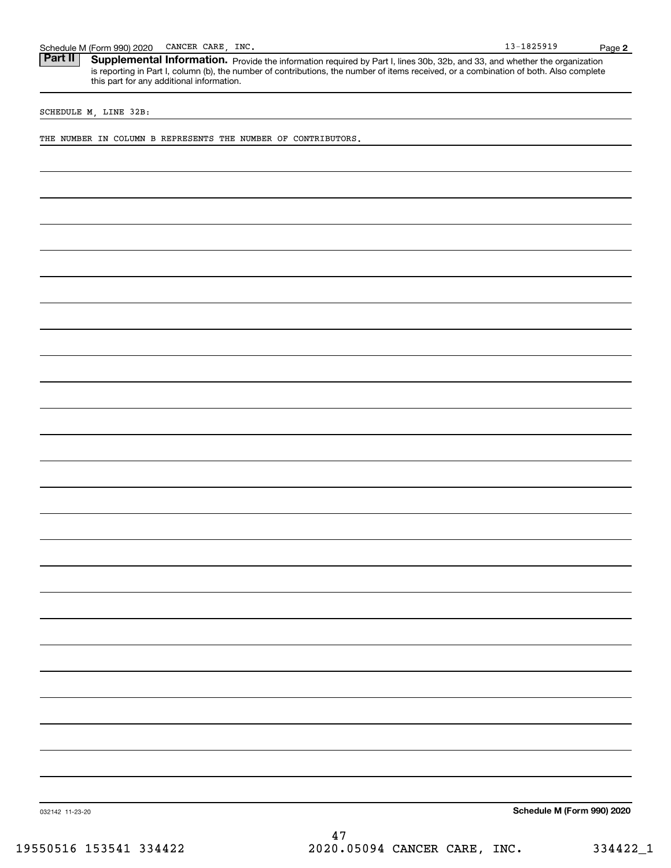Schedule M (Form 990) 2020 CANCER CARE, INC.<br>**Part II** Supplemental Information. Provide the information required by Part I. lines 30b. 32b. and 33. and whether the c Part II | Supplemental Information. Provide the information required by Part I, lines 30b, 32b, and 33, and whether the organization is reporting in Part I, column (b), the number of contributions, the number of items received, or a combination of both. Also complete this part for any additional information.

SCHEDULE M, LINE 32B:

THE NUMBER IN COLUMN B REPRESENTS THE NUMBER OF CONTRIBUTORS.

**Schedule M (Form 990) 2020**

032142 11-23-20

**2**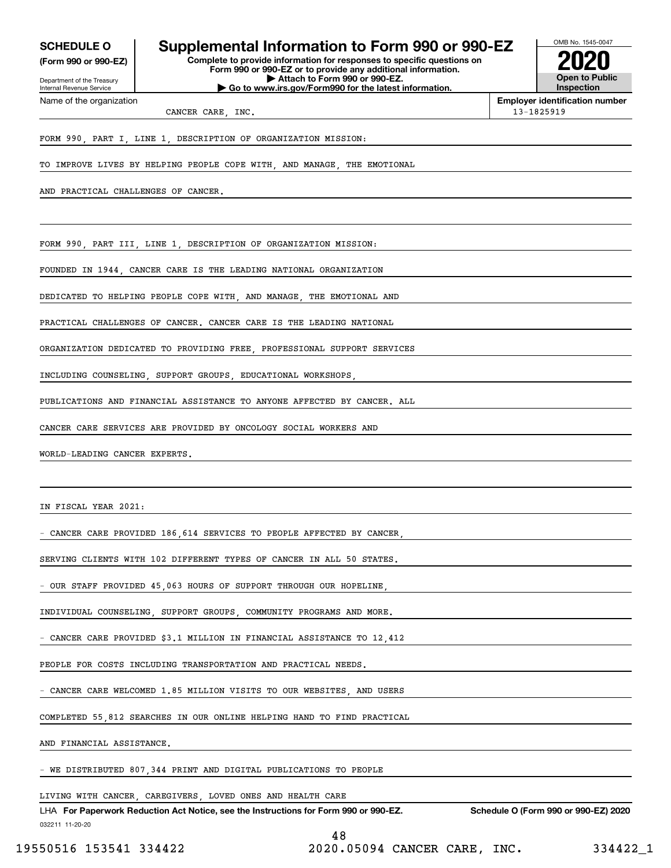Internal Revenue Service

Department of the Treasury **(Form 990 or 990-EZ)**

Name of the organization

## **SCHEDULE O Supplemental Information to Form 990 or 990-EZ**

**Complete to provide information for responses to specific questions on Form 990 or 990-EZ or to provide any additional information. | Attach to Form 990 or 990-EZ. | Go to www.irs.gov/Form990 for the latest information.**



**Employer identification number**

CANCER CARE, INC. 13-1825919

FORM 990, PART I, LINE 1, DESCRIPTION OF ORGANIZATION MISSION:

TO IMPROVE LIVES BY HELPING PEOPLE COPE WITH, AND MANAGE, THE EMOTIONAL

AND PRACTICAL CHALLENGES OF CANCER.

FORM 990, PART III, LINE 1, DESCRIPTION OF ORGANIZATION MISSION:

FOUNDED IN 1944, CANCER CARE IS THE LEADING NATIONAL ORGANIZATION

DEDICATED TO HELPING PEOPLE COPE WITH, AND MANAGE, THE EMOTIONAL AND

PRACTICAL CHALLENGES OF CANCER. CANCER CARE IS THE LEADING NATIONAL

ORGANIZATION DEDICATED TO PROVIDING FREE, PROFESSIONAL SUPPORT SERVICES

INCLUDING COUNSELING, SUPPORT GROUPS, EDUCATIONAL WORKSHOPS,

PUBLICATIONS AND FINANCIAL ASSISTANCE TO ANYONE AFFECTED BY CANCER. ALL

CANCER CARE SERVICES ARE PROVIDED BY ONCOLOGY SOCIAL WORKERS AND

WORLD-LEADING CANCER EXPERTS.

IN FISCAL YEAR 2021:

|  |  |  | - CANCER CARE PROVIDED 186 614 SERVICES TO PEOPLE AFFECTED BY CANCER |  |  |  |
|--|--|--|----------------------------------------------------------------------|--|--|--|
|  |  |  |                                                                      |  |  |  |

SERVING CLIENTS WITH 102 DIFFERENT TYPES OF CANCER IN ALL 50 STATES.

OUR STAFF PROVIDED 45,063 HOURS OF SUPPORT THROUGH OUR HOPELINE

INDIVIDUAL COUNSELING SUPPORT GROUPS COMMUNITY PROGRAMS AND MORE.

CANCER CARE PROVIDED \$3.1 MILLION IN FINANCIAL ASSISTANCE TO 12,412

PEOPLE FOR COSTS INCLUDING TRANSPORTATION AND PRACTICAL NEEDS.

CANCER CARE WELCOMED 1.85 MILLION VISITS TO OUR WEBSITES, AND USERS

COMPLETED 55,812 SEARCHES IN OUR ONLINE HELPING HAND TO FIND PRACTICAL

AND FINANCIAL ASSISTANCE.

WE DISTRIBUTED 807,344 PRINT AND DIGITAL PUBLICATIONS TO PEOPLE

LIVING WITH CANCER, CAREGIVERS, LOVED ONES AND HEALTH CARE

032211 11-20-20 LHA For Paperwork Reduction Act Notice, see the Instructions for Form 990 or 990-EZ. Schedule O (Form 990 or 990-EZ) 2020 48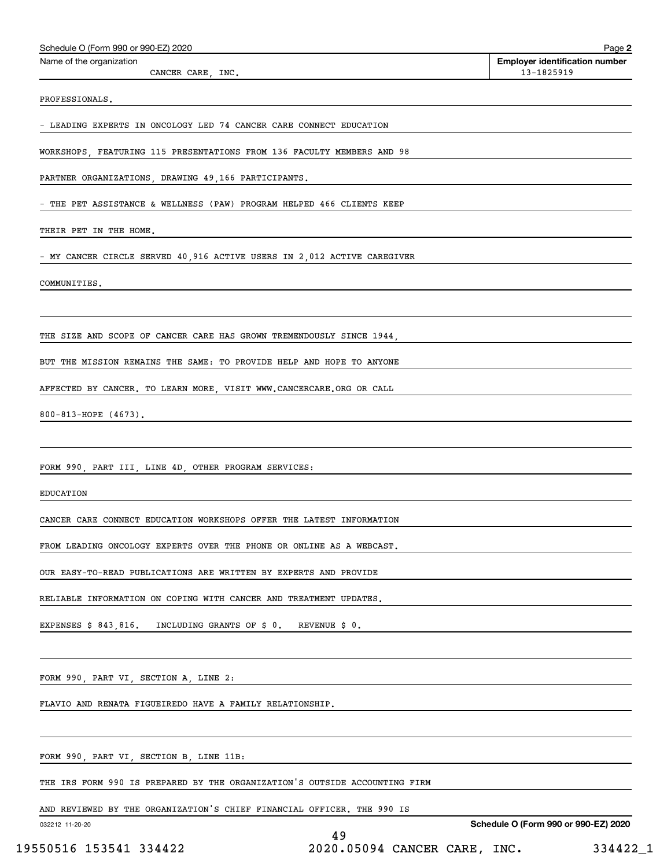| Schedule O (Form 990 or 990-EZ) 2020                                       | Page 2                                              |
|----------------------------------------------------------------------------|-----------------------------------------------------|
| Name of the organization<br>CANCER CARE, INC.                              | <b>Employer identification number</b><br>13-1825919 |
| PROFESSIONALS.                                                             |                                                     |
| - LEADING EXPERTS IN ONCOLOGY LED 74 CANCER CARE CONNECT EDUCATION         |                                                     |
| WORKSHOPS, FEATURING 115 PRESENTATIONS FROM 136 FACULTY MEMBERS AND 98     |                                                     |
| PARTNER ORGANIZATIONS, DRAWING 49,166 PARTICIPANTS.                        |                                                     |
| - THE PET ASSISTANCE & WELLNESS (PAW) PROGRAM HELPED 466 CLIENTS KEEP      |                                                     |
| THEIR PET IN THE HOME.                                                     |                                                     |
| - MY CANCER CIRCLE SERVED 40,916 ACTIVE USERS IN 2,012 ACTIVE CAREGIVER    |                                                     |
| COMMUNITIES.                                                               |                                                     |
|                                                                            |                                                     |
| THE SIZE AND SCOPE OF CANCER CARE HAS GROWN TREMENDOUSLY SINCE 1944,       |                                                     |
| BUT THE MISSION REMAINS THE SAME: TO PROVIDE HELP AND HOPE TO ANYONE       |                                                     |
| AFFECTED BY CANCER. TO LEARN MORE, VISIT WWW.CANCERCARE.ORG OR CALL        |                                                     |
| $800 - 813 - HOPE$ (4673).                                                 |                                                     |
|                                                                            |                                                     |
| FORM 990, PART III, LINE 4D, OTHER PROGRAM SERVICES:                       |                                                     |
| <b>EDUCATION</b>                                                           |                                                     |
| CANCER CARE CONNECT EDUCATION WORKSHOPS OFFER THE LATEST INFORMATION       |                                                     |
| FROM LEADING ONCOLOGY EXPERTS OVER THE PHONE OR ONLINE AS A WEBCAST.       |                                                     |
| OUR EASY-TO-READ PUBLICATIONS ARE WRITTEN BY EXPERTS AND PROVIDE           |                                                     |
| RELIABLE INFORMATION ON COPING WITH CANCER AND TREATMENT UPDATES.          |                                                     |
| EXPENSES \$ 843,816. INCLUDING GRANTS OF \$ 0. REVENUE \$ 0.               |                                                     |
|                                                                            |                                                     |
| FORM 990, PART VI, SECTION A, LINE 2:                                      |                                                     |
| FLAVIO AND RENATA FIGUEIREDO HAVE A FAMILY RELATIONSHIP.                   |                                                     |
|                                                                            |                                                     |
| FORM 990, PART VI, SECTION B, LINE 11B:                                    |                                                     |
| THE IRS FORM 990 IS PREPARED BY THE ORGANIZATION'S OUTSIDE ACCOUNTING FIRM |                                                     |

AND REVIEWED BY THE ORGANIZATION'S CHIEF FINANCIAL OFFICER. THE 990 IS

032212 11-20-20

**Schedule O (Form 990 or 990-EZ) 2020**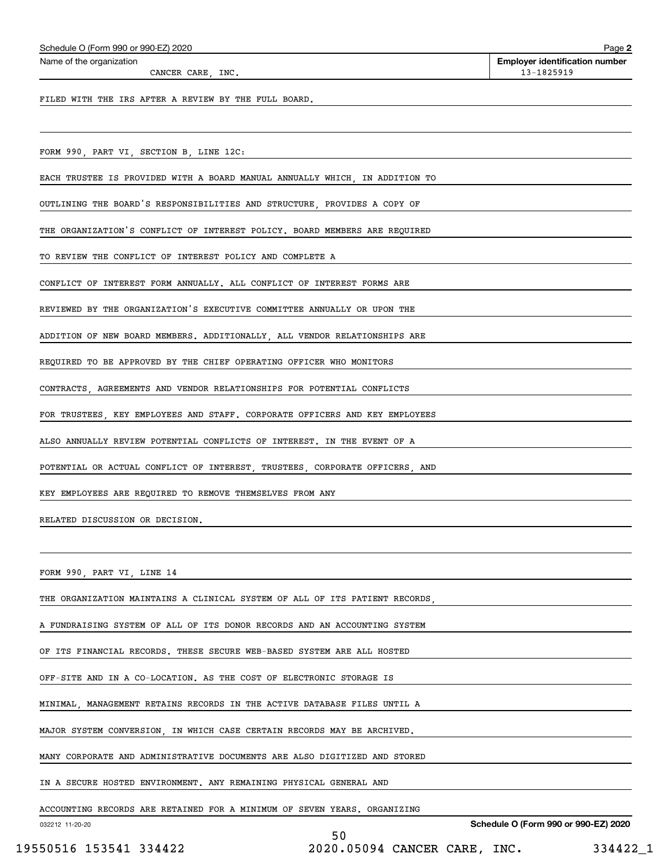| Schedule O (Form 990 or 990-EZ) 2020 |  |  |
|--------------------------------------|--|--|
|                                      |  |  |

CANCER CARE, INC. 13-1825919

Echedule O (Form 990 or 990-EZ) 2020<br>Name of the organization **number** Name of the organization **number** 

**2**

FILED WITH THE IRS AFTER A REVIEW BY THE FULL BOARD.

FORM 990, PART VI, SECTION B, LINE 12C:

EACH TRUSTEE IS PROVIDED WITH A BOARD MANUAL ANNUALLY WHICH, IN ADDITION TO

OUTLINING THE BOARD'S RESPONSIBILITIES AND STRUCTURE, PROVIDES A COPY OF

THE ORGANIZATION'S CONFLICT OF INTEREST POLICY. BOARD MEMBERS ARE REQUIRED

TO REVIEW THE CONFLICT OF INTEREST POLICY AND COMPLETE A

CONFLICT OF INTEREST FORM ANNUALLY. ALL CONFLICT OF INTEREST FORMS ARE

REVIEWED BY THE ORGANIZATION'S EXECUTIVE COMMITTEE ANNUALLY OR UPON THE

ADDITION OF NEW BOARD MEMBERS. ADDITIONALLY, ALL VENDOR RELATIONSHIPS ARE

REQUIRED TO BE APPROVED BY THE CHIEF OPERATING OFFICER WHO MONITORS

CONTRACTS, AGREEMENTS AND VENDOR RELATIONSHIPS FOR POTENTIAL CONFLICTS

FOR TRUSTEES, KEY EMPLOYEES AND STAFF. CORPORATE OFFICERS AND KEY EMPLOYEES

ALSO ANNUALLY REVIEW POTENTIAL CONFLICTS OF INTEREST. IN THE EVENT OF A

POTENTIAL OR ACTUAL CONFLICT OF INTEREST, TRUSTEES, CORPORATE OFFICERS, AND

KEY EMPLOYEES ARE REQUIRED TO REMOVE THEMSELVES FROM ANY

RELATED DISCUSSION OR DECISION.

FORM 990, PART VI, LINE 14

THE ORGANIZATION MAINTAINS A CLINICAL SYSTEM OF ALL OF ITS PATIENT RECORDS,

A FUNDRAISING SYSTEM OF ALL OF ITS DONOR RECORDS AND AN ACCOUNTING SYSTEM

OF ITS FINANCIAL RECORDS. THESE SECURE WEB-BASED SYSTEM ARE ALL HOSTED

OFF-SITE AND IN A CO-LOCATION. AS THE COST OF ELECTRONIC STORAGE IS

MINIMAL, MANAGEMENT RETAINS RECORDS IN THE ACTIVE DATABASE FILES UNTIL A

MAJOR SYSTEM CONVERSION, IN WHICH CASE CERTAIN RECORDS MAY BE ARCHIVED.

MANY CORPORATE AND ADMINISTRATIVE DOCUMENTS ARE ALSO DIGITIZED AND STORED

IN A SECURE HOSTED ENVIRONMENT. ANY REMAINING PHYSICAL GENERAL AND

ACCOUNTING RECORDS ARE RETAINED FOR A MINIMUM OF SEVEN YEARS. ORGANIZING

032212 11-20-20

50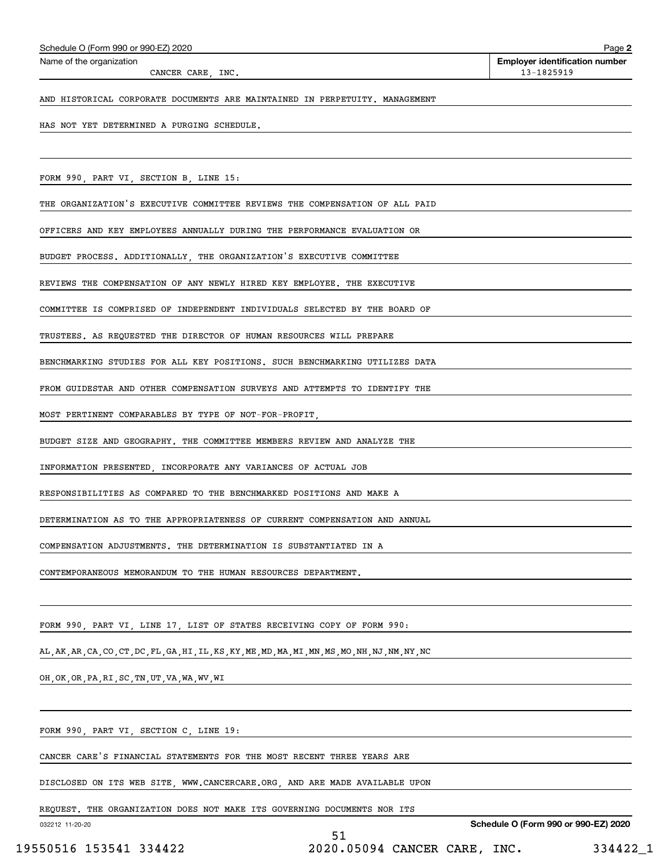| Schedule O (Form 990 or 990-EZ) 2020 |
|--------------------------------------|
|--------------------------------------|

CANCER CARE, INC. 13-1825919

AND HISTORICAL CORPORATE DOCUMENTS ARE MAINTAINED IN PERPETUITY. MANAGEMENT

HAS NOT YET DETERMINED A PURGING SCHEDULE.

FORM 990, PART VI, SECTION B, LINE 15:

THE ORGANIZATION'S EXECUTIVE COMMITTEE REVIEWS THE COMPENSATION OF ALL PAID

OFFICERS AND KEY EMPLOYEES ANNUALLY DURING THE PERFORMANCE EVALUATION OR

BUDGET PROCESS. ADDITIONALLY, THE ORGANIZATION'S EXECUTIVE COMMITTEE

REVIEWS THE COMPENSATION OF ANY NEWLY HIRED KEY EMPLOYEE. THE EXECUTIVE

COMMITTEE IS COMPRISED OF INDEPENDENT INDIVIDUALS SELECTED BY THE BOARD OF

TRUSTEES. AS REQUESTED THE DIRECTOR OF HUMAN RESOURCES WILL PREPARE

BENCHMARKING STUDIES FOR ALL KEY POSITIONS. SUCH BENCHMARKING UTILIZES DATA

FROM GUIDESTAR AND OTHER COMPENSATION SURVEYS AND ATTEMPTS TO IDENTIFY THE

MOST PERTINENT COMPARABLES BY TYPE OF NOT-FOR-PROFIT,

BUDGET SIZE AND GEOGRAPHY. THE COMMITTEE MEMBERS REVIEW AND ANALYZE THE

INFORMATION PRESENTED, INCORPORATE ANY VARIANCES OF ACTUAL JOB

RESPONSIBILITIES AS COMPARED TO THE BENCHMARKED POSITIONS AND MAKE A

DETERMINATION AS TO THE APPROPRIATENESS OF CURRENT COMPENSATION AND ANNUAL

COMPENSATION ADJUSTMENTS. THE DETERMINATION IS SUBSTANTIATED IN A

CONTEMPORANEOUS MEMORANDUM TO THE HUMAN RESOURCES DEPARTMENT.

FORM 990, PART VI, LINE 17, LIST OF STATES RECEIVING COPY OF FORM 990:

AL,AK,AR,CA,CO,CT,DC,FL,GA,HI,IL,KS,KY,ME,MD,MA,MI,MN,MS,MO,NH,NJ,NM,NY,NC

OH,OK,OR,PA,RI,SC,TN,UT,VA,WA,WV,WI

FORM 990, PART VI, SECTION C, LINE 19:

CANCER CARE'S FINANCIAL STATEMENTS FOR THE MOST RECENT THREE YEARS ARE

DISCLOSED ON ITS WEB SITE, WWW.CANCERCARE.ORG, AND ARE MADE AVAILABLE UPON

REQUEST. THE ORGANIZATION DOES NOT MAKE ITS GOVERNING DOCUMENTS NOR ITS

032212 11-20-20

**Schedule O (Form 990 or 990-EZ) 2020**

51 19550516 153541 334422 2020.05094 CANCER CARE, INC. 334422\_1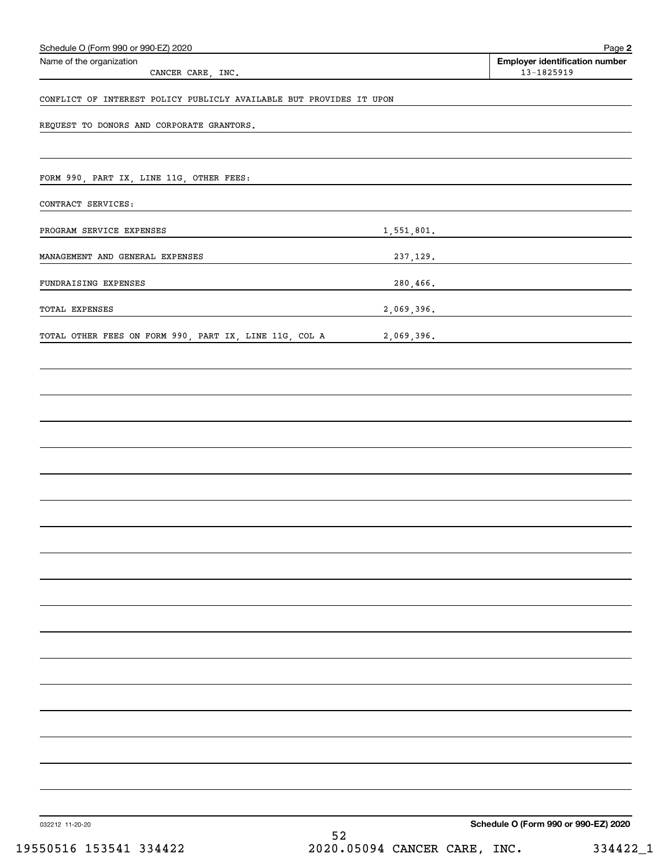| Schedule O (Form 990 or 990-EZ) 2020                                |    | Page 2                                              |
|---------------------------------------------------------------------|----|-----------------------------------------------------|
| Name of the organization<br>CANCER CARE, INC.                       |    | <b>Employer identification number</b><br>13-1825919 |
| CONFLICT OF INTEREST POLICY PUBLICLY AVAILABLE BUT PROVIDES IT UPON |    |                                                     |
| REQUEST TO DONORS AND CORPORATE GRANTORS.                           |    |                                                     |
|                                                                     |    |                                                     |
| FORM 990, PART IX, LINE 11G, OTHER FEES:                            |    |                                                     |
| CONTRACT SERVICES:                                                  |    |                                                     |
| PROGRAM SERVICE EXPENSES                                            |    | 1,551,801.                                          |
| MANAGEMENT AND GENERAL EXPENSES                                     |    | 237,129.                                            |
| FUNDRAISING EXPENSES                                                |    |                                                     |
| TOTAL EXPENSES                                                      |    | 2,069,396.                                          |
| TOTAL OTHER FEES ON FORM 990, PART IX, LINE 11G, COL A              |    | 2,069,396.                                          |
|                                                                     |    |                                                     |
|                                                                     |    |                                                     |
|                                                                     |    |                                                     |
|                                                                     |    |                                                     |
|                                                                     |    |                                                     |
|                                                                     |    |                                                     |
|                                                                     |    |                                                     |
|                                                                     |    |                                                     |
|                                                                     |    |                                                     |
|                                                                     |    |                                                     |
|                                                                     |    |                                                     |
|                                                                     |    |                                                     |
|                                                                     |    |                                                     |
|                                                                     |    |                                                     |
|                                                                     |    |                                                     |
|                                                                     |    |                                                     |
|                                                                     |    |                                                     |
|                                                                     |    |                                                     |
| 032212 11-20-20                                                     | го | Schedule O (Form 990 or 990-EZ) 2020                |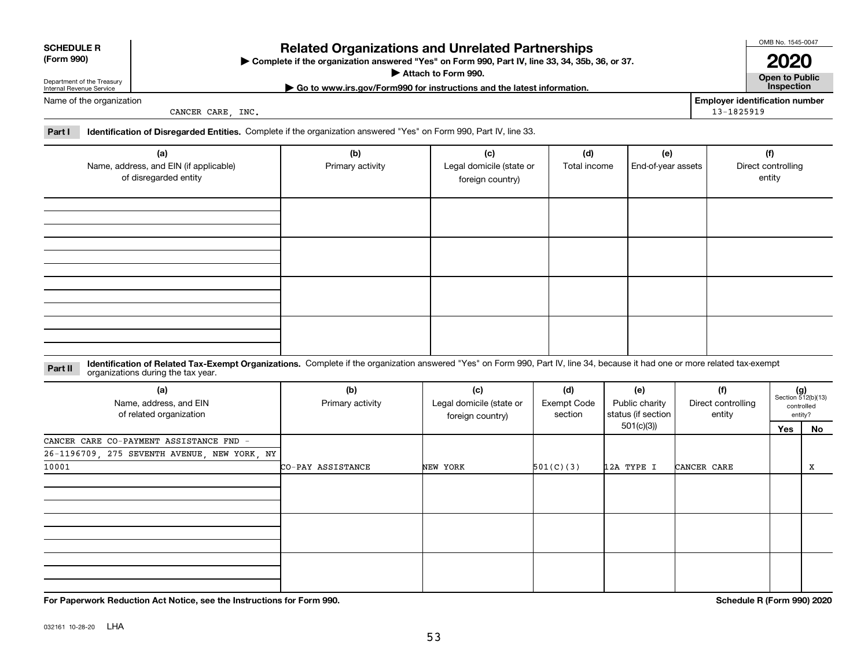| 032161 10-28-20 | LHA |
|-----------------|-----|

## **Related Organizations and Unrelated Partnerships**

**Complete if the organization answered "Yes" on Form 990, Part IV, line 33, 34, 35b, 36, or 37.** |

**Attach to Form 990.**  |

#### Name of the organization

Department of the Treasury Internal Revenue Service

**SCHEDULE R (Form 990)**

CANCER CARE, INC.

**Part I Identification of Disregarded Entities.**  Complete if the organization answered "Yes" on Form 990, Part IV, line 33.

| (a)<br>Name, address, and EIN (if applicable)<br>of disregarded entity | (b)<br>Primary activity | (c)<br>Legal domicile (state or<br>foreign country) | (d)<br>Total income | (e)<br>End-of-year assets | (f)<br>Direct controlling<br>entity |
|------------------------------------------------------------------------|-------------------------|-----------------------------------------------------|---------------------|---------------------------|-------------------------------------|
|                                                                        |                         |                                                     |                     |                           |                                     |
|                                                                        |                         |                                                     |                     |                           |                                     |
|                                                                        |                         |                                                     |                     |                           |                                     |
|                                                                        |                         |                                                     |                     |                           |                                     |

#### **Identification of Related Tax-Exempt Organizations.** Complete if the organization answered "Yes" on Form 990, Part IV, line 34, because it had one or more related tax-exempt **Part II** organizations during the tax year.

| (a)<br>Name, address, and EIN<br>of related organization | (b)<br>Primary activity | (c)<br>Legal domicile (state or<br>foreign country) | (d)<br><b>Exempt Code</b><br>section | (e)<br>Public charity<br>status (if section | (f)<br>Direct controlling<br>entity | $(g)$<br>Section 512(b)(13) | controlled<br>entity? |
|----------------------------------------------------------|-------------------------|-----------------------------------------------------|--------------------------------------|---------------------------------------------|-------------------------------------|-----------------------------|-----------------------|
|                                                          |                         |                                                     |                                      | 501(c)(3))                                  |                                     | Yes                         | No                    |
| CANCER CARE CO-PAYMENT ASSISTANCE FND -                  |                         |                                                     |                                      |                                             |                                     |                             |                       |
| 26-1196709, 275 SEVENTH AVENUE, NEW YORK, NY             |                         |                                                     |                                      |                                             |                                     |                             |                       |
| 10001                                                    | CO-PAY ASSISTANCE       | NEW YORK                                            | 501(C)(3)                            | 12A TYPE I                                  | CANCER CARE                         |                             | x                     |
|                                                          |                         |                                                     |                                      |                                             |                                     |                             |                       |
|                                                          |                         |                                                     |                                      |                                             |                                     |                             |                       |
|                                                          |                         |                                                     |                                      |                                             |                                     |                             |                       |
|                                                          |                         |                                                     |                                      |                                             |                                     |                             |                       |
|                                                          |                         |                                                     |                                      |                                             |                                     |                             |                       |
|                                                          |                         |                                                     |                                      |                                             |                                     |                             |                       |
|                                                          |                         |                                                     |                                      |                                             |                                     |                             |                       |

**For Paperwork Reduction Act Notice, see the Instructions for Form 990. Schedule R (Form 990) 2020**

**Open to Public**

**Employer identification number**

13-1825919

OMB No. 1545-0047 **2020**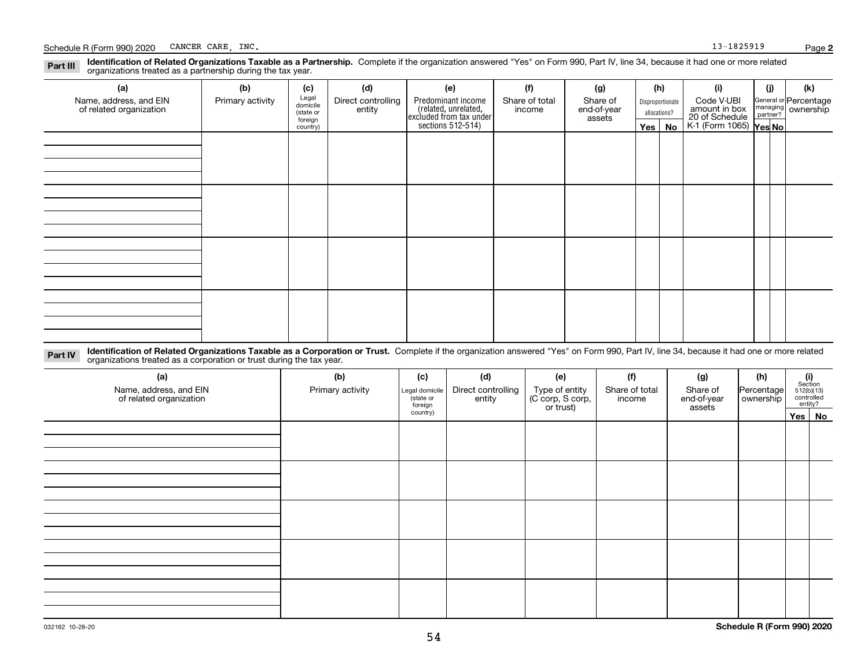#### **Identification of Related Organizations Taxable as a Partnership.** Complete if the organization answered "Yes" on Form 990, Part IV, line 34, because it had one or more related **Part III** organizations treated as a partnership during the tax year.

| ◡<br>ັ<br>$\overline{\phantom{a}}$                |                  |                      |                    |                    |                                                                      |          |                       |                  |                        |                                 |                                                         |  |
|---------------------------------------------------|------------------|----------------------|--------------------|--------------------|----------------------------------------------------------------------|----------|-----------------------|------------------|------------------------|---------------------------------|---------------------------------------------------------|--|
| (a)                                               | (b)              | (c)                  | (d)                | (e)                | (f)                                                                  | (g)      |                       | (h)              | (i)                    | (i)                             | (k)                                                     |  |
| Name, address, and EIN<br>of related organization | Primary activity | Legal<br>domicile    | Direct controlling | Predominant income | Share of total                                                       | Share of |                       | Disproportionate | Code V-UBI             |                                 | General or Percentage<br>managing ownership<br>partner? |  |
|                                                   |                  | (state or<br>foreign | entity             |                    | (related, unrelated,<br>excluded from tax under<br>sections 512-514) | income   | end-of-year<br>assets | allocations?     |                        | amount in box<br>20 of Schedule |                                                         |  |
|                                                   |                  | country)             |                    |                    |                                                                      |          | $Yes \mid$            | No               | K-1 (Form 1065) Yes No |                                 |                                                         |  |
|                                                   |                  |                      |                    |                    |                                                                      |          |                       |                  |                        |                                 |                                                         |  |
|                                                   |                  |                      |                    |                    |                                                                      |          |                       |                  |                        |                                 |                                                         |  |
|                                                   |                  |                      |                    |                    |                                                                      |          |                       |                  |                        |                                 |                                                         |  |
|                                                   |                  |                      |                    |                    |                                                                      |          |                       |                  |                        |                                 |                                                         |  |
|                                                   |                  |                      |                    |                    |                                                                      |          |                       |                  |                        |                                 |                                                         |  |
|                                                   |                  |                      |                    |                    |                                                                      |          |                       |                  |                        |                                 |                                                         |  |
|                                                   |                  |                      |                    |                    |                                                                      |          |                       |                  |                        |                                 |                                                         |  |
|                                                   |                  |                      |                    |                    |                                                                      |          |                       |                  |                        |                                 |                                                         |  |
|                                                   |                  |                      |                    |                    |                                                                      |          |                       |                  |                        |                                 |                                                         |  |
|                                                   |                  |                      |                    |                    |                                                                      |          |                       |                  |                        |                                 |                                                         |  |
|                                                   |                  |                      |                    |                    |                                                                      |          |                       |                  |                        |                                 |                                                         |  |
|                                                   |                  |                      |                    |                    |                                                                      |          |                       |                  |                        |                                 |                                                         |  |
|                                                   |                  |                      |                    |                    |                                                                      |          |                       |                  |                        |                                 |                                                         |  |
|                                                   |                  |                      |                    |                    |                                                                      |          |                       |                  |                        |                                 |                                                         |  |
|                                                   |                  |                      |                    |                    |                                                                      |          |                       |                  |                        |                                 |                                                         |  |
|                                                   |                  |                      |                    |                    |                                                                      |          |                       |                  |                        |                                 |                                                         |  |
|                                                   |                  |                      |                    |                    |                                                                      |          |                       |                  |                        |                                 |                                                         |  |

**Identification of Related Organizations Taxable as a Corporation or Trust.** Complete if the organization answered "Yes" on Form 990, Part IV, line 34, because it had one or more related **Part IV** organizations treated as a corporation or trust during the tax year.

| (a)<br>Name, address, and EIN<br>of related organization | (b)<br>Primary activity | (c)<br>Legal domicile<br>(state or<br>foreign | (d)<br>Direct controlling<br>entity | (e)<br>Type of entity<br>(C corp, S corp,<br>or trust) | (f)<br>Share of total<br>income | (g)<br>Share of<br>end-of-year<br>assets | (h)<br>Percentage<br>ownership | $\begin{array}{c} \textbf{(i)}\\ \text{Section}\\ 512 \text{(b)} \text{(13)}\\ \text{controlled}\\ \text{entity?} \end{array}$ |  |
|----------------------------------------------------------|-------------------------|-----------------------------------------------|-------------------------------------|--------------------------------------------------------|---------------------------------|------------------------------------------|--------------------------------|--------------------------------------------------------------------------------------------------------------------------------|--|
|                                                          |                         | country)                                      |                                     |                                                        |                                 |                                          |                                | Yes No                                                                                                                         |  |
|                                                          |                         |                                               |                                     |                                                        |                                 |                                          |                                |                                                                                                                                |  |
|                                                          |                         |                                               |                                     |                                                        |                                 |                                          |                                |                                                                                                                                |  |
|                                                          |                         |                                               |                                     |                                                        |                                 |                                          |                                |                                                                                                                                |  |
|                                                          |                         |                                               |                                     |                                                        |                                 |                                          |                                |                                                                                                                                |  |
|                                                          |                         |                                               |                                     |                                                        |                                 |                                          |                                |                                                                                                                                |  |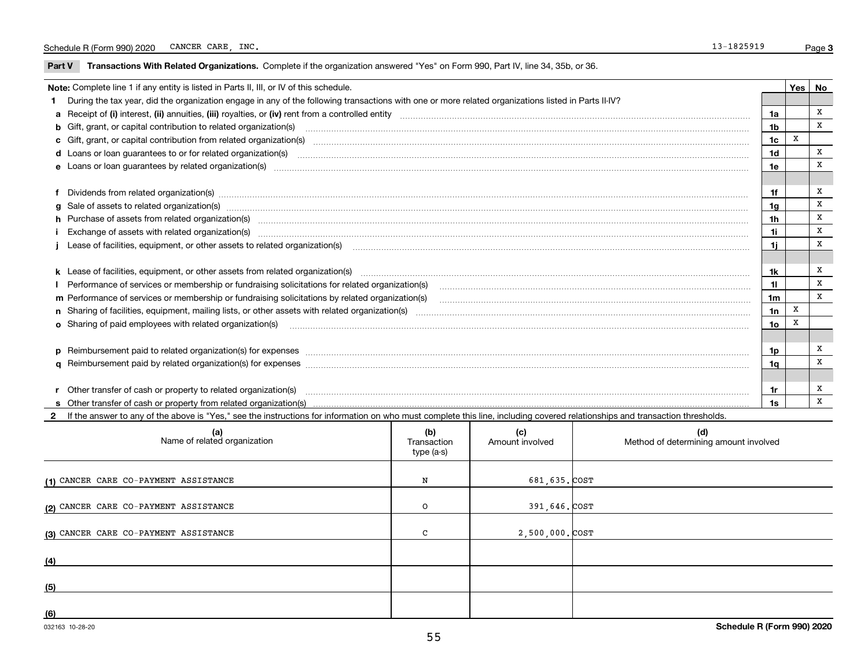$\overline{\phantom{0}}$ 

**Part V** T**ransactions With Related Organizations.** Complete if the organization answered "Yes" on Form 990, Part IV, line 34, 35b, or 36.

| Note: Complete line 1 if any entity is listed in Parts II, III, or IV of this schedule. |                                                                                                                                                                                                                                |                 |   |   |  |
|-----------------------------------------------------------------------------------------|--------------------------------------------------------------------------------------------------------------------------------------------------------------------------------------------------------------------------------|-----------------|---|---|--|
|                                                                                         | During the tax year, did the organization engage in any of the following transactions with one or more related organizations listed in Parts II-IV?                                                                            |                 |   |   |  |
|                                                                                         |                                                                                                                                                                                                                                | 1a              |   | x |  |
|                                                                                         |                                                                                                                                                                                                                                | 1 <sub>b</sub>  |   | X |  |
|                                                                                         |                                                                                                                                                                                                                                | 1c              | X |   |  |
|                                                                                         |                                                                                                                                                                                                                                | 1 <sub>d</sub>  |   | X |  |
|                                                                                         |                                                                                                                                                                                                                                | 1e              |   | X |  |
|                                                                                         |                                                                                                                                                                                                                                |                 |   |   |  |
|                                                                                         | f Dividends from related organization(s) manufactured contains and contained and contained contained and contained and contained and contained and contained and contained and contained and contained and contained and conta | 1f              |   | X |  |
|                                                                                         | g Sale of assets to related organization(s) www.assettion.com/www.assettion.com/www.assettion.com/www.assettion.com/www.assettion.com/www.assettion.com/www.assettion.com/www.assettion.com/www.assettion.com/www.assettion.co | 1a              |   | X |  |
|                                                                                         |                                                                                                                                                                                                                                | 1h              |   | x |  |
|                                                                                         | i Exchange of assets with related organization(s) www.andromanachiochemical contractional contract and announces                                                                                                               | 1i.             |   | x |  |
|                                                                                         |                                                                                                                                                                                                                                | 1i.             |   | X |  |
|                                                                                         |                                                                                                                                                                                                                                |                 |   |   |  |
|                                                                                         | k Lease of facilities, equipment, or other assets from related organization(s) manufaction content and content to the assets from related organization(s) manufaction content and content and content and content and content  | 1k.             |   | x |  |
|                                                                                         | I Performance of services or membership or fundraising solicitations for related organization(s)                                                                                                                               | 11              |   | X |  |
|                                                                                         | m Performance of services or membership or fundraising solicitations by related organization(s)                                                                                                                                | 1 <sub>m</sub>  |   | X |  |
|                                                                                         |                                                                                                                                                                                                                                | 1n              | X |   |  |
|                                                                                         |                                                                                                                                                                                                                                | 10 <sub>o</sub> | x |   |  |
|                                                                                         |                                                                                                                                                                                                                                |                 |   |   |  |
|                                                                                         | p Reimbursement paid to related organization(s) for expenses [1111] and manufactured manufactured manufactured manufactured manufactured manufactured manufactured manufactured manufactured manufactured manufactured manufac | 1p              |   | x |  |
|                                                                                         |                                                                                                                                                                                                                                | 1a              |   | X |  |
|                                                                                         |                                                                                                                                                                                                                                |                 |   |   |  |
|                                                                                         | r Other transfer of cash or property to related organization(s)                                                                                                                                                                | 1r              |   | х |  |
|                                                                                         |                                                                                                                                                                                                                                | 1s              |   | x |  |

**2**If the answer to any of the above is "Yes," see the instructions for information on who must complete this line, including covered relationships and transaction thresholds.

| (a)<br>Name of related organization   | (b)<br>Transaction<br>type (a-s) | (c)<br>Amount involved | (d)<br>Method of determining amount involved |
|---------------------------------------|----------------------------------|------------------------|----------------------------------------------|
| (1) CANCER CARE CO-PAYMENT ASSISTANCE | N                                | 681,635.COST           |                                              |
| (2) CANCER CARE CO-PAYMENT ASSISTANCE | O                                | 391,646. COST          |                                              |
| (3) CANCER CARE CO-PAYMENT ASSISTANCE | $\mathsf{C}$                     | 2,500,000. COST        |                                              |
| (4)                                   |                                  |                        |                                              |
| (5)                                   |                                  |                        |                                              |
| (6)                                   |                                  |                        |                                              |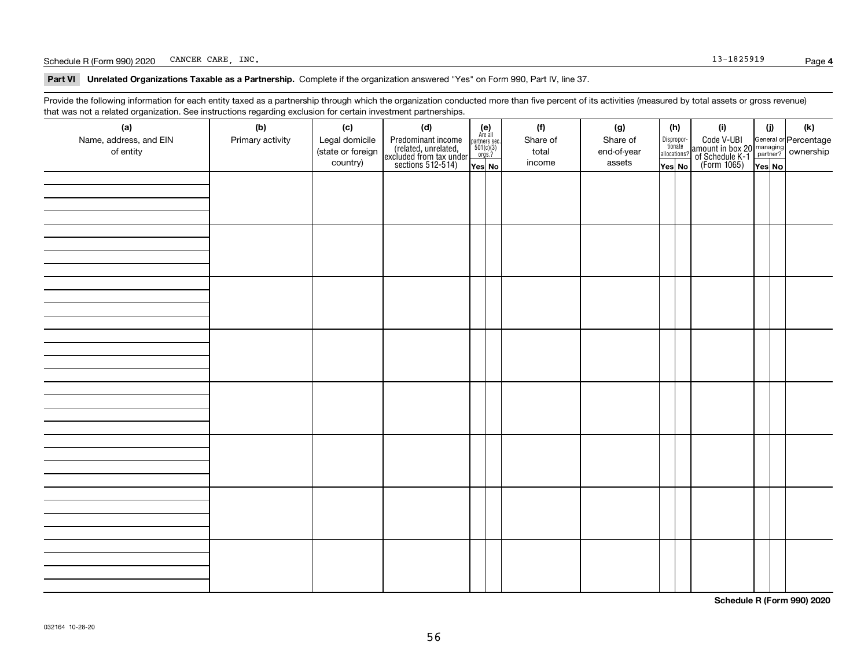#### Schedule R (Form 990) 2020 Page CANCER CARE, INC. 13-1825919

**Part VI Unrelated Organizations Taxable as a Partnership. Complete if the organization answered "Yes" on Form 990, Part IV, line 37.** 

Provide the following information for each entity taxed as a partnership through which the organization conducted more than five percent of its activities (measured by total assets or gross revenue) that was not a related organization. See instructions regarding exclusion for certain investment partnerships.

| (a)<br>Name, address, and EIN<br>of entity | (b)<br>Primary activity | (c)<br>Legal domicile<br>(state or foreign<br>country) | (d)<br>Predominant income<br>(related, unrelated,<br>excluded from tax under<br>sections 512-514) | $\begin{array}{c} \textbf{(e)}\\ \text{Are all} \\ \text{partners sec.}\\ 501(c)(3)\\ \text{orgs.?} \end{array}$<br>$Yes$ No | (f)<br>Share of<br>total<br>income | (g)<br>Share of<br>end-of-year<br>assets | (h)<br>Dispropor-<br>tionate<br>allocations?<br>Yes No | (i)<br>Code V-UBI<br>amount in box 20 managing<br>of Schedule K-1 partner? ownership<br>(Form 1065)<br>ves No | (i)<br>Yes No | (k) |
|--------------------------------------------|-------------------------|--------------------------------------------------------|---------------------------------------------------------------------------------------------------|------------------------------------------------------------------------------------------------------------------------------|------------------------------------|------------------------------------------|--------------------------------------------------------|---------------------------------------------------------------------------------------------------------------|---------------|-----|
|                                            |                         |                                                        |                                                                                                   |                                                                                                                              |                                    |                                          |                                                        |                                                                                                               |               |     |
|                                            |                         |                                                        |                                                                                                   |                                                                                                                              |                                    |                                          |                                                        |                                                                                                               |               |     |
|                                            |                         |                                                        |                                                                                                   |                                                                                                                              |                                    |                                          |                                                        |                                                                                                               |               |     |
|                                            |                         |                                                        |                                                                                                   |                                                                                                                              |                                    |                                          |                                                        |                                                                                                               |               |     |
|                                            |                         |                                                        |                                                                                                   |                                                                                                                              |                                    |                                          |                                                        |                                                                                                               |               |     |
|                                            |                         |                                                        |                                                                                                   |                                                                                                                              |                                    |                                          |                                                        |                                                                                                               |               |     |
|                                            |                         |                                                        |                                                                                                   |                                                                                                                              |                                    |                                          |                                                        |                                                                                                               |               |     |
|                                            |                         |                                                        |                                                                                                   |                                                                                                                              |                                    |                                          |                                                        |                                                                                                               |               |     |

**Schedule R (Form 990) 2020**